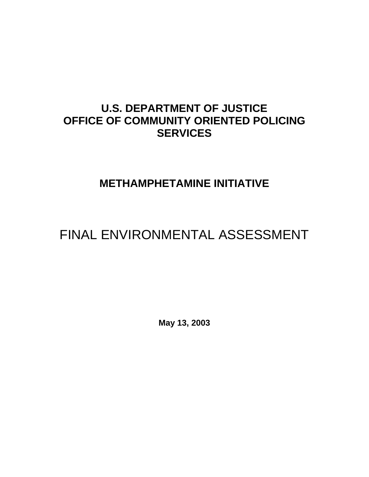# **U.S. DEPARTMENT OF JUSTICE OFFICE OF COMMUNITY ORIENTED POLICING SERVICES**

# **METHAMPHETAMINE INITIATIVE**

# FINAL ENVIRONMENTAL ASSESSMENT

**May 13, 2003**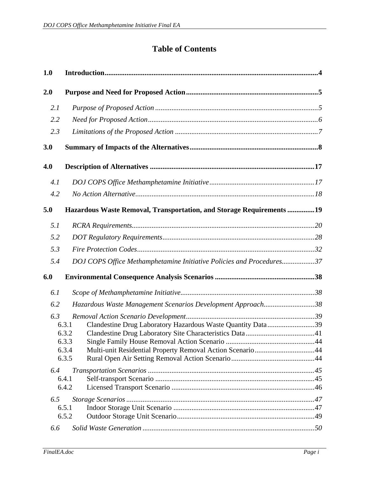# **Table of Contents**

| 1.0 |                                                                      |  |
|-----|----------------------------------------------------------------------|--|
| 2.0 |                                                                      |  |
| 2.1 |                                                                      |  |
| 2.2 |                                                                      |  |
| 2.3 |                                                                      |  |
| 3.0 |                                                                      |  |
| 4.0 |                                                                      |  |
| 4.1 |                                                                      |  |
| 4.2 |                                                                      |  |
| 5.0 | Hazardous Waste Removal, Transportation, and Storage Requirements 19 |  |
| 5.1 |                                                                      |  |
| 5.2 |                                                                      |  |
| 5.3 |                                                                      |  |
| 5.4 | DOJ COPS Office Methamphetamine Initiative Policies and Procedures37 |  |
| 6.0 |                                                                      |  |
| 6.1 |                                                                      |  |
| 6.2 | Hazardous Waste Management Scenarios Development Approach38          |  |
| 6.3 |                                                                      |  |
|     | Clandestine Drug Laboratory Hazardous Waste Quantity Data39<br>6.3.1 |  |
|     | 6.3.2                                                                |  |
|     | 6.3.3                                                                |  |
|     | 6.3.4<br>Multi-unit Residential Property Removal Action Scenario44   |  |
|     | 6.3.5                                                                |  |
| 6.4 |                                                                      |  |
|     | 6.4.1<br>6.4.2                                                       |  |
|     |                                                                      |  |
| 6.5 | 6.5.1                                                                |  |
|     | 6.5.2                                                                |  |
| 6.6 |                                                                      |  |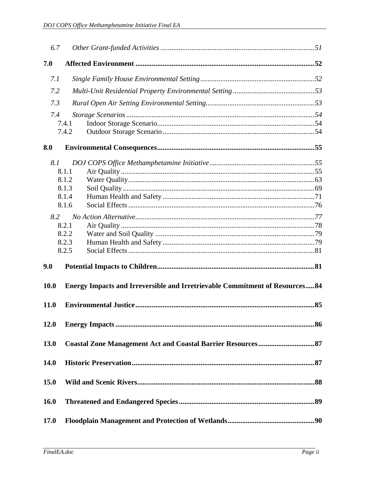| 6.7  |                                                                              |  |
|------|------------------------------------------------------------------------------|--|
| 7.0  |                                                                              |  |
| 7.1  |                                                                              |  |
| 7.2  |                                                                              |  |
| 7.3  |                                                                              |  |
| 7.4  |                                                                              |  |
|      | 7.4.1                                                                        |  |
|      | 7.4.2                                                                        |  |
| 8.0  |                                                                              |  |
| 8.1  |                                                                              |  |
|      | 8.1.1                                                                        |  |
|      | 8.1.2                                                                        |  |
|      | 8.1.3                                                                        |  |
|      | 8.1.4                                                                        |  |
|      | 8.1.6                                                                        |  |
| 8.2  |                                                                              |  |
|      | 8.2.1                                                                        |  |
|      | 8.2.2                                                                        |  |
|      | 8.2.3<br>8.2.5                                                               |  |
|      |                                                                              |  |
| 9.0  |                                                                              |  |
| 10.0 | Energy Impacts and Irreversible and Irretrievable Commitment of Resources 84 |  |
| 11.0 |                                                                              |  |
| 12.0 |                                                                              |  |
| 13.0 |                                                                              |  |
| 14.0 |                                                                              |  |
| 15.0 |                                                                              |  |
| 16.0 |                                                                              |  |
| 17.0 |                                                                              |  |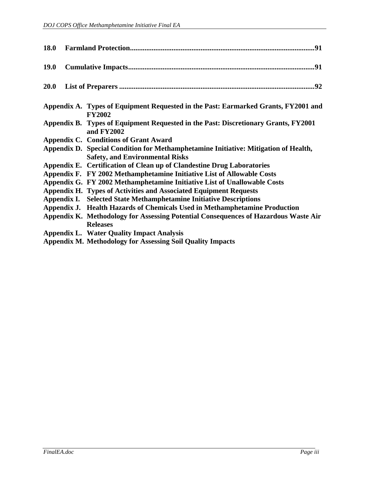| <b>18.0</b> |                                                                                                     |
|-------------|-----------------------------------------------------------------------------------------------------|
| <b>19.0</b> |                                                                                                     |
| <b>20.0</b> |                                                                                                     |
|             | Appendix A. Types of Equipment Requested in the Past: Earmarked Grants, FY2001 and<br><b>FY2002</b> |
|             | Appendix B. Types of Equipment Requested in the Past: Discretionary Grants, FY2001<br>and FY2002    |
|             | <b>Appendix C. Conditions of Grant Award</b>                                                        |
|             | Appendix D. Special Condition for Methamphetamine Initiative: Mitigation of Health,                 |
|             | <b>Safety, and Environmental Risks</b>                                                              |
|             | Appendix E. Certification of Clean up of Clandestine Drug Laboratories                              |
|             | Appendix F. FY 2002 Methamphetamine Initiative List of Allowable Costs                              |
|             | Appendix G. FY 2002 Methamphetamine Initiative List of Unallowable Costs                            |
|             | <b>Appendix H. Types of Activities and Associated Equipment Requests</b>                            |
|             | <b>Appendix I. Selected State Methamphetamine Initiative Descriptions</b>                           |
|             | Appendix J. Health Hazards of Chemicals Used in Methamphetamine Production                          |
|             | Appendix K. Methodology for Assessing Potential Consequences of Hazardous Waste Air                 |
|             | <b>Releases</b>                                                                                     |
|             | <b>Appendix L. Water Quality Impact Analysis</b>                                                    |
|             | <b>Appendix M. Methodology for Assessing Soil Quality Impacts</b>                                   |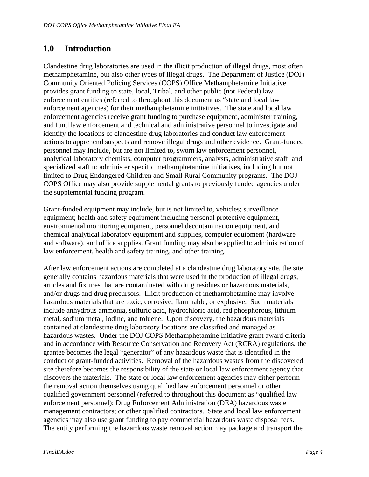# **1.0 Introduction**

Clandestine drug laboratories are used in the illicit production of illegal drugs, most often methamphetamine, but also other types of illegal drugs. The Department of Justice (DOJ) Community Oriented Policing Services (COPS) Office Methamphetamine Initiative provides grant funding to state, local, Tribal, and other public (not Federal) law enforcement entities (referred to throughout this document as "state and local law enforcement agencies) for their methamphetamine initiatives. The state and local law enforcement agencies receive grant funding to purchase equipment, administer training, and fund law enforcement and technical and administrative personnel to investigate and identify the locations of clandestine drug laboratories and conduct law enforcement actions to apprehend suspects and remove illegal drugs and other evidence. Grant-funded personnel may include, but are not limited to, sworn law enforcement personnel, analytical laboratory chemists, computer programmers, analysts, administrative staff, and specialized staff to administer specific methamphetamine initiatives, including but not limited to Drug Endangered Children and Small Rural Community programs. The DOJ COPS Office may also provide supplemental grants to previously funded agencies under the supplemental funding program.

Grant-funded equipment may include, but is not limited to, vehicles; surveillance equipment; health and safety equipment including personal protective equipment, environmental monitoring equipment, personnel decontamination equipment, and chemical analytical laboratory equipment and supplies, computer equipment (hardware and software), and office supplies. Grant funding may also be applied to administration of law enforcement, health and safety training, and other training.

After law enforcement actions are completed at a clandestine drug laboratory site, the site generally contains hazardous materials that were used in the production of illegal drugs, articles and fixtures that are contaminated with drug residues or hazardous materials, and/or drugs and drug precursors. Illicit production of methamphetamine may involve hazardous materials that are toxic, corrosive, flammable, or explosive. Such materials include anhydrous ammonia, sulfuric acid, hydrochloric acid, red phosphorous, lithium metal, sodium metal, iodine, and toluene. Upon discovery, the hazardous materials contained at clandestine drug laboratory locations are classified and managed as hazardous wastes. Under the DOJ COPS Methamphetamine Initiative grant award criteria and in accordance with Resource Conservation and Recovery Act (RCRA) regulations, the grantee becomes the legal "generator" of any hazardous waste that is identified in the conduct of grant-funded activities. Removal of the hazardous wastes from the discovered site therefore becomes the responsibility of the state or local law enforcement agency that discovers the materials. The state or local law enforcement agencies may either perform the removal action themselves using qualified law enforcement personnel or other qualified government personnel (referred to throughout this document as "qualified law enforcement personnel); Drug Enforcement Administration (DEA) hazardous waste management contractors; or other qualified contractors. State and local law enforcement agencies may also use grant funding to pay commercial hazardous waste disposal fees. The entity performing the hazardous waste removal action may package and transport the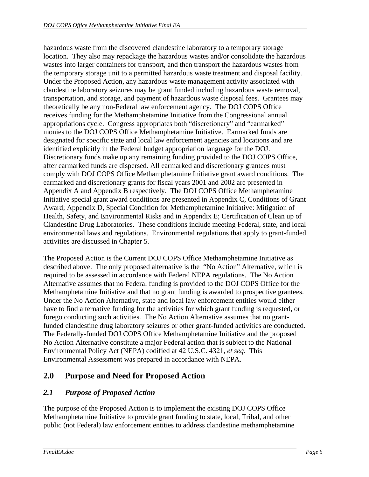hazardous waste from the discovered clandestine laboratory to a temporary storage location. They also may repackage the hazardous wastes and/or consolidate the hazardous wastes into larger containers for transport, and then transport the hazardous wastes from the temporary storage unit to a permitted hazardous waste treatment and disposal facility. Under the Proposed Action, any hazardous waste management activity associated with clandestine laboratory seizures may be grant funded including hazardous waste removal, transportation, and storage, and payment of hazardous waste disposal fees. Grantees may theoretically be any non-Federal law enforcement agency. The DOJ COPS Office receives funding for the Methamphetamine Initiative from the Congressional annual appropriations cycle. Congress appropriates both "discretionary" and "earmarked" monies to the DOJ COPS Office Methamphetamine Initiative. Earmarked funds are designated for specific state and local law enforcement agencies and locations and are identified explicitly in the Federal budget appropriation language for the DOJ. Discretionary funds make up any remaining funding provided to the DOJ COPS Office, after earmarked funds are dispersed. All earmarked and discretionary grantees must comply with DOJ COPS Office Methamphetamine Initiative grant award conditions. The earmarked and discretionary grants for fiscal years 2001 and 2002 are presented in Appendix A and Appendix B respectively. The DOJ COPS Office Methamphetamine Initiative special grant award conditions are presented in Appendix C, Conditions of Grant Award; Appendix D, Special Condition for Methamphetamine Initiative: Mitigation of Health, Safety, and Environmental Risks and in Appendix E; Certification of Clean up of Clandestine Drug Laboratories. These conditions include meeting Federal, state, and local environmental laws and regulations. Environmental regulations that apply to grant-funded activities are discussed in Chapter 5.

The Proposed Action is the Current DOJ COPS Office Methamphetamine Initiative as described above. The only proposed alternative is the "No Action" Alternative, which is required to be assessed in accordance with Federal NEPA regulations. The No Action Alternative assumes that no Federal funding is provided to the DOJ COPS Office for the Methamphetamine Initiative and that no grant funding is awarded to prospective grantees. Under the No Action Alternative, state and local law enforcement entities would either have to find alternative funding for the activities for which grant funding is requested, or forego conducting such activities. The No Action Alternative assumes that no grantfunded clandestine drug laboratory seizures or other grant-funded activities are conducted. The Federally-funded DOJ COPS Office Methamphetamine Initiative and the proposed No Action Alternative constitute a major Federal action that is subject to the National Environmental Policy Act (NEPA) codified at 42 U.S.C. 4321, *et seq*. This Environmental Assessment was prepared in accordance with NEPA.

# **2.0 Purpose and Need for Proposed Action**

### *2.1 Purpose of Proposed Action*

The purpose of the Proposed Action is to implement the existing DOJ COPS Office Methamphetamine Initiative to provide grant funding to state, local, Tribal, and other public (not Federal) law enforcement entities to address clandestine methamphetamine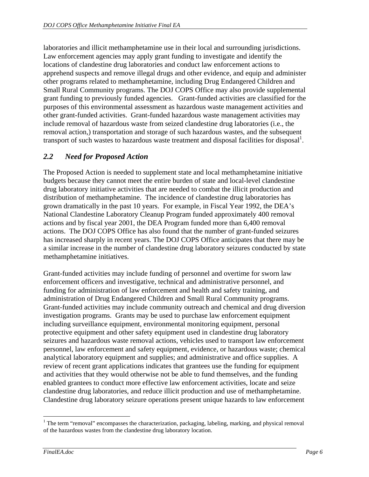laboratories and illicit methamphetamine use in their local and surrounding jurisdictions. Law enforcement agencies may apply grant funding to investigate and identify the locations of clandestine drug laboratories and conduct law enforcement actions to apprehend suspects and remove illegal drugs and other evidence, and equip and administer other programs related to methamphetamine, including Drug Endangered Children and Small Rural Community programs. The DOJ COPS Office may also provide supplemental grant funding to previously funded agencies. Grant-funded activities are classified for the purposes of this environmental assessment as hazardous waste management activities and other grant-funded activities. Grant-funded hazardous waste management activities may include removal of hazardous waste from seized clandestine drug laboratories (i.e., the removal action,) transportation and storage of such hazardous wastes, and the subsequent transport of such wastes to hazardous waste treatment and disposal facilities for disposal<sup>1</sup>.

### *2.2 Need for Proposed Action*

The Proposed Action is needed to supplement state and local methamphetamine initiative budgets because they cannot meet the entire burden of state and local-level clandestine drug laboratory initiative activities that are needed to combat the illicit production and distribution of methamphetamine. The incidence of clandestine drug laboratories has grown dramatically in the past 10 years. For example, in Fiscal Year 1992, the DEA's National Clandestine Laboratory Cleanup Program funded approximately 400 removal actions and by fiscal year 2001, the DEA Program funded more than 6,400 removal actions. The DOJ COPS Office has also found that the number of grant-funded seizures has increased sharply in recent years. The DOJ COPS Office anticipates that there may be a similar increase in the number of clandestine drug laboratory seizures conducted by state methamphetamine initiatives.

Grant-funded activities may include funding of personnel and overtime for sworn law enforcement officers and investigative, technical and administrative personnel, and funding for administration of law enforcement and health and safety training, and administration of Drug Endangered Children and Small Rural Community programs. Grant-funded activities may include community outreach and chemical and drug diversion investigation programs. Grants may be used to purchase law enforcement equipment including surveillance equipment, environmental monitoring equipment, personal protective equipment and other safety equipment used in clandestine drug laboratory seizures and hazardous waste removal actions, vehicles used to transport law enforcement personnel, law enforcement and safety equipment, evidence, or hazardous waste; chemical analytical laboratory equipment and supplies; and administrative and office supplies. A review of recent grant applications indicates that grantees use the funding for equipment and activities that they would otherwise not be able to fund themselves, and the funding enabled grantees to conduct more effective law enforcement activities, locate and seize clandestine drug laboratories, and reduce illicit production and use of methamphetamine. Clandestine drug laboratory seizure operations present unique hazards to law enforcement

<sup>&</sup>lt;sup>1</sup> The term "removal" encompasses the characterization, packaging, labeling, marking, and physical removal of the hazardous wastes from the clandestine drug laboratory location.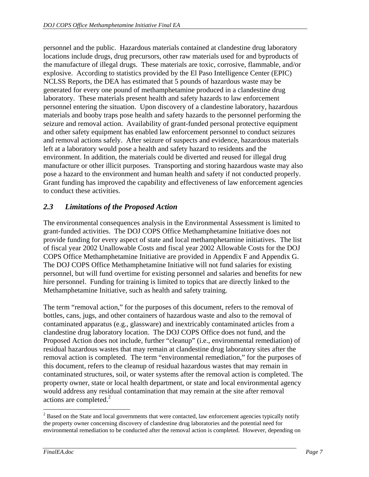personnel and the public. Hazardous materials contained at clandestine drug laboratory locations include drugs, drug precursors, other raw materials used for and byproducts of the manufacture of illegal drugs. These materials are toxic, corrosive, flammable, and/or explosive. According to statistics provided by the El Paso Intelligence Center (EPIC) NCLSS Reports, the DEA has estimated that 5 pounds of hazardous waste may be generated for every one pound of methamphetamine produced in a clandestine drug laboratory. These materials present health and safety hazards to law enforcement personnel entering the situation. Upon discovery of a clandestine laboratory, hazardous materials and booby traps pose health and safety hazards to the personnel performing the seizure and removal action. Availability of grant-funded personal protective equipment and other safety equipment has enabled law enforcement personnel to conduct seizures and removal actions safely. After seizure of suspects and evidence, hazardous materials left at a laboratory would pose a health and safety hazard to residents and the environment. In addition, the materials could be diverted and reused for illegal drug manufacture or other illicit purposes. Transporting and storing hazardous waste may also pose a hazard to the environment and human health and safety if not conducted properly. Grant funding has improved the capability and effectiveness of law enforcement agencies to conduct these activities.

### *2.3 Limitations of the Proposed Action*

The environmental consequences analysis in the Environmental Assessment is limited to grant-funded activities. The DOJ COPS Office Methamphetamine Initiative does not provide funding for every aspect of state and local methamphetamine initiatives. The list of fiscal year 2002 Unallowable Costs and fiscal year 2002 Allowable Costs for the DOJ COPS Office Methamphetamine Initiative are provided in Appendix F and Appendix G. The DOJ COPS Office Methamphetamine Initiative will not fund salaries for existing personnel, but will fund overtime for existing personnel and salaries and benefits for new hire personnel. Funding for training is limited to topics that are directly linked to the Methamphetamine Initiative, such as health and safety training.

The term "removal action," for the purposes of this document, refers to the removal of bottles, cans, jugs, and other containers of hazardous waste and also to the removal of contaminated apparatus (e.g., glassware) and inextricably contaminated articles from a clandestine drug laboratory location. The DOJ COPS Office does not fund, and the Proposed Action does not include, further "cleanup" (i.e., environmental remediation) of residual hazardous wastes that may remain at clandestine drug laboratory sites after the removal action is completed. The term "environmental remediation," for the purposes of this document, refers to the cleanup of residual hazardous wastes that may remain in contaminated structures, soil, or water systems after the removal action is completed. The property owner, state or local health department, or state and local environmental agency would address any residual contamination that may remain at the site after removal actions are completed.<sup>2</sup>

<sup>1</sup>  $2^{2}$  Based on the State and local governments that were contacted, law enforcement agencies typically notify the property owner concerning discovery of clandestine drug laboratories and the potential need for environmental remediation to be conducted after the removal action is completed. However, depending on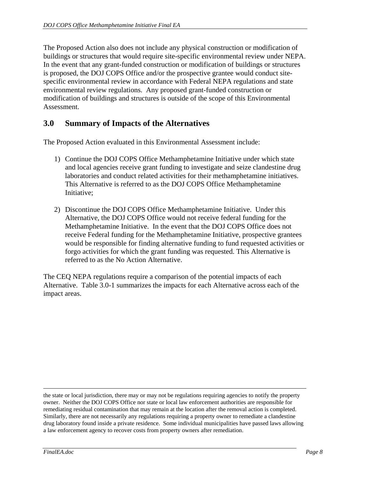The Proposed Action also does not include any physical construction or modification of buildings or structures that would require site-specific environmental review under NEPA. In the event that any grant-funded construction or modification of buildings or structures is proposed, the DOJ COPS Office and/or the prospective grantee would conduct sitespecific environmental review in accordance with Federal NEPA regulations and state environmental review regulations. Any proposed grant-funded construction or modification of buildings and structures is outside of the scope of this Environmental Assessment.

## **3.0 Summary of Impacts of the Alternatives**

The Proposed Action evaluated in this Environmental Assessment include:

- 1) Continue the DOJ COPS Office Methamphetamine Initiative under which state and local agencies receive grant funding to investigate and seize clandestine drug laboratories and conduct related activities for their methamphetamine initiatives. This Alternative is referred to as the DOJ COPS Office Methamphetamine Initiative;
- 2) Discontinue the DOJ COPS Office Methamphetamine Initiative. Under this Alternative, the DOJ COPS Office would not receive federal funding for the Methamphetamine Initiative. In the event that the DOJ COPS Office does not receive Federal funding for the Methamphetamine Initiative, prospective grantees would be responsible for finding alternative funding to fund requested activities or forgo activities for which the grant funding was requested. This Alternative is referred to as the No Action Alternative.

The CEQ NEPA regulations require a comparison of the potential impacts of each Alternative. Table 3.0-1 summarizes the impacts for each Alternative across each of the impact areas.

 the state or local jurisdiction, there may or may not be regulations requiring agencies to notify the property owner. Neither the DOJ COPS Office nor state or local law enforcement authorities are responsible for remediating residual contamination that may remain at the location after the removal action is completed. Similarly, there are not necessarily any regulations requiring a property owner to remediate a clandestine drug laboratory found inside a private residence. Some individual municipalities have passed laws allowing a law enforcement agency to recover costs from property owners after remediation.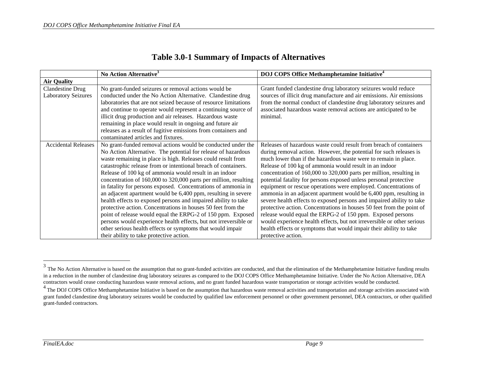|                                                       | No Action Alternative <sup>3</sup>                                                                                                                                                                                                                                                                                                                                                                                                                                                                                                                                                                                                                                                                                                                                                                                                                                                                             | <b>DOJ COPS Office Methamphetamine Initiative</b> <sup>4</sup>                                                                                                                                                                                                                                                                                                                                                                                                                                                                                                                                                                                                                                                                                                                                                                                                                                                                                  |
|-------------------------------------------------------|----------------------------------------------------------------------------------------------------------------------------------------------------------------------------------------------------------------------------------------------------------------------------------------------------------------------------------------------------------------------------------------------------------------------------------------------------------------------------------------------------------------------------------------------------------------------------------------------------------------------------------------------------------------------------------------------------------------------------------------------------------------------------------------------------------------------------------------------------------------------------------------------------------------|-------------------------------------------------------------------------------------------------------------------------------------------------------------------------------------------------------------------------------------------------------------------------------------------------------------------------------------------------------------------------------------------------------------------------------------------------------------------------------------------------------------------------------------------------------------------------------------------------------------------------------------------------------------------------------------------------------------------------------------------------------------------------------------------------------------------------------------------------------------------------------------------------------------------------------------------------|
| <b>Air Quality</b>                                    |                                                                                                                                                                                                                                                                                                                                                                                                                                                                                                                                                                                                                                                                                                                                                                                                                                                                                                                |                                                                                                                                                                                                                                                                                                                                                                                                                                                                                                                                                                                                                                                                                                                                                                                                                                                                                                                                                 |
| <b>Clandestine Drug</b><br><b>Laboratory Seizures</b> | No grant-funded seizures or removal actions would be<br>conducted under the No Action Alternative. Clandestine drug<br>laboratories that are not seized because of resource limitations                                                                                                                                                                                                                                                                                                                                                                                                                                                                                                                                                                                                                                                                                                                        | Grant funded clandestine drug laboratory seizures would reduce<br>sources of illicit drug manufacture and air emissions. Air emissions<br>from the normal conduct of clandestine drug laboratory seizures and                                                                                                                                                                                                                                                                                                                                                                                                                                                                                                                                                                                                                                                                                                                                   |
|                                                       | and continue to operate would represent a continuing source of<br>illicit drug production and air releases. Hazardous waste                                                                                                                                                                                                                                                                                                                                                                                                                                                                                                                                                                                                                                                                                                                                                                                    | associated hazardous waste removal actions are anticipated to be<br>minimal.                                                                                                                                                                                                                                                                                                                                                                                                                                                                                                                                                                                                                                                                                                                                                                                                                                                                    |
|                                                       | remaining in place would result in ongoing and future air<br>releases as a result of fugitive emissions from containers and<br>contaminated articles and fixtures.                                                                                                                                                                                                                                                                                                                                                                                                                                                                                                                                                                                                                                                                                                                                             |                                                                                                                                                                                                                                                                                                                                                                                                                                                                                                                                                                                                                                                                                                                                                                                                                                                                                                                                                 |
| <b>Accidental Releases</b>                            | No grant-funded removal actions would be conducted under the<br>No Action Alternative. The potential for release of hazardous<br>waste remaining in place is high. Releases could result from<br>catastrophic release from or intentional breach of containers.<br>Release of 100 kg of ammonia would result in an indoor<br>concentration of 160,000 to 320,000 parts per million, resulting<br>in fatality for persons exposed. Concentrations of ammonia in<br>an adjacent apartment would be 6,400 ppm, resulting in severe<br>health effects to exposed persons and impaired ability to take<br>protective action. Concentrations in houses 50 feet from the<br>point of release would equal the ERPG-2 of 150 ppm. Exposed<br>persons would experience health effects, but not irreversible or<br>other serious health effects or symptoms that would impair<br>their ability to take protective action. | Releases of hazardous waste could result from breach of containers<br>during removal action. However, the potential for such releases is<br>much lower than if the hazardous waste were to remain in place.<br>Release of 100 kg of ammonia would result in an indoor<br>concentration of 160,000 to 320,000 parts per million, resulting in<br>potential fatality for persons exposed unless personal protective<br>equipment or rescue operations were employed. Concentrations of<br>ammonia in an adjacent apartment would be 6,400 ppm, resulting in<br>severe health effects to exposed persons and impaired ability to take<br>protective action. Concentrations in houses 50 feet from the point of<br>release would equal the ERPG-2 of 150 ppm. Exposed persons<br>would experience health effects, but not irreversible or other serious<br>health effects or symptoms that would impair their ability to take<br>protective action. |

### **Table 3.0-1 Summary of Impacts of Alternatives**

 $3$  The No Action Alternative is based on the assumption that no grant-funded activities are conducted, and that the elimination of the Methamphetamine Initiative funding results in a reduction in the number of clandestine drug laboratory seizures as compared to the DOJ COPS Office Methamphetamine Initiative. Under the No Action Alternative, DEA contractors would cease conducting hazardous waste removal actions, and no grant funded hazardous waste transportation or storage activities would be conducted.

 $4$  The DOJ COPS Office Methamphetamine Initiative is based on the assumption that hazardous waste removal activities and transportation and storage activities associated with grant funded clandestine drug laboratory seizures would be conducted by qualified law enforcement personnel or other government personnel, DEA contractors, or other qualified grant-funded contractors.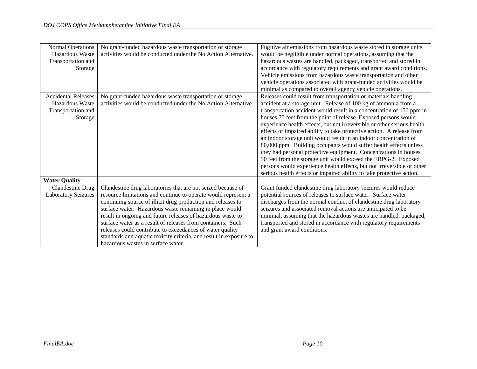| <b>Normal Operations</b><br>Hazardous Waste<br>Transportation and<br>Storage   | No grant-funded hazardous waste transportation or storage<br>activities would be conducted under the No Action Alternative.                                                                                                                                                                                                                                                                                                                                                                                                                                      | Fugitive air emissions from hazardous waste stored in storage units<br>would be negligible under normal operations, assuming that the<br>hazardous wastes are handled, packaged, transported and stored in<br>accordance with regulatory requirements and grant award conditions.<br>Vehicle emissions from hazardous waste transportation and other<br>vehicle operations associated with grant-funded activities would be<br>minimal as compared to overall agency vehicle operations.                                                                                                                                                                                                                                                                                                                                                                              |
|--------------------------------------------------------------------------------|------------------------------------------------------------------------------------------------------------------------------------------------------------------------------------------------------------------------------------------------------------------------------------------------------------------------------------------------------------------------------------------------------------------------------------------------------------------------------------------------------------------------------------------------------------------|-----------------------------------------------------------------------------------------------------------------------------------------------------------------------------------------------------------------------------------------------------------------------------------------------------------------------------------------------------------------------------------------------------------------------------------------------------------------------------------------------------------------------------------------------------------------------------------------------------------------------------------------------------------------------------------------------------------------------------------------------------------------------------------------------------------------------------------------------------------------------|
| <b>Accidental Releases</b><br>Hazardous Waste<br>Transportation and<br>Storage | No grant-funded hazardous waste transportation or storage<br>activities would be conducted under the No Action Alternative.                                                                                                                                                                                                                                                                                                                                                                                                                                      | Releases could result from transportation or materials handling<br>accident at a storage unit. Release of 100 kg of ammonia from a<br>transportation accident would result in a concentration of 150 ppm in<br>houses 75 feet from the point of release. Exposed persons would<br>experience health effects, but not irreversible or other serious health<br>effects or impaired ability to take protective action. A release from<br>an indoor storage unit would result in an indoor concentration of<br>80,000 ppm. Building occupants would suffer health effects unless<br>they had personal protective equipment. Concentrations in houses<br>50 feet from the storage unit would exceed the ERPG-2. Exposed<br>persons would experience health effects, but not irreversible or other<br>serious health effects or impaired ability to take protective action. |
| <b>Water Quality</b>                                                           |                                                                                                                                                                                                                                                                                                                                                                                                                                                                                                                                                                  |                                                                                                                                                                                                                                                                                                                                                                                                                                                                                                                                                                                                                                                                                                                                                                                                                                                                       |
| <b>Clandestine Drug</b><br><b>Laboratory Seizures</b>                          | Clandestine drug laboratories that are not seized because of<br>resource limitations and continue to operate would represent a<br>continuing source of illicit drug production and releases to<br>surface water. Hazardous waste remaining in place would<br>result in ongoing and future releases of hazardous waste to<br>surface water as a result of releases from containers. Such<br>releases could contribute to exceedances of water quality<br>standards and aquatic toxicity criteria, and result in exposure to<br>hazardous wastes in surface water. | Grant funded clandestine drug laboratory seizures would reduce<br>potential sources of releases to surface water. Surface water<br>discharges from the normal conduct of clandestine drug laboratory<br>seizures and associated removal actions are anticipated to be<br>minimal, assuming that the hazardous wastes are handled, packaged,<br>transported and stored in accordance with regulatory requirements<br>and grant award conditions.                                                                                                                                                                                                                                                                                                                                                                                                                       |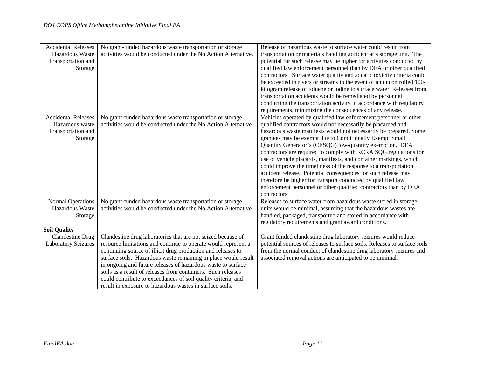| <b>Accidental Releases</b><br>Hazardous Waste<br>Transportation and<br>Storage | No grant-funded hazardous waste transportation or storage<br>activities would be conducted under the No Action Alternative.                                                                                                                                                                                                                                                                                                                                                                                                   | Release of hazardous waste to surface water could result from<br>transportation or materials handling accident at a storage unit. The<br>potential for such release may be higher for activities conducted by<br>qualified law enforcement personnel than by DEA or other qualified<br>contractors. Surface water quality and aquatic toxicity criteria could<br>be exceeded in rivers or streams in the event of an uncontrolled 100-<br>kilogram release of toluene or iodine to surface water. Releases from<br>transportation accidents would be remediated by personnel<br>conducting the transportation activity in accordance with regulatory<br>requirements, minimizing the consequences of any release.                                                |
|--------------------------------------------------------------------------------|-------------------------------------------------------------------------------------------------------------------------------------------------------------------------------------------------------------------------------------------------------------------------------------------------------------------------------------------------------------------------------------------------------------------------------------------------------------------------------------------------------------------------------|------------------------------------------------------------------------------------------------------------------------------------------------------------------------------------------------------------------------------------------------------------------------------------------------------------------------------------------------------------------------------------------------------------------------------------------------------------------------------------------------------------------------------------------------------------------------------------------------------------------------------------------------------------------------------------------------------------------------------------------------------------------|
| <b>Accidental Releases</b><br>Hazardous waste<br>Transportation and<br>Storage | No grant-funded hazardous waste transportation or storage<br>activities would be conducted under the No Action Alternative.                                                                                                                                                                                                                                                                                                                                                                                                   | Vehicles operated by qualified law enforcement personnel or other<br>qualified contractors would not necessarily be placarded and<br>hazardous waste manifests would not necessarily be prepared. Some<br>grantees may be exempt due to Conditionally Exempt Small<br>Quantity Generator's (CESQG) low-quantity exemption. DEA<br>contractors are required to comply with RCRA SQG regulations for<br>use of vehicle placards, manifests, and container markings, which<br>could improve the timeliness of the response to a transportation<br>accident release. Potential consequences for such release may<br>therefore be higher for transport conducted by qualified law<br>enforcement personnel or other qualified contractors than by DEA<br>contractors. |
| <b>Normal Operations</b><br>Hazardous Waste<br>Storage                         | No grant-funded hazardous waste transportation or storage<br>activities would be conducted under the No Action Alternative                                                                                                                                                                                                                                                                                                                                                                                                    | Releases to surface water from hazardous waste stored in storage<br>units would be minimal, assuming that the hazardous wastes are<br>handled, packaged, transported and stored in accordance with<br>regulatory requirements and grant award conditions.                                                                                                                                                                                                                                                                                                                                                                                                                                                                                                        |
| <b>Soil Quality</b>                                                            |                                                                                                                                                                                                                                                                                                                                                                                                                                                                                                                               |                                                                                                                                                                                                                                                                                                                                                                                                                                                                                                                                                                                                                                                                                                                                                                  |
| <b>Clandestine Drug</b><br><b>Laboratory Seizures</b>                          | Clandestine drug laboratories that are not seized because of<br>resource limitations and continue to operate would represent a<br>continuing source of illicit drug production and releases to<br>surface soils. Hazardous waste remaining in place would result<br>in ongoing and future releases of hazardous waste to surface<br>soils as a result of releases from containers. Such releases<br>could contribute to exceedances of soil quality criteria, and<br>result in exposure to hazardous wastes in surface soils. | Grant funded clandestine drug laboratory seizures would reduce<br>potential sources of releases to surface soils. Releases to surface soils<br>from the normal conduct of clandestine drug laboratory seizures and<br>associated removal actions are anticipated to be minimal.                                                                                                                                                                                                                                                                                                                                                                                                                                                                                  |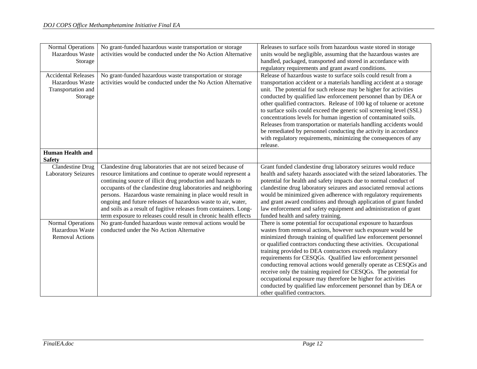| Normal Operations          | No grant-funded hazardous waste transportation or storage         | Releases to surface soils from hazardous waste stored in storage       |
|----------------------------|-------------------------------------------------------------------|------------------------------------------------------------------------|
| Hazardous Waste            | activities would be conducted under the No Action Alternative     | units would be negligible, assuming that the hazardous wastes are      |
| Storage                    |                                                                   | handled, packaged, transported and stored in accordance with           |
|                            |                                                                   | regulatory requirements and grant award conditions.                    |
| <b>Accidental Releases</b> | No grant-funded hazardous waste transportation or storage         | Release of hazardous waste to surface soils could result from a        |
| Hazardous Waste            | activities would be conducted under the No Action Alternative     | transportation accident or a materials handling accident at a storage  |
| Transportation and         |                                                                   | unit. The potential for such release may be higher for activities      |
| Storage                    |                                                                   | conducted by qualified law enforcement personnel than by DEA or        |
|                            |                                                                   | other qualified contractors. Release of 100 kg of toluene or acetone   |
|                            |                                                                   | to surface soils could exceed the generic soil screening level (SSL)   |
|                            |                                                                   | concentrations levels for human ingestion of contaminated soils.       |
|                            |                                                                   | Releases from transportation or materials handling accidents would     |
|                            |                                                                   | be remediated by personnel conducting the activity in accordance       |
|                            |                                                                   | with regulatory requirements, minimizing the consequences of any       |
|                            |                                                                   | release.                                                               |
| <b>Human Health and</b>    |                                                                   |                                                                        |
| <b>Safety</b>              |                                                                   |                                                                        |
| Clandestine Drug           | Clandestine drug laboratories that are not seized because of      | Grant funded clandestine drug laboratory seizures would reduce         |
| <b>Laboratory Seizures</b> | resource limitations and continue to operate would represent a    | health and safety hazards associated with the seized laboratories. The |
|                            | continuing source of illicit drug production and hazards to       | potential for health and safety impacts due to normal conduct of       |
|                            | occupants of the clandestine drug laboratories and neighboring    | clandestine drug laboratory seizures and associated removal actions    |
|                            | persons. Hazardous waste remaining in place would result in       | would be minimized given adherence with regulatory requirements        |
|                            | ongoing and future releases of hazardous waste to air, water,     | and grant award conditions and through application of grant funded     |
|                            | and soils as a result of fugitive releases from containers. Long- | law enforcement and safety equipment and administration of grant       |
|                            | term exposure to releases could result in chronic health effects  | funded health and safety training.                                     |
| Normal Operations          | No grant-funded hazardous waste removal actions would be          | There is some potential for occupational exposure to hazardous         |
| Hazardous Waste            | conducted under the No Action Alternative                         | wastes from removal actions, however such exposure would be            |
| <b>Removal Actions</b>     |                                                                   | minimized through training of qualified law enforcement personnel      |
|                            |                                                                   | or qualified contractors conducting these activities. Occupational     |
|                            |                                                                   | training provided to DEA contractors exceeds regulatory                |
|                            |                                                                   | requirements for CESQGs. Qualified law enforcement personnel           |
|                            |                                                                   | conducting removal actions would generally operate as CESQGs and       |
|                            |                                                                   | receive only the training required for CESQGs. The potential for       |
|                            |                                                                   | occupational exposure may therefore be higher for activities           |
|                            |                                                                   | conducted by qualified law enforcement personnel than by DEA or        |
|                            |                                                                   | other qualified contractors.                                           |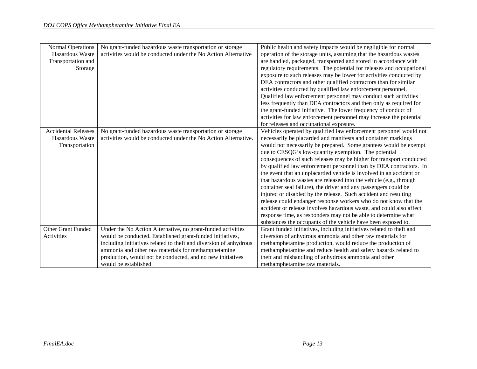| <b>Normal Operations</b>   | No grant-funded hazardous waste transportation or storage         | Public health and safety impacts would be negligible for normal      |
|----------------------------|-------------------------------------------------------------------|----------------------------------------------------------------------|
| Hazardous Waste            | activities would be conducted under the No Action Alternative     | operation of the storage units, assuming that the hazardous wastes   |
| Transportation and         |                                                                   | are handled, packaged, transported and stored in accordance with     |
| Storage                    |                                                                   | regulatory requirements. The potential for releases and occupational |
|                            |                                                                   | exposure to such releases may be lower for activities conducted by   |
|                            |                                                                   | DEA contractors and other qualified contractors than for similar     |
|                            |                                                                   | activities conducted by qualified law enforcement personnel.         |
|                            |                                                                   | Qualified law enforcement personnel may conduct such activities      |
|                            |                                                                   | less frequently than DEA contractors and then only as required for   |
|                            |                                                                   | the grant-funded initiative. The lower frequency of conduct of       |
|                            |                                                                   | activities for law enforcement personnel may increase the potential  |
|                            |                                                                   | for releases and occupational exposure.                              |
| <b>Accidental Releases</b> | No grant-funded hazardous waste transportation or storage         | Vehicles operated by qualified law enforcement personnel would not   |
| Hazardous Waste            | activities would be conducted under the No Action Alternative.    | necessarily be placarded and manifests and container markings        |
| Transportation             |                                                                   | would not necessarily be prepared. Some grantees would be exempt     |
|                            |                                                                   | due to CESQG's low-quantity exemption. The potential                 |
|                            |                                                                   | consequences of such releases may be higher for transport conducted  |
|                            |                                                                   | by qualified law enforcement personnel than by DEA contractors. In   |
|                            |                                                                   | the event that an unplacarded vehicle is involved in an accident or  |
|                            |                                                                   | that hazardous wastes are released into the vehicle (e.g., through   |
|                            |                                                                   | container seal failure), the driver and any passengers could be      |
|                            |                                                                   | injured or disabled by the release. Such accident and resulting      |
|                            |                                                                   | release could endanger response workers who do not know that the     |
|                            |                                                                   | accident or release involves hazardous waste, and could also affect  |
|                            |                                                                   | response time, as responders may not be able to determine what       |
|                            |                                                                   | substances the occupants of the vehicle have been exposed to.        |
| <b>Other Grant Funded</b>  | Under the No Action Alternative, no grant-funded activities       | Grant funded initiatives, including initiatives related to theft and |
| Activities                 | would be conducted. Established grant-funded initiatives,         | diversion of anhydrous ammonia and other raw materials for           |
|                            | including initiatives related to theft and diversion of anhydrous | methamphetamine production, would reduce the production of           |
|                            | ammonia and other raw materials for methamphetamine               | methamphetamine and reduce health and safety hazards related to      |
|                            | production, would not be conducted, and no new initiatives        | theft and mishandling of anhydrous ammonia and other                 |
|                            | would be established.                                             | methamphetamine raw materials.                                       |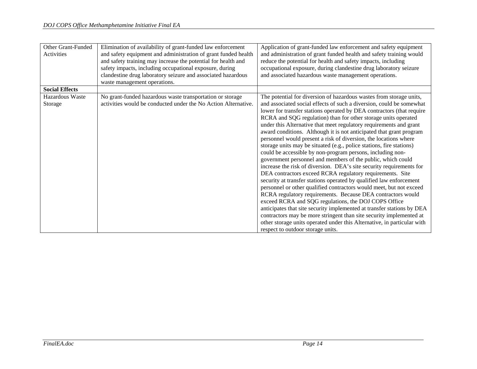| Other Grant-Funded<br>Activities | Elimination of availability of grant-funded law enforcement<br>and safety equipment and administration of grant funded health<br>and safety training may increase the potential for health and<br>safety impacts, including occupational exposure, during<br>clandestine drug laboratory seizure and associated hazardous<br>waste management operations. | Application of grant-funded law enforcement and safety equipment<br>and administration of grant funded health and safety training would<br>reduce the potential for health and safety impacts, including<br>occupational exposure, during clandestine drug laboratory seizure<br>and associated hazardous waste management operations.                                                                                                                                                                                                                                                                                                                                                                                                                                                                                                                                                                                                                                                                                                                                                                                                                                                                                                                                                                                                                                                  |
|----------------------------------|-----------------------------------------------------------------------------------------------------------------------------------------------------------------------------------------------------------------------------------------------------------------------------------------------------------------------------------------------------------|-----------------------------------------------------------------------------------------------------------------------------------------------------------------------------------------------------------------------------------------------------------------------------------------------------------------------------------------------------------------------------------------------------------------------------------------------------------------------------------------------------------------------------------------------------------------------------------------------------------------------------------------------------------------------------------------------------------------------------------------------------------------------------------------------------------------------------------------------------------------------------------------------------------------------------------------------------------------------------------------------------------------------------------------------------------------------------------------------------------------------------------------------------------------------------------------------------------------------------------------------------------------------------------------------------------------------------------------------------------------------------------------|
| <b>Social Effects</b>            |                                                                                                                                                                                                                                                                                                                                                           |                                                                                                                                                                                                                                                                                                                                                                                                                                                                                                                                                                                                                                                                                                                                                                                                                                                                                                                                                                                                                                                                                                                                                                                                                                                                                                                                                                                         |
| Hazardous Waste<br>Storage       | No grant-funded hazardous waste transportation or storage<br>activities would be conducted under the No Action Alternative.                                                                                                                                                                                                                               | The potential for diversion of hazardous wastes from storage units,<br>and associated social effects of such a diversion, could be somewhat<br>lower for transfer stations operated by DEA contractors (that require<br>RCRA and SQG regulation) than for other storage units operated<br>under this Alternative that meet regulatory requirements and grant<br>award conditions. Although it is not anticipated that grant program<br>personnel would present a risk of diversion, the locations where<br>storage units may be situated (e.g., police stations, fire stations)<br>could be accessible by non-program persons, including non-<br>government personnel and members of the public, which could<br>increase the risk of diversion. DEA's site security requirements for<br>DEA contractors exceed RCRA regulatory requirements. Site<br>security at transfer stations operated by qualified law enforcement<br>personnel or other qualified contractors would meet, but not exceed<br>RCRA regulatory requirements. Because DEA contractors would<br>exceed RCRA and SQG regulations, the DOJ COPS Office<br>anticipates that site security implemented at transfer stations by DEA<br>contractors may be more stringent than site security implemented at<br>other storage units operated under this Alternative, in particular with<br>respect to outdoor storage units. |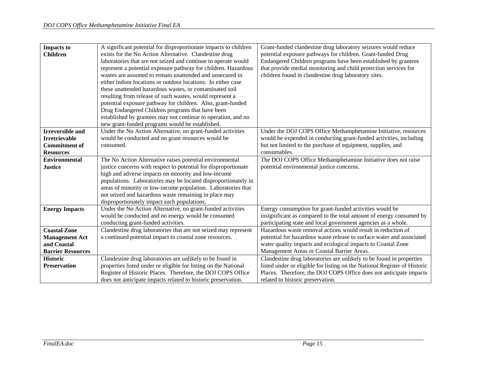| <b>Impacts to</b>        | A significant potential for disproportionate impacts to children | Grant-funded clandestine drug laboratory seizures would reduce            |
|--------------------------|------------------------------------------------------------------|---------------------------------------------------------------------------|
| <b>Children</b>          | exists for the No Action Alternative. Clandestine drug           | potential exposure pathways for children. Grant-funded Drug               |
|                          | laboratories that are not seized and continue to operate would   | Endangered Children programs have been established by grantees            |
|                          | represent a potential exposure pathway for children. Hazardous   | that provide medial monitoring and child protection services for          |
|                          | wastes are assumed to remain unattended and unsecured in         | children found in clandestine drug laboratory sites.                      |
|                          | either indoor locations or outdoor locations. In either case     |                                                                           |
|                          | these unattended hazardous wastes, or contaminated soil          |                                                                           |
|                          | resulting from release of such wastes, would represent a         |                                                                           |
|                          | potential exposure pathway for children. Also, grant-funded      |                                                                           |
|                          | Drug Endangered Children programs that have been                 |                                                                           |
|                          | established by grantees may not continue in operation, and no    |                                                                           |
|                          | new grant-funded programs would be established.                  |                                                                           |
| <b>Irreversible and</b>  | Under the No Action Alternative, no grant-funded activities      | Under the DOJ COPS Office Methamphetamine Initiative, resources           |
| <b>Irretrievable</b>     | would be conducted and no grant resources would be               | would be expended in conducting grant-funded activities, including        |
| <b>Commitment of</b>     | consumed.                                                        | but not limited to the purchase of equipment, supplies, and               |
| <b>Resources</b>         |                                                                  | consumables.                                                              |
| <b>Environmental</b>     | The No Action Alternative raises potential environmental         | The DOJ COPS Office Methamphetamine Initiative does not raise             |
| <b>Justice</b>           | justice concerns with respect to potential for disproportionate  | potential environmental justice concerns.                                 |
|                          | high and adverse impacts on minority and low-income              |                                                                           |
|                          | populations. Laboratories may be located disproportionately in   |                                                                           |
|                          | areas of minority or low-income population. Laboratories that    |                                                                           |
|                          | not seized and hazardous waste remaining in place may            |                                                                           |
|                          | disproportionately impact such populations.                      |                                                                           |
| <b>Energy Impacts</b>    | Under the No Action Alternative, no grant-funded activities      | Energy consumption for grant-funded activities would be                   |
|                          | would be conducted and no energy would be consumed               | insignificant as compared to the total amount of energy consumed by       |
|                          | conducting grant-funded activities.                              | participating state and local government agencies as a whole.             |
| <b>Coastal Zone</b>      | Clandestine drug laboratories that are not seized may represent  | Hazardous waste removal actions would result in reduction of              |
| <b>Management Act</b>    | a continued potential impact to coastal zone resources.          | potential for hazardous waste release to surface water and associated     |
| and Coastal              |                                                                  | water quality impacts and ecological impacts to Coastal Zone              |
| <b>Barrier Resources</b> |                                                                  | Management Areas or Coastal Barrier Areas.                                |
| <b>Historic</b>          | Clandestine drug laboratories are unlikely to be found in        | Clandestine drug laboratories are unlikely to be found in properties      |
| <b>Preservation</b>      | properties listed under or eligible for listing on the National  | listed under or eligible for listing on the National Register of Historic |
|                          | Register of Historic Places. Therefore, the DOJ COPS Office      | Places. Therefore, the DOJ COPS Office does not anticipate impacts        |
|                          | does not anticipate impacts related to historic preservation.    | related to historic preservation.                                         |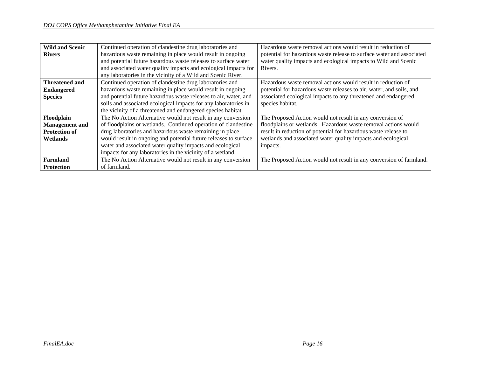| <b>Wild and Scenic</b> | Continued operation of clandestine drug laboratories and         | Hazardous waste removal actions would result in reduction of          |
|------------------------|------------------------------------------------------------------|-----------------------------------------------------------------------|
| <b>Rivers</b>          | hazardous waste remaining in place would result in ongoing       | potential for hazardous waste release to surface water and associated |
|                        | and potential future hazardous waste releases to surface water   | water quality impacts and ecological impacts to Wild and Scenic       |
|                        | and associated water quality impacts and ecological impacts for  | Rivers.                                                               |
|                        | any laboratories in the vicinity of a Wild and Scenic River.     |                                                                       |
| <b>Threatened and</b>  | Continued operation of clandestine drug laboratories and         | Hazardous waste removal actions would result in reduction of          |
| <b>Endangered</b>      | hazardous waste remaining in place would result in ongoing       | potential for hazardous waste releases to air, water, and soils, and  |
| <b>Species</b>         | and potential future hazardous waste releases to air, water, and | associated ecological impacts to any threatened and endangered        |
|                        | soils and associated ecological impacts for any laboratories in  | species habitat.                                                      |
|                        | the vicinity of a threatened and endangered species habitat.     |                                                                       |
| Floodplain             | The No Action Alternative would not result in any conversion     | The Proposed Action would not result in any conversion of             |
| <b>Management</b> and  | of floodplains or wetlands. Continued operation of clandestine   | floodplains or wetlands. Hazardous waste removal actions would        |
| <b>Protection of</b>   | drug laboratories and hazardous waste remaining in place         | result in reduction of potential for hazardous waste release to       |
| Wetlands               | would result in ongoing and potential future releases to surface | wetlands and associated water quality impacts and ecological          |
|                        | water and associated water quality impacts and ecological        | impacts.                                                              |
|                        | impacts for any laboratories in the vicinity of a wetland.       |                                                                       |
| Farmland               | The No Action Alternative would not result in any conversion     | The Proposed Action would not result in any conversion of farmland.   |
| <b>Protection</b>      | of farmland.                                                     |                                                                       |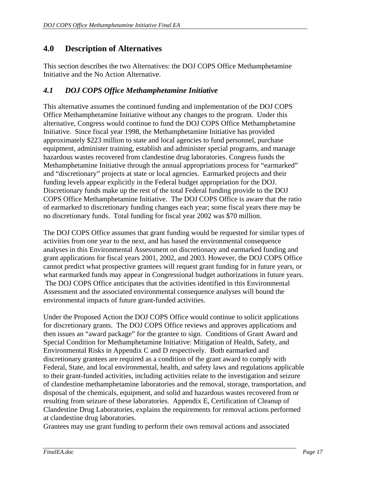# **4.0 Description of Alternatives**

This section describes the two Alternatives: the DOJ COPS Office Methamphetamine Initiative and the No Action Alternative.

#### *4.1 DOJ COPS Office Methamphetamine Initiative*

This alternative assumes the continued funding and implementation of the DOJ COPS Office Methamphetamine Initiative without any changes to the program. Under this alternative, Congress would continue to fund the DOJ COPS Office Methamphetamine Initiative. Since fiscal year 1998, the Methamphetamine Initiative has provided approximately \$223 million to state and local agencies to fund personnel, purchase equipment, administer training, establish and administer special programs, and manage hazardous wastes recovered from clandestine drug laboratories. Congress funds the Methamphetamine Initiative through the annual appropriations process for "earmarked" and "discretionary" projects at state or local agencies. Earmarked projects and their funding levels appear explicitly in the Federal budget appropriation for the DOJ. Discretionary funds make up the rest of the total Federal funding provide to the DOJ COPS Office Methamphetamine Initiative. The DOJ COPS Office is aware that the ratio of earmarked to discretionary funding changes each year; some fiscal years there may be no discretionary funds. Total funding for fiscal year 2002 was \$70 million.

The DOJ COPS Office assumes that grant funding would be requested for similar types of activities from one year to the next, and has based the environmental consequence analyses in this Environmental Assessment on discretionary and earmarked funding and grant applications for fiscal years 2001, 2002, and 2003. However, the DOJ COPS Office cannot predict what prospective grantees will request grant funding for in future years, or what earmarked funds may appear in Congressional budget authorizations in future years. The DOJ COPS Office anticipates that the activities identified in this Environmental Assessment and the associated environmental consequence analyses will bound the environmental impacts of future grant-funded activities.

Under the Proposed Action the DOJ COPS Office would continue to solicit applications for discretionary grants. The DOJ COPS Office reviews and approves applications and then issues an "award package" for the grantee to sign. Conditions of Grant Award and Special Condition for Methamphetamine Initiative: Mitigation of Health, Safety, and Environmental Risks in Appendix C and D respectively. Both earmarked and discretionary grantees are required as a condition of the grant award to comply with Federal, State, and local environmental, health, and safety laws and regulations applicable to their grant-funded activities, including activities relate to the investigation and seizure of clandestine methamphetamine laboratories and the removal, storage, transportation, and disposal of the chemicals, equipment, and solid and hazardous wastes recovered from or resulting from seizure of these laboratories. Appendix E, Certification of Cleanup of Clandestine Drug Laboratories, explains the requirements for removal actions performed at clandestine drug laboratories.

Grantees may use grant funding to perform their own removal actions and associated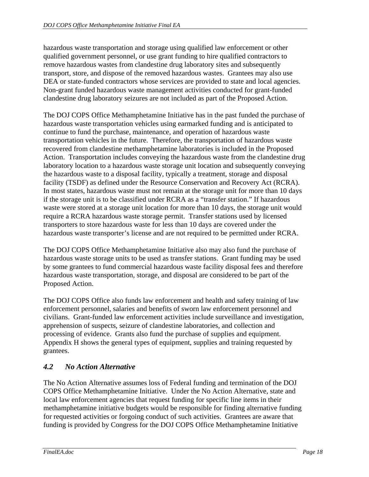hazardous waste transportation and storage using qualified law enforcement or other qualified government personnel, or use grant funding to hire qualified contractors to remove hazardous wastes from clandestine drug laboratory sites and subsequently transport, store, and dispose of the removed hazardous wastes. Grantees may also use DEA or state-funded contractors whose services are provided to state and local agencies. Non-grant funded hazardous waste management activities conducted for grant-funded clandestine drug laboratory seizures are not included as part of the Proposed Action.

The DOJ COPS Office Methamphetamine Initiative has in the past funded the purchase of hazardous waste transportation vehicles using earmarked funding and is anticipated to continue to fund the purchase, maintenance, and operation of hazardous waste transportation vehicles in the future. Therefore, the transportation of hazardous waste recovered from clandestine methamphetamine laboratories is included in the Proposed Action. Transportation includes conveying the hazardous waste from the clandestine drug laboratory location to a hazardous waste storage unit location and subsequently conveying the hazardous waste to a disposal facility, typically a treatment, storage and disposal facility (TSDF) as defined under the Resource Conservation and Recovery Act (RCRA). In most states, hazardous waste must not remain at the storage unit for more than 10 days if the storage unit is to be classified under RCRA as a "transfer station." If hazardous waste were stored at a storage unit location for more than 10 days, the storage unit would require a RCRA hazardous waste storage permit. Transfer stations used by licensed transporters to store hazardous waste for less than 10 days are covered under the hazardous waste transporter's license and are not required to be permitted under RCRA.

The DOJ COPS Office Methamphetamine Initiative also may also fund the purchase of hazardous waste storage units to be used as transfer stations. Grant funding may be used by some grantees to fund commercial hazardous waste facility disposal fees and therefore hazardous waste transportation, storage, and disposal are considered to be part of the Proposed Action.

The DOJ COPS Office also funds law enforcement and health and safety training of law enforcement personnel, salaries and benefits of sworn law enforcement personnel and civilians. Grant-funded law enforcement activities include surveillance and investigation, apprehension of suspects, seizure of clandestine laboratories, and collection and processing of evidence. Grants also fund the purchase of supplies and equipment. Appendix H shows the general types of equipment, supplies and training requested by grantees.

### *4.2 No Action Alternative*

The No Action Alternative assumes loss of Federal funding and termination of the DOJ COPS Office Methamphetamine Initiative. Under the No Action Alternative, state and local law enforcement agencies that request funding for specific line items in their methamphetamine initiative budgets would be responsible for finding alternative funding for requested activities or forgoing conduct of such activities. Grantees are aware that funding is provided by Congress for the DOJ COPS Office Methamphetamine Initiative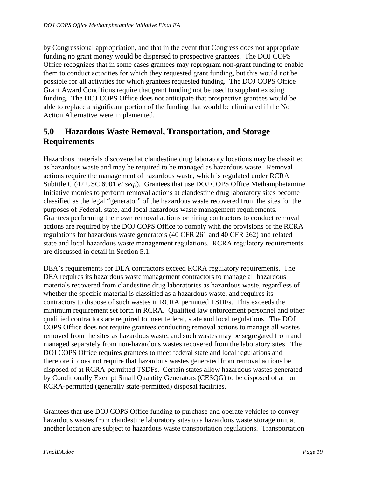by Congressional appropriation, and that in the event that Congress does not appropriate funding no grant money would be dispersed to prospective grantees. The DOJ COPS Office recognizes that in some cases grantees may reprogram non-grant funding to enable them to conduct activities for which they requested grant funding, but this would not be possible for all activities for which grantees requested funding. The DOJ COPS Office Grant Award Conditions require that grant funding not be used to supplant existing funding. The DOJ COPS Office does not anticipate that prospective grantees would be able to replace a significant portion of the funding that would be eliminated if the No Action Alternative were implemented.

## **5.0 Hazardous Waste Removal, Transportation, and Storage Requirements**

Hazardous materials discovered at clandestine drug laboratory locations may be classified as hazardous waste and may be required to be managed as hazardous waste. Removal actions require the management of hazardous waste, which is regulated under RCRA Subtitle C (42 USC 6901 *et seq*.). Grantees that use DOJ COPS Office Methamphetamine Initiative monies to perform removal actions at clandestine drug laboratory sites become classified as the legal "generator" of the hazardous waste recovered from the sites for the purposes of Federal, state, and local hazardous waste management requirements. Grantees performing their own removal actions or hiring contractors to conduct removal actions are required by the DOJ COPS Office to comply with the provisions of the RCRA regulations for hazardous waste generators (40 CFR 261 and 40 CFR 262) and related state and local hazardous waste management regulations. RCRA regulatory requirements are discussed in detail in Section 5.1.

DEA's requirements for DEA contractors exceed RCRA regulatory requirements. The DEA requires its hazardous waste management contractors to manage all hazardous materials recovered from clandestine drug laboratories as hazardous waste, regardless of whether the specific material is classified as a hazardous waste, and requires its contractors to dispose of such wastes in RCRA permitted TSDFs. This exceeds the minimum requirement set forth in RCRA. Qualified law enforcement personnel and other qualified contractors are required to meet federal, state and local regulations. The DOJ COPS Office does not require grantees conducting removal actions to manage all wastes removed from the sites as hazardous waste, and such wastes may be segregated from and managed separately from non-hazardous wastes recovered from the laboratory sites. The DOJ COPS Office requires grantees to meet federal state and local regulations and therefore it does not require that hazardous wastes generated from removal actions be disposed of at RCRA-permitted TSDFs. Certain states allow hazardous wastes generated by Conditionally Exempt Small Quantity Generators (CESQG) to be disposed of at non RCRA-permitted (generally state-permitted) disposal facilities.

Grantees that use DOJ COPS Office funding to purchase and operate vehicles to convey hazardous wastes from clandestine laboratory sites to a hazardous waste storage unit at another location are subject to hazardous waste transportation regulations. Transportation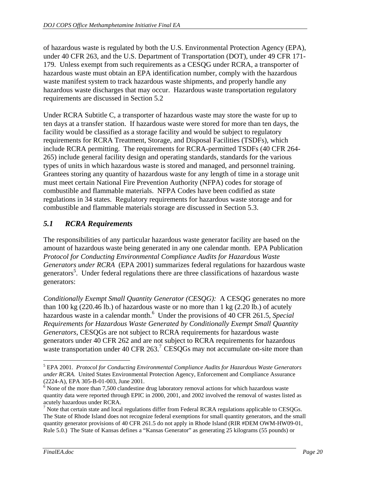of hazardous waste is regulated by both the U.S. Environmental Protection Agency (EPA), under 40 CFR 263, and the U.S. Department of Transportation (DOT), under 49 CFR 171- 179. Unless exempt from such requirements as a CESQG under RCRA, a transporter of hazardous waste must obtain an EPA identification number, comply with the hazardous waste manifest system to track hazardous waste shipments, and properly handle any hazardous waste discharges that may occur. Hazardous waste transportation regulatory requirements are discussed in Section 5.2

Under RCRA Subtitle C, a transporter of hazardous waste may store the waste for up to ten days at a transfer station. If hazardous waste were stored for more than ten days, the facility would be classified as a storage facility and would be subject to regulatory requirements for RCRA Treatment, Storage, and Disposal Facilities (TSDFs), which include RCRA permitting. The requirements for RCRA-permitted TSDFs (40 CFR 264- 265) include general facility design and operating standards, standards for the various types of units in which hazardous waste is stored and managed, and personnel training. Grantees storing any quantity of hazardous waste for any length of time in a storage unit must meet certain National Fire Prevention Authority (NFPA) codes for storage of combustible and flammable materials. NFPA Codes have been codified as state regulations in 34 states. Regulatory requirements for hazardous waste storage and for combustible and flammable materials storage are discussed in Section 5.3.

### *5.1 RCRA Requirements*

The responsibilities of any particular hazardous waste generator facility are based on the amount of hazardous waste being generated in any one calendar month. EPA Publication *Protocol for Conducting Environmental Compliance Audits for Hazardous Waste Generators under RCRA* (EPA 2001) summarizes federal regulations for hazardous waste generators<sup>5</sup>. Under federal regulations there are three classifications of hazardous waste generators:

*Conditionally Exempt Small Quantity Generator (CESQG):* A CESQG generates no more than 100 kg (220.46 lb.) of hazardous waste or no more than 1 kg (2.20 lb.) of acutely hazardous waste in a calendar month.<sup>6</sup> Under the provisions of 40 CFR 261.5, *Special Requirements for Hazardous Waste Generated by Conditionally Exempt Small Quantity Generators*, CESQGs are not subject to RCRA requirements for hazardous waste generators under 40 CFR 262 and are not subject to RCRA requirements for hazardous waste transportation under 40 CFR 263.<sup>7</sup> CESQGs may not accumulate on-site more than

<sup>5</sup> EPA 2001. *Protocol for Conducting Environmental Compliance Audits for Hazardous Waste Generators under RCRA*. United States Environmental Protection Agency, Enforcement and Compliance Assurance (2224-A), EPA 305-B-01-003, June 2001.

 $6$  None of the more than 7,500 clandestine drug laboratory removal actions for which hazardous waste quantity data were reported through EPIC in 2000, 2001, and 2002 involved the removal of wastes listed as acutely hazardous under RCRA.

 $7$  Note that certain state and local regulations differ from Federal RCRA regulations applicable to CESQGs. The State of Rhode Island does not recognize federal exemptions for small quantity generators, and the small quantity generator provisions of 40 CFR 261.5 do not apply in Rhode Island (RIR #DEM OWM-HW09-01, Rule 5.0.) The State of Kansas defines a "Kansas Generator" as generating 25 kilograms (55 pounds) or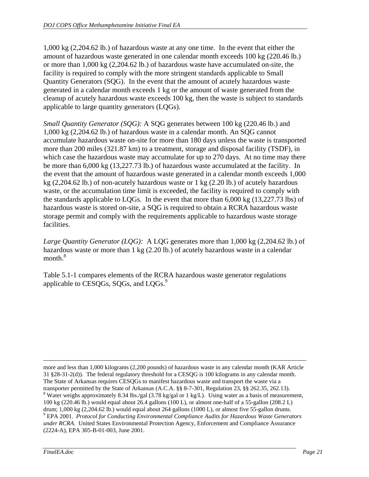1,000 kg (2,204.62 lb.) of hazardous waste at any one time. In the event that either the amount of hazardous waste generated in one calendar month exceeds 100 kg (220.46 lb.) or more than 1,000 kg (2,204.62 lb.) of hazardous waste have accumulated on-site, the facility is required to comply with the more stringent standards applicable to Small Quantity Generators (SQG). In the event that the amount of acutely hazardous waste generated in a calendar month exceeds 1 kg or the amount of waste generated from the cleanup of acutely hazardous waste exceeds 100 kg, then the waste is subject to standards applicable to large quantity generators (LQGs).

*Small Quantity Generator (SQG):* A SQG generates between 100 kg (220.46 lb.) and 1,000 kg (2,204.62 lb.) of hazardous waste in a calendar month. An SQG cannot accumulate hazardous waste on-site for more than 180 days unless the waste is transported more than 200 miles (321.87 km) to a treatment, storage and disposal facility (TSDF), in which case the hazardous waste may accumulate for up to 270 days. At no time may there be more than 6,000 kg (13,227.73 lb.) of hazardous waste accumulated at the facility. In the event that the amount of hazardous waste generated in a calendar month exceeds 1,000 kg (2,204.62 lb.) of non-acutely hazardous waste or 1 kg (2.20 lb.) of acutely hazardous waste, or the accumulation time limit is exceeded, the facility is required to comply with the standards applicable to LQGs. In the event that more than 6,000 kg (13,227.73 lbs) of hazardous waste is stored on-site, a SQG is required to obtain a RCRA hazardous waste storage permit and comply with the requirements applicable to hazardous waste storage facilities.

*Large Quantity Generator (LQG):* A LQG generates more than 1,000 kg (2,204.62 lb.) of hazardous waste or more than 1 kg (2.20 lb.) of acutely hazardous waste in a calendar month.<sup>8</sup>

Table 5.1-1 compares elements of the RCRA hazardous waste generator regulations applicable to  $CESQGs$ , SQGs, and LQGs. $^{9}$ 

 $\overline{a}$ more and less than 1,000 kilograms (2,200 pounds) of hazardous waste in any calendar month (KAR Article 31 §28-31-2(d)). The federal regulatory threshold for a CESQG is 100 kilograms in any calendar month. The State of Arkansas requires CESQGs to manifest hazardous waste and transport the waste via a

transporter permitted by the State of Arkansas (A.C.A. §§ 8-7-301, Regulation 23, §§ 262.35, 262.13). <sup>8</sup> Water weighs approximately 8.34 lbs./gal (3.78 kg/gal or 1 kg/L). Using water as a basis of measurement, 100 kg (220.46 lb.) would equal about 26.4 gallons (100 L), or almost one-half of a 55-gallon (208.2 L) drum; 1,000 kg (2,204.62 lb.) would equal about 264 gallons (1000 L), or almost five 55-gallon drums. EPA 2001. *Protocol for Conducting Environmental Compliance Audits for Hazardous Waste Generators under RCRA*. United States Environmental Protection Agency, Enforcement and Compliance Assurance

<sup>(2224-</sup>A), EPA 305-B-01-003, June 2001.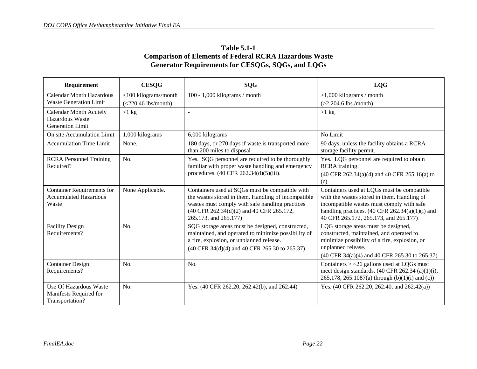| <b>Table 5.1-1</b>                                            |
|---------------------------------------------------------------|
| <b>Comparison of Elements of Federal RCRA Hazardous Waste</b> |
| <b>Generator Requirements for CESQGs, SQGs, and LQGs</b>      |

| Requirement                                                                 | <b>CESQG</b>          | <b>SQG</b>                                                                                                                                                                                                                     | <b>LQG</b>                                                                                                                                                                                                                                    |
|-----------------------------------------------------------------------------|-----------------------|--------------------------------------------------------------------------------------------------------------------------------------------------------------------------------------------------------------------------------|-----------------------------------------------------------------------------------------------------------------------------------------------------------------------------------------------------------------------------------------------|
| <b>Calendar Month Hazardous</b>                                             | <100 kilograms/month  | 100 - 1,000 kilograms / month                                                                                                                                                                                                  | $>1,000$ kilograms / month                                                                                                                                                                                                                    |
| <b>Waste Generation Limit</b>                                               | $(<220.46$ lbs/month) |                                                                                                                                                                                                                                | $(>2,204.6$ lbs./month)                                                                                                                                                                                                                       |
| <b>Calendar Month Acutely</b><br>Hazardous Waste<br><b>Generation Limit</b> | $<$ 1 kg              | $\overline{a}$                                                                                                                                                                                                                 | $>1$ kg                                                                                                                                                                                                                                       |
| On site Accumulation Limit                                                  | 1,000 kilograms       | 6,000 kilograms                                                                                                                                                                                                                | No Limit                                                                                                                                                                                                                                      |
| <b>Accumulation Time Limit</b>                                              | None.                 | 180 days, or 270 days if waste is transported more<br>than 200 miles to disposal                                                                                                                                               | 90 days, unless the facility obtains a RCRA<br>storage facility permit.                                                                                                                                                                       |
| <b>RCRA</b> Personnel Training<br>Required?                                 | No.                   | Yes. SQG personnel are required to be thoroughly<br>familiar with proper waste handling and emergency<br>procedures. (40 CFR 262.34(d)(5)(iii).                                                                                | Yes. LQG personnel are required to obtain<br>RCRA training.<br>$(40 \text{ CFR } 262.34(a)(4) \text{ and } 40 \text{ CFR } 265.16(a) \text{ to }$<br>(c).                                                                                     |
| <b>Container Requirements for</b><br><b>Accumulated Hazardous</b><br>Waste  | None Applicable.      | Containers used at SQGs must be compatible with<br>the wastes stored in them. Handling of incompatible<br>wastes must comply with safe handling practices<br>(40 CFR 262.34(d)(2) and 40 CFR 265.172,<br>265.173, and 265.177) | Containers used at LQGs must be compatible<br>with the wastes stored in them. Handling of<br>incompatible wastes must comply with safe<br>handling practices. $(40 \text{ CFR } 262.34(a)(1)(i)$ and<br>40 CFR 265.172, 265.173, and 265.177) |
| <b>Facility Design</b><br>Requirements?                                     | No.                   | SQG storage areas must be designed, constructed,<br>maintained, and operated to minimize possibility of<br>a fire, explosion, or unplanned release.<br>(40 CFR 34(d)(4) and 40 CFR 265.30 to 265.37)                           | LQG storage areas must be designed,<br>constructed, maintained, and operated to<br>minimize possibility of a fire, explosion, or<br>unplanned release.<br>(40 CFR 34(a)(4) and 40 CFR 265.30 to 265.37)                                       |
| <b>Container Design</b><br>Requirements?                                    | No.                   | No.                                                                                                                                                                                                                            | Containers $>$ ~26 gallons used at LQGs must<br>meet design standards. $(40 \text{ CFR } 262.34 \text{ (a)}(1)(i),$<br>265,178, 265.1087(a) through $(b)(1)(i)$ and $(c)$                                                                     |
| Use Of Hazardous Waste<br>Manifests Required for<br>Transportation?         | No.                   | Yes. (40 CFR 262.20, 262.42(b), and 262.44)                                                                                                                                                                                    | Yes. $(40 \text{ CFR } 262.20, 262.40, \text{ and } 262.42(a))$                                                                                                                                                                               |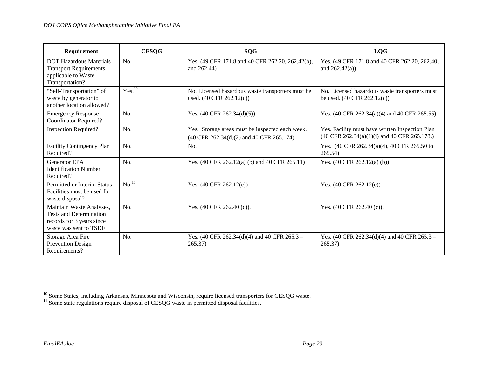| Requirement                                                                                                       | <b>CESQG</b>       | <b>SQG</b>                                                                                  | <b>LQG</b>                                                                                      |
|-------------------------------------------------------------------------------------------------------------------|--------------------|---------------------------------------------------------------------------------------------|-------------------------------------------------------------------------------------------------|
| <b>DOT Hazardous Materials</b><br><b>Transport Requirements</b><br>applicable to Waste<br>Transportation?         | No.                | Yes. (49 CFR 171.8 and 40 CFR 262.20, 262.42(b),<br>and 262.44)                             | Yes. (49 CFR 171.8 and 40 CFR 262.20, 262.40,<br>and $262.42(a)$ )                              |
| "Self-Transportation" of<br>waste by generator to<br>another location allowed?                                    | Yes. <sup>10</sup> | No. Licensed hazardous waste transporters must be<br>used. (40 CFR 262.12(c))               | No. Licensed hazardous waste transporters must<br>be used. $(40 \text{ CFR } 262.12(c))$        |
| <b>Emergency Response</b><br>Coordinator Required?                                                                | No.                | Yes. $(40 \text{ CFR } 262.34(d)(5))$                                                       | Yes. (40 CFR 262.34(a)(4) and 40 CFR 265.55)                                                    |
| <b>Inspection Required?</b>                                                                                       | No.                | Yes. Storage areas must be inspected each week.<br>(40 CFR 262.34(d)(2) and 40 CFR 265.174) | Yes. Facility must have written Inspection Plan<br>(40 CFR 262.34(a)(1)(i) and 40 CFR 265.178.) |
| Facility Contingency Plan<br>Required?                                                                            | No.                | No.                                                                                         | Yes. (40 CFR 262.34(a)(4), 40 CFR 265.50 to<br>265.54)                                          |
| <b>Generator EPA</b><br><b>Identification Number</b><br>Required?                                                 | No.                | Yes. (40 CFR 262.12(a) (b) and 40 CFR 265.11)                                               | Yes. $(40 \text{ CFR } 262.12(a)$ (b))                                                          |
| Permitted or Interim Status<br>Facilities must be used for<br>waste disposal?                                     | No. <sup>11</sup>  | Yes. $(40 \text{ CFR } 262.12(c))$                                                          | Yes. $(40 \text{ CFR } 262.12(c))$                                                              |
| Maintain Waste Analyses,<br><b>Tests and Determination</b><br>records for 3 years since<br>waste was sent to TSDF | No.                | Yes. $(40 \text{ CFR } 262.40 \text{ (c)}).$                                                | Yes. $(40 \text{ CFR } 262.40 \text{ (c)}).$                                                    |
| Storage Area Fire<br><b>Prevention Design</b><br>Requirements?                                                    | No.                | Yes. (40 CFR 262.34(d)(4) and 40 CFR 265.3 –<br>265.37)                                     | Yes. (40 CFR 262.34(d)(4) and 40 CFR 265.3 –<br>265.37)                                         |

<sup>&</sup>lt;sup>10</sup> Some States, including Arkansas, Minnesota and Wisconsin, require licensed transporters for CESQG waste.

 $11$  Some state regulations require disposal of CESQG waste in permitted disposal facilities.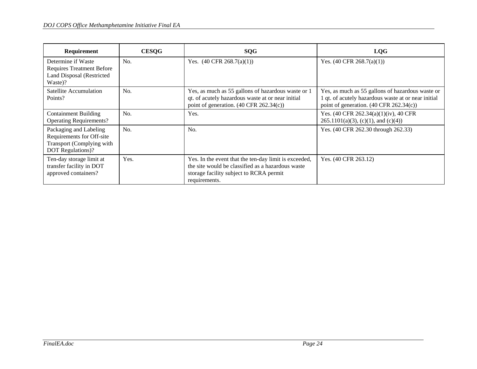| Requirement                                                                                                  | <b>CESQG</b> | <b>SQG</b>                                                                                                                                                             | <b>LQG</b>                                                                                                                                         |
|--------------------------------------------------------------------------------------------------------------|--------------|------------------------------------------------------------------------------------------------------------------------------------------------------------------------|----------------------------------------------------------------------------------------------------------------------------------------------------|
| Determine if Waste<br><b>Requires Treatment Before</b><br>Land Disposal (Restricted<br>Waste)?               | No.          | Yes. $(40 \text{ CFR } 268.7(a)(1))$                                                                                                                                   | Yes. $(40 \text{ CFR } 268.7(a)(1))$                                                                                                               |
| Satellite Accumulation<br>Points?                                                                            | No.          | Yes, as much as 55 gallons of hazardous waste or 1<br>qt. of acutely hazardous waste at or near initial<br>point of generation. $(40 \text{ CFR } 262.34(c))$          | Yes, as much as 55 gallons of hazardous waste or<br>1 qt. of acutely hazardous waste at or near initial<br>point of generation. (40 CFR 262.34(c)) |
| Containment Building<br><b>Operating Requirements?</b>                                                       | No.          | Yes.                                                                                                                                                                   | Yes. $(40 \text{ CFR } 262.34(a)(1)(iv), 40 \text{ CFR } 262.34(a)(1)(iv),$<br>$265.1101(a)(3)$ , (c)(1), and (c)(4))                              |
| Packaging and Labeling<br>Requirements for Off-site<br>Transport (Complying with<br><b>DOT</b> Regulations)? | No.          | No.                                                                                                                                                                    | Yes. (40 CFR 262.30 through 262.33)                                                                                                                |
| Ten-day storage limit at<br>transfer facility in DOT<br>approved containers?                                 | Yes.         | Yes. In the event that the ten-day limit is exceeded,<br>the site would be classified as a hazardous waste<br>storage facility subject to RCRA permit<br>requirements. | Yes. (40 CFR 263.12)                                                                                                                               |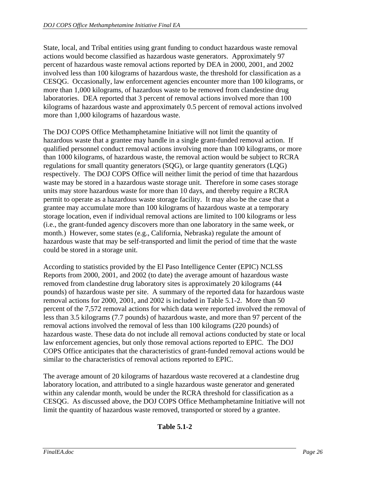State, local, and Tribal entities using grant funding to conduct hazardous waste removal actions would become classified as hazardous waste generators.Approximately 97 percent of hazardous waste removal actions reported by DEA in 2000, 2001, and 2002 involved less than 100 kilograms of hazardous waste, the threshold for classification as a CESQG. Occasionally, law enforcement agencies encounter more than 100 kilograms, or more than 1,000 kilograms, of hazardous waste to be removed from clandestine drug laboratories. DEA reported that 3 percent of removal actions involved more than 100 kilograms of hazardous waste and approximately 0.5 percent of removal actions involved more than 1,000 kilograms of hazardous waste.

The DOJ COPS Office Methamphetamine Initiative will not limit the quantity of hazardous waste that a grantee may handle in a single grant-funded removal action. If qualified personnel conduct removal actions involving more than 100 kilograms, or more than 1000 kilograms, of hazardous waste, the removal action would be subject to RCRA regulations for small quantity generators (SQG), or large quantity generators (LQG) respectively.The DOJ COPS Office will neither limit the period of time that hazardous waste may be stored in a hazardous waste storage unit. Therefore in some cases storage units may store hazardous waste for more than 10 days, and thereby require a RCRA permit to operate as a hazardous waste storage facility. It may also be the case that a grantee may accumulate more than 100 kilograms of hazardous waste at a temporary storage location, even if individual removal actions are limited to 100 kilograms or less (i.e., the grant-funded agency discovers more than one laboratory in the same week, or month.) However, some states (e.g., California, Nebraska) regulate the amount of hazardous waste that may be self-transported and limit the period of time that the waste could be stored in a storage unit.

According to statistics provided by the El Paso Intelligence Center (EPIC) NCLSS Reports from 2000, 2001, and 2002 (to date) the average amount of hazardous waste removed from clandestine drug laboratory sites is approximately 20 kilograms (44 pounds) of hazardous waste per site. A summary of the reported data for hazardous waste removal actions for 2000, 2001, and 2002 is included in Table 5.1-2. More than 50 percent of the 7,572 removal actions for which data were reported involved the removal of less than 3.5 kilograms (7.7 pounds) of hazardous waste, and more than 97 percent of the removal actions involved the removal of less than 100 kilograms (220 pounds) of hazardous waste. These data do not include all removal actions conducted by state or local law enforcement agencies, but only those removal actions reported to EPIC. The DOJ COPS Office anticipates that the characteristics of grant-funded removal actions would be similar to the characteristics of removal actions reported to EPIC.

The average amount of 20 kilograms of hazardous waste recovered at a clandestine drug laboratory location, and attributed to a single hazardous waste generator and generated within any calendar month, would be under the RCRA threshold for classification as a CESQG. As discussed above, the DOJ COPS Office Methamphetamine Initiative will not limit the quantity of hazardous waste removed, transported or stored by a grantee.

**Table 5.1-2**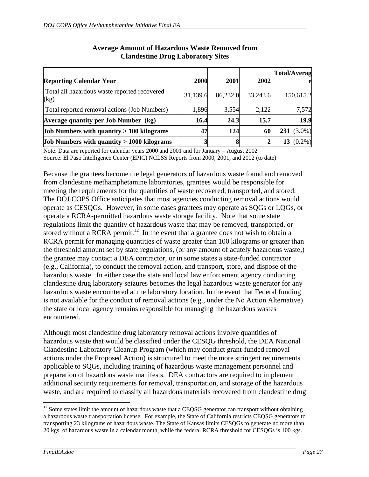|                                                      |          |          |          | <b>Total/Averag</b> |
|------------------------------------------------------|----------|----------|----------|---------------------|
| <b>Reporting Calendar Year</b>                       | 2000     | 2001     | 2002     |                     |
| Total all hazardous waste reported recovered<br>(kg) | 31,139.6 | 86,232.0 | 33,243.6 | 150,615.2           |
| Total reported removal actions (Job Numbers)         | 1,896    | 3,554    | 2,122    | 7,572               |
| Average quantity per Job Number (kg)                 | 16.4     | 24.3     | 15.7     | 19.9                |
| $\mu$ Job Numbers with quantity > 100 kilograms      | 47       | 124      | 60       | $231(3.0\%)$        |
| <b>Job Numbers with quantity &gt; 1000 kilograms</b> |          |          |          | 13 $(0.2\%)$        |

#### **Average Amount of Hazardous Waste Removed from Clandestine Drug Laboratory Sites**

Note: Data are reported for calendar years 2000 and 2001 and for January – August 2002 Source: El Paso Intelligence Center (EPIC) NCLSS Reports from 2000, 2001, and 2002 (to date)

Because the grantees become the legal generators of hazardous waste found and removed from clandestine methamphetamine laboratories, grantees would be responsible for meeting the requirements for the quantities of waste recovered, transported, and stored. The DOJ COPS Office anticipates that most agencies conducting removal actions would operate as CESQGs. However, in some cases grantees may operate as SQGs or LQGs, or operate a RCRA-permitted hazardous waste storage facility. Note that some state regulations limit the quantity of hazardous waste that may be removed, transported, or stored without a RCRA permit.<sup>12</sup> In the event that a grantee does not wish to obtain a RCRA permit for managing quantities of waste greater than 100 kilograms or greater than the threshold amount set by state regulations, (or any amount of acutely hazardous waste,) the grantee may contact a DEA contractor, or in some states a state-funded contractor (e.g., California), to conduct the removal action, and transport, store, and dispose of the hazardous waste. In either case the state and local law enforcement agency conducting clandestine drug laboratory seizures becomes the legal hazardous waste generator for any hazardous waste encountered at the laboratory location. In the event that Federal funding is not available for the conduct of removal actions (e.g., under the No Action Alternative) the state or local agency remains responsible for managing the hazardous wastes encountered.

Although most clandestine drug laboratory removal actions involve quantities of hazardous waste that would be classified under the CESQG threshold, the DEA National Clandestine Laboratory Cleanup Program (which may conduct grant-funded removal actions under the Proposed Action) is structured to meet the more stringent requirements applicable to SQGs, including training of hazardous waste management personnel and preparation of hazardous waste manifests. DEA contractors are required to implement additional security requirements for removal, transportation, and storage of the hazardous waste, and are required to classify all hazardous materials recovered from clandestine drug

 $\overline{a}$  $12$  Some states limit the amount of hazardous waste that a CEQSG generator can transport without obtaining a hazardous waste transportation license. For example, the State of California restricts CEQSG generators to transporting 23 kilograms of hazardous waste. The State of Kansas limits CESQGs to generate no more than 20 kgs. of hazardous waste in a calendar month, while the federal RCRA threshold for CESQGs is 100 kgs.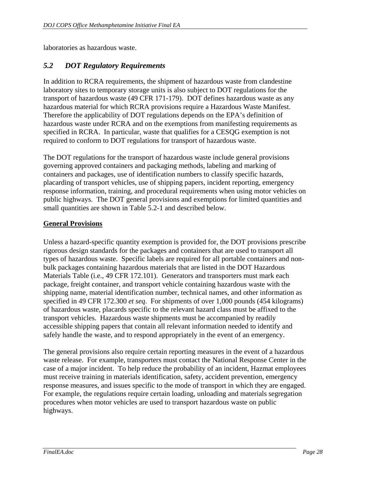laboratories as hazardous waste.

## *5.2 DOT Regulatory Requirements*

In addition to RCRA requirements, the shipment of hazardous waste from clandestine laboratory sites to temporary storage units is also subject to DOT regulations for the transport of hazardous waste (49 CFR 171-179). DOT defines hazardous waste as any hazardous material for which RCRA provisions require a Hazardous Waste Manifest. Therefore the applicability of DOT regulations depends on the EPA's definition of hazardous waste under RCRA and on the exemptions from manifesting requirements as specified in RCRA. In particular, waste that qualifies for a CESQG exemption is not required to conform to DOT regulations for transport of hazardous waste.

The DOT regulations for the transport of hazardous waste include general provisions governing approved containers and packaging methods, labeling and marking of containers and packages, use of identification numbers to classify specific hazards, placarding of transport vehicles, use of shipping papers, incident reporting, emergency response information, training, and procedural requirements when using motor vehicles on public highways. The DOT general provisions and exemptions for limited quantities and small quantities are shown in Table 5.2-1 and described below.

#### **General Provisions**

Unless a hazard-specific quantity exemption is provided for, the DOT provisions prescribe rigorous design standards for the packages and containers that are used to transport all types of hazardous waste. Specific labels are required for all portable containers and nonbulk packages containing hazardous materials that are listed in the DOT Hazardous Materials Table (i.e., 49 CFR 172.101). Generators and transporters must mark each package, freight container, and transport vehicle containing hazardous waste with the shipping name, material identification number, technical names, and other information as specified in 49 CFR 172.300 *et seq*. For shipments of over 1,000 pounds (454 kilograms) of hazardous waste, placards specific to the relevant hazard class must be affixed to the transport vehicles. Hazardous waste shipments must be accompanied by readily accessible shipping papers that contain all relevant information needed to identify and safely handle the waste, and to respond appropriately in the event of an emergency.

The general provisions also require certain reporting measures in the event of a hazardous waste release. For example, transporters must contact the National Response Center in the case of a major incident. To help reduce the probability of an incident, Hazmat employees must receive training in materials identification, safety, accident prevention, emergency response measures, and issues specific to the mode of transport in which they are engaged. For example, the regulations require certain loading, unloading and materials segregation procedures when motor vehicles are used to transport hazardous waste on public highways.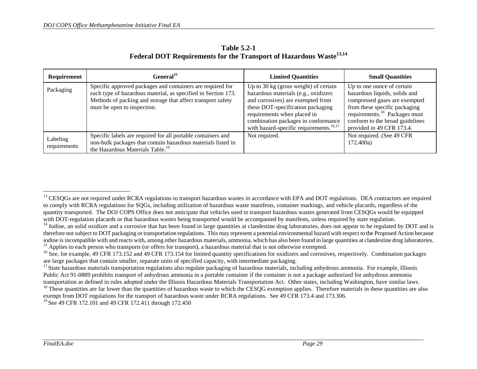**Table 5.2-1 Federal DOT Requirements for the Transport of Hazardous Waste13,14**

| Requirement              | General <sup>15</sup>                                                                                                                                                                                                     | <b>Limited Quantities</b>                                                                                                                                                              | <b>Small Quantities</b>                                                                                                                                                    |
|--------------------------|---------------------------------------------------------------------------------------------------------------------------------------------------------------------------------------------------------------------------|----------------------------------------------------------------------------------------------------------------------------------------------------------------------------------------|----------------------------------------------------------------------------------------------------------------------------------------------------------------------------|
| Packaging                | Specific approved packages and containers are required for<br>each type of hazardous material, as specified in Section 173.<br>Methods of packing and storage that affect transport safety<br>must be open to inspection. | Up to 30 kg (gross weight) of certain<br>hazardous materials (e.g., oxidizers<br>and corrosives) are exempted from<br>these DOT-specification packaging<br>requirements when placed in | Up to one ounce of certain<br>hazardous liquids, solids and<br>compressed gases are exempted<br>from these specific packaging<br>requirements. <sup>18</sup> Packages must |
|                          |                                                                                                                                                                                                                           | combination packages in conformance<br>with hazard-specific requirements. <sup>16,17</sup>                                                                                             | conform to the broad guidelines<br>provided in 49 CFR 173.4.                                                                                                               |
| Labeling<br>requirements | Specific labels are required for all portable containers and<br>non-bulk packages that contain hazardous materials listed in<br>the Hazardous Materials Table. <sup>19</sup>                                              | Not required.                                                                                                                                                                          | Not required. (See 49 CFR<br>172.400a)                                                                                                                                     |

<sup>&</sup>lt;sup>13</sup> CESOGs are not required under RCRA regulations to transport hazardous wastes in accordance with EPA and DOT regulations. DEA contractors are required to comply with RCRA regulations for SQGs, including utilization of hazardous waste manifests, container markings, and vehicle placards, regardless of the quantity transported. The DOJ COPS Office does not anticipate that vehicles used to transport hazardous wastes generated from CESQGs would be equipped with DOT-regulation placards or that hazardous wastes being transported would be accompanied by manifests, unless required by state regulation.

<sup>&</sup>lt;sup>14</sup> Iodine, an solid oxidizer and a corrosive that has been found in large quantities at clandestine drug laboratories, does not appear to be regulated by DOT and is therefore not subject to DOT packaging or transportation regulations. This may represent a potential environmental hazard with respect to the Proposed Action because iodine is incompatible with and reacts with, among other hazardous materials, ammonia, which has also been found in large quantities at clandestine drug laboratories. <sup>15</sup> Applies to each person who transports (or offers for transport), a hazardous material that is not otherwise exempted.

 $^{16}$  See, for example, 49 CFR 173.152 and 49 CFR 173.154 for limited quantity specifications for oxidizers and corrosives, respectively. Combination packages are large packages that contain smaller, separate units of specified capacity, with intermediate packaging.

<sup>&</sup>lt;sup>17</sup> State hazardous materials transportation regulations also regulate packaging of hazardous materials, including anhydrous ammonia. For example, Illinois Public Act 91-0889 prohibits transport of anhydrous ammonia in a portable container if the container is not a package authorized for anhydrous ammonia transportation as defined in rules adopted under the Illinois Hazardous Materials Transportation Act. Other states, including Washington, have similar laws. <sup>18</sup> These quantities are far lower than the quantities of hazardous waste to which the CESQG exemption applies. Therefore materials in these quantities are also

exempt from DOT regulations for the transport of hazardous waste under RCRA regulations. See 49 CFR 173.4 and 173.306.

<sup>&</sup>lt;sup>19</sup> See 49 CFR 172.101 and 49 CFR 172.411 through 172.450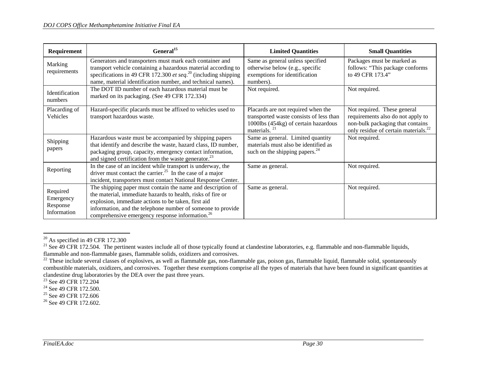| <b>Requirement</b>                               | General <sup>15</sup>                                                                                                                                                                                                                                                                                           | <b>Limited Quantities</b>                                                                                                                         | <b>Small Quantities</b>                                                                                                                                  |
|--------------------------------------------------|-----------------------------------------------------------------------------------------------------------------------------------------------------------------------------------------------------------------------------------------------------------------------------------------------------------------|---------------------------------------------------------------------------------------------------------------------------------------------------|----------------------------------------------------------------------------------------------------------------------------------------------------------|
| Marking<br>requirements                          | Generators and transporters must mark each container and<br>transport vehicle containing a hazardous material according to<br>specifications in 49 CFR 172.300 <i>et seq.</i> <sup>20</sup> (including shipping<br>name, material identification number, and technical names).                                  | Same as general unless specified<br>otherwise below (e.g., specific<br>exemptions for identification<br>numbers).                                 | Packages must be marked as<br>follows: "This package conforms<br>to 49 CFR 173.4"                                                                        |
| Identification<br>numbers                        | The DOT ID number of each hazardous material must be<br>marked on its packaging. (See 49 CFR 172.334)                                                                                                                                                                                                           | Not required.                                                                                                                                     | Not required.                                                                                                                                            |
| Placarding of<br>Vehicles                        | Hazard-specific placards must be affixed to vehicles used to<br>transport hazardous waste.                                                                                                                                                                                                                      | Placards are not required when the<br>transported waste consists of less than<br>1000lbs (454kg) of certain hazardous<br>materials. <sup>21</sup> | Not required. These general<br>requirements also do not apply to<br>non-bulk packaging that contains<br>only residue of certain materials. <sup>22</sup> |
| Shipping<br>papers                               | Hazardous waste must be accompanied by shipping papers<br>that identify and describe the waste, hazard class, ID number,<br>packaging group, capacity, emergency contact information,<br>and signed certification from the waste generator. <sup>23</sup>                                                       | Same as general. Limited quantity<br>materials must also be identified as<br>such on the shipping papers. $^{24}$                                 | Not required.                                                                                                                                            |
| Reporting                                        | In the case of an incident while transport is underway, the<br>driver must contact the carrier. <sup>25</sup> In the case of a major<br>incident, transporters must contact National Response Center.                                                                                                           | Same as general.                                                                                                                                  | Not required.                                                                                                                                            |
| Required<br>Emergency<br>Response<br>Information | The shipping paper must contain the name and description of<br>the material, immediate hazards to health, risks of fire or<br>explosion, immediate actions to be taken, first aid<br>information, and the telephone number of someone to provide<br>comprehensive emergency response information. <sup>26</sup> | Same as general.                                                                                                                                  | Not required.                                                                                                                                            |

 $20$  As specified in 49 CFR 172.300

<sup>&</sup>lt;sup>21</sup> See 49 CFR 172.504. The pertinent wastes include all of those typically found at clandestine laboratories, e.g. flammable and non-flammable liquids, flammable and non-flammable gases, flammable solids, oxidizers and corrosives.

 $^{22}$  These include several classes of explosives, as well as flammable gas, non-flammable gas, poison gas, flammable liquid, flammable solid, spontaneously combustible materials, oxidizers, and corrosives. Together these exemptions comprise all the types of materials that have been found in significant quantities at clandestine drug laboratories by the DEA over the past three years.

<sup>&</sup>lt;sup>23</sup> See 49 CFR 172.204

<sup>&</sup>lt;sup>24</sup> See 49 CFR 172.500.

<sup>&</sup>lt;sup>25</sup> See 49 CFR 172.606

<sup>&</sup>lt;sup>26</sup> See 49 CFR 172.602.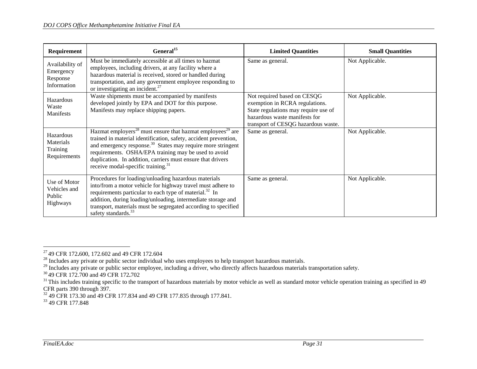| Requirement                                             | General <sup>15</sup>                                                                                                                                                                                                                                                                                                                                                                                      | <b>Limited Quantities</b>                                                                                                                                                     | <b>Small Quantities</b> |
|---------------------------------------------------------|------------------------------------------------------------------------------------------------------------------------------------------------------------------------------------------------------------------------------------------------------------------------------------------------------------------------------------------------------------------------------------------------------------|-------------------------------------------------------------------------------------------------------------------------------------------------------------------------------|-------------------------|
| Availability of<br>Emergency<br>Response<br>Information | Must be immediately accessible at all times to hazmat<br>employees, including drivers, at any facility where a<br>hazardous material is received, stored or handled during<br>transportation, and any government employee responding to<br>or investigating an incident. $27$                                                                                                                              | Same as general.                                                                                                                                                              | Not Applicable.         |
| Hazardous<br>Waste<br>Manifests                         | Waste shipments must be accompanied by manifests<br>developed jointly by EPA and DOT for this purpose.<br>Manifests may replace shipping papers.                                                                                                                                                                                                                                                           | Not required based on CESQG<br>exemption in RCRA regulations.<br>State regulations may require use of<br>hazardous waste manifests for<br>transport of CESQG hazardous waste. | Not Applicable.         |
| Hazardous<br>Materials<br>Training<br>Requirements      | Hazmat employers <sup>28</sup> must ensure that hazmat employees <sup>29</sup> are<br>trained in material identification, safety, accident prevention,<br>and emergency response. <sup>30</sup> States may require more stringent<br>requirements. OSHA/EPA training may be used to avoid<br>duplication. In addition, carriers must ensure that drivers<br>receive modal-specific training. <sup>31</sup> | Same as general.                                                                                                                                                              | Not Applicable.         |
| Use of Motor<br>Vehicles and<br>Public<br>Highways      | Procedures for loading/unloading hazardous materials<br>into/from a motor vehicle for highway travel must adhere to<br>requirements particular to each type of material. <sup>32</sup> In<br>addition, during loading/unloading, intermediate storage and<br>transport, materials must be segregated according to specified<br>safety standards. <sup>33</sup>                                             | Same as general.                                                                                                                                                              | Not Applicable.         |

<sup>27 49</sup> CFR 172**.**600, 172.602 and 49 CFR 172.604

<sup>&</sup>lt;sup>28</sup> Includes any private or public sector individual who uses employees to help transport hazardous materials.

<sup>&</sup>lt;sup>29</sup> Includes any private or public sector employee, including a driver, who directly affects hazardous materials transportation safety.

<sup>30 49</sup> CFR 172.700 and 49 CFR 172**.**702

 $31$  This includes training specific to the transport of hazardous materials by motor vehicle as well as standard motor vehicle operation training as specified in 49 CFR parts 390 through 397.

<sup>&</sup>lt;sup>32</sup> 49 CFR 173.30 and 49 CFR 177.834 and 49 CFR 177.835 through 177.841.

<sup>&</sup>lt;sup>33</sup> 49 CFR 177.848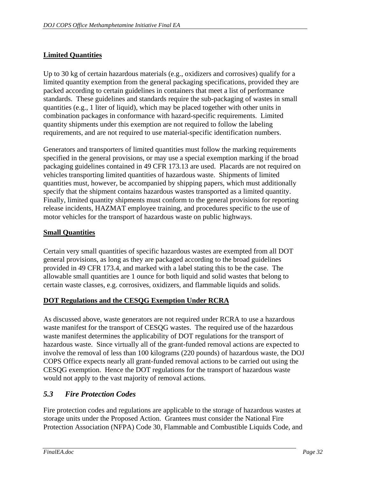#### **Limited Quantities**

Up to 30 kg of certain hazardous materials (e.g., oxidizers and corrosives) qualify for a limited quantity exemption from the general packaging specifications, provided they are packed according to certain guidelines in containers that meet a list of performance standards. These guidelines and standards require the sub-packaging of wastes in small quantities (e.g., 1 liter of liquid), which may be placed together with other units in combination packages in conformance with hazard-specific requirements. Limited quantity shipments under this exemption are not required to follow the labeling requirements, and are not required to use material-specific identification numbers.

Generators and transporters of limited quantities must follow the marking requirements specified in the general provisions, or may use a special exemption marking if the broad packaging guidelines contained in 49 CFR 173.13 are used. Placards are not required on vehicles transporting limited quantities of hazardous waste. Shipments of limited quantities must, however, be accompanied by shipping papers, which must additionally specify that the shipment contains hazardous wastes transported as a limited quantity. Finally, limited quantity shipments must conform to the general provisions for reporting release incidents, HAZMAT employee training, and procedures specific to the use of motor vehicles for the transport of hazardous waste on public highways.

#### **Small Quantities**

Certain very small quantities of specific hazardous wastes are exempted from all DOT general provisions, as long as they are packaged according to the broad guidelines provided in 49 CFR 173.4, and marked with a label stating this to be the case. The allowable small quantities are 1 ounce for both liquid and solid wastes that belong to certain waste classes, e.g. corrosives, oxidizers, and flammable liquids and solids.

#### **DOT Regulations and the CESQG Exemption Under RCRA**

As discussed above, waste generators are not required under RCRA to use a hazardous waste manifest for the transport of CESQG wastes. The required use of the hazardous waste manifest determines the applicability of DOT regulations for the transport of hazardous waste. Since virtually all of the grant-funded removal actions are expected to involve the removal of less than 100 kilograms (220 pounds) of hazardous waste, the DOJ COPS Office expects nearly all grant-funded removal actions to be carried out using the CESQG exemption. Hence the DOT regulations for the transport of hazardous waste would not apply to the vast majority of removal actions.

#### *5.3 Fire Protection Codes*

Fire protection codes and regulations are applicable to the storage of hazardous wastes at storage units under the Proposed Action. Grantees must consider the National Fire Protection Association (NFPA) Code 30, Flammable and Combustible Liquids Code, and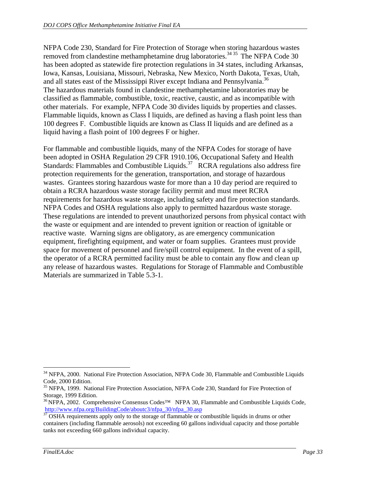NFPA Code 230, Standard for Fire Protection of Storage when storing hazardous wastes removed from clandestine methamphetamine drug laboratories.<sup>34 35</sup> The NFPA Code 30 has been adopted as statewide fire protection regulations in 34 states, including Arkansas, Iowa, Kansas, Louisiana, Missouri, Nebraska, New Mexico, North Dakota, Texas, Utah, and all states east of the Mississippi River except Indiana and Pennsylvania.<sup>36</sup> The hazardous materials found in clandestine methamphetamine laboratories may be classified as flammable, combustible, toxic, reactive, caustic, and as incompatible with other materials. For example, NFPA Code 30 divides liquids by properties and classes. Flammable liquids, known as Class I liquids, are defined as having a flash point less than 100 degrees F. Combustible liquids are known as Class II liquids and are defined as a liquid having a flash point of 100 degrees F or higher.

For flammable and combustible liquids, many of the NFPA Codes for storage of have been adopted in OSHA Regulation 29 CFR 1910.106, Occupational Safety and Health Standards: Flammables and Combustible Liquids.<sup>37</sup> RCRA regulations also address fire protection requirements for the generation, transportation, and storage of hazardous wastes. Grantees storing hazardous waste for more than a 10 day period are required to obtain a RCRA hazardous waste storage facility permit and must meet RCRA requirements for hazardous waste storage, including safety and fire protection standards. NFPA Codes and OSHA regulations also apply to permitted hazardous waste storage. These regulations are intended to prevent unauthorized persons from physical contact with the waste or equipment and are intended to prevent ignition or reaction of ignitable or reactive waste. Warning signs are obligatory, as are emergency communication equipment, firefighting equipment, and water or foam supplies. Grantees must provide space for movement of personnel and fire/spill control equipment. In the event of a spill, the operator of a RCRA permitted facility must be able to contain any flow and clean up any release of hazardous wastes. Regulations for Storage of Flammable and Combustible Materials are summarized in Table 5.3-1.

<sup>&</sup>lt;sup>34</sup> NFPA, 2000. National Fire Protection Association, NFPA Code 30, Flammable and Combustible Liquids Code, 2000 Edition.

<sup>&</sup>lt;sup>35</sup> NFPA, 1999. National Fire Protection Association, NFPA Code 230, Standard for Fire Protection of Storage, 1999 Edition.

<sup>&</sup>lt;sup>36</sup> NFPA, 2002. Comprehensive Consensus Codes<sup>™</sup> NFPA 30, Flammable and Combustible Liquids Code, http://www.nfpa.org/BuildingCode/aboutc3/nfpa\_30/nfpa\_30.asp<br><sup>37</sup> OSHA requirements apply only to the storage of flammable or combustible liquids in drums or other

containers (including flammable aerosols) not exceeding 60 gallons individual capacity and those portable tanks not exceeding 660 gallons individual capacity.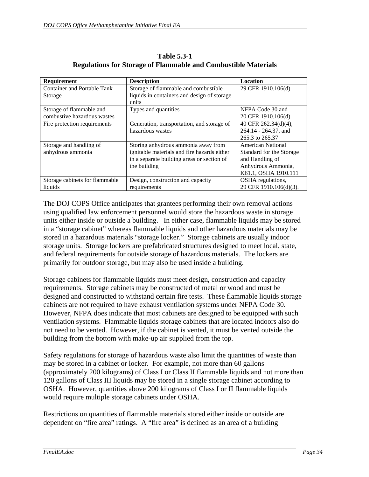| Requirement                        | <b>Description</b>                          | <b>Location</b>          |  |
|------------------------------------|---------------------------------------------|--------------------------|--|
| <b>Container and Portable Tank</b> | Storage of flammable and combustible        | 29 CFR 1910.106(d)       |  |
| Storage                            | liquids in containers and design of storage |                          |  |
|                                    | units                                       |                          |  |
| Storage of flammable and           | Types and quantities                        | NFPA Code 30 and         |  |
| combustive hazardous wastes        |                                             | 20 CFR 1910.106(d)       |  |
| Fire protection requirements       | Generation, transportation, and storage of  | 40 CFR 262.34(d)(4),     |  |
|                                    | hazardous wastes                            | 264.14 - 264.37, and     |  |
|                                    |                                             | 265.3 to 265.37          |  |
| Storage and handling of            | Storing anhydrous ammonia away from         | American National        |  |
| anhydrous ammonia                  | ignitable materials and fire hazards either | Standard for the Storage |  |
|                                    | in a separate building areas or section of  | and Handling of          |  |
|                                    | the building                                | Anhydrous Ammonia,       |  |
|                                    |                                             | K61.1, OSHA 1910.111     |  |
| Storage cabinets for flammable     | Design, construction and capacity           | OSHA regulations,        |  |
| liquids                            | requirements                                | 29 CFR 1910.106(d)(3).   |  |

**Table 5.3-1 Regulations for Storage of Flammable and Combustible Materials** 

The DOJ COPS Office anticipates that grantees performing their own removal actions using qualified law enforcement personnel would store the hazardous waste in storage units either inside or outside a building. In either case, flammable liquids may be stored in a "storage cabinet" whereas flammable liquids and other hazardous materials may be stored in a hazardous materials "storage locker." Storage cabinets are usually indoor storage units. Storage lockers are prefabricated structures designed to meet local, state, and federal requirements for outside storage of hazardous materials. The lockers are primarily for outdoor storage, but may also be used inside a building.

Storage cabinets for flammable liquids must meet design, construction and capacity requirements. Storage cabinets may be constructed of metal or wood and must be designed and constructed to withstand certain fire tests. These flammable liquids storage cabinets are not required to have exhaust ventilation systems under NFPA Code 30. However, NFPA does indicate that most cabinets are designed to be equipped with such ventilation systems. Flammable liquids storage cabinets that are located indoors also do not need to be vented. However, if the cabinet is vented, it must be vented outside the building from the bottom with make-up air supplied from the top.

Safety regulations for storage of hazardous waste also limit the quantities of waste than may be stored in a cabinet or locker. For example, not more than 60 gallons (approximately 200 kilograms) of Class I or Class II flammable liquids and not more than 120 gallons of Class III liquids may be stored in a single storage cabinet according to OSHA. However, quantities above 200 kilograms of Class I or II flammable liquids would require multiple storage cabinets under OSHA.

Restrictions on quantities of flammable materials stored either inside or outside are dependent on "fire area" ratings. A "fire area" is defined as an area of a building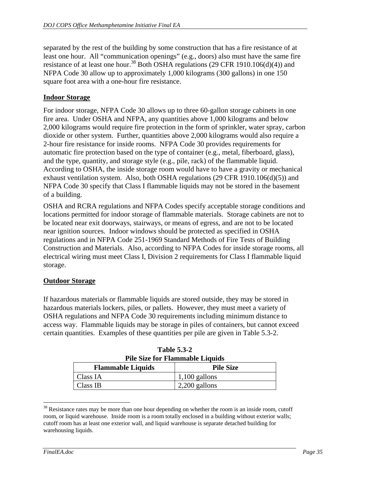separated by the rest of the building by some construction that has a fire resistance of at least one hour. All "communication openings" (e.g., doors) also must have the same fire resistance of at least one hour.<sup>38</sup> Both OSHA regulations (29 CFR 1910.106(d)(4)) and NFPA Code 30 allow up to approximately 1,000 kilograms (300 gallons) in one 150 square foot area with a one-hour fire resistance.

#### **Indoor Storage**

For indoor storage, NFPA Code 30 allows up to three 60-gallon storage cabinets in one fire area. Under OSHA and NFPA, any quantities above 1,000 kilograms and below 2,000 kilograms would require fire protection in the form of sprinkler, water spray, carbon dioxide or other system. Further, quantities above 2,000 kilograms would also require a 2-hour fire resistance for inside rooms. NFPA Code 30 provides requirements for automatic fire protection based on the type of container (e.g., metal, fiberboard, glass), and the type, quantity, and storage style (e.g., pile, rack) of the flammable liquid. According to OSHA, the inside storage room would have to have a gravity or mechanical exhaust ventilation system. Also, both OSHA regulations (29 CFR 1910.106(d)(5)) and NFPA Code 30 specify that Class I flammable liquids may not be stored in the basement of a building.

OSHA and RCRA regulations and NFPA Codes specify acceptable storage conditions and locations permitted for indoor storage of flammable materials. Storage cabinets are not to be located near exit doorways, stairways, or means of egress, and are not to be located near ignition sources. Indoor windows should be protected as specified in OSHA regulations and in NFPA Code 251-1969 Standard Methods of Fire Tests of Building Construction and Materials.Also, according to NFPA Codes for inside storage rooms, all electrical wiring must meet Class I, Division 2 requirements for Class I flammable liquid storage.

#### **Outdoor Storage**

If hazardous materials or flammable liquids are stored outside, they may be stored in hazardous materials lockers, piles, or pallets. However, they must meet a variety of OSHA regulations and NFPA Code 30 requirements including minimum distance to access way. Flammable liquids may be storage in piles of containers, but cannot exceed certain quantities. Examples of these quantities per pile are given in Table 5.3-2.

| <b>Pile Size for Flammable Liquids</b>       |                 |  |  |
|----------------------------------------------|-----------------|--|--|
| <b>Pile Size</b><br><b>Flammable Liquids</b> |                 |  |  |
| Class IA                                     | $1,100$ gallons |  |  |
| Class IB                                     | $2,200$ gallons |  |  |

**Table 5.3-2** 

<sup>&</sup>lt;sup>38</sup> Resistance rates may be more than one hour depending on whether the room is an inside room, cutoff room, or liquid warehouse. Inside room is a room totally enclosed in a building without exterior walls; cutoff room has at least one exterior wall, and liquid warehouse is separate detached building for warehousing liquids.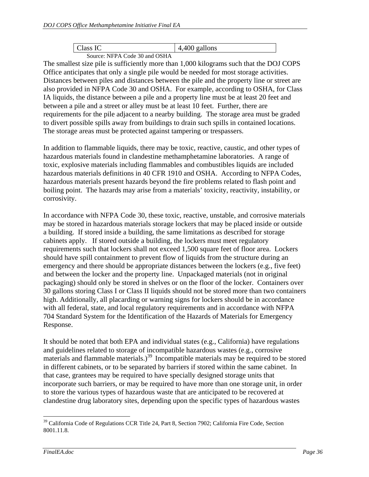| Class IC                      | 400 gallons |
|-------------------------------|-------------|
| Source: NFPA Code 30 and OSHA |             |

The smallest size pile is sufficiently more than 1,000 kilograms such that the DOJ COPS Office anticipates that only a single pile would be needed for most storage activities. Distances between piles and distances between the pile and the property line or street are also provided in NFPA Code 30 and OSHA. For example, according to OSHA, for Class IA liquids, the distance between a pile and a property line must be at least 20 feet and between a pile and a street or alley must be at least 10 feet. Further, there are requirements for the pile adjacent to a nearby building. The storage area must be graded to divert possible spills away from buildings to drain such spills in contained locations. The storage areas must be protected against tampering or trespassers.

In addition to flammable liquids, there may be toxic, reactive, caustic, and other types of hazardous materials found in clandestine methamphetamine laboratories. A range of toxic, explosive materials including flammables and combustibles liquids are included hazardous materials definitions in 40 CFR 1910 and OSHA. According to NFPA Codes, hazardous materials present hazards beyond the fire problems related to flash point and boiling point. The hazards may arise from a materials' toxicity, reactivity, instability, or corrosivity.

In accordance with NFPA Code 30, these toxic, reactive, unstable, and corrosive materials may be stored in hazardous materials storage lockers that may be placed inside or outside a building. If stored inside a building, the same limitations as described for storage cabinets apply. If stored outside a building, the lockers must meet regulatory requirements such that lockers shall not exceed 1,500 square feet of floor area.Lockers should have spill containment to prevent flow of liquids from the structure during an emergency and there should be appropriate distances between the lockers (e.g., five feet) and between the locker and the property line. Unpackaged materials (not in original packaging) should only be stored in shelves or on the floor of the locker. Containers over 30 gallons storing Class I or Class II liquids should not be stored more than two containers high. Additionally, all placarding or warning signs for lockers should be in accordance with all federal, state, and local regulatory requirements and in accordance with NFPA 704 Standard System for the Identification of the Hazards of Materials for Emergency Response.

It should be noted that both EPA and individual states (e.g., California) have regulations and guidelines related to storage of incompatible hazardous wastes (e.g., corrosive materials and flammable materials.)<sup>39</sup> Incompatible materials may be required to be stored in different cabinets, or to be separated by barriers if stored within the same cabinet. In that case, grantees may be required to have specially designed storage units that incorporate such barriers, or may be required to have more than one storage unit, in order to store the various types of hazardous waste that are anticipated to be recovered at clandestine drug laboratory sites, depending upon the specific types of hazardous wastes

<sup>&</sup>lt;sup>39</sup> California Code of Regulations CCR Title 24, Part 8, Section 7902; California Fire Code, Section 8001.11.8.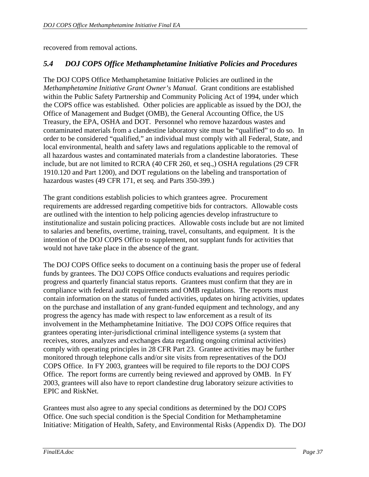recovered from removal actions.

## *5.4 DOJ COPS Office Methamphetamine Initiative Policies and Procedures*

The DOJ COPS Office Methamphetamine Initiative Policies are outlined in the *Methamphetamine Initiative Grant Owner's Manual.* Grant conditions are established within the Public Safety Partnership and Community Policing Act of 1994, under which the COPS office was established. Other policies are applicable as issued by the DOJ, the Office of Management and Budget (OMB), the General Accounting Office, the US Treasury, the EPA, OSHA and DOT. Personnel who remove hazardous wastes and contaminated materials from a clandestine laboratory site must be "qualified" to do so. In order to be considered "qualified," an individual must comply with all Federal, State, and local environmental, health and safety laws and regulations applicable to the removal of all hazardous wastes and contaminated materials from a clandestine laboratories. These include, but are not limited to RCRA (40 CFR 260, et seq.,) OSHA regulations (29 CFR 1910.120 and Part 1200), and DOT regulations on the labeling and transportation of hazardous wastes (49 CFR 171, et seq. and Parts 350-399.)

The grant conditions establish policies to which grantees agree. Procurement requirements are addressed regarding competitive bids for contractors. Allowable costs are outlined with the intention to help policing agencies develop infrastructure to institutionalize and sustain policing practices. Allowable costs include but are not limited to salaries and benefits, overtime, training, travel, consultants, and equipment. It is the intention of the DOJ COPS Office to supplement, not supplant funds for activities that would not have take place in the absence of the grant.

The DOJ COPS Office seeks to document on a continuing basis the proper use of federal funds by grantees. The DOJ COPS Office conducts evaluations and requires periodic progress and quarterly financial status reports. Grantees must confirm that they are in compliance with federal audit requirements and OMB regulations. The reports must contain information on the status of funded activities, updates on hiring activities, updates on the purchase and installation of any grant-funded equipment and technology, and any progress the agency has made with respect to law enforcement as a result of its involvement in the Methamphetamine Initiative. The DOJ COPS Office requires that grantees operating inter-jurisdictional criminal intelligence systems (a system that receives, stores, analyzes and exchanges data regarding ongoing criminal activities) comply with operating principles in 28 CFR Part 23. Grantee activities may be further monitored through telephone calls and/or site visits from representatives of the DOJ COPS Office. In FY 2003, grantees will be required to file reports to the DOJ COPS Office. The report forms are currently being reviewed and approved by OMB. In FY 2003, grantees will also have to report clandestine drug laboratory seizure activities to EPIC and RiskNet.

Grantees must also agree to any special conditions as determined by the DOJ COPS Office. One such special condition is the Special Condition for Methamphetamine Initiative: Mitigation of Health, Safety, and Environmental Risks (Appendix D). The DOJ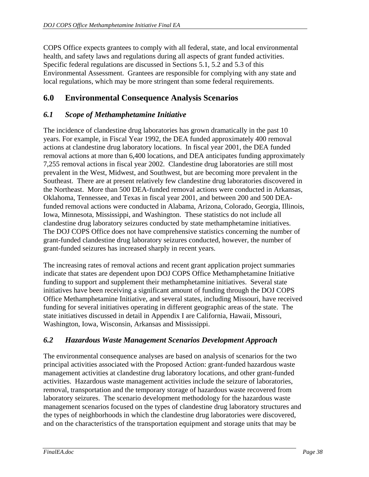COPS Office expects grantees to comply with all federal, state, and local environmental health, and safety laws and regulations during all aspects of grant funded activities. Specific federal regulations are discussed in Sections 5.1, 5.2 and 5.3 of this Environmental Assessment. Grantees are responsible for complying with any state and local regulations, which may be more stringent than some federal requirements.

## **6.0 Environmental Consequence Analysis Scenarios**

## *6.1 Scope of Methamphetamine Initiative*

The incidence of clandestine drug laboratories has grown dramatically in the past 10 years. For example, in Fiscal Year 1992, the DEA funded approximately 400 removal actions at clandestine drug laboratory locations. In fiscal year 2001, the DEA funded removal actions at more than 6,400 locations, and DEA anticipates funding approximately 7,255 removal actions in fiscal year 2002. Clandestine drug laboratories are still most prevalent in the West, Midwest, and Southwest, but are becoming more prevalent in the Southeast. There are at present relatively few clandestine drug laboratories discovered in the Northeast. More than 500 DEA-funded removal actions were conducted in Arkansas, Oklahoma, Tennessee, and Texas in fiscal year 2001, and between 200 and 500 DEAfunded removal actions were conducted in Alabama, Arizona, Colorado, Georgia, Illinois, Iowa, Minnesota, Mississippi, and Washington. These statistics do not include all clandestine drug laboratory seizures conducted by state methamphetamine initiatives. The DOJ COPS Office does not have comprehensive statistics concerning the number of grant-funded clandestine drug laboratory seizures conducted, however, the number of grant-funded seizures has increased sharply in recent years.

The increasing rates of removal actions and recent grant application project summaries indicate that states are dependent upon DOJ COPS Office Methamphetamine Initiative funding to support and supplement their methamphetamine initiatives. Several state initiatives have been receiving a significant amount of funding through the DOJ COPS Office Methamphetamine Initiative, and several states, including Missouri, have received funding for several initiatives operating in different geographic areas of the state. The state initiatives discussed in detail in Appendix I are California, Hawaii, Missouri, Washington, Iowa, Wisconsin, Arkansas and Mississippi.

## *6.2 Hazardous Waste Management Scenarios Development Approach*

The environmental consequence analyses are based on analysis of scenarios for the two principal activities associated with the Proposed Action: grant-funded hazardous waste management activities at clandestine drug laboratory locations, and other grant-funded activities. Hazardous waste management activities include the seizure of laboratories, removal, transportation and the temporary storage of hazardous waste recovered from laboratory seizures. The scenario development methodology for the hazardous waste management scenarios focused on the types of clandestine drug laboratory structures and the types of neighborhoods in which the clandestine drug laboratories were discovered, and on the characteristics of the transportation equipment and storage units that may be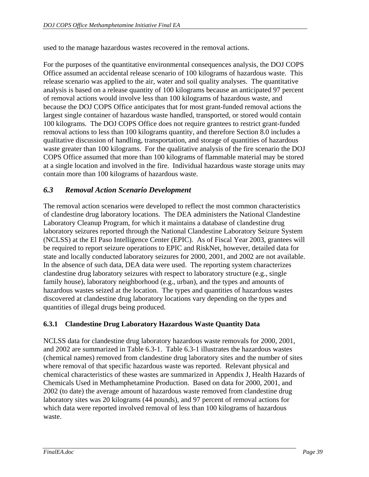used to the manage hazardous wastes recovered in the removal actions.

For the purposes of the quantitative environmental consequences analysis, the DOJ COPS Office assumed an accidental release scenario of 100 kilograms of hazardous waste. This release scenario was applied to the air, water and soil quality analyses. The quantitative analysis is based on a release quantity of 100 kilograms because an anticipated 97 percent of removal actions would involve less than 100 kilograms of hazardous waste, and because the DOJ COPS Office anticipates that for most grant-funded removal actions the largest single container of hazardous waste handled, transported, or stored would contain 100 kilograms. The DOJ COPS Office does not require grantees to restrict grant-funded removal actions to less than 100 kilograms quantity, and therefore Section 8.0 includes a qualitative discussion of handling, transportation, and storage of quantities of hazardous waste greater than 100 kilograms. For the qualitative analysis of the fire scenario the DOJ COPS Office assumed that more than 100 kilograms of flammable material may be stored at a single location and involved in the fire. Individual hazardous waste storage units may contain more than 100 kilograms of hazardous waste.

### *6.3 Removal Action Scenario Development*

The removal action scenarios were developed to reflect the most common characteristics of clandestine drug laboratory locations. The DEA administers the National Clandestine Laboratory Cleanup Program, for which it maintains a database of clandestine drug laboratory seizures reported through the National Clandestine Laboratory Seizure System (NCLSS) at the El Paso Intelligence Center (EPIC). As of Fiscal Year 2003, grantees will be required to report seizure operations to EPIC and RiskNet, however, detailed data for state and locally conducted laboratory seizures for 2000, 2001, and 2002 are not available. In the absence of such data, DEA data were used. The reporting system characterizes clandestine drug laboratory seizures with respect to laboratory structure (e.g., single family house), laboratory neighborhood (e.g., urban), and the types and amounts of hazardous wastes seized at the location. The types and quantities of hazardous wastes discovered at clandestine drug laboratory locations vary depending on the types and quantities of illegal drugs being produced.

#### **6.3.1 Clandestine Drug Laboratory Hazardous Waste Quantity Data**

NCLSS data for clandestine drug laboratory hazardous waste removals for 2000, 2001, and 2002 are summarized in Table 6.3-1. Table 6.3-1 illustrates the hazardous wastes (chemical names) removed from clandestine drug laboratory sites and the number of sites where removal of that specific hazardous waste was reported. Relevant physical and chemical characteristics of these wastes are summarized in Appendix J, Health Hazards of Chemicals Used in Methamphetamine Production. Based on data for 2000, 2001, and 2002 (to date) the average amount of hazardous waste removed from clandestine drug laboratory sites was 20 kilograms (44 pounds), and 97 percent of removal actions for which data were reported involved removal of less than 100 kilograms of hazardous waste.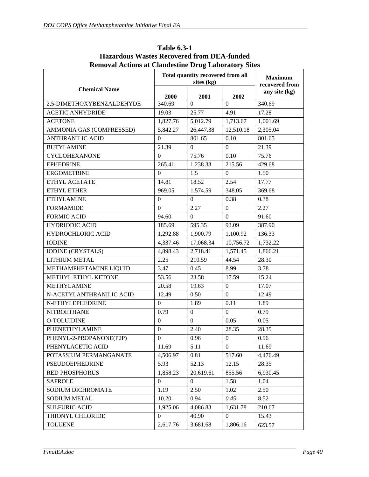|                           |                  | Total quantity recovered from all<br>sites (kg) |                | <b>Maximum</b><br>recovered from |
|---------------------------|------------------|-------------------------------------------------|----------------|----------------------------------|
| <b>Chemical Name</b>      | 2000             | 2001                                            | 2002           | any site (kg)                    |
| 2,5-DIMETHOXYBENZALDEHYDE | 340.69           | $\theta$                                        | $\Omega$       | 340.69                           |
| <b>ACETIC ANHYDRIDE</b>   | 19.03            | 25.77                                           | 4.91           | 17.28                            |
| <b>ACETONE</b>            | 1,827.76         | 5,012.79                                        | 1,713.67       | 1,001.69                         |
| AMMONIA GAS (COMPRESSED)  | 5,842.27         | 26,447.38                                       | 12,510.18      | 2,305.04                         |
| <b>ANTHRANILIC ACID</b>   | $\Omega$         | 801.65                                          | 0.10           | 801.65                           |
| <b>BUTYLAMINE</b>         | 21.39            | $\mathbf{0}$                                    | $\overline{0}$ | 21.39                            |
| <b>CYCLOHEXANONE</b>      | $\Omega$         | 75.76                                           | 0.10           | 75.76                            |
| <b>EPHEDRINE</b>          | 265.41           | 1,238.33                                        | 215.56         | 429.68                           |
| <b>ERGOMETRINE</b>        | $\mathbf{0}$     | 1.5                                             | $\overline{0}$ | 1.50                             |
| ETHYL ACETATE             | 14.81            | 18.52                                           | 2.54           | 17.77                            |
| ETHYL ETHER               | 969.05           | 1,574.59                                        | 348.05         | 369.68                           |
| <b>ETHYLAMINE</b>         | $\overline{0}$   | $\overline{0}$                                  | 0.38           | 0.38                             |
| <b>FORMAMIDE</b>          | $\mathbf{0}$     | 2.27                                            | $\mathbf{0}$   | 2.27                             |
| <b>FORMIC ACID</b>        | 94.60            | $\overline{0}$                                  | $\overline{0}$ | 91.60                            |
| <b>HYDRIODIC ACID</b>     | 185.69           | 595.35                                          | 93.09          | 387.90                           |
| <b>HYDROCHLORIC ACID</b>  | 1,292.88         | 1,900.79                                        | 1,100.92       | 136.33                           |
| <b>IODINE</b>             | 4,337.46         | 17,068.34                                       | 10,756.72      | 1,732.22                         |
| <b>IODINE (CRYSTALS)</b>  | 4,898.43         | 2,718.41                                        | 1,571.45       | 1,866.21                         |
| LITHIUM METAL             | 2.25             | 210.59                                          | 44.54          | 28.30                            |
| METHAMPHETAMINE LIQUID    | 3.47             | 0.45                                            | 8.99           | 3.78                             |
| METHYL ETHYL KETONE       | 53.56            | 23.58                                           | 17.59          | 15.24                            |
| <b>METHYLAMINE</b>        | 20.58            | 19.63                                           | $\overline{0}$ | 17.07                            |
| N-ACETYLANTHRANILIC ACID  | 12.49            | 0.50                                            | $\mathbf{0}$   | 12.49                            |
| N-ETHYLEPHEDRINE          | $\overline{0}$   | 1.89                                            | 0.11           | 1.89                             |
| <b>NITROETHANE</b>        | 0.79             | $\mathbf{0}$                                    | $\overline{0}$ | 0.79                             |
| O-TOLUIDINE               | $\boldsymbol{0}$ | $\overline{0}$                                  | 0.05           | 0.05                             |
| PHENETHYLAMINE            | $\overline{0}$   | 2.40                                            | 28.35          | 28.35                            |
| PHENYL-2-PROPANONE(P2P)   | $\overline{0}$   | 0.96                                            | $\overline{0}$ | 0.96                             |
| PHENYLACETIC ACID         | 11.69            | 5.11                                            | $\overline{0}$ | 11.69                            |
| POTASSIUM PERMANGANATE    | 4,506.97         | 0.81                                            | 517.60         | 4,476.49                         |
| <b>PSEUDOEPHEDRINE</b>    | 5.93             | 52.13                                           | 12.15          | 28.35                            |
| <b>RED PHOSPHORUS</b>     | 1,858.23         | 20,619.61                                       | 855.56         | 6,930.45                         |
| <b>SAFROLE</b>            | $\boldsymbol{0}$ | $\boldsymbol{0}$                                | 1.58           | 1.04                             |
| SODIUM DICHROMATE         | 1.19             | 2.50                                            | 1.02           | 2.50                             |
| SODIUM METAL              | 10.20            | 0.94                                            | 0.45           | 8.52                             |
| <b>SULFURIC ACID</b>      | 1,925.06         | 4,086.83                                        | 1,631.78       | 210.67                           |
| THIONYL CHLORIDE          | $\Omega$         | 40.90                                           | $\Omega$       | 15.43                            |
| <b>TOLUENE</b>            | 2,617.76         | 3,681.68                                        | 1,806.16       | 623.57                           |

**Table 6.3-1 Hazardous Wastes Recovered from DEA-funded Removal Actions at Clandestine Drug Laboratory Sites**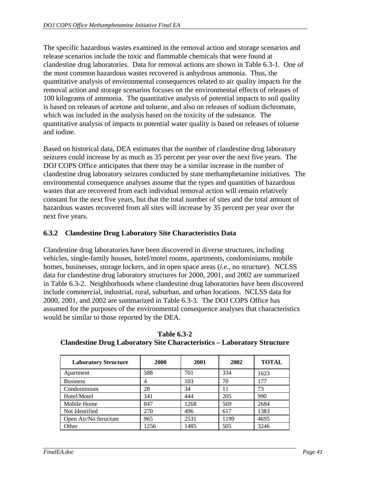The specific hazardous wastes examined in the removal action and storage scenarios and release scenarios include the toxic and flammable chemicals that were found at clandestine drug laboratories. Data for removal actions are shown in Table 6.3-1. One of the most common hazardous wastes recovered is anhydrous ammonia. Thus, the quantitative analysis of environmental consequences related to air quality impacts for the removal action and storage scenarios focuses on the environmental effects of releases of 100 kilograms of ammonia. The quantitative analysis of potential impacts to soil quality is based on releases of acetone and toluene, and also on releases of sodium dichromate, which was included in the analysis based on the toxicity of the substance. The quantitative analysis of impacts to potential water quality is based on releases of toluene and iodine.

Based on historical data, DEA estimates that the number of clandestine drug laboratory seizures could increase by as much as 35 percent per year over the next five years. The DOJ COPS Office anticipates that there may be a similar increase in the number of clandestine drug laboratory seizures conducted by state methamphetamine initiatives. The environmental consequence analyses assume that the types and quantities of hazardous wastes that are recovered from each individual removal action will remain relatively constant for the next five years, but that the total number of sites and the total amount of hazardous wastes recovered from all sites will increase by 35 percent per year over the next five years.

### **6.3.2 Clandestine Drug Laboratory Site Characteristics Data**

Clandestine drug laboratories have been discovered in diverse structures, including vehicles, single-family houses, hotel/motel rooms, apartments, condominiums, mobile homes, businesses, storage lockers, and in open space areas (*i.e.,* no structure). NCLSS data for clandestine drug laboratory structures for 2000, 2001, and 2002 are summarized in Table 6.3-2. Neighborhoods where clandestine drug laboratories have been discovered include commercial, industrial, rural, suburban, and urban locations. NCLSS data for 2000, 2001, and 2002 are summarized in Table 6.3-3. The DOJ COPS Office has assumed for the purposes of the environmental consequence analyses that characteristics would be similar to those reported by the DEA.

| <b>Laboratory Structure</b> | <b>2000</b> | 2001 | 2002 | <b>TOTAL</b> |
|-----------------------------|-------------|------|------|--------------|
| Apartment                   | 588         | 701  | 334  | 1623         |
| <b>Business</b>             |             | 103  | 70   | 177          |
| Condominium                 | 28          | 34   | 11   | 73           |
| Hotel/Motel                 | 341         | 444  | 205  | 990          |
| Mobile Home                 | 847         | 1268 | 569  | 2684         |
| Not Identified              | 270         | 496  | 617  | 1383         |
| Open Air/No Structure       | 965         | 2531 | 1199 | 4695         |
| Other                       | 1256        | 1485 | 505  | 3246         |

**Table 6.3-2 Clandestine Drug Laboratory Site Characteristics – Laboratory Structure**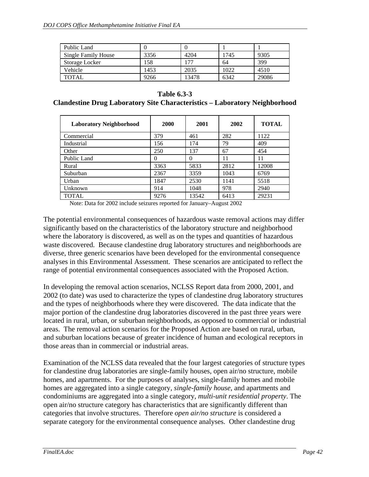| Public Land                |      |       |      |       |
|----------------------------|------|-------|------|-------|
| <b>Single Family House</b> | 3356 | 4204  | 1745 | 9305  |
| Storage Locker             | 158  | 77    | 64   | 399   |
| Vehicle                    | 1453 | 2035  | 1022 | 4510  |
| <b>TOTAL</b>               | 9266 | 13478 | 6342 | 29086 |

**Table 6.3-3** 

#### **Clandestine Drug Laboratory Site Characteristics – Laboratory Neighborhood**

| <b>Laboratory Neighborhood</b> | 2000 | 2001     | 2002 | <b>TOTAL</b> |
|--------------------------------|------|----------|------|--------------|
| Commercial                     | 379  | 461      | 282  | 1122         |
| Industrial                     | 156  | 174      | 79   | 409          |
| Other                          | 250  | 137      | 67   | 454          |
| Public Land                    | 0    | $\Omega$ | 11   | 11           |
| Rural                          | 3363 | 5833     | 2812 | 12008        |
| Suburban                       | 2367 | 3359     | 1043 | 6769         |
| Urban                          | 1847 | 2530     | 1141 | 5518         |
| Unknown                        | 914  | 1048     | 978  | 2940         |
| <b>TOTAL</b>                   | 9276 | 13542    | 6413 | 29231        |

Note: Data for 2002 include seizures reported for January–August 2002

The potential environmental consequences of hazardous waste removal actions may differ significantly based on the characteristics of the laboratory structure and neighborhood where the laboratory is discovered, as well as on the types and quantities of hazardous waste discovered. Because clandestine drug laboratory structures and neighborhoods are diverse, three generic scenarios have been developed for the environmental consequence analyses in this Environmental Assessment. These scenarios are anticipated to reflect the range of potential environmental consequences associated with the Proposed Action.

In developing the removal action scenarios, NCLSS Report data from 2000, 2001, and 2002 (to date) was used to characterize the types of clandestine drug laboratory structures and the types of neighborhoods where they were discovered. The data indicate that the major portion of the clandestine drug laboratories discovered in the past three years were located in rural, urban, or suburban neighborhoods, as opposed to commercial or industrial areas. The removal action scenarios for the Proposed Action are based on rural, urban, and suburban locations because of greater incidence of human and ecological receptors in those areas than in commercial or industrial areas.

Examination of the NCLSS data revealed that the four largest categories of structure types for clandestine drug laboratories are single-family houses, open air/no structure, mobile homes, and apartments. For the purposes of analyses, single-family homes and mobile homes are aggregated into a single category, *single-family house*, and apartments and condominiums are aggregated into a single category, *multi-unit residential property*. The open air/no structure category has characteristics that are significantly different than categories that involve structures. Therefore *open air/no structure* is considered a separate category for the environmental consequence analyses. Other clandestine drug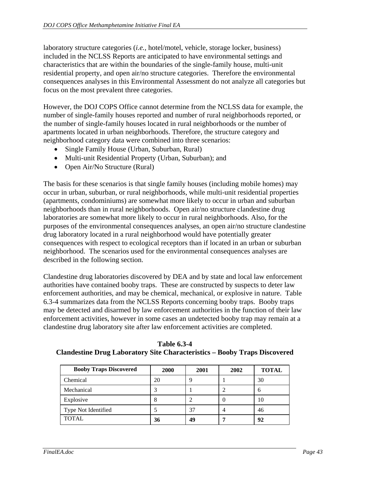laboratory structure categories (*i.e.,* hotel/motel, vehicle, storage locker, business) included in the NCLSS Reports are anticipated to have environmental settings and characteristics that are within the boundaries of the single-family house, multi-unit residential property, and open air/no structure categories. Therefore the environmental consequences analyses in this Environmental Assessment do not analyze all categories but focus on the most prevalent three categories.

However, the DOJ COPS Office cannot determine from the NCLSS data for example, the number of single-family houses reported and number of rural neighborhoods reported, or the number of single-family houses located in rural neighborhoods or the number of apartments located in urban neighborhoods. Therefore, the structure category and neighborhood category data were combined into three scenarios:

- Single Family House (Urban, Suburban, Rural)
- Multi-unit Residential Property (Urban, Suburban); and
- Open Air/No Structure (Rural)

The basis for these scenarios is that single family houses (including mobile homes) may occur in urban, suburban, or rural neighborhoods, while multi-unit residential properties (apartments, condominiums) are somewhat more likely to occur in urban and suburban neighborhoods than in rural neighborhoods. Open air/no structure clandestine drug laboratories are somewhat more likely to occur in rural neighborhoods. Also, for the purposes of the environmental consequences analyses, an open air/no structure clandestine drug laboratory located in a rural neighborhood would have potentially greater consequences with respect to ecological receptors than if located in an urban or suburban neighborhood. The scenarios used for the environmental consequences analyses are described in the following section.

Clandestine drug laboratories discovered by DEA and by state and local law enforcement authorities have contained booby traps. These are constructed by suspects to deter law enforcement authorities, and may be chemical, mechanical, or explosive in nature. Table 6.3-4 summarizes data from the NCLSS Reports concerning booby traps. Booby traps may be detected and disarmed by law enforcement authorities in the function of their law enforcement activities, however in some cases an undetected booby trap may remain at a clandestine drug laboratory site after law enforcement activities are completed.

| <b>Booby Traps Discovered</b> | 2000 | 2001 | 2002 | <b>TOTAL</b> |
|-------------------------------|------|------|------|--------------|
| Chemical                      | 20   |      |      | 30           |
| Mechanical                    |      |      |      | n            |
| Explosive                     | δ    |      |      | 10           |
| Type Not Identified           |      | 37   |      | 46           |
| <b>TOTAL</b>                  | 36   | 49   |      | 92           |

**Table 6.3-4 Clandestine Drug Laboratory Site Characteristics – Booby Traps Discovered**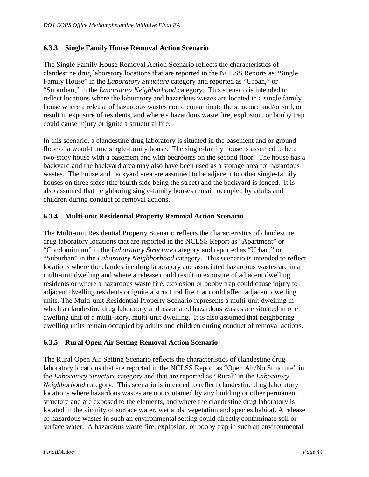### **6.3.3 Single Family House Removal Action Scenario**

The Single Family House Removal Action Scenario reflects the characteristics of clandestine drug laboratory locations that are reported in the NCLSS Reports as "Single Family House" in the *Laboratory Structure* category and reported as "Urban," or "Suburban," in the *Laboratory Neighborhood* category. This scenario is intended to reflect locations where the laboratory and hazardous wastes are located in a single family house where a release of hazardous wastes could contaminate the structure and/or soil, or result in exposure of residents, and where a hazardous waste fire, explosion, or booby trap could cause injury or ignite a structural fire.

In this scenario, a clandestine drug laboratory is situated in the basement and or ground floor of a wood-frame single-family house. The single-family house is assumed to be a two-story house with a basement and with bedrooms on the second floor. The house has a backyard and the backyard area may also have been used as a storage area for hazardous wastes. The house and backyard area are assumed to be adjacent to other single-family houses on three sides (the fourth side being the street) and the backyard is fenced. It is also assumed that neighboring single-family houses remain occupied by adults and children during conduct of removal actions.

#### **6.3.4 Multi-unit Residential Property Removal Action Scenario**

The Multi-unit Residential Property Scenario reflects the characteristics of clandestine drug laboratory locations that are reported in the NCLSS Report as "Apartment" or "Condominium" in the *Laboratory Structure* category and reported as "Urban," or "Suburban" in the *Laboratory Neighborhood* category. This scenario is intended to reflect locations where the clandestine drug laboratory and associated hazardous wastes are in a multi-unit dwelling and where a release could result in exposure of adjacent dwelling residents or where a hazardous waste fire, explosion or booby trap could cause injury to adjacent dwelling residents or ignite a structural fire that could affect adjacent dwelling units. The Multi-unit Residential Property Scenario represents a multi-unit dwelling in which a clandestine drug laboratory and associated hazardous wastes are situated in one dwelling unit of a multi-story, multi-unit dwelling. It is also assumed that neighboring dwelling units remain occupied by adults and children during conduct of removal actions.

#### **6.3.5 Rural Open Air Setting Removal Action Scenario**

The Rural Open Air Setting Scenario reflects the characteristics of clandestine drug laboratory locations that are reported in the NCLSS Report as "Open Air/No Structure" in the *Laboratory Structure* category and that are reported as "Rural" in the *Laboratory Neighborhood* category. This scenario is intended to reflect clandestine drug laboratory locations where hazardous wastes are not contained by any building or other permanent structure and are exposed to the elements, and where the clandestine drug laboratory is located in the vicinity of surface water, wetlands, vegetation and species habitat. A release of hazardous wastes in such an environmental setting could directly contaminate soil or surface water. A hazardous waste fire, explosion, or booby trap in such an environmental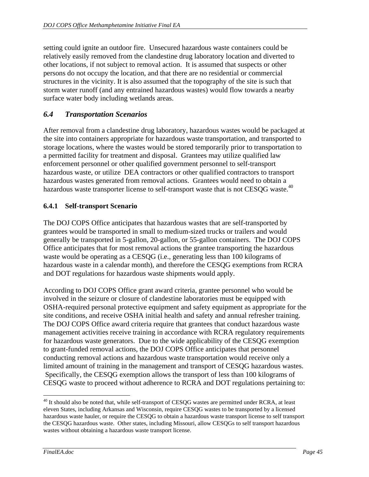setting could ignite an outdoor fire. Unsecured hazardous waste containers could be relatively easily removed from the clandestine drug laboratory location and diverted to other locations, if not subject to removal action. It is assumed that suspects or other persons do not occupy the location, and that there are no residential or commercial structures in the vicinity. It is also assumed that the topography of the site is such that storm water runoff (and any entrained hazardous wastes) would flow towards a nearby surface water body including wetlands areas.

### *6.4 Transportation Scenarios*

After removal from a clandestine drug laboratory, hazardous wastes would be packaged at the site into containers appropriate for hazardous waste transportation, and transported to storage locations, where the wastes would be stored temporarily prior to transportation to a permitted facility for treatment and disposal. Grantees may utilize qualified law enforcement personnel or other qualified government personnel to self-transport hazardous waste, or utilize DEA contractors or other qualified contractors to transport hazardous wastes generated from removal actions. Grantees would need to obtain a hazardous waste transporter license to self-transport waste that is not CESQG waste.<sup>40</sup>

### **6.4.1 Self-transport Scenario**

The DOJ COPS Office anticipates that hazardous wastes that are self-transported by grantees would be transported in small to medium-sized trucks or trailers and would generally be transported in 5-gallon, 20-gallon, or 55-gallon containers. The DOJ COPS Office anticipates that for most removal actions the grantee transporting the hazardous waste would be operating as a CESQG (i.e., generating less than 100 kilograms of hazardous waste in a calendar month), and therefore the CESQG exemptions from RCRA and DOT regulations for hazardous waste shipments would apply.

According to DOJ COPS Office grant award criteria, grantee personnel who would be involved in the seizure or closure of clandestine laboratories must be equipped with OSHA-required personal protective equipment and safety equipment as appropriate for the site conditions, and receive OSHA initial health and safety and annual refresher training. The DOJ COPS Office award criteria require that grantees that conduct hazardous waste management activities receive training in accordance with RCRA regulatory requirements for hazardous waste generators. Due to the wide applicability of the CESQG exemption to grant-funded removal actions, the DOJ COPS Office anticipates that personnel conducting removal actions and hazardous waste transportation would receive only a limited amount of training in the management and transport of CESQG hazardous wastes. Specifically, the CESQG exemption allows the transport of less than 100 kilograms of CESQG waste to proceed without adherence to RCRA and DOT regulations pertaining to:

<sup>&</sup>lt;sup>40</sup> It should also be noted that, while self-transport of CESQG wastes are permitted under RCRA, at least eleven States, including Arkansas and Wisconsin, require CESQG wastes to be transported by a licensed hazardous waste hauler, or require the CESQG to obtain a hazardous waste transport license to self transport the CESQG hazardous waste. Other states, including Missouri, allow CESQGs to self transport hazardous wastes without obtaining a hazardous waste transport license.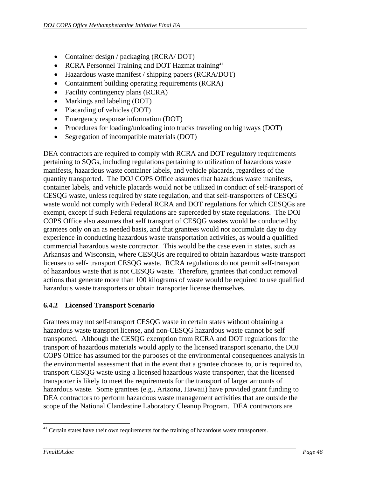- Container design / packaging (RCRA/ DOT)
- RCRA Personnel Training and DOT Hazmat training<sup>41</sup>
- Hazardous waste manifest / shipping papers (RCRA/DOT)
- Containment building operating requirements (RCRA)
- Facility contingency plans (RCRA)
- Markings and labeling (DOT)
- Placarding of vehicles (DOT)
- Emergency response information (DOT)
- Procedures for loading/unloading into trucks traveling on highways (DOT)
- Segregation of incompatible materials (DOT)

DEA contractors are required to comply with RCRA and DOT regulatory requirements pertaining to SQGs, including regulations pertaining to utilization of hazardous waste manifests, hazardous waste container labels, and vehicle placards, regardless of the quantity transported. The DOJ COPS Office assumes that hazardous waste manifests, container labels, and vehicle placards would not be utilized in conduct of self-transport of CESQG waste, unless required by state regulation, and that self-transporters of CESQG waste would not comply with Federal RCRA and DOT regulations for which CESQGs are exempt, except if such Federal regulations are superceded by state regulations. The DOJ COPS Office also assumes that self transport of CESQG wastes would be conducted by grantees only on an as needed basis, and that grantees would not accumulate day to day experience in conducting hazardous waste transportation activities, as would a qualified commercial hazardous waste contractor. This would be the case even in states, such as Arkansas and Wisconsin, where CESQGs are required to obtain hazardous waste transport licenses to self- transport CESQG waste. RCRA regulations do not permit self-transport of hazardous waste that is not CESQG waste. Therefore, grantees that conduct removal actions that generate more than 100 kilograms of waste would be required to use qualified hazardous waste transporters or obtain transporter license themselves.

#### **6.4.2 Licensed Transport Scenario**

Grantees may not self-transport CESQG waste in certain states without obtaining a hazardous waste transport license, and non-CESQG hazardous waste cannot be self transported. Although the CESQG exemption from RCRA and DOT regulations for the transport of hazardous materials would apply to the licensed transport scenario, the DOJ COPS Office has assumed for the purposes of the environmental consequences analysis in the environmental assessment that in the event that a grantee chooses to, or is required to, transport CESQG waste using a licensed hazardous waste transporter, that the licensed transporter is likely to meet the requirements for the transport of larger amounts of hazardous waste. Some grantees (e.g., Arizona, Hawaii) have provided grant funding to DEA contractors to perform hazardous waste management activities that are outside the scope of the National Clandestine Laboratory Cleanup Program. DEA contractors are

 $41$  Certain states have their own requirements for the training of hazardous waste transporters.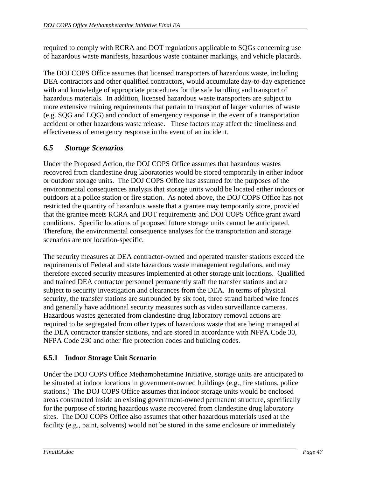required to comply with RCRA and DOT regulations applicable to SQGs concerning use of hazardous waste manifests, hazardous waste container markings, and vehicle placards.

The DOJ COPS Office assumes that licensed transporters of hazardous waste, including DEA contractors and other qualified contractors, would accumulate day-to-day experience with and knowledge of appropriate procedures for the safe handling and transport of hazardous materials. In addition, licensed hazardous waste transporters are subject to more extensive training requirements that pertain to transport of larger volumes of waste (e.g. SQG and LQG) and conduct of emergency response in the event of a transportation accident or other hazardous waste release. These factors may affect the timeliness and effectiveness of emergency response in the event of an incident.

### *6.5 Storage Scenarios*

Under the Proposed Action, the DOJ COPS Office assumes that hazardous wastes recovered from clandestine drug laboratories would be stored temporarily in either indoor or outdoor storage units. The DOJ COPS Office has assumed for the purposes of the environmental consequences analysis that storage units would be located either indoors or outdoors at a police station or fire station. As noted above, the DOJ COPS Office has not restricted the quantity of hazardous waste that a grantee may temporarily store, provided that the grantee meets RCRA and DOT requirements and DOJ COPS Office grant award conditions. Specific locations of proposed future storage units cannot be anticipated. Therefore, the environmental consequence analyses for the transportation and storage scenarios are not location-specific*.* 

The security measures at DEA contractor-owned and operated transfer stations exceed the requirements of Federal and state hazardous waste management regulations, and may therefore exceed security measures implemented at other storage unit locations. Qualified and trained DEA contractor personnel permanently staff the transfer stations and are subject to security investigation and clearances from the DEA. In terms of physical security, the transfer stations are surrounded by six foot, three strand barbed wire fences and generally have additional security measures such as video surveillance cameras. Hazardous wastes generated from clandestine drug laboratory removal actions are required to be segregated from other types of hazardous waste that are being managed at the DEA contractor transfer stations, and are stored in accordance with NFPA Code 30, NFPA Code 230 and other fire protection codes and building codes.

### **6.5.1 Indoor Storage Unit Scenario**

Under the DOJ COPS Office Methamphetamine Initiative, storage units are anticipated to be situated at indoor locations in government-owned buildings (e.g., fire stations, police stations.) The DOJ COPS Office **a**ssumes that indoor storage units would be enclosed areas constructed inside an existing government-owned permanent structure, specifically for the purpose of storing hazardous waste recovered from clandestine drug laboratory sites. The DOJ COPS Office also assumes that other hazardous materials used at the facility (e.g., paint, solvents) would not be stored in the same enclosure or immediately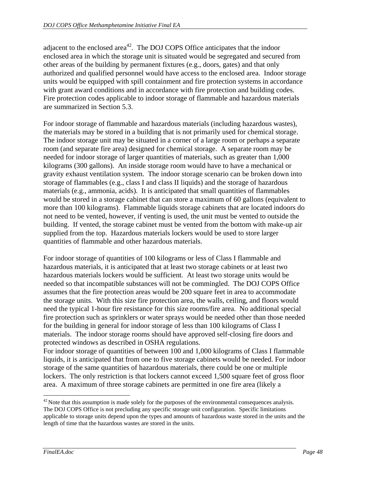adjacent to the enclosed area<sup> $42$ </sup>. The DOJ COPS Office anticipates that the indoor enclosed area in which the storage unit is situated would be segregated and secured from other areas of the building by permanent fixtures (e.g., doors, gates) and that only authorized and qualified personnel would have access to the enclosed area. Indoor storage units would be equipped with spill containment and fire protection systems in accordance with grant award conditions and in accordance with fire protection and building codes. Fire protection codes applicable to indoor storage of flammable and hazardous materials are summarized in Section 5.3.

For indoor storage of flammable and hazardous materials (including hazardous wastes), the materials may be stored in a building that is not primarily used for chemical storage. The indoor storage unit may be situated in a corner of a large room or perhaps a separate room (and separate fire area) designed for chemical storage. A separate room may be needed for indoor storage of larger quantities of materials, such as greater than 1,000 kilograms (300 gallons). An inside storage room would have to have a mechanical or gravity exhaust ventilation system. The indoor storage scenario can be broken down into storage of flammables (e.g., class I and class II liquids) and the storage of hazardous materials (e.g., ammonia, acids). It is anticipated that small quantities of flammables would be stored in a storage cabinet that can store a maximum of 60 gallons (equivalent to more than 100 kilograms). Flammable liquids storage cabinets that are located indoors do not need to be vented, however, if venting is used, the unit must be vented to outside the building. If vented, the storage cabinet must be vented from the bottom with make-up air supplied from the top. Hazardous materials lockers would be used to store larger quantities of flammable and other hazardous materials.

For indoor storage of quantities of 100 kilograms or less of Class I flammable and hazardous materials, it is anticipated that at least two storage cabinets or at least two hazardous materials lockers would be sufficient. At least two storage units would be needed so that incompatible substances will not be commingled. The DOJ COPS Office assumes that the fire protection areas would be 200 square feet in area to accommodate the storage units. With this size fire protection area, the walls, ceiling, and floors would need the typical 1-hour fire resistance for this size rooms/fire area. No additional special fire protection such as sprinklers or water sprays would be needed other than those needed for the building in general for indoor storage of less than 100 kilograms of Class I materials. The indoor storage rooms should have approved self-closing fire doors and protected windows as described in OSHA regulations.

For indoor storage of quantities of between 100 and 1,000 kilograms of Class I flammable liquids, it is anticipated that from one to five storage cabinets would be needed. For indoor storage of the same quantities of hazardous materials, there could be one or multiple lockers. The only restriction is that lockers cannot exceed 1,500 square feet of gross floor area. A maximum of three storage cabinets are permitted in one fire area (likely a

 $42$  Note that this assumption is made solely for the purposes of the environmental consequences analysis. The DOJ COPS Office is not precluding any specific storage unit configuration. Specific limitations applicable to storage units depend upon the types and amounts of hazardous waste stored in the units and the length of time that the hazardous wastes are stored in the units.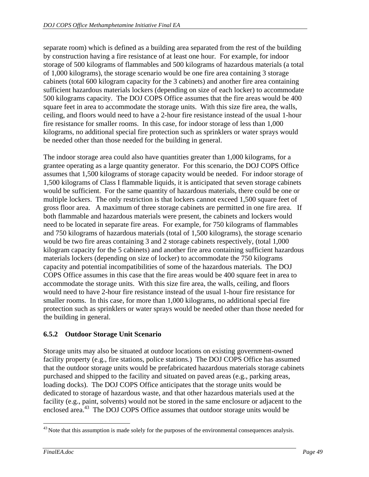separate room) which is defined as a building area separated from the rest of the building by construction having a fire resistance of at least one hour*.* For example, for indoor storage of 500 kilograms of flammables and 500 kilograms of hazardous materials (a total of 1,000 kilograms), the storage scenario would be one fire area containing 3 storage cabinets (total 600 kilogram capacity for the 3 cabinets) and another fire area containing sufficient hazardous materials lockers (depending on size of each locker) to accommodate 500 kilograms capacity. The DOJ COPS Office assumes that the fire areas would be 400 square feet in area to accommodate the storage units. With this size fire area, the walls, ceiling, and floors would need to have a 2-hour fire resistance instead of the usual 1-hour fire resistance for smaller rooms. In this case, for indoor storage of less than 1,000 kilograms, no additional special fire protection such as sprinklers or water sprays would be needed other than those needed for the building in general.

The indoor storage area could also have quantities greater than 1,000 kilograms, for a grantee operating as a large quantity generator. For this scenario, the DOJ COPS Office assumes that 1,500 kilograms of storage capacity would be needed. For indoor storage of 1,500 kilograms of Class I flammable liquids, it is anticipated that seven storage cabinets would be sufficient. For the same quantity of hazardous materials, there could be one or multiple lockers. The only restriction is that lockers cannot exceed 1,500 square feet of gross floor area. A maximum of three storage cabinets are permitted in one fire area. If both flammable and hazardous materials were present, the cabinets and lockers would need to be located in separate fire areas. For example, for 750 kilograms of flammables and 750 kilograms of hazardous materials (total of 1,500 kilograms), the storage scenario would be two fire areas containing 3 and 2 storage cabinets respectively, (total 1,000 kilogram capacity for the 5 cabinets) and another fire area containing sufficient hazardous materials lockers (depending on size of locker) to accommodate the 750 kilograms capacity and potential incompatibilities of some of the hazardous materials*.* The DOJ COPS Office assumes in this case that the fire areas would be 400 square feet in area to accommodate the storage units. With this size fire area, the walls, ceiling, and floors would need to have 2-hour fire resistance instead of the usual 1-hour fire resistance for smaller rooms. In this case, for more than 1,000 kilograms, no additional special fire protection such as sprinklers or water sprays would be needed other than those needed for the building in general.

### **6.5.2 Outdoor Storage Unit Scenario**

Storage units may also be situated at outdoor locations on existing government-owned facility property (e.g., fire stations, police stations.) The DOJ COPS Office has assumed that the outdoor storage units would be prefabricated hazardous materials storage cabinets purchased and shipped to the facility and situated on paved areas (e.g., parking areas, loading docks). The DOJ COPS Office anticipates that the storage units would be dedicated to storage of hazardous waste, and that other hazardous materials used at the facility (e.g., paint, solvents) would not be stored in the same enclosure or adjacent to the enclosed area.43 The DOJ COPS Office assumes that outdoor storage units would be

 $\overline{a}$ <sup>43</sup> Note that this assumption is made solely for the purposes of the environmental consequences analysis.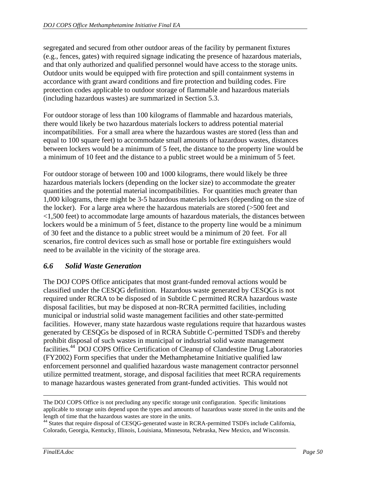segregated and secured from other outdoor areas of the facility by permanent fixtures (e.g., fences, gates) with required signage indicating the presence of hazardous materials, and that only authorized and qualified personnel would have access to the storage units. Outdoor units would be equipped with fire protection and spill containment systems in accordance with grant award conditions and fire protection and building codes. Fire protection codes applicable to outdoor storage of flammable and hazardous materials (including hazardous wastes) are summarized in Section 5.3.

For outdoor storage of less than 100 kilograms of flammable and hazardous materials, there would likely be two hazardous materials lockers to address potential material incompatibilities. For a small area where the hazardous wastes are stored (less than and equal to 100 square feet) to accommodate small amounts of hazardous wastes, distances between lockers would be a minimum of 5 feet, the distance to the property line would be a minimum of 10 feet and the distance to a public street would be a minimum of 5 feet.

For outdoor storage of between 100 and 1000 kilograms, there would likely be three hazardous materials lockers (depending on the locker size) to accommodate the greater quantities and the potential material incompatibilities. For quantities much greater than 1,000 kilograms, there might be 3-5 hazardous materials lockers (depending on the size of the locker). For a large area where the hazardous materials are stored (>500 feet and <1,500 feet) to accommodate large amounts of hazardous materials, the distances between lockers would be a minimum of 5 feet, distance to the property line would be a minimum of 30 feet and the distance to a public street would be a minimum of 20 feet. For all scenarios, fire control devices such as small hose or portable fire extinguishers would need to be available in the vicinity of the storage area.

### *6.6 Solid Waste Generation*

The DOJ COPS Office anticipates that most grant-funded removal actions would be classified under the CESQG definition. Hazardous waste generated by CESQGs is not required under RCRA to be disposed of in Subtitle C permitted RCRA hazardous waste disposal facilities, but may be disposed at non-RCRA permitted facilities, including municipal or industrial solid waste management facilities and other state-permitted facilities. However, many state hazardous waste regulations require that hazardous wastes generated by CESQGs be disposed of in RCRA Subtitle C-permitted TSDFs and thereby prohibit disposal of such wastes in municipal or industrial solid waste management facilities.44 DOJ COPS Office Certification of Cleanup of Clandestine Drug Laboratories (FY2002) Form specifies that under the Methamphetamine Initiative qualified law enforcement personnel and qualified hazardous waste management contractor personnel utilize permitted treatment, storage, and disposal facilities that meet RCRA requirements to manage hazardous wastes generated from grant-funded activities. This would not

The DOJ COPS Office is not precluding any specific storage unit configuration. Specific limitations applicable to storage units depend upon the types and amounts of hazardous waste stored in the units and the length of time that the hazardous wastes are store in the units.<br><sup>44</sup> States that require disposal of CESQG-generated waste in RCRA-permitted TSDFs include California,

Colorado, Georgia, Kentucky, Illinois, Louisiana, Minnesota, Nebraska, New Mexico, and Wisconsin.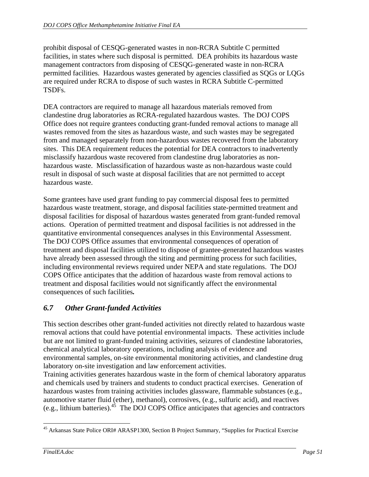prohibit disposal of CESQG-generated wastes in non-RCRA Subtitle C permitted facilities, in states where such disposal is permitted. DEA prohibits its hazardous waste management contractors from disposing of CESQG-generated waste in non-RCRA permitted facilities. Hazardous wastes generated by agencies classified as SQGs or LQGs are required under RCRA to dispose of such wastes in RCRA Subtitle C-permitted TSDFs.

DEA contractors are required to manage all hazardous materials removed from clandestine drug laboratories as RCRA-regulated hazardous wastes. The DOJ COPS Office does not require grantees conducting grant-funded removal actions to manage all wastes removed from the sites as hazardous waste, and such wastes may be segregated from and managed separately from non-hazardous wastes recovered from the laboratory sites. This DEA requirement reduces the potential for DEA contractors to inadvertently misclassify hazardous waste recovered from clandestine drug laboratories as nonhazardous waste. Misclassification of hazardous waste as non-hazardous waste could result in disposal of such waste at disposal facilities that are not permitted to accept hazardous waste.

Some grantees have used grant funding to pay commercial disposal fees to permitted hazardous waste treatment, storage, and disposal facilities state-permitted treatment and disposal facilities for disposal of hazardous wastes generated from grant-funded removal actions. Operation of permitted treatment and disposal facilities is not addressed in the quantitative environmental consequences analyses in this Environmental Assessment. The DOJ COPS Office assumes that environmental consequences of operation of treatment and disposal facilities utilized to dispose of grantee-generated hazardous wastes have already been assessed through the siting and permitting process for such facilities, including environmental reviews required under NEPA and state regulations. The DOJ COPS Office anticipates that the addition of hazardous waste from removal actions to treatment and disposal facilities would not significantly affect the environmental consequences of such facilities*.*

## *6.7 Other Grant-funded Activities*

This section describes other grant-funded activities not directly related to hazardous waste removal actions that could have potential environmental impacts. These activities include but are not limited to grant-funded training activities, seizures of clandestine laboratories, chemical analytical laboratory operations, including analysis of evidence and environmental samples, on-site environmental monitoring activities, and clandestine drug laboratory on-site investigation and law enforcement activities.

Training activities generates hazardous waste in the form of chemical laboratory apparatus and chemicals used by trainers and students to conduct practical exercises. Generation of hazardous wastes from training activities includes glassware, flammable substances (e.g., automotive starter fluid (ether), methanol), corrosives, (e.g., sulfuric acid), and reactives (e.g., lithium batteries).<sup>45</sup> The DOJ COPS Office anticipates that agencies and contractors

<sup>45</sup> Arkansas State Police ORI# ARASP1300, Section B Project Summary, "Supplies for Practical Exercise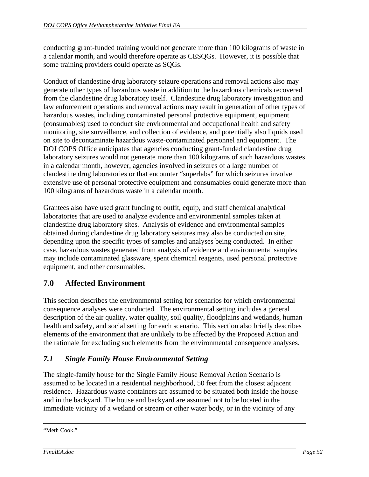conducting grant-funded training would not generate more than 100 kilograms of waste in a calendar month, and would therefore operate as CESQGs. However, it is possible that some training providers could operate as SQGs.

Conduct of clandestine drug laboratory seizure operations and removal actions also may generate other types of hazardous waste in addition to the hazardous chemicals recovered from the clandestine drug laboratory itself. Clandestine drug laboratory investigation and law enforcement operations and removal actions may result in generation of other types of hazardous wastes, including contaminated personal protective equipment, equipment (consumables) used to conduct site environmental and occupational health and safety monitoring, site surveillance, and collection of evidence, and potentially also liquids used on site to decontaminate hazardous waste-contaminated personnel and equipment. The DOJ COPS Office anticipates that agencies conducting grant-funded clandestine drug laboratory seizures would not generate more than 100 kilograms of such hazardous wastes in a calendar month, however, agencies involved in seizures of a large number of clandestine drug laboratories or that encounter "superlabs" for which seizures involve extensive use of personal protective equipment and consumables could generate more than 100 kilograms of hazardous waste in a calendar month.

Grantees also have used grant funding to outfit, equip, and staff chemical analytical laboratories that are used to analyze evidence and environmental samples taken at clandestine drug laboratory sites. Analysis of evidence and environmental samples obtained during clandestine drug laboratory seizures may also be conducted on site, depending upon the specific types of samples and analyses being conducted. In either case, hazardous wastes generated from analysis of evidence and environmental samples may include contaminated glassware, spent chemical reagents, used personal protective equipment, and other consumables.

# **7.0 Affected Environment**

This section describes the environmental setting for scenarios for which environmental consequence analyses were conducted. The environmental setting includes a general description of the air quality, water quality, soil quality, floodplains and wetlands, human health and safety, and social setting for each scenario. This section also briefly describes elements of the environment that are unlikely to be affected by the Proposed Action and the rationale for excluding such elements from the environmental consequence analyses.

## *7.1 Single Family House Environmental Setting*

The single-family house for the Single Family House Removal Action Scenario is assumed to be located in a residential neighborhood, 50 feet from the closest adjacent residence. Hazardous waste containers are assumed to be situated both inside the house and in the backyard. The house and backyard are assumed not to be located in the immediate vicinity of a wetland or stream or other water body, or in the vicinity of any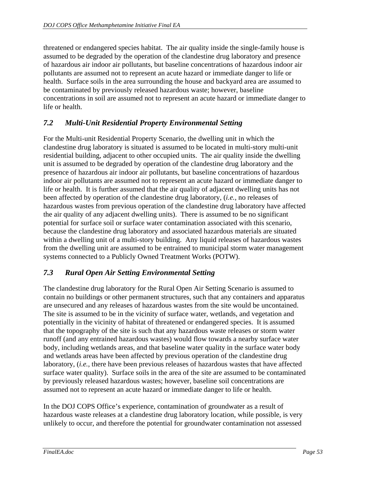threatened or endangered species habitat. The air quality inside the single-family house is assumed to be degraded by the operation of the clandestine drug laboratory and presence of hazardous air indoor air pollutants, but baseline concentrations of hazardous indoor air pollutants are assumed not to represent an acute hazard or immediate danger to life or health. Surface soils in the area surrounding the house and backyard area are assumed to be contaminated by previously released hazardous waste; however, baseline concentrations in soil are assumed not to represent an acute hazard or immediate danger to life or health.

### *7.2 Multi-Unit Residential Property Environmental Setting*

For the Multi-unit Residential Property Scenario, the dwelling unit in which the clandestine drug laboratory is situated is assumed to be located in multi-story multi-unit residential building, adjacent to other occupied units. The air quality inside the dwelling unit is assumed to be degraded by operation of the clandestine drug laboratory and the presence of hazardous air indoor air pollutants, but baseline concentrations of hazardous indoor air pollutants are assumed not to represent an acute hazard or immediate danger to life or health. It is further assumed that the air quality of adjacent dwelling units has not been affected by operation of the clandestine drug laboratory, (*i.e.,* no releases of hazardous wastes from previous operation of the clandestine drug laboratory have affected the air quality of any adjacent dwelling units). There is assumed to be no significant potential for surface soil or surface water contamination associated with this scenario, because the clandestine drug laboratory and associated hazardous materials are situated within a dwelling unit of a multi-story building. Any liquid releases of hazardous wastes from the dwelling unit are assumed to be entrained to municipal storm water management systems connected to a Publicly Owned Treatment Works (POTW).

## *7.3 Rural Open Air Setting Environmental Setting*

The clandestine drug laboratory for the Rural Open Air Setting Scenario is assumed to contain no buildings or other permanent structures, such that any containers and apparatus are unsecured and any releases of hazardous wastes from the site would be uncontained. The site is assumed to be in the vicinity of surface water, wetlands, and vegetation and potentially in the vicinity of habitat of threatened or endangered species. It is assumed that the topography of the site is such that any hazardous waste releases or storm water runoff (and any entrained hazardous wastes) would flow towards a nearby surface water body, including wetlands areas, and that baseline water quality in the surface water body and wetlands areas have been affected by previous operation of the clandestine drug laboratory, (*i.e.,* there have been previous releases of hazardous wastes that have affected surface water quality). Surface soils in the area of the site are assumed to be contaminated by previously released hazardous wastes; however, baseline soil concentrations are assumed not to represent an acute hazard or immediate danger to life or health.

In the DOJ COPS Office's experience, contamination of groundwater as a result of hazardous waste releases at a clandestine drug laboratory location, while possible, is very unlikely to occur, and therefore the potential for groundwater contamination not assessed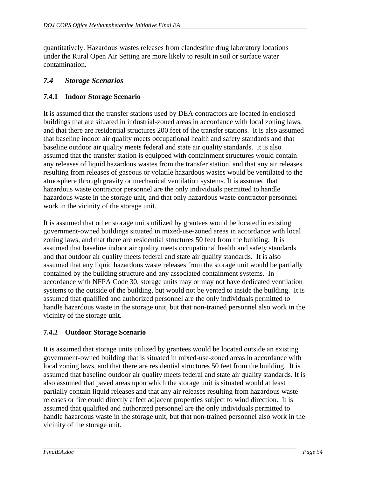quantitatively. Hazardous wastes releases from clandestine drug laboratory locations under the Rural Open Air Setting are more likely to result in soil or surface water contamination.

### *7.4 Storage Scenarios*

### **7.4.1 Indoor Storage Scenario**

It is assumed that the transfer stations used by DEA contractors are located in enclosed buildings that are situated in industrial-zoned areas in accordance with local zoning laws, and that there are residential structures 200 feet of the transfer stations. It is also assumed that baseline indoor air quality meets occupational health and safety standards and that baseline outdoor air quality meets federal and state air quality standards. It is also assumed that the transfer station is equipped with containment structures would contain any releases of liquid hazardous wastes from the transfer station, and that any air releases resulting from releases of gaseous or volatile hazardous wastes would be ventilated to the atmosphere through gravity or mechanical ventilation systems. It is assumed that hazardous waste contractor personnel are the only individuals permitted to handle hazardous waste in the storage unit, and that only hazardous waste contractor personnel work in the vicinity of the storage unit.

It is assumed that other storage units utilized by grantees would be located in existing government-owned buildings situated in mixed-use-zoned areas in accordance with local zoning laws, and that there are residential structures 50 feet from the building. It is assumed that baseline indoor air quality meets occupational health and safety standards and that outdoor air quality meets federal and state air quality standards. It is also assumed that any liquid hazardous waste releases from the storage unit would be partially contained by the building structure and any associated containment systems. In accordance with NFPA Code 30, storage units may or may not have dedicated ventilation systems to the outside of the building, but would not be vented to inside the building. It is assumed that qualified and authorized personnel are the only individuals permitted to handle hazardous waste in the storage unit, but that non-trained personnel also work in the vicinity of the storage unit.

### **7.4.2 Outdoor Storage Scenario**

It is assumed that storage units utilized by grantees would be located outside an existing government-owned building that is situated in mixed-use-zoned areas in accordance with local zoning laws, and that there are residential structures 50 feet from the building. It is assumed that baseline outdoor air quality meets federal and state air quality standards. It is also assumed that paved areas upon which the storage unit is situated would at least partially contain liquid releases and that any air releases resulting from hazardous waste releases or fire could directly affect adjacent properties subject to wind direction. It is assumed that qualified and authorized personnel are the only individuals permitted to handle hazardous waste in the storage unit, but that non-trained personnel also work in the vicinity of the storage unit.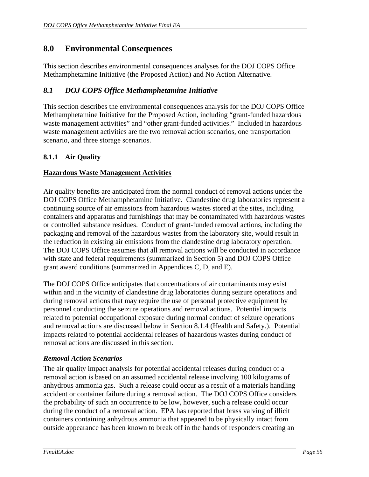## **8.0 Environmental Consequences**

This section describes environmental consequences analyses for the DOJ COPS Office Methamphetamine Initiative (the Proposed Action) and No Action Alternative.

## *8.1 DOJ COPS Office Methamphetamine Initiative*

This section describes the environmental consequences analysis for the DOJ COPS Office Methamphetamine Initiative for the Proposed Action, including "grant-funded hazardous waste management activities" and "other grant-funded activities." Included in hazardous waste management activities are the two removal action scenarios, one transportation scenario, and three storage scenarios.

### **8.1.1 Air Quality**

#### **Hazardous Waste Management Activities**

Air quality benefits are anticipated from the normal conduct of removal actions under the DOJ COPS Office Methamphetamine Initiative. Clandestine drug laboratories represent a continuing source of air emissions from hazardous wastes stored at the sites, including containers and apparatus and furnishings that may be contaminated with hazardous wastes or controlled substance residues. Conduct of grant-funded removal actions, including the packaging and removal of the hazardous wastes from the laboratory site, would result in the reduction in existing air emissions from the clandestine drug laboratory operation. The DOJ COPS Office assumes that all removal actions will be conducted in accordance with state and federal requirements (summarized in Section 5) and DOJ COPS Office grant award conditions (summarized in Appendices C, D, and E).

The DOJ COPS Office anticipates that concentrations of air contaminants may exist within and in the vicinity of clandestine drug laboratories during seizure operations and during removal actions that may require the use of personal protective equipment by personnel conducting the seizure operations and removal actions. Potential impacts related to potential occupational exposure during normal conduct of seizure operations and removal actions are discussed below in Section 8.1.4 (Health and Safety.). Potential impacts related to potential accidental releases of hazardous wastes during conduct of removal actions are discussed in this section.

#### *Removal Action Scenarios*

The air quality impact analysis for potential accidental releases during conduct of a removal action is based on an assumed accidental release involving 100 kilograms of anhydrous ammonia gas. Such a release could occur as a result of a materials handling accident or container failure during a removal action. The DOJ COPS Office considers the probability of such an occurrence to be low, however, such a release could occur during the conduct of a removal action. EPA has reported that brass valving of illicit containers containing anhydrous ammonia that appeared to be physically intact from outside appearance has been known to break off in the hands of responders creating an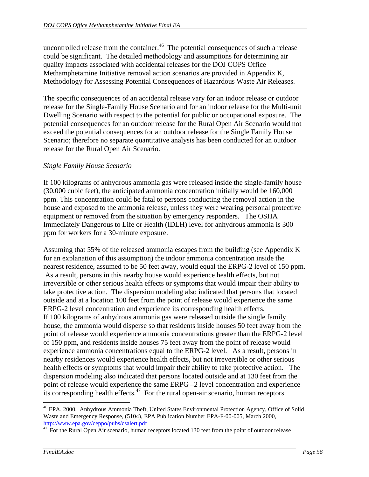uncontrolled release from the container.<sup>46</sup> The potential consequences of such a release could be significant. The detailed methodology and assumptions for determining air quality impacts associated with accidental releases for the DOJ COPS Office Methamphetamine Initiative removal action scenarios are provided in Appendix K, Methodology for Assessing Potential Consequences of Hazardous Waste Air Releases.

The specific consequences of an accidental release vary for an indoor release or outdoor release for the Single-Family House Scenario and for an indoor release for the Multi-unit Dwelling Scenario with respect to the potential for public or occupational exposure. The potential consequences for an outdoor release for the Rural Open Air Scenario would not exceed the potential consequences for an outdoor release for the Single Family House Scenario; therefore no separate quantitative analysis has been conducted for an outdoor release for the Rural Open Air Scenario.

#### *Single Family House Scenario*

If 100 kilograms of anhydrous ammonia gas were released inside the single-family house (30,000 cubic feet), the anticipated ammonia concentration initially would be 160,000 ppm. This concentration could be fatal to persons conducting the removal action in the house and exposed to the ammonia release, unless they were wearing personal protective equipment or removed from the situation by emergency responders. The OSHA Immediately Dangerous to Life or Health (IDLH) level for anhydrous ammonia is 300 ppm for workers for a 30-minute exposure.

Assuming that 55% of the released ammonia escapes from the building (see Appendix K for an explanation of this assumption) the indoor ammonia concentration inside the nearest residence, assumed to be 50 feet away, would equal the ERPG-2 level of 150 ppm. As a result, persons in this nearby house would experience health effects, but not irreversible or other serious health effects or symptoms that would impair their ability to take protective action. The dispersion modeling also indicated that persons that located outside and at a location 100 feet from the point of release would experience the same ERPG-2 level concentration and experience its corresponding health effects. If 100 kilograms of anhydrous ammonia gas were released outside the single family house, the ammonia would disperse so that residents inside houses 50 feet away from the point of release would experience ammonia concentrations greater than the ERPG-2 level of 150 ppm, and residents inside houses 75 feet away from the point of release would experience ammonia concentrations equal to the ERPG-2 level. As a result, persons in nearby residences would experience health effects, but not irreversible or other serious health effects or symptoms that would impair their ability to take protective action. The dispersion modeling also indicated that persons located outside and at 130 feet from the point of release would experience the same ERPG –2 level concentration and experience its corresponding health effects.<sup>47</sup> For the rural open-air scenario, human receptors

<sup>&</sup>lt;sup>46</sup> EPA, 2000. Anhydrous Ammonia Theft, United States Environmental Protection Agency, Office of Solid Waste and Emergency Response, (5104), EPA Publication Number EPA-F-00-005, March 2000, http://www.epa.gov/ceppo/pubs/csalert.pdf<br> $\frac{\text{http://www.epa.gov/ceppo/pubs/csalert.pdf}}{47 \text{ Eor the P}}$ 

<sup>47</sup> For the Rural Open Air scenario, human receptors located 130 feet from the point of outdoor release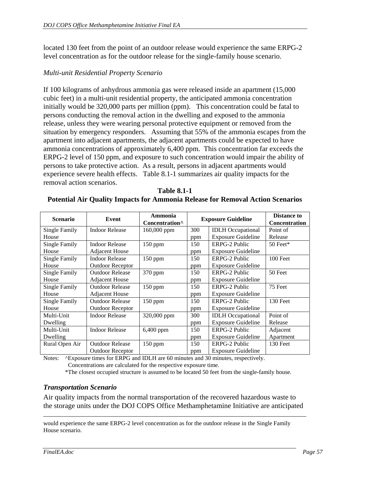located 130 feet from the point of an outdoor release would experience the same ERPG-2 level concentration as for the outdoor release for the single-family house scenario.

#### *Multi-unit Residential Property Scenario*

If 100 kilograms of anhydrous ammonia gas were released inside an apartment (15,000 cubic feet) in a multi-unit residential property, the anticipated ammonia concentration initially would be 320,000 parts per million (ppm). This concentration could be fatal to persons conducting the removal action in the dwelling and exposed to the ammonia release, unless they were wearing personal protective equipment or removed from the situation by emergency responders. Assuming that 55% of the ammonia escapes from the apartment into adjacent apartments, the adjacent apartments could be expected to have ammonia concentrations of approximately 6,400 ppm. This concentration far exceeds the ERPG-2 level of 150 ppm, and exposure to such concentration would impair the ability of persons to take protective action. As a result, persons in adjacent apartments would experience severe health effects. Table 8.1-1 summarizes air quality impacts for the removal action scenarios.

| <b>Scenario</b>      | Event                   | Ammonia<br>Concentration <sup>^</sup> | <b>Exposure Guideline</b> |                           | <b>Distance to</b><br><b>Concentration</b> |
|----------------------|-------------------------|---------------------------------------|---------------------------|---------------------------|--------------------------------------------|
| Single Family        | <b>Indoor Release</b>   | $160,000$ ppm                         | 300                       | <b>IDLH</b> Occupational  | Point of                                   |
| House                |                         |                                       | ppm                       | <b>Exposure Guideline</b> | Release                                    |
| Single Family        | <b>Indoor Release</b>   | 150 ppm                               | 150                       | ERPG-2 Public             | $50$ Feet*                                 |
| House                | <b>Adjacent House</b>   |                                       | ppm                       | <b>Exposure Guideline</b> |                                            |
| <b>Single Family</b> | <b>Indoor Release</b>   | $150$ ppm                             | 150                       | ERPG-2 Public             | $100$ Feet                                 |
| House                | <b>Outdoor Receptor</b> |                                       | ppm                       | <b>Exposure Guideline</b> |                                            |
| <b>Single Family</b> | <b>Outdoor Release</b>  | 370 ppm                               | 150                       | ERPG-2 Public             | 50 Feet                                    |
| House                | <b>Adjacent House</b>   |                                       | ppm                       | <b>Exposure Guideline</b> |                                            |
| <b>Single Family</b> | <b>Outdoor Release</b>  | 150 ppm                               | 150                       | ERPG-2 Public             | 75 Feet                                    |
| House                | Adjacent House          |                                       | ppm                       | <b>Exposure Guideline</b> |                                            |
| Single Family        | <b>Outdoor Release</b>  | $150$ ppm                             | 150                       | ERPG-2 Public             | 130 Feet                                   |
| House                | <b>Outdoor Receptor</b> |                                       | ppm                       | <b>Exposure Guideline</b> |                                            |
| Multi-Unit           | <b>Indoor Release</b>   | 320,000 ppm                           | 300                       | <b>IDLH</b> Occupational  | Point of                                   |
| Dwelling             |                         |                                       | ppm                       | <b>Exposure Guideline</b> | Release                                    |
| Multi-Unit           | <b>Indoor Release</b>   | $6,400$ ppm                           | 150                       | ERPG-2 Public             | Adjacent                                   |
| Dwelling             |                         |                                       | ppm                       | <b>Exposure Guideline</b> | Apartment                                  |
| Rural Open Air       | <b>Outdoor Release</b>  | $150$ ppm                             | 150                       | ERPG-2 Public             | 130 Feet                                   |
|                      | <b>Outdoor Receptor</b> |                                       | ppm                       | <b>Exposure Guideline</b> |                                            |

**Table 8.1-1 Potential Air Quality Impacts for Ammonia Release for Removal Action Scenarios** 

Notes: ^Exposure times for ERPG and IDLH are 60 minutes and 30 minutes, respectively.

Concentrations are calculated for the respective exposure time.

\*The closest occupied structure is assumed to be located 50 feet from the single-family house.

#### *Transportation Scenario*

Air quality impacts from the normal transportation of the recovered hazardous waste to the storage units under the DOJ COPS Office Methamphetamine Initiative are anticipated

would experience the same ERPG-2 level concentration as for the outdoor release in the Single Family House scenario.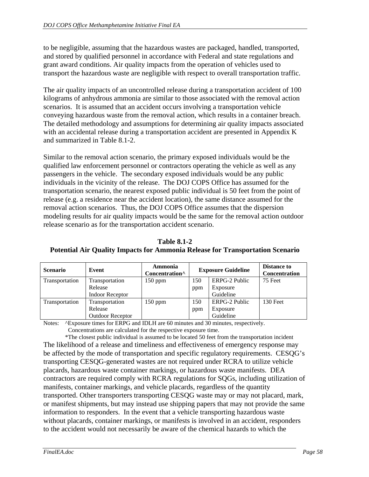to be negligible, assuming that the hazardous wastes are packaged, handled, transported, and stored by qualified personnel in accordance with Federal and state regulations and grant award conditions. Air quality impacts from the operation of vehicles used to transport the hazardous waste are negligible with respect to overall transportation traffic.

The air quality impacts of an uncontrolled release during a transportation accident of 100 kilograms of anhydrous ammonia are similar to those associated with the removal action scenarios. It is assumed that an accident occurs involving a transportation vehicle conveying hazardous waste from the removal action, which results in a container breach. The detailed methodology and assumptions for determining air quality impacts associated with an accidental release during a transportation accident are presented in Appendix K and summarized in Table 8.1-2.

Similar to the removal action scenario, the primary exposed individuals would be the qualified law enforcement personnel or contractors operating the vehicle as well as any passengers in the vehicle. The secondary exposed individuals would be any public individuals in the vicinity of the release. The DOJ COPS Office has assumed for the transportation scenario, the nearest exposed public individual is 50 feet from the point of release (e.g. a residence near the accident location), the same distance assumed for the removal action scenarios.Thus, the DOJ COPS Office assumes that the dispersion modeling results for air quality impacts would be the same for the removal action outdoor release scenario as for the transportation accident scenario.

**Table 8.1-2 Potential Air Quality Impacts for Ammonia Release for Transportation Scenario** 

| <b>Scenario</b> | Event                   | Ammonia<br>Concentration <sup>^</sup> | <b>Exposure Guideline</b> |               | <b>Distance to</b><br>Concentration |
|-----------------|-------------------------|---------------------------------------|---------------------------|---------------|-------------------------------------|
| Transportation  | Transportation          | $150$ ppm                             | 150                       | ERPG-2 Public | 75 Feet                             |
|                 | Release                 |                                       | ppm                       | Exposure      |                                     |
|                 | <b>Indoor Receptor</b>  |                                       |                           | Guideline     |                                     |
| Transportation  | Transportation          | $150$ ppm                             | 150                       | ERPG-2 Public | 130 Feet                            |
|                 | Release                 |                                       | ppm                       | Exposure      |                                     |
|                 | <b>Outdoor Receptor</b> |                                       |                           | Guideline     |                                     |

Notes: ^Exposure times for ERPG and IDLH are 60 minutes and 30 minutes, respectively.

Concentrations are calculated for the respective exposure time.

\*The closest public individual is assumed to be located 50 feet from the transportation incident The likelihood of a release and timeliness and effectiveness of emergency response may be affected by the mode of transportation and specific regulatory requirements. CESQG's transporting CESQG-generated wastes are not required under RCRA to utilize vehicle placards, hazardous waste container markings, or hazardous waste manifests. DEA contractors are required comply with RCRA regulations for SQGs, including utilization of manifests, container markings, and vehicle placards, regardless of the quantity transported. Other transporters transporting CESQG waste may or may not placard, mark, or manifest shipments, but may instead use shipping papers that may not provide the same information to responders. In the event that a vehicle transporting hazardous waste without placards, container markings, or manifests is involved in an accident, responders to the accident would not necessarily be aware of the chemical hazards to which the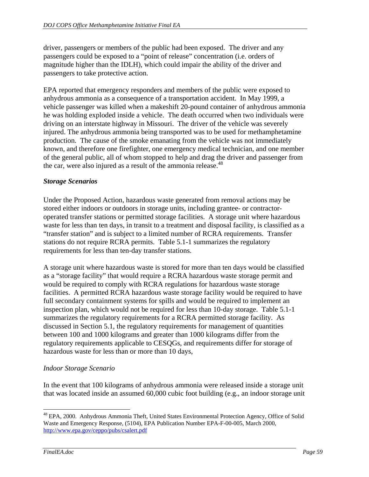driver, passengers or members of the public had been exposed. The driver and any passengers could be exposed to a "point of release" concentration (i.e. orders of magnitude higher than the IDLH), which could impair the ability of the driver and passengers to take protective action.

EPA reported that emergency responders and members of the public were exposed to anhydrous ammonia as a consequence of a transportation accident. In May 1999, a vehicle passenger was killed when a makeshift 20-pound container of anhydrous ammonia he was holding exploded inside a vehicle. The death occurred when two individuals were driving on an interstate highway in Missouri. The driver of the vehicle was severely injured. The anhydrous ammonia being transported was to be used for methamphetamine production. The cause of the smoke emanating from the vehicle was not immediately known, and therefore one firefighter, one emergency medical technician, and one member of the general public, all of whom stopped to help and drag the driver and passenger from the car, were also injured as a result of the ammonia release.<sup>48</sup>

#### *Storage Scenarios*

Under the Proposed Action, hazardous waste generated from removal actions may be stored either indoors or outdoors in storage units, including grantee- or contractoroperated transfer stations or permitted storage facilities. A storage unit where hazardous waste for less than ten days, in transit to a treatment and disposal facility, is classified as a "transfer station" and is subject to a limited number of RCRA requirements. Transfer stations do not require RCRA permits. Table 5.1-1 summarizes the regulatory requirements for less than ten-day transfer stations.

A storage unit where hazardous waste is stored for more than ten days would be classified as a "storage facility" that would require a RCRA hazardous waste storage permit and would be required to comply with RCRA regulations for hazardous waste storage facilities. A permitted RCRA hazardous waste storage facility would be required to have full secondary containment systems for spills and would be required to implement an inspection plan, which would not be required for less than 10-day storage. Table 5.1-1 summarizes the regulatory requirements for a RCRA permitted storage facility. As discussed in Section 5.1, the regulatory requirements for management of quantities between 100 and 1000 kilograms and greater than 1000 kilograms differ from the regulatory requirements applicable to CESQGs, and requirements differ for storage of hazardous waste for less than or more than 10 days,

#### *Indoor Storage Scenario*

In the event that 100 kilograms of anhydrous ammonia were released inside a storage unit that was located inside an assumed 60,000 cubic foot building (e.g., an indoor storage unit

<sup>&</sup>lt;sup>48</sup> EPA, 2000. Anhydrous Ammonia Theft, United States Environmental Protection Agency, Office of Solid Waste and Emergency Response, (5104), EPA Publication Number EPA-F-00-005, March 2000, http://www.epa.gov/ceppo/pubs/csalert.pdf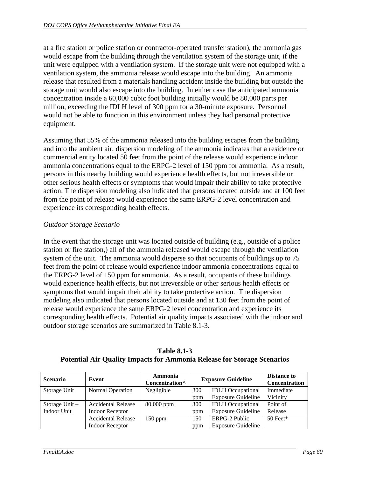at a fire station or police station or contractor-operated transfer station), the ammonia gas would escape from the building through the ventilation system of the storage unit, if the unit were equipped with a ventilation system. If the storage unit were not equipped with a ventilation system, the ammonia release would escape into the building. An ammonia release that resulted from a materials handling accident inside the building but outside the storage unit would also escape into the building. In either case the anticipated ammonia concentration inside a 60,000 cubic foot building initially would be 80,000 parts per million, exceeding the IDLH level of 300 ppm for a 30-minute exposure. Personnel would not be able to function in this environment unless they had personal protective equipment.

Assuming that 55% of the ammonia released into the building escapes from the building and into the ambient air, dispersion modeling of the ammonia indicates that a residence or commercial entity located 50 feet from the point of the release would experience indoor ammonia concentrations equal to the ERPG-2 level of 150 ppm for ammonia. As a result, persons in this nearby building would experience health effects, but not irreversible or other serious health effects or symptoms that would impair their ability to take protective action. The dispersion modeling also indicated that persons located outside and at 100 feet from the point of release would experience the same ERPG-2 level concentration and experience its corresponding health effects.

### *Outdoor Storage Scenario*

In the event that the storage unit was located outside of building (e.g., outside of a police station or fire station,) all of the ammonia released would escape through the ventilation system of the unit. The ammonia would disperse so that occupants of buildings up to 75 feet from the point of release would experience indoor ammonia concentrations equal to the ERPG-2 level of 150 ppm for ammonia. As a result, occupants of these buildings would experience health effects, but not irreversible or other serious health effects or symptoms that would impair their ability to take protective action. The dispersion modeling also indicated that persons located outside and at 130 feet from the point of release would experience the same ERPG-2 level concentration and experience its corresponding health effects. Potential air quality impacts associated with the indoor and outdoor storage scenarios are summarized in Table 8.1-3.

| <b>Table 8.1-3</b>                                                             |
|--------------------------------------------------------------------------------|
| <b>Potential Air Quality Impacts for Ammonia Release for Storage Scenarios</b> |

| <b>Scenario</b> | Event                     | Ammonia<br>Concentration <sup>^</sup> | <b>Exposure Guideline</b> |                           | <b>Distance to</b><br><b>Concentration</b> |
|-----------------|---------------------------|---------------------------------------|---------------------------|---------------------------|--------------------------------------------|
| Storage Unit    | Normal Operation          | Negligible                            | 300                       | <b>IDLH</b> Occupational  | Immediate                                  |
|                 |                           |                                       | ppm                       | Exposure Guideline        | Vicinity                                   |
| Storage Unit-   | <b>Accidental Release</b> | $80,000$ ppm                          | 300                       | <b>IDLH</b> Occupational  | Point of                                   |
| Indoor Unit     | <b>Indoor Receptor</b>    |                                       | ppm                       | Exposure Guideline        | Release                                    |
|                 | <b>Accidental Release</b> | $150$ ppm                             | 150                       | ERPG-2 Public             | $50$ Feet*                                 |
|                 | <b>Indoor Receptor</b>    |                                       | ppm                       | <b>Exposure Guideline</b> |                                            |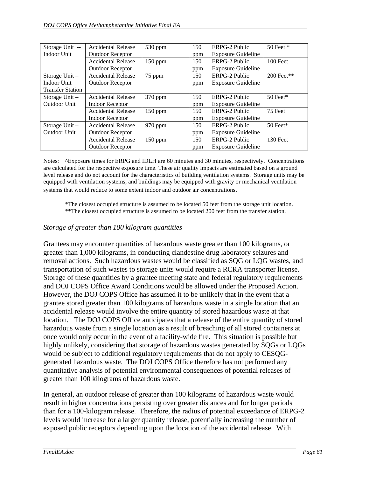| Storage Unit --         | Accidental Release        | 530 ppm   | 150 | ERPG-2 Public             | 50 Feet $*$  |
|-------------------------|---------------------------|-----------|-----|---------------------------|--------------|
| Indoor Unit             | <b>Outdoor Receptor</b>   |           | ppm | <b>Exposure Guideline</b> |              |
|                         | <b>Accidental Release</b> | 150 ppm   | 150 | ERPG-2 Public             | $100$ Feet   |
|                         | <b>Outdoor Receptor</b>   |           | ppm | <b>Exposure Guideline</b> |              |
| Storage Unit-           | <b>Accidental Release</b> | 75 ppm    | 150 | ERPG-2 Public             | $200$ Feet** |
| Indoor Unit             | <b>Outdoor Receptor</b>   |           | ppm | <b>Exposure Guideline</b> |              |
| <b>Transfer Station</b> |                           |           |     |                           |              |
| Storage Unit-           | Accidental Release        | 370 ppm   | 150 | ERPG-2 Public             | $50$ Feet*   |
| Outdoor Unit            | <b>Indoor Receptor</b>    |           | ppm | <b>Exposure Guideline</b> |              |
|                         | <b>Accidental Release</b> | $150$ ppm | 150 | ERPG-2 Public             | 75 Feet      |
|                         | <b>Indoor Receptor</b>    |           | ppm | <b>Exposure Guideline</b> |              |
| Storage Unit-           | <b>Accidental Release</b> | 970 ppm   | 150 | ERPG-2 Public             | $50$ Feet*   |
| Outdoor Unit            | <b>Outdoor Receptor</b>   |           | ppm | <b>Exposure Guideline</b> |              |
|                         | <b>Accidental Release</b> | $150$ ppm | 150 | ERPG-2 Public             | 130 Feet     |
|                         | <b>Outdoor Receptor</b>   |           | ppm | <b>Exposure Guideline</b> |              |

Notes: ^Exposure times for ERPG and IDLH are 60 minutes and 30 minutes, respectively. Concentrations are calculated for the respective exposure time. These air quality impacts are estimated based on a ground level release and do not account for the characteristics of building ventilation systems. Storage units may be equipped with ventilation systems, and buildings may be equipped with gravity or mechanical ventilation systems that would reduce to some extent indoor and outdoor air concentrations.

\*The closest occupied structure is assumed to be located 50 feet from the storage unit location. \*\*The closest occupied structure is assumed to be located 200 feet from the transfer station.

#### *Storage of greater than 100 kilogram quantities*

Grantees may encounter quantities of hazardous waste greater than 100 kilograms, or greater than 1,000 kilograms, in conducting clandestine drug laboratory seizures and removal actions. Such hazardous wastes would be classified as SQG or LQG wastes, and transportation of such wastes to storage units would require a RCRA transporter license. Storage of these quantities by a grantee meeting state and federal regulatory requirements and DOJ COPS Office Award Conditions would be allowed under the Proposed Action. However, the DOJ COPS Office has assumed it to be unlikely that in the event that a grantee stored greater than 100 kilograms of hazardous waste in a single location that an accidental release would involve the entire quantity of stored hazardous waste at that location. The DOJ COPS Office anticipates that a release of the entire quantity of stored hazardous waste from a single location as a result of breaching of all stored containers at once would only occur in the event of a facility-wide fire. This situation is possible but highly unlikely, considering that storage of hazardous wastes generated by SQGs or LQGs would be subject to additional regulatory requirements that do not apply to CESQGgenerated hazardous waste. The DOJ COPS Office therefore has not performed any quantitative analysis of potential environmental consequences of potential releases of greater than 100 kilograms of hazardous waste.

In general, an outdoor release of greater than 100 kilograms of hazardous waste would result in higher concentrations persisting over greater distances and for longer periods than for a 100-kilogram release. Therefore, the radius of potential exceedance of ERPG-2 levels would increase for a larger quantity release, potentially increasing the number of exposed public receptors depending upon the location of the accidental release. With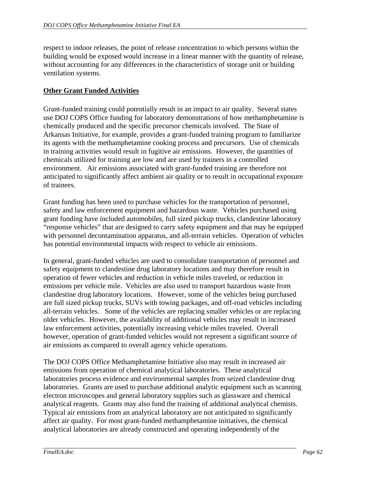respect to indoor releases, the point of release concentration to which persons within the building would be exposed would increase in a linear manner with the quantity of release, without accounting for any differences in the characteristics of storage unit or building ventilation systems.

#### **Other Grant Funded Activities**

Grant-funded training could potentially result in an impact to air quality. Several states use DOJ COPS Office funding for laboratory demonstrations of how methamphetamine is chemically produced and the specific precursor chemicals involved. The State of Arkansas Initiative, for example, provides a grant-funded training program to familiarize its agents with the methamphetamine cooking process and precursors. Use of chemicals in training activities would result in fugitive air emissions. However, the quantities of chemicals utilized for training are low and are used by trainers in a controlled environment. Air emissions associated with grant-funded training are therefore not anticipated to significantly affect ambient air quality or to result in occupational exposure of trainees.

Grant funding has been used to purchase vehicles for the transportation of personnel, safety and law enforcement equipment and hazardous waste. Vehicles purchased using grant funding have included automobiles, full sized pickup trucks, clandestine laboratory "response vehicles" that are designed to carry safety equipment and that may be equipped with personnel decontamination apparatus, and all-terrain vehicles. Operation of vehicles has potential environmental impacts with respect to vehicle air emissions.

In general, grant-funded vehicles are used to consolidate transportation of personnel and safety equipment to clandestine drug laboratory locations and may therefore result in operation of fewer vehicles and reduction in vehicle miles traveled, or reduction in emissions per vehicle mile. Vehicles are also used to transport hazardous waste from clandestine drug laboratory locations. However, some of the vehicles being purchased are full sized pickup trucks, SUVs with towing packages, and off-road vehicles including all-terrain vehicles. Some of the vehicles are replacing smaller vehicles or are replacing older vehicles.However, the availability of additional vehicles may result in increased law enforcement activities, potentially increasing vehicle miles traveled. Overall however, operation of grant-funded vehicles would not represent a significant source of air emissions as compared to overall agency vehicle operations.

The DOJ COPS Office Methamphetamine Initiative also may result in increased air emissions from operation of chemical analytical laboratories. These analytical laboratories process evidence and environmental samples from seized clandestine drug laboratories. Grants are used to purchase additional analytic equipment such as scanning electron microscopes and general laboratory supplies such as glassware and chemical analytical reagents. Grants may also fund the training of additional analytical chemists. Typical air emissions from an analytical laboratory are not anticipated to significantly affect air quality.For most grant-funded methamphetamine initiatives, the chemical analytical laboratories are already constructed and operating independently of the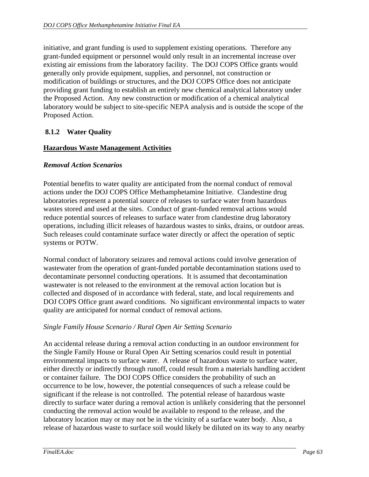initiative, and grant funding is used to supplement existing operations. Therefore any grant-funded equipment or personnel would only result in an incremental increase over existing air emissions from the laboratory facility. The DOJ COPS Office grants would generally only provide equipment, supplies, and personnel, not construction or modification of buildings or structures, and the DOJ COPS Office does not anticipate providing grant funding to establish an entirely new chemical analytical laboratory under the Proposed Action. Any new construction or modification of a chemical analytical laboratory would be subject to site-specific NEPA analysis and is outside the scope of the Proposed Action.

## **8.1.2 Water Quality**

### **Hazardous Waste Management Activities**

### *Removal Action Scenarios*

Potential benefits to water quality are anticipated from the normal conduct of removal actions under the DOJ COPS Office Methamphetamine Initiative. Clandestine drug laboratories represent a potential source of releases to surface water from hazardous wastes stored and used at the sites. Conduct of grant-funded removal actions would reduce potential sources of releases to surface water from clandestine drug laboratory operations, including illicit releases of hazardous wastes to sinks, drains, or outdoor areas. Such releases could contaminate surface water directly or affect the operation of septic systems or POTW.

Normal conduct of laboratory seizures and removal actions could involve generation of wastewater from the operation of grant-funded portable decontamination stations used to decontaminate personnel conducting operations. It is assumed that decontamination wastewater is not released to the environment at the removal action location but is collected and disposed of in accordance with federal, state, and local requirements and DOJ COPS Office grant award conditions. No significant environmental impacts to water quality are anticipated for normal conduct of removal actions.

#### *Single Family House Scenario / Rural Open Air Setting Scenario*

An accidental release during a removal action conducting in an outdoor environment for the Single Family House or Rural Open Air Setting scenarios could result in potential environmental impacts to surface water. A release of hazardous waste to surface water, either directly or indirectly through runoff, could result from a materials handling accident or container failure. The DOJ COPS Office considers the probability of such an occurrence to be low, however, the potential consequences of such a release could be significant if the release is not controlled. The potential release of hazardous waste directly to surface water during a removal action is unlikely considering that the personnel conducting the removal action would be available to respond to the release, and the laboratory location may or may not be in the vicinity of a surface water body.Also, a release of hazardous waste to surface soil would likely be diluted on its way to any nearby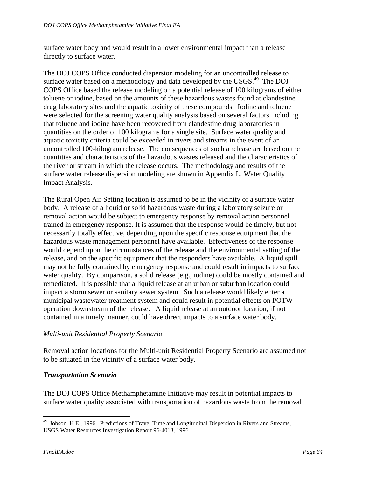surface water body and would result in a lower environmental impact than a release directly to surface water.

The DOJ COPS Office conducted dispersion modeling for an uncontrolled release to surface water based on a methodology and data developed by the USGS.<sup>49</sup> The DOJ COPS Office based the release modeling on a potential release of 100 kilograms of either toluene or iodine, based on the amounts of these hazardous wastes found at clandestine drug laboratory sites and the aquatic toxicity of these compounds. Iodine and toluene were selected for the screening water quality analysis based on several factors including that toluene and iodine have been recovered from clandestine drug laboratories in quantities on the order of 100 kilograms for a single site. Surface water quality and aquatic toxicity criteria could be exceeded in rivers and streams in the event of an uncontrolled 100-kilogram release. The consequences of such a release are based on the quantities and characteristics of the hazardous wastes released and the characteristics of the river or stream in which the release occurs. The methodology and results of the surface water release dispersion modeling are shown in Appendix L, Water Quality Impact Analysis.

The Rural Open Air Setting location is assumed to be in the vicinity of a surface water body. A release of a liquid or solid hazardous waste during a laboratory seizure or removal action would be subject to emergency response by removal action personnel trained in emergency response. It is assumed that the response would be timely, but not necessarily totally effective, depending upon the specific response equipment that the hazardous waste management personnel have available. Effectiveness of the response would depend upon the circumstances of the release and the environmental setting of the release, and on the specific equipment that the responders have available.A liquid spill may not be fully contained by emergency response and could result in impacts to surface water quality. By comparison, a solid release (e.g., iodine) could be mostly contained and remediated. It is possible that a liquid release at an urban or suburban location could impact a storm sewer or sanitary sewer system. Such a release would likely enter a municipal wastewater treatment system and could result in potential effects on POTW operation downstream of the release. A liquid release at an outdoor location, if not contained in a timely manner, could have direct impacts to a surface water body.

### *Multi-unit Residential Property Scenario*

Removal action locations for the Multi-unit Residential Property Scenario are assumed not to be situated in the vicinity of a surface water body.

### *Transportation Scenario*

The DOJ COPS Office Methamphetamine Initiative may result in potential impacts to surface water quality associated with transportation of hazardous waste from the removal

1

<sup>&</sup>lt;sup>49</sup> Jobson, H.E., 1996. Predictions of Travel Time and Longitudinal Dispersion in Rivers and Streams, USGS Water Resources Investigation Report 96-4013, 1996.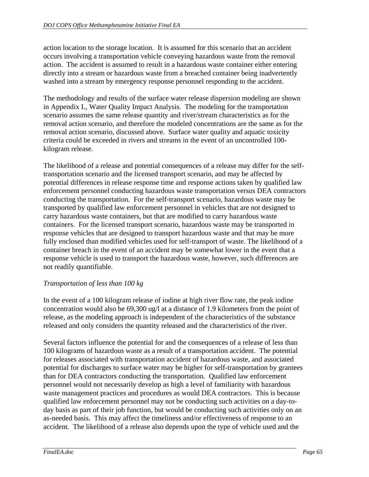action location to the storage location. It is assumed for this scenario that an accident occurs involving a transportation vehicle conveying hazardous waste from the removal action. The accident is assumed to result in a hazardous waste container either entering directly into a stream or hazardous waste from a breached container being inadvertently washed into a stream by emergency response personnel responding to the accident.

The methodology and results of the surface water release dispersion modeling are shown in Appendix L, Water Quality Impact Analysis. The modeling for the transportation scenario assumes the same release quantity and river/stream characteristics as for the removal action scenario, and therefore the modeled concentrations are the same as for the removal action scenario, discussed above. Surface water quality and aquatic toxicity criteria could be exceeded in rivers and streams in the event of an uncontrolled 100 kilogram release.

The likelihood of a release and potential consequences of a release may differ for the selftransportation scenario and the licensed transport scenario, and may be affected by potential differences in release response time and response actions taken by qualified law enforcement personnel conducting hazardous waste transportation versus DEA contractors conducting the transportation. For the self-transport scenario, hazardous waste may be transported by qualified law enforcement personnel in vehicles that are not designed to carry hazardous waste containers, but that are modified to carry hazardous waste containers. For the licensed transport scenario, hazardous waste may be transported in response vehicles that are designed to transport hazardous waste and that may be more fully enclosed than modified vehicles used for self-transport of waste. The likelihood of a container breach in the event of an accident may be somewhat lower in the event that a response vehicle is used to transport the hazardous waste, however, such differences are not readily quantifiable.

### *Transportation of less than 100 kg*

In the event of a 100 kilogram release of iodine at high river flow rate, the peak iodine concentration would also be 69,300 ug/l at a distance of 1.9 kilometers from the point of release, as the modeling approach is independent of the characteristics of the substance released and only considers the quantity released and the characteristics of the river.

Several factors influence the potential for and the consequences of a release of less than 100 kilograms of hazardous waste as a result of a transportation accident. The potential for releases associated with transportation accident of hazardous waste, and associated potential for discharges to surface water may be higher for self-transportation by grantees than for DEA contractors conducting the transportation. Qualified law enforcement personnel would not necessarily develop as high a level of familiarity with hazardous waste management practices and procedures as would DEA contractors. This is because qualified law enforcement personnel may not be conducting such activities on a day-today basis as part of their job function, but would be conducting such activities only on an as-needed basis.This may affect the timeliness and/or effectiveness of response to an accident. The likelihood of a release also depends upon the type of vehicle used and the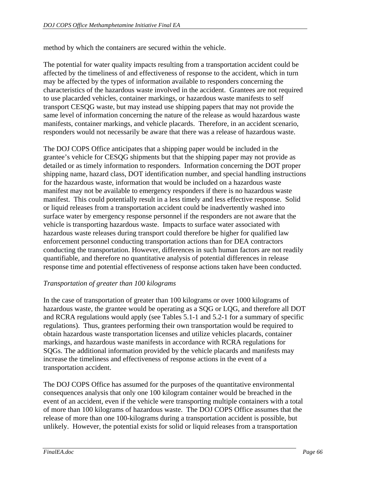method by which the containers are secured within the vehicle.

The potential for water quality impacts resulting from a transportation accident could be affected by the timeliness of and effectiveness of response to the accident, which in turn may be affected by the types of information available to responders concerning the characteristics of the hazardous waste involved in the accident. Grantees are not required to use placarded vehicles, container markings, or hazardous waste manifests to self transport CESQG waste, but may instead use shipping papers that may not provide the same level of information concerning the nature of the release as would hazardous waste manifests, container markings, and vehicle placards. Therefore, in an accident scenario, responders would not necessarily be aware that there was a release of hazardous waste.

The DOJ COPS Office anticipates that a shipping paper would be included in the grantee's vehicle for CESQG shipments but that the shipping paper may not provide as detailed or as timely information to responders. Information concerning the DOT proper shipping name, hazard class, DOT identification number, and special handling instructions for the hazardous waste, information that would be included on a hazardous waste manifest may not be available to emergency responders if there is no hazardous waste manifest. This could potentially result in a less timely and less effective response. Solid or liquid releases from a transportation accident could be inadvertently washed into surface water by emergency response personnel if the responders are not aware that the vehicle is transporting hazardous waste. Impacts to surface water associated with hazardous waste releases during transport could therefore be higher for qualified law enforcement personnel conducting transportation actions than for DEA contractors conducting the transportation. However, differences in such human factors are not readily quantifiable, and therefore no quantitative analysis of potential differences in release response time and potential effectiveness of response actions taken have been conducted.

#### *Transportation of greater than 100 kilograms*

In the case of transportation of greater than 100 kilograms or over 1000 kilograms of hazardous waste, the grantee would be operating as a SQG or LQG, and therefore all DOT and RCRA regulations would apply (see Tables 5.1-1 and 5.2-1 for a summary of specific regulations). Thus, grantees performing their own transportation would be required to obtain hazardous waste transportation licenses and utilize vehicles placards, container markings, and hazardous waste manifests in accordance with RCRA regulations for SQGs. The additional information provided by the vehicle placards and manifests may increase the timeliness and effectiveness of response actions in the event of a transportation accident.

The DOJ COPS Office has assumed for the purposes of the quantitative environmental consequences analysis that only one 100 kilogram container would be breached in the event of an accident, even if the vehicle were transporting multiple containers with a total of more than 100 kilograms of hazardous waste. The DOJ COPS Office assumes that the release of more than one 100-kilograms during a transportation accident is possible, but unlikely. However, the potential exists for solid or liquid releases from a transportation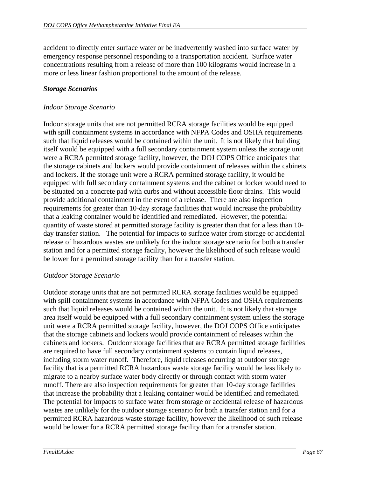accident to directly enter surface water or be inadvertently washed into surface water by emergency response personnel responding to a transportation accident. Surface water concentrations resulting from a release of more than 100 kilograms would increase in a more or less linear fashion proportional to the amount of the release.

#### *Storage Scenarios*

#### *Indoor Storage Scenario*

Indoor storage units that are not permitted RCRA storage facilities would be equipped with spill containment systems in accordance with NFPA Codes and OSHA requirements such that liquid releases would be contained within the unit. It is not likely that building itself would be equipped with a full secondary containment system unless the storage unit were a RCRA permitted storage facility, however, the DOJ COPS Office anticipates that the storage cabinets and lockers would provide containment of releases within the cabinets and lockers. If the storage unit were a RCRA permitted storage facility, it would be equipped with full secondary containment systems and the cabinet or locker would need to be situated on a concrete pad with curbs and without accessible floor drains. This would provide additional containment in the event of a release. There are also inspection requirements for greater than 10-day storage facilities that would increase the probability that a leaking container would be identified and remediated. However, the potential quantity of waste stored at permitted storage facility is greater than that for a less than 10 day transfer station. The potential for impacts to surface water from storage or accidental release of hazardous wastes are unlikely for the indoor storage scenario for both a transfer station and for a permitted storage facility, however the likelihood of such release would be lower for a permitted storage facility than for a transfer station.

#### *Outdoor Storage Scenario*

Outdoor storage units that are not permitted RCRA storage facilities would be equipped with spill containment systems in accordance with NFPA Codes and OSHA requirements such that liquid releases would be contained within the unit. It is not likely that storage area itself would be equipped with a full secondary containment system unless the storage unit were a RCRA permitted storage facility, however, the DOJ COPS Office anticipates that the storage cabinets and lockers would provide containment of releases within the cabinets and lockers. Outdoor storage facilities that are RCRA permitted storage facilities are required to have full secondary containment systems to contain liquid releases, including storm water runoff. Therefore, liquid releases occurring at outdoor storage facility that is a permitted RCRA hazardous waste storage facility would be less likely to migrate to a nearby surface water body directly or through contact with storm water runoff. There are also inspection requirements for greater than 10-day storage facilities that increase the probability that a leaking container would be identified and remediated. The potential for impacts to surface water from storage or accidental release of hazardous wastes are unlikely for the outdoor storage scenario for both a transfer station and for a permitted RCRA hazardous waste storage facility, however the likelihood of such release would be lower for a RCRA permitted storage facility than for a transfer station.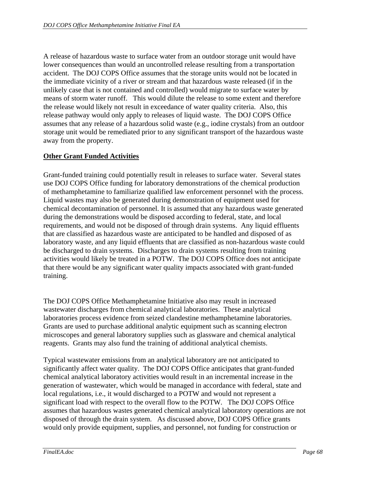A release of hazardous waste to surface water from an outdoor storage unit would have lower consequences than would an uncontrolled release resulting from a transportation accident. The DOJ COPS Office assumes that the storage units would not be located in the immediate vicinity of a river or stream and that hazardous waste released (if in the unlikely case that is not contained and controlled) would migrate to surface water by means of storm water runoff. This would dilute the release to some extent and therefore the release would likely not result in exceedance of water quality criteria. Also, this release pathway would only apply to releases of liquid waste. The DOJ COPS Office assumes that any release of a hazardous solid waste (e.g., iodine crystals) from an outdoor storage unit would be remediated prior to any significant transport of the hazardous waste away from the property.

### **Other Grant Funded Activities**

Grant-funded training could potentially result in releases to surface water. Several states use DOJ COPS Office funding for laboratory demonstrations of the chemical production of methamphetamine to familiarize qualified law enforcement personnel with the process. Liquid wastes may also be generated during demonstration of equipment used for chemical decontamination of personnel. It is assumed that any hazardous waste generated during the demonstrations would be disposed according to federal, state, and local requirements, and would not be disposed of through drain systems. Any liquid effluents that are classified as hazardous waste are anticipated to be handled and disposed of as laboratory waste, and any liquid effluents that are classified as non-hazardous waste could be discharged to drain systems. Discharges to drain systems resulting from training activities would likely be treated in a POTW. The DOJ COPS Office does not anticipate that there would be any significant water quality impacts associated with grant-funded training.

The DOJ COPS Office Methamphetamine Initiative also may result in increased wastewater discharges from chemical analytical laboratories. These analytical laboratories process evidence from seized clandestine methamphetamine laboratories. Grants are used to purchase additional analytic equipment such as scanning electron microscopes and general laboratory supplies such as glassware and chemical analytical reagents. Grants may also fund the training of additional analytical chemists.

Typical wastewater emissions from an analytical laboratory are not anticipated to significantly affect water quality.The DOJ COPS Office anticipates that grant-funded chemical analytical laboratory activities would result in an incremental increase in the generation of wastewater, which would be managed in accordance with federal, state and local regulations, i.e., it would discharged to a POTW and would not represent a significant load with respect to the overall flow to the POTW. The DOJ COPS Office assumes that hazardous wastes generated chemical analytical laboratory operations are not disposed of through the drain system. As discussed above, DOJ COPS Office grants would only provide equipment, supplies, and personnel, not funding for construction or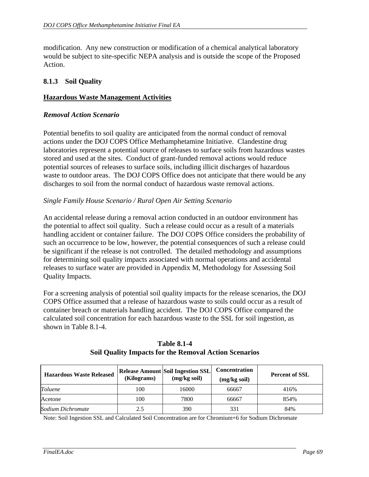modification. Any new construction or modification of a chemical analytical laboratory would be subject to site-specific NEPA analysis and is outside the scope of the Proposed Action.

### **8.1.3 Soil Quality**

#### **Hazardous Waste Management Activities**

#### *Removal Action Scenario*

Potential benefits to soil quality are anticipated from the normal conduct of removal actions under the DOJ COPS Office Methamphetamine Initiative. Clandestine drug laboratories represent a potential source of releases to surface soils from hazardous wastes stored and used at the sites. Conduct of grant-funded removal actions would reduce potential sources of releases to surface soils, including illicit discharges of hazardous waste to outdoor areas. The DOJ COPS Office does not anticipate that there would be any discharges to soil from the normal conduct of hazardous waste removal actions.

#### *Single Family House Scenario / Rural Open Air Setting Scenario*

An accidental release during a removal action conducted in an outdoor environment has the potential to affect soil quality. Such a release could occur as a result of a materials handling accident or container failure. The DOJ COPS Office considers the probability of such an occurrence to be low, however, the potential consequences of such a release could be significant if the release is not controlled. The detailed methodology and assumptions for determining soil quality impacts associated with normal operations and accidental releases to surface water are provided in Appendix M, Methodology for Assessing Soil Quality Impacts.

For a screening analysis of potential soil quality impacts for the release scenarios, the DOJ COPS Office assumed that a release of hazardous waste to soils could occur as a result of container breach or materials handling accident. The DOJ COPS Office compared the calculated soil concentration for each hazardous waste to the SSL for soil ingestion, as shown in Table 8.1-4.

| <b>Hazardous Waste Released</b> | (Kilograms) | <b>Release Amount Soil Ingestion SSL</b><br>(mg/kg soil) | <b>Concentration</b><br>(mg/kg soil) | <b>Percent of SSL</b> |
|---------------------------------|-------------|----------------------------------------------------------|--------------------------------------|-----------------------|
| Toluene                         | 100         | 16000                                                    | 66667                                | 416%                  |
| Acetone                         | 100         | 7800                                                     | 66667                                | 854%                  |
| Sodium Dichromate               | 2.5         | 390                                                      | 331                                  | 84%                   |

#### **Table 8.1-4 Soil Quality Impacts for the Removal Action Scenarios**

Note: Soil Ingestion SSL and Calculated Soil Concentration are for Chromium+6 for Sodium Dichromate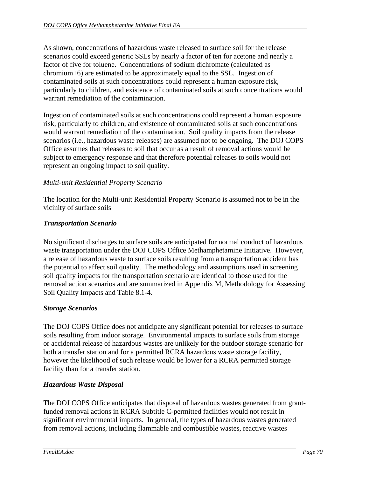As shown, concentrations of hazardous waste released to surface soil for the release scenarios could exceed generic SSLs by nearly a factor of ten for acetone and nearly a factor of five for toluene. Concentrations of sodium dichromate (calculated as chromium+6) are estimated to be approximately equal to the SSL. Ingestion of contaminated soils at such concentrations could represent a human exposure risk, particularly to children, and existence of contaminated soils at such concentrations would warrant remediation of the contamination.

Ingestion of contaminated soils at such concentrations could represent a human exposure risk, particularly to children, and existence of contaminated soils at such concentrations would warrant remediation of the contamination. Soil quality impacts from the release scenarios (i.e., hazardous waste releases) are assumed not to be ongoing. The DOJ COPS Office assumes that releases to soil that occur as a result of removal actions would be subject to emergency response and that therefore potential releases to soils would not represent an ongoing impact to soil quality.

### *Multi-unit Residential Property Scenario*

The location for the Multi-unit Residential Property Scenario is assumed not to be in the vicinity of surface soils

### *Transportation Scenario*

No significant discharges to surface soils are anticipated for normal conduct of hazardous waste transportation under the DOJ COPS Office Methamphetamine Initiative. However, a release of hazardous waste to surface soils resulting from a transportation accident has the potential to affect soil quality. The methodology and assumptions used in screening soil quality impacts for the transportation scenario are identical to those used for the removal action scenarios and are summarized in Appendix M, Methodology for Assessing Soil Quality Impacts and Table 8.1-4.

#### *Storage Scenarios*

The DOJ COPS Office does not anticipate any significant potential for releases to surface soils resulting from indoor storage. Environmental impacts to surface soils from storage or accidental release of hazardous wastes are unlikely for the outdoor storage scenario for both a transfer station and for a permitted RCRA hazardous waste storage facility, however the likelihood of such release would be lower for a RCRA permitted storage facility than for a transfer station.

#### *Hazardous Waste Disposal*

The DOJ COPS Office anticipates that disposal of hazardous wastes generated from grantfunded removal actions in RCRA Subtitle C-permitted facilities would not result in significant environmental impacts. In general, the types of hazardous wastes generated from removal actions, including flammable and combustible wastes, reactive wastes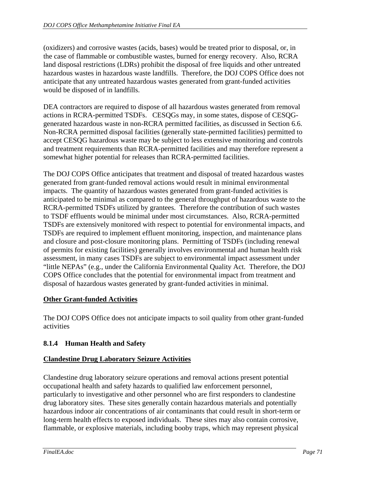(oxidizers) and corrosive wastes (acids, bases) would be treated prior to disposal, or, in the case of flammable or combustible wastes, burned for energy recovery. Also, RCRA land disposal restrictions (LDRs) prohibit the disposal of free liquids and other untreated hazardous wastes in hazardous waste landfills. Therefore, the DOJ COPS Office does not anticipate that any untreated hazardous wastes generated from grant-funded activities would be disposed of in landfills.

DEA contractors are required to dispose of all hazardous wastes generated from removal actions in RCRA-permitted TSDFs. CESQGs may, in some states, dispose of CESQGgenerated hazardous waste in non-RCRA permitted facilities, as discussed in Section 6.6. Non-RCRA permitted disposal facilities (generally state-permitted facilities) permitted to accept CESQG hazardous waste may be subject to less extensive monitoring and controls and treatment requirements than RCRA-permitted facilities and may therefore represent a somewhat higher potential for releases than RCRA-permitted facilities.

The DOJ COPS Office anticipates that treatment and disposal of treated hazardous wastes generated from grant-funded removal actions would result in minimal environmental impacts. The quantity of hazardous wastes generated from grant-funded activities is anticipated to be minimal as compared to the general throughput of hazardous waste to the RCRA-permitted TSDFs utilized by grantees. Therefore the contribution of such wastes to TSDF effluents would be minimal under most circumstances. Also, RCRA-permitted TSDFs are extensively monitored with respect to potential for environmental impacts, and TSDFs are required to implement effluent monitoring, inspection, and maintenance plans and closure and post-closure monitoring plans. Permitting of TSDFs (including renewal of permits for existing facilities) generally involves environmental and human health risk assessment, in many cases TSDFs are subject to environmental impact assessment under "little NEPAs" (e.g., under the California Environmental Quality Act. Therefore, the DOJ COPS Office concludes that the potential for environmental impact from treatment and disposal of hazardous wastes generated by grant-funded activities in minimal.

### **Other Grant-funded Activities**

The DOJ COPS Office does not anticipate impacts to soil quality from other grant-funded activities

### **8.1.4 Human Health and Safety**

### **Clandestine Drug Laboratory Seizure Activities**

Clandestine drug laboratory seizure operations and removal actions present potential occupational health and safety hazards to qualified law enforcement personnel, particularly to investigative and other personnel who are first responders to clandestine drug laboratory sites. These sites generally contain hazardous materials and potentially hazardous indoor air concentrations of air contaminants that could result in short-term or long-term health effects to exposed individuals. These sites may also contain corrosive, flammable, or explosive materials, including booby traps, which may represent physical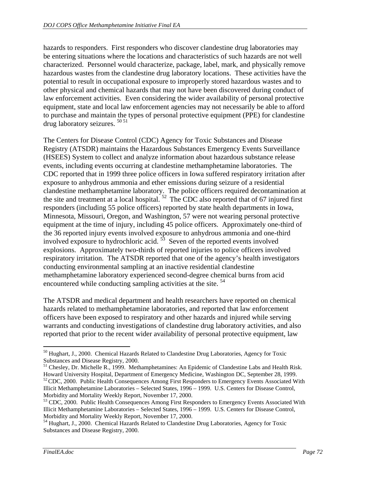hazards to responders. First responders who discover clandestine drug laboratories may be entering situations where the locations and characteristics of such hazards are not well characterized. Personnel would characterize, package, label, mark, and physically remove hazardous wastes from the clandestine drug laboratory locations. These activities have the potential to result in occupational exposure to improperly stored hazardous wastes and to other physical and chemical hazards that may not have been discovered during conduct of law enforcement activities. Even considering the wider availability of personal protective equipment, state and local law enforcement agencies may not necessarily be able to afford to purchase and maintain the types of personal protective equipment (PPE) for clandestine drug laboratory seizures. 50 51

The Centers for Disease Control (CDC) Agency for Toxic Substances and Disease Registry (ATSDR) maintains the Hazardous Substances Emergency Events Surveillance (HSEES) System to collect and analyze information about hazardous substance release events, including events occurring at clandestine methamphetamine laboratories. The CDC reported that in 1999 three police officers in Iowa suffered respiratory irritation after exposure to anhydrous ammonia and ether emissions during seizure of a residential clandestine methamphetamine laboratory. The police officers required decontamination at the site and treatment at a local hospital. <sup>52</sup> The CDC also reported that of 67 injured first responders (including 55 police officers) reported by state health departments in Iowa, Minnesota, Missouri, Oregon, and Washington, 57 were not wearing personal protective equipment at the time of injury, including 45 police officers. Approximately one-third of the 36 reported injury events involved exposure to anhydrous ammonia and one-third involved exposure to hydrochloric acid.  $5<sup>3</sup>$  Seven of the reported events involved explosions. Approximately two-thirds of reported injuries to police officers involved respiratory irritation. The ATSDR reported that one of the agency's health investigators conducting environmental sampling at an inactive residential clandestine methamphetamine laboratory experienced second-degree chemical burns from acid encountered while conducting sampling activities at the site.<sup>54</sup>

The ATSDR and medical department and health researchers have reported on chemical hazards related to methamphetamine laboratories, and reported that law enforcement officers have been exposed to respiratory and other hazards and injured while serving warrants and conducting investigations of clandestine drug laboratory activities, and also reported that prior to the recent wider availability of personal protective equipment, law

 $\overline{a}$ 50 Hughart, J., 2000. Chemical Hazards Related to Clandestine Drug Laboratories, Agency for Toxic Substances and Disease Registry, 2000.

<sup>&</sup>lt;sup>51</sup> Chesley, Dr. Michelle R., 1999. Methamphetamines: An Epidemic of Clandestine Labs and Health Risk. Howard University Hospital, Department of Emergency Medicine, Washington DC, September 28, 1999.<br><sup>52</sup> CDC, 2000. Public Health Consequences Among First Responders to Emergency Events Associated With Illicit Methamphetamine Laboratories – Selected States, 1996 – 1999. U.S. Centers for Disease Control, Morbidity and Mortality Weekly Report, November 17, 2000.

<sup>53</sup> CDC, 2000. Public Health Consequences Among First Responders to Emergency Events Associated With Illicit Methamphetamine Laboratories – Selected States, 1996 – 1999. U.S. Centers for Disease Control, Morbidity and Mortality Weekly Report, November 17, 2000.

<sup>54</sup> Hughart, J., 2000. Chemical Hazards Related to Clandestine Drug Laboratories, Agency for Toxic Substances and Disease Registry, 2000.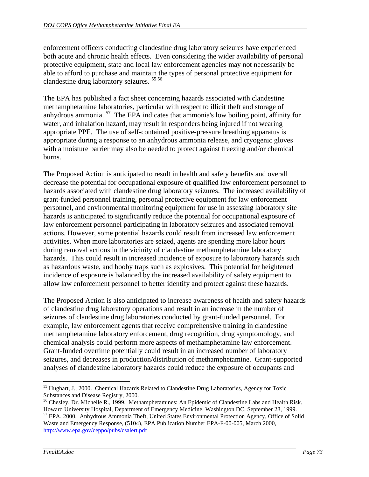enforcement officers conducting clandestine drug laboratory seizures have experienced both acute and chronic health effects. Even considering the wider availability of personal protective equipment, state and local law enforcement agencies may not necessarily be able to afford to purchase and maintain the types of personal protective equipment for clandestine drug laboratory seizures. 55 56

The EPA has published a fact sheet concerning hazards associated with clandestine methamphetamine laboratories, particular with respect to illicit theft and storage of anhydrous ammonia. 57 The EPA indicates that ammonia's low boiling point, affinity for water, and inhalation hazard, may result in responders being injured if not wearing appropriate PPE. The use of self-contained positive-pressure breathing apparatus is appropriate during a response to an anhydrous ammonia release, and cryogenic gloves with a moisture barrier may also be needed to protect against freezing and/or chemical burns.

The Proposed Action is anticipated to result in health and safety benefits and overall decrease the potential for occupational exposure of qualified law enforcement personnel to hazards associated with clandestine drug laboratory seizures. The increased availability of grant-funded personnel training, personal protective equipment for law enforcement personnel, and environmental monitoring equipment for use in assessing laboratory site hazards is anticipated to significantly reduce the potential for occupational exposure of law enforcement personnel participating in laboratory seizures and associated removal actions. However, some potential hazards could result from increased law enforcement activities. When more laboratories are seized, agents are spending more labor hours during removal actions in the vicinity of clandestine methamphetamine laboratory hazards. This could result in increased incidence of exposure to laboratory hazards such as hazardous waste, and booby traps such as explosives. This potential for heightened incidence of exposure is balanced by the increased availability of safety equipment to allow law enforcement personnel to better identify and protect against these hazards.

The Proposed Action is also anticipated to increase awareness of health and safety hazards of clandestine drug laboratory operations and result in an increase in the number of seizures of clandestine drug laboratories conducted by grant-funded personnel. For example, law enforcement agents that receive comprehensive training in clandestine methamphetamine laboratory enforcement, drug recognition, drug symptomology, and chemical analysis could perform more aspects of methamphetamine law enforcement. Grant-funded overtime potentially could result in an increased number of laboratory seizures, and decreases in production/distribution of methamphetamine. Grant-supported analyses of clandestine laboratory hazards could reduce the exposure of occupants and

 $\overline{a}$ <sup>55</sup> Hughart, J., 2000. Chemical Hazards Related to Clandestine Drug Laboratories, Agency for Toxic Substances and Disease Registry, 2000.

<sup>&</sup>lt;sup>56</sup> Chesley, Dr. Michelle R., 1999. Methamphetamines: An Epidemic of Clandestine Labs and Health Risk.<br>Howard University Hospital, Department of Emergency Medicine, Washington DC, September 28, 1999.

<sup>&</sup>lt;sup>57</sup> EPA, 2000. Anhydrous Ammonia Theft, United States Environmental Protection Agency, Office of Solid Waste and Emergency Response, (5104), EPA Publication Number EPA-F-00-005, March 2000, http://www.epa.gov/ceppo/pubs/csalert.pdf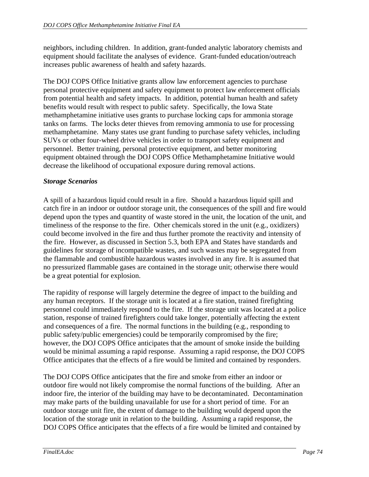neighbors, including children. In addition, grant-funded analytic laboratory chemists and equipment should facilitate the analyses of evidence. Grant-funded education/outreach increases public awareness of health and safety hazards.

The DOJ COPS Office Initiative grants allow law enforcement agencies to purchase personal protective equipment and safety equipment to protect law enforcement officials from potential health and safety impacts. In addition, potential human health and safety benefits would result with respect to public safety. Specifically, the Iowa State methamphetamine initiative uses grants to purchase locking caps for ammonia storage tanks on farms. The locks deter thieves from removing ammonia to use for processing methamphetamine. Many states use grant funding to purchase safety vehicles, including SUVs or other four-wheel drive vehicles in order to transport safety equipment and personnel. Better training, personal protective equipment, and better monitoring equipment obtained through the DOJ COPS Office Methamphetamine Initiative would decrease the likelihood of occupational exposure during removal actions.

## *Storage Scenarios*

A spill of a hazardous liquid could result in a fire. Should a hazardous liquid spill and catch fire in an indoor or outdoor storage unit, the consequences of the spill and fire would depend upon the types and quantity of waste stored in the unit, the location of the unit, and timeliness of the response to the fire. Other chemicals stored in the unit (e.g., oxidizers) could become involved in the fire and thus further promote the reactivity and intensity of the fire. However, as discussed in Section 5.3, both EPA and States have standards and guidelines for storage of incompatible wastes, and such wastes may be segregated from the flammable and combustible hazardous wastes involved in any fire. It is assumed that no pressurized flammable gases are contained in the storage unit; otherwise there would be a great potential for explosion.

The rapidity of response will largely determine the degree of impact to the building and any human receptors. If the storage unit is located at a fire station, trained firefighting personnel could immediately respond to the fire. If the storage unit was located at a police station, response of trained firefighters could take longer, potentially affecting the extent and consequences of a fire. The normal functions in the building (e.g., responding to public safety/public emergencies) could be temporarily compromised by the fire; however, the DOJ COPS Office anticipates that the amount of smoke inside the building would be minimal assuming a rapid response. Assuming a rapid response, the DOJ COPS Office anticipates that the effects of a fire would be limited and contained by responders.

The DOJ COPS Office anticipates that the fire and smoke from either an indoor or outdoor fire would not likely compromise the normal functions of the building. After an indoor fire, the interior of the building may have to be decontaminated. Decontamination may make parts of the building unavailable for use for a short period of time. For an outdoor storage unit fire, the extent of damage to the building would depend upon the location of the storage unit in relation to the building. Assuming a rapid response, the DOJ COPS Office anticipates that the effects of a fire would be limited and contained by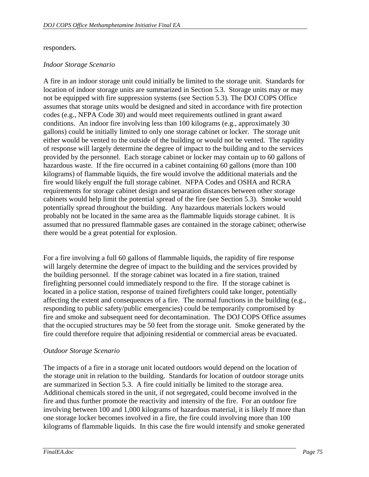#### responders*.*

## *Indoor Storage Scenario*

A fire in an indoor storage unit could initially be limited to the storage unit. Standards for location of indoor storage units are summarized in Section 5.3. Storage units may or may not be equipped with fire suppression systems (see Section 5.3). The DOJ COPS Office assumes that storage units would be designed and sited in accordance with fire protection codes (e.g., NFPA Code 30) and would meet requirements outlined in grant award conditions. An indoor fire involving less than 100 kilograms (e.g., approximately 30 gallons) could be initially limited to only one storage cabinet or locker. The storage unit either would be vented to the outside of the building or would not be vented. The rapidity of response will largely determine the degree of impact to the building and to the services provided by the personnel. Each storage cabinet or locker may contain up to 60 gallons of hazardous waste. If the fire occurred in a cabinet containing 60 gallons (more than 100 kilograms) of flammable liquids, the fire would involve the additional materials and the fire would likely engulf the full storage cabinet. NFPA Codes and OSHA and RCRA requirements for storage cabinet design and separation distances between other storage cabinets would help limit the potential spread of the fire (see Section 5.3). Smoke would potentially spread throughout the building. Any hazardous materials lockers would probably not be located in the same area as the flammable liquids storage cabinet. It is assumed that no pressured flammable gases are contained in the storage cabinet; otherwise there would be a great potential for explosion.

For a fire involving a full 60 gallons of flammable liquids, the rapidity of fire response will largely determine the degree of impact to the building and the services provided by the building personnel. If the storage cabinet was located in a fire station, trained firefighting personnel could immediately respond to the fire. If the storage cabinet is located in a police station, response of trained firefighters could take longer, potentially affecting the extent and consequences of a fire. The normal functions in the building (e.g., responding to public safety/public emergencies) could be temporarily compromised by fire and smoke and subsequent need for decontamination. The DOJ COPS Office assumes that the occupied structures may be 50 feet from the storage unit. Smoke generated by the fire could therefore require that adjoining residential or commercial areas be evacuated.

## *Outdoor Storage Scenario*

The impacts of a fire in a storage unit located outdoors would depend on the location of the storage unit in relation to the building. Standards for location of outdoor storage units are summarized in Section 5.3. A fire could initially be limited to the storage area. Additional chemicals stored in the unit, if not segregated, could become involved in the fire and thus further promote the reactivity and intensity of the fire. For an outdoor fire involving between 100 and 1,000 kilograms of hazardous material, it is likely If more than one storage locker becomes involved in a fire, the fire could involving more than 100 kilograms of flammable liquids. In this case the fire would intensify and smoke generated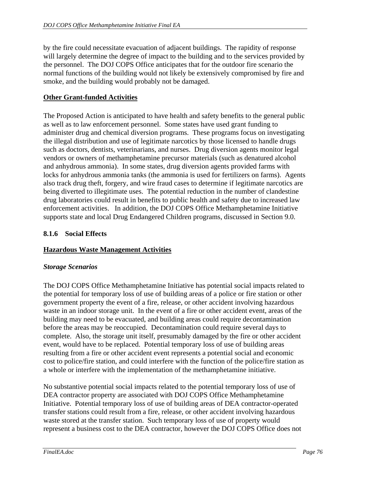by the fire could necessitate evacuation of adjacent buildings. The rapidity of response will largely determine the degree of impact to the building and to the services provided by the personnel. The DOJ COPS Office anticipates that for the outdoor fire scenario the normal functions of the building would not likely be extensively compromised by fire and smoke, and the building would probably not be damaged.

## **Other Grant-funded Activities**

The Proposed Action is anticipated to have health and safety benefits to the general public as well as to law enforcement personnel. Some states have used grant funding to administer drug and chemical diversion programs. These programs focus on investigating the illegal distribution and use of legitimate narcotics by those licensed to handle drugs such as doctors, dentists, veterinarians, and nurses. Drug diversion agents monitor legal vendors or owners of methamphetamine precursor materials (such as denatured alcohol and anhydrous ammonia). In some states, drug diversion agents provided farms with locks for anhydrous ammonia tanks (the ammonia is used for fertilizers on farms). Agents also track drug theft, forgery, and wire fraud cases to determine if legitimate narcotics are being diverted to illegitimate uses. The potential reduction in the number of clandestine drug laboratories could result in benefits to public health and safety due to increased law enforcement activities. In addition, the DOJ COPS Office Methamphetamine Initiative supports state and local Drug Endangered Children programs, discussed in Section 9.0.

## **8.1.6 Social Effects**

## **Hazardous Waste Management Activities**

## *Storage Scenarios*

The DOJ COPS Office Methamphetamine Initiative has potential social impacts related to the potential for temporary loss of use of building areas of a police or fire station or other government property the event of a fire, release, or other accident involving hazardous waste in an indoor storage unit. In the event of a fire or other accident event, areas of the building may need to be evacuated, and building areas could require decontamination before the areas may be reoccupied. Decontamination could require several days to complete. Also, the storage unit itself, presumably damaged by the fire or other accident event, would have to be replaced. Potential temporary loss of use of building areas resulting from a fire or other accident event represents a potential social and economic cost to police/fire station, and could interfere with the function of the police/fire station as a whole or interfere with the implementation of the methamphetamine initiative.

No substantive potential social impacts related to the potential temporary loss of use of DEA contractor property are associated with DOJ COPS Office Methamphetamine Initiative. Potential temporary loss of use of building areas of DEA contractor-operated transfer stations could result from a fire, release, or other accident involving hazardous waste stored at the transfer station. Such temporary loss of use of property would represent a business cost to the DEA contractor, however the DOJ COPS Office does not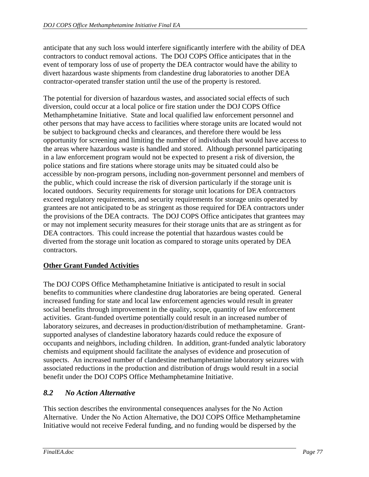anticipate that any such loss would interfere significantly interfere with the ability of DEA contractors to conduct removal actions. The DOJ COPS Office anticipates that in the event of temporary loss of use of property the DEA contractor would have the ability to divert hazardous waste shipments from clandestine drug laboratories to another DEA contractor-operated transfer station until the use of the property is restored.

The potential for diversion of hazardous wastes, and associated social effects of such diversion, could occur at a local police or fire station under the DOJ COPS Office Methamphetamine Initiative. State and local qualified law enforcement personnel and other persons that may have access to facilities where storage units are located would not be subject to background checks and clearances, and therefore there would be less opportunity for screening and limiting the number of individuals that would have access to the areas where hazardous waste is handled and stored. Although personnel participating in a law enforcement program would not be expected to present a risk of diversion, the police stations and fire stations where storage units may be situated could also be accessible by non-program persons, including non-government personnel and members of the public, which could increase the risk of diversion particularly if the storage unit is located outdoors. Security requirements for storage unit locations for DEA contractors exceed regulatory requirements, and security requirements for storage units operated by grantees are not anticipated to be as stringent as those required for DEA contractors under the provisions of the DEA contracts. The DOJ COPS Office anticipates that grantees may or may not implement security measures for their storage units that are as stringent as for DEA contractors. This could increase the potential that hazardous wastes could be diverted from the storage unit location as compared to storage units operated by DEA contractors.

## **Other Grant Funded Activities**

The DOJ COPS Office Methamphetamine Initiative is anticipated to result in social benefits to communities where clandestine drug laboratories are being operated. General increased funding for state and local law enforcement agencies would result in greater social benefits through improvement in the quality, scope, quantity of law enforcement activities. Grant-funded overtime potentially could result in an increased number of laboratory seizures, and decreases in production/distribution of methamphetamine. Grantsupported analyses of clandestine laboratory hazards could reduce the exposure of occupants and neighbors, including children. In addition, grant-funded analytic laboratory chemists and equipment should facilitate the analyses of evidence and prosecution of suspects. An increased number of clandestine methamphetamine laboratory seizures with associated reductions in the production and distribution of drugs would result in a social benefit under the DOJ COPS Office Methamphetamine Initiative.

## *8.2 No Action Alternative*

This section describes the environmental consequences analyses for the No Action Alternative. Under the No Action Alternative, the DOJ COPS Office Methamphetamine Initiative would not receive Federal funding, and no funding would be dispersed by the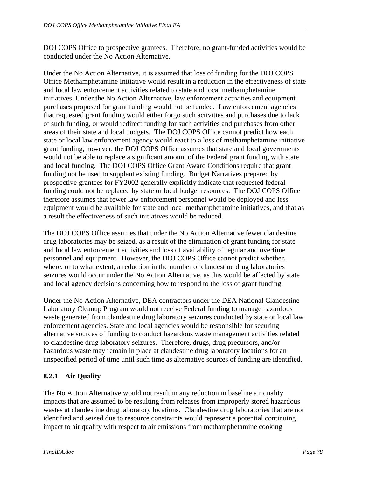DOJ COPS Office to prospective grantees. Therefore, no grant-funded activities would be conducted under the No Action Alternative.

Under the No Action Alternative, it is assumed that loss of funding for the DOJ COPS Office Methamphetamine Initiative would result in a reduction in the effectiveness of state and local law enforcement activities related to state and local methamphetamine initiatives. Under the No Action Alternative, law enforcement activities and equipment purchases proposed for grant funding would not be funded. Law enforcement agencies that requested grant funding would either forgo such activities and purchases due to lack of such funding, or would redirect funding for such activities and purchases from other areas of their state and local budgets. The DOJ COPS Office cannot predict how each state or local law enforcement agency would react to a loss of methamphetamine initiative grant funding, however, the DOJ COPS Office assumes that state and local governments would not be able to replace a significant amount of the Federal grant funding with state and local funding. The DOJ COPS Office Grant Award Conditions require that grant funding not be used to supplant existing funding. Budget Narratives prepared by prospective grantees for FY2002 generally explicitly indicate that requested federal funding could not be replaced by state or local budget resources. The DOJ COPS Office therefore assumes that fewer law enforcement personnel would be deployed and less equipment would be available for state and local methamphetamine initiatives, and that as a result the effectiveness of such initiatives would be reduced.

The DOJ COPS Office assumes that under the No Action Alternative fewer clandestine drug laboratories may be seized, as a result of the elimination of grant funding for state and local law enforcement activities and loss of availability of regular and overtime personnel and equipment. However, the DOJ COPS Office cannot predict whether, where, or to what extent, a reduction in the number of clandestine drug laboratories seizures would occur under the No Action Alternative, as this would be affected by state and local agency decisions concerning how to respond to the loss of grant funding.

Under the No Action Alternative, DEA contractors under the DEA National Clandestine Laboratory Cleanup Program would not receive Federal funding to manage hazardous waste generated from clandestine drug laboratory seizures conducted by state or local law enforcement agencies. State and local agencies would be responsible for securing alternative sources of funding to conduct hazardous waste management activities related to clandestine drug laboratory seizures. Therefore, drugs, drug precursors, and/or hazardous waste may remain in place at clandestine drug laboratory locations for an unspecified period of time until such time as alternative sources of funding are identified.

## **8.2.1 Air Quality**

The No Action Alternative would not result in any reduction in baseline air quality impacts that are assumed to be resulting from releases from improperly stored hazardous wastes at clandestine drug laboratory locations. Clandestine drug laboratories that are not identified and seized due to resource constraints would represent a potential continuing impact to air quality with respect to air emissions from methamphetamine cooking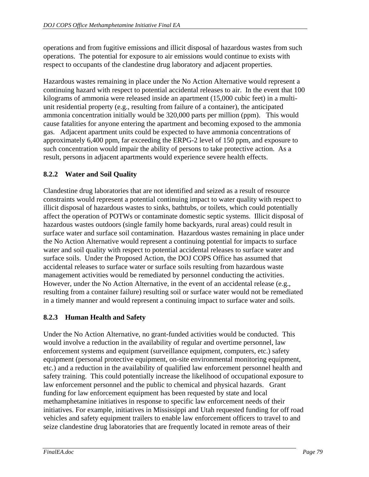operations and from fugitive emissions and illicit disposal of hazardous wastes from such operations. The potential for exposure to air emissions would continue to exists with respect to occupants of the clandestine drug laboratory and adjacent properties.

Hazardous wastes remaining in place under the No Action Alternative would represent a continuing hazard with respect to potential accidental releases to air. In the event that 100 kilograms of ammonia were released inside an apartment (15,000 cubic feet) in a multiunit residential property (e.g., resulting from failure of a container), the anticipated ammonia concentration initially would be 320,000 parts per million (ppm). This would cause fatalities for anyone entering the apartment and becoming exposed to the ammonia gas. Adjacent apartment units could be expected to have ammonia concentrations of approximately 6,400 ppm, far exceeding the ERPG-2 level of 150 ppm, and exposure to such concentration would impair the ability of persons to take protective action. As a result, persons in adjacent apartments would experience severe health effects.

## **8.2.2 Water and Soil Quality**

Clandestine drug laboratories that are not identified and seized as a result of resource constraints would represent a potential continuing impact to water quality with respect to illicit disposal of hazardous wastes to sinks, bathtubs, or toilets, which could potentially affect the operation of POTWs or contaminate domestic septic systems. Illicit disposal of hazardous wastes outdoors (single family home backyards, rural areas) could result in surface water and surface soil contamination. Hazardous wastes remaining in place under the No Action Alternative would represent a continuing potential for impacts to surface water and soil quality with respect to potential accidental releases to surface water and surface soils. Under the Proposed Action, the DOJ COPS Office has assumed that accidental releases to surface water or surface soils resulting from hazardous waste management activities would be remediated by personnel conducting the activities. However, under the No Action Alternative, in the event of an accidental release (e.g., resulting from a container failure) resulting soil or surface water would not be remediated in a timely manner and would represent a continuing impact to surface water and soils.

## **8.2.3 Human Health and Safety**

Under the No Action Alternative, no grant-funded activities would be conducted. This would involve a reduction in the availability of regular and overtime personnel, law enforcement systems and equipment (surveillance equipment, computers, etc.) safety equipment (personal protective equipment, on-site environmental monitoring equipment, etc.) and a reduction in the availability of qualified law enforcement personnel health and safety training. This could potentially increase the likelihood of occupational exposure to law enforcement personnel and the public to chemical and physical hazards. Grant funding for law enforcement equipment has been requested by state and local methamphetamine initiatives in response to specific law enforcement needs of their initiatives. For example, initiatives in Mississippi and Utah requested funding for off road vehicles and safety equipment trailers to enable law enforcement officers to travel to and seize clandestine drug laboratories that are frequently located in remote areas of their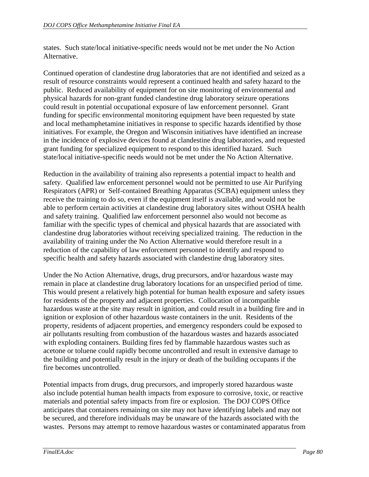states. Such state/local initiative-specific needs would not be met under the No Action Alternative.

Continued operation of clandestine drug laboratories that are not identified and seized as a result of resource constraints would represent a continued health and safety hazard to the public. Reduced availability of equipment for on site monitoring of environmental and physical hazards for non-grant funded clandestine drug laboratory seizure operations could result in potential occupational exposure of law enforcement personnel. Grant funding for specific environmental monitoring equipment have been requested by state and local methamphetamine initiatives in response to specific hazards identified by those initiatives. For example, the Oregon and Wisconsin initiatives have identified an increase in the incidence of explosive devices found at clandestine drug laboratories, and requested grant funding for specialized equipment to respond to this identified hazard. Such state/local initiative-specific needs would not be met under the No Action Alternative.

Reduction in the availability of training also represents a potential impact to health and safety. Qualified law enforcement personnel would not be permitted to use Air Purifying Respirators (APR) or Self-contained Breathing Apparatus (SCBA) equipment unless they receive the training to do so, even if the equipment itself is available, and would not be able to perform certain activities at clandestine drug laboratory sites without OSHA health and safety training. Qualified law enforcement personnel also would not become as familiar with the specific types of chemical and physical hazards that are associated with clandestine drug laboratories without receiving specialized training. The reduction in the availability of training under the No Action Alternative would therefore result in a reduction of the capability of law enforcement personnel to identify and respond to specific health and safety hazards associated with clandestine drug laboratory sites.

Under the No Action Alternative, drugs, drug precursors, and/or hazardous waste may remain in place at clandestine drug laboratory locations for an unspecified period of time. This would present a relatively high potential for human health exposure and safety issues for residents of the property and adjacent properties. Collocation of incompatible hazardous waste at the site may result in ignition, and could result in a building fire and in ignition or explosion of other hazardous waste containers in the unit. Residents of the property, residents of adjacent properties, and emergency responders could be exposed to air pollutants resulting from combustion of the hazardous wastes and hazards associated with exploding containers. Building fires fed by flammable hazardous wastes such as acetone or toluene could rapidly become uncontrolled and result in extensive damage to the building and potentially result in the injury or death of the building occupants if the fire becomes uncontrolled.

Potential impacts from drugs, drug precursors, and improperly stored hazardous waste also include potential human health impacts from exposure to corrosive, toxic, or reactive materials and potential safety impacts from fire or explosion. The DOJ COPS Office anticipates that containers remaining on site may not have identifying labels and may not be secured, and therefore individuals may be unaware of the hazards associated with the wastes. Persons may attempt to remove hazardous wastes or contaminated apparatus from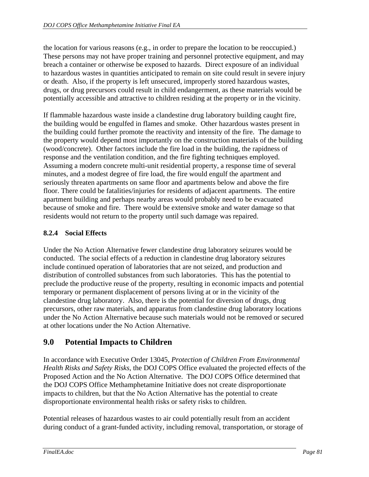the location for various reasons (e.g., in order to prepare the location to be reoccupied.) These persons may not have proper training and personnel protective equipment, and may breach a container or otherwise be exposed to hazards. Direct exposure of an individual to hazardous wastes in quantities anticipated to remain on site could result in severe injury or death. Also, if the property is left unsecured, improperly stored hazardous wastes, drugs, or drug precursors could result in child endangerment, as these materials would be potentially accessible and attractive to children residing at the property or in the vicinity.

If flammable hazardous waste inside a clandestine drug laboratory building caught fire, the building would be engulfed in flames and smoke. Other hazardous wastes present in the building could further promote the reactivity and intensity of the fire. The damage to the property would depend most importantly on the construction materials of the building (wood/concrete). Other factors include the fire load in the building, the rapidness of response and the ventilation condition, and the fire fighting techniques employed. Assuming a modern concrete multi-unit residential property, a response time of several minutes, and a modest degree of fire load, the fire would engulf the apartment and seriously threaten apartments on same floor and apartments below and above the fire floor. There could be fatalities/injuries for residents of adjacent apartments. The entire apartment building and perhaps nearby areas would probably need to be evacuated because of smoke and fire. There would be extensive smoke and water damage so that residents would not return to the property until such damage was repaired.

## **8.2.4 Social Effects**

Under the No Action Alternative fewer clandestine drug laboratory seizures would be conducted. The social effects of a reduction in clandestine drug laboratory seizures include continued operation of laboratories that are not seized, and production and distribution of controlled substances from such laboratories. This has the potential to preclude the productive reuse of the property, resulting in economic impacts and potential temporary or permanent displacement of persons living at or in the vicinity of the clandestine drug laboratory. Also, there is the potential for diversion of drugs, drug precursors, other raw materials, and apparatus from clandestine drug laboratory locations under the No Action Alternative because such materials would not be removed or secured at other locations under the No Action Alternative.

# **9.0 Potential Impacts to Children**

In accordance with Executive Order 13045, *Protection of Children From Environmental Health Risks and Safety Risks*, the DOJ COPS Office evaluated the projected effects of the Proposed Action and the No Action Alternative. The DOJ COPS Office determined that the DOJ COPS Office Methamphetamine Initiative does not create disproportionate impacts to children, but that the No Action Alternative has the potential to create disproportionate environmental health risks or safety risks to children.

Potential releases of hazardous wastes to air could potentially result from an accident during conduct of a grant-funded activity, including removal, transportation, or storage of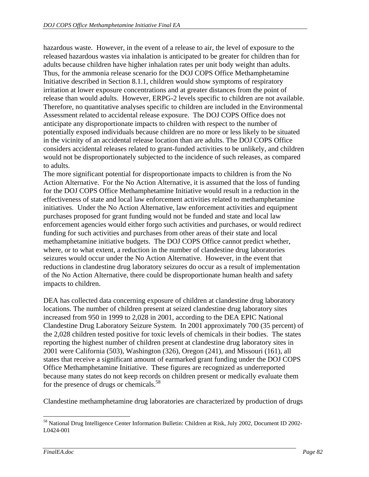hazardous waste. However, in the event of a release to air, the level of exposure to the released hazardous wastes via inhalation is anticipated to be greater for children than for adults because children have higher inhalation rates per unit body weight than adults. Thus, for the ammonia release scenario for the DOJ COPS Office Methamphetamine Initiative described in Section 8.1.1, children would show symptoms of respiratory irritation at lower exposure concentrations and at greater distances from the point of release than would adults. However, ERPG-2 levels specific to children are not available. Therefore, no quantitative analyses specific to children are included in the Environmental Assessment related to accidental release exposure. The DOJ COPS Office does not anticipate any disproportionate impacts to children with respect to the number of potentially exposed individuals because children are no more or less likely to be situated in the vicinity of an accidental release location than are adults. The DOJ COPS Office considers accidental releases related to grant-funded activities to be unlikely, and children would not be disproportionately subjected to the incidence of such releases, as compared to adults.

The more significant potential for disproportionate impacts to children is from the No Action Alternative. For the No Action Alternative, it is assumed that the loss of funding for the DOJ COPS Office Methamphetamine Initiative would result in a reduction in the effectiveness of state and local law enforcement activities related to methamphetamine initiatives. Under the No Action Alternative, law enforcement activities and equipment purchases proposed for grant funding would not be funded and state and local law enforcement agencies would either forgo such activities and purchases, or would redirect funding for such activities and purchases from other areas of their state and local methamphetamine initiative budgets. The DOJ COPS Office cannot predict whether, where, or to what extent, a reduction in the number of clandestine drug laboratories seizures would occur under the No Action Alternative. However, in the event that reductions in clandestine drug laboratory seizures do occur as a result of implementation of the No Action Alternative, there could be disproportionate human health and safety impacts to children.

DEA has collected data concerning exposure of children at clandestine drug laboratory locations. The number of children present at seized clandestine drug laboratory sites increased from 950 in 1999 to 2,028 in 2001, according to the DEA EPIC National Clandestine Drug Laboratory Seizure System. In 2001 approximately 700 (35 percent) of the 2,028 children tested positive for toxic levels of chemicals in their bodies. The states reporting the highest number of children present at clandestine drug laboratory sites in 2001 were California (503), Washington (326), Oregon (241), and Missouri (161), all states that receive a significant amount of earmarked grant funding under the DOJ COPS Office Methamphetamine Initiative. These figures are recognized as underreported because many states do not keep records on children present or medically evaluate them for the presence of drugs or chemicals.<sup>58</sup>

Clandestine methamphetamine drug laboratories are characterized by production of drugs

 $\overline{a}$ 

<sup>&</sup>lt;sup>58</sup> National Drug Intelligence Center Information Bulletin: Children at Risk, July 2002, Document ID 2002-L0424-001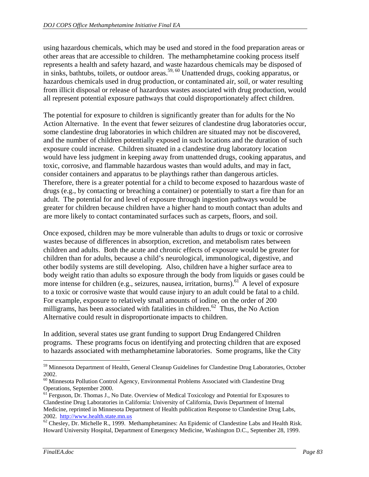using hazardous chemicals, which may be used and stored in the food preparation areas or other areas that are accessible to children. The methamphetamine cooking process itself represents a health and safety hazard, and waste hazardous chemicals may be disposed of in sinks, bathtubs, toilets, or outdoor areas.<sup>59, 60</sup> Unattended drugs, cooking apparatus, or hazardous chemicals used in drug production, or contaminated air, soil, or water resulting from illicit disposal or release of hazardous wastes associated with drug production, would all represent potential exposure pathways that could disproportionately affect children.

The potential for exposure to children is significantly greater than for adults for the No Action Alternative. In the event that fewer seizures of clandestine drug laboratories occur, some clandestine drug laboratories in which children are situated may not be discovered, and the number of children potentially exposed in such locations and the duration of such exposure could increase. Children situated in a clandestine drug laboratory location would have less judgment in keeping away from unattended drugs, cooking apparatus, and toxic, corrosive, and flammable hazardous wastes than would adults, and may in fact, consider containers and apparatus to be playthings rather than dangerous articles. Therefore, there is a greater potential for a child to become exposed to hazardous waste of drugs (e.g., by contacting or breaching a container) or potentially to start a fire than for an adult. The potential for and level of exposure through ingestion pathways would be greater for children because children have a higher hand to mouth contact than adults and are more likely to contact contaminated surfaces such as carpets, floors, and soil.

Once exposed, children may be more vulnerable than adults to drugs or toxic or corrosive wastes because of differences in absorption, excretion, and metabolism rates between children and adults. Both the acute and chronic effects of exposure would be greater for children than for adults, because a child's neurological, immunological, digestive, and other bodily systems are still developing. Also, children have a higher surface area to body weight ratio than adults so exposure through the body from liquids or gases could be more intense for children (e.g., seizures, nausea, irritation, burns).<sup>61</sup> A level of exposure to a toxic or corrosive waste that would cause injury to an adult could be fatal to a child. For example, exposure to relatively small amounts of iodine, on the order of 200 milligrams, has been associated with fatalities in children.<sup>62</sup> Thus, the No Action Alternative could result in disproportionate impacts to children.

In addition, several states use grant funding to support Drug Endangered Children programs. These programs focus on identifying and protecting children that are exposed to hazards associated with methamphetamine laboratories. Some programs, like the City

 $\overline{a}$ 

<sup>&</sup>lt;sup>59</sup> Minnesota Department of Health, General Cleanup Guidelines for Clandestine Drug Laboratories, October 2002.

 $60$  Minnesota Pollution Control Agency, Environmental Problems Associated with Clandestine Drug Operations, September 2000.

 $<sup>61</sup>$  Ferguson, Dr. Thomas J., No Date. Overview of Medical Toxicology and Potential for Exposures to</sup> Clandestine Drug Laboratories in California: University of California, Davis Department of Internal Medicine, reprinted in Minnesota Department of Health publication Response to Clandestine Drug Labs,

<sup>2002.</sup>  $\frac{http://www.health.state.mn.us}{e^2}$  Chesley, Dr. Michelle R., 1999. Methamphetamines: An Epidemic of Clandestine Labs and Health Risk. Howard University Hospital, Department of Emergency Medicine, Washington D.C., September 28, 1999.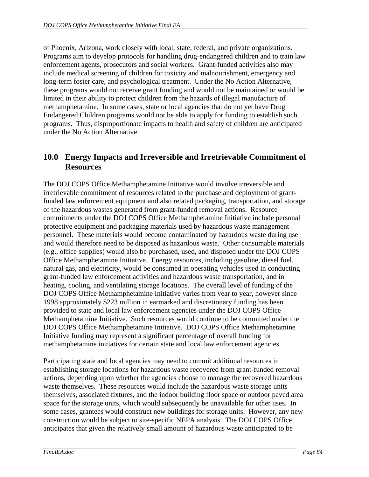of Phoenix, Arizona, work closely with local, state, federal, and private organizations. Programs aim to develop protocols for handling drug-endangered children and to train law enforcement agents, prosecutors and social workers. Grant-funded activities also may include medical screening of children for toxicity and malnourishment, emergency and long-term foster care, and psychological treatment. Under the No Action Alternative, these programs would not receive grant funding and would not be maintained or would be limited in their ability to protect children from the hazards of illegal manufacture of methamphetamine. In some cases, state or local agencies that do not yet have Drug Endangered Children programs would not be able to apply for funding to establish such programs. Thus, disproportionate impacts to health and safety of children are anticipated under the No Action Alternative.

## **10.0 Energy Impacts and Irreversible and Irretrievable Commitment of Resources**

The DOJ COPS Office Methamphetamine Initiative would involve irreversible and irretrievable commitment of resources related to the purchase and deployment of grantfunded law enforcement equipment and also related packaging, transportation, and storage of the hazardous wastes generated from grant-funded removal actions. Resource commitments under the DOJ COPS Office Methamphetamine Initiative include personal protective equipment and packaging materials used by hazardous waste management personnel. These materials would become contaminated by hazardous waste during use and would therefore need to be disposed as hazardous waste. Other consumable materials (e.g., office supplies) would also be purchased, used, and disposed under the DOJ COPS Office Methamphetamine Initiative. Energy resources, including gasoline, diesel fuel, natural gas, and electricity, would be consumed in operating vehicles used in conducting grant-funded law enforcement activities and hazardous waste transportation, and in heating, cooling, and ventilating storage locations. The overall level of funding of the DOJ COPS Office Methamphetamine Initiative varies from year to year, however since 1998 approximately \$223 million in earmarked and discretionary funding has been provided to state and local law enforcement agencies under the DOJ COPS Office Methamphetamine Initiative. Such resources would continue to be committed under the DOJ COPS Office Methamphetamine Initiative. DOJ COPS Office Methamphetamine Initiative funding may represent a significant percentage of overall funding for methamphetamine initiatives for certain state and local law enforcement agencies.

Participating state and local agencies may need to commit additional resources in establishing storage locations for hazardous waste recovered from grant-funded removal actions, depending upon whether the agencies choose to manage the recovered hazardous waste themselves. These resources would include the hazardous waste storage units themselves, associated fixtures, and the indoor building floor space or outdoor paved area space for the storage units, which would subsequently be unavailable for other uses. In some cases, grantees would construct new buildings for storage units. However, any new construction would be subject to site-specific NEPA analysis. The DOJ COPS Office anticipates that given the relatively small amount of hazardous waste anticipated to be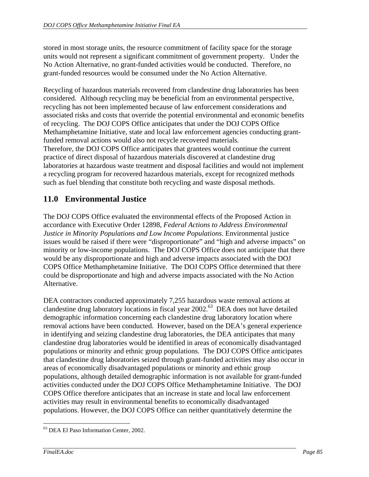stored in most storage units, the resource commitment of facility space for the storage units would not represent a significant commitment of government property. Under the No Action Alternative, no grant-funded activities would be conducted. Therefore, no grant-funded resources would be consumed under the No Action Alternative.

Recycling of hazardous materials recovered from clandestine drug laboratories has been considered. Although recycling may be beneficial from an environmental perspective, recycling has not been implemented because of law enforcement considerations and associated risks and costs that override the potential environmental and economic benefits of recycling. The DOJ COPS Office anticipates that under the DOJ COPS Office Methamphetamine Initiative, state and local law enforcement agencies conducting grantfunded removal actions would also not recycle recovered materials. Therefore, the DOJ COPS Office anticipates that grantees would continue the current practice of direct disposal of hazardous materials discovered at clandestine drug laboratories at hazardous waste treatment and disposal facilities and would not implement a recycling program for recovered hazardous materials, except for recognized methods such as fuel blending that constitute both recycling and waste disposal methods.

# **11.0 Environmental Justice**

The DOJ COPS Office evaluated the environmental effects of the Proposed Action in accordance with Executive Order 12898, *Federal Actions to Address Environmental Justice in Minority Populations and Low Income Populations*. Environmental justice issues would be raised if there were "disproportionate" and "high and adverse impacts" on minority or low-income populations. The DOJ COPS Office does not anticipate that there would be any disproportionate and high and adverse impacts associated with the DOJ COPS Office Methamphetamine Initiative. The DOJ COPS Office determined that there could be disproportionate and high and adverse impacts associated with the No Action Alternative.

DEA contractors conducted approximately 7,255 hazardous waste removal actions at clandestine drug laboratory locations in fiscal year 2002.63 DEA does not have detailed demographic information concerning each clandestine drug laboratory location where removal actions have been conducted. However, based on the DEA's general experience in identifying and seizing clandestine drug laboratories, the DEA anticipates that many clandestine drug laboratories would be identified in areas of economically disadvantaged populations or minority and ethnic group populations. The DOJ COPS Office anticipates that clandestine drug laboratories seized through grant-funded activities may also occur in areas of economically disadvantaged populations or minority and ethnic group populations, although detailed demographic information is not available for grant-funded activities conducted under the DOJ COPS Office Methamphetamine Initiative. The DOJ COPS Office therefore anticipates that an increase in state and local law enforcement activities may result in environmental benefits to economically disadvantaged populations. However, the DOJ COPS Office can neither quantitatively determine the

 $\overline{a}$ 63 DEA El Paso Information Center, 2002.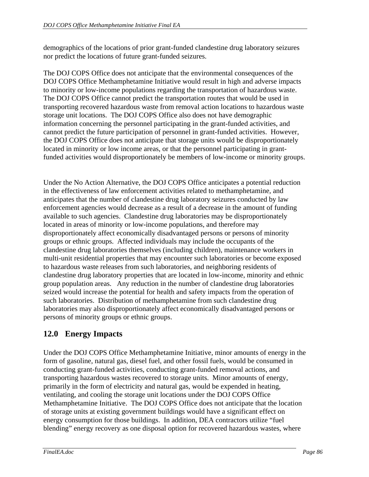demographics of the locations of prior grant-funded clandestine drug laboratory seizures nor predict the locations of future grant-funded seizures.

The DOJ COPS Office does not anticipate that the environmental consequences of the DOJ COPS Office Methamphetamine Initiative would result in high and adverse impacts to minority or low-income populations regarding the transportation of hazardous waste. The DOJ COPS Office cannot predict the transportation routes that would be used in transporting recovered hazardous waste from removal action locations to hazardous waste storage unit locations. The DOJ COPS Office also does not have demographic information concerning the personnel participating in the grant-funded activities, and cannot predict the future participation of personnel in grant-funded activities. However, the DOJ COPS Office does not anticipate that storage units would be disproportionately located in minority or low income areas, or that the personnel participating in grantfunded activities would disproportionately be members of low-income or minority groups.

Under the No Action Alternative, the DOJ COPS Office anticipates a potential reduction in the effectiveness of law enforcement activities related to methamphetamine, and anticipates that the number of clandestine drug laboratory seizures conducted by law enforcement agencies would decrease as a result of a decrease in the amount of funding available to such agencies. Clandestine drug laboratories may be disproportionately located in areas of minority or low-income populations, and therefore may disproportionately affect economically disadvantaged persons or persons of minority groups or ethnic groups. Affected individuals may include the occupants of the clandestine drug laboratories themselves (including children), maintenance workers in multi-unit residential properties that may encounter such laboratories or become exposed to hazardous waste releases from such laboratories, and neighboring residents of clandestine drug laboratory properties that are located in low-income, minority and ethnic group population areas. Any reduction in the number of clandestine drug laboratories seized would increase the potential for health and safety impacts from the operation of such laboratories. Distribution of methamphetamine from such clandestine drug laboratories may also disproportionately affect economically disadvantaged persons or persons of minority groups or ethnic groups.

# **12.0 Energy Impacts**

Under the DOJ COPS Office Methamphetamine Initiative, minor amounts of energy in the form of gasoline, natural gas, diesel fuel, and other fossil fuels, would be consumed in conducting grant-funded activities, conducting grant-funded removal actions, and transporting hazardous wastes recovered to storage units. Minor amounts of energy, primarily in the form of electricity and natural gas, would be expended in heating, ventilating, and cooling the storage unit locations under the DOJ COPS Office Methamphetamine Initiative. The DOJ COPS Office does not anticipate that the location of storage units at existing government buildings would have a significant effect on energy consumption for those buildings. In addition, DEA contractors utilize "fuel blending" energy recovery as one disposal option for recovered hazardous wastes, where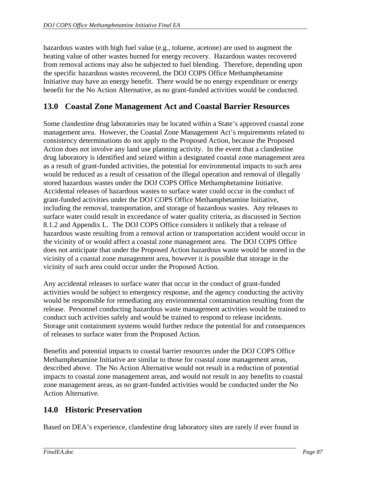hazardous wastes with high fuel value (e.g., toluene, acetone) are used to augment the heating value of other wastes burned for energy recovery. Hazardous wastes recovered from removal actions may also be subjected to fuel blending. Therefore, depending upon the specific hazardous wastes recovered, the DOJ COPS Office Methamphetamine Initiative may have an energy benefit. There would be no energy expenditure or energy benefit for the No Action Alternative, as no grant-funded activities would be conducted.

## **13.0 Coastal Zone Management Act and Coastal Barrier Resources**

Some clandestine drug laboratories may be located within a State's approved coastal zone management area. However, the Coastal Zone Management Act's requirements related to consistency determinations do not apply to the Proposed Action, because the Proposed Action does not involve any land use planning activity. In the event that a clandestine drug laboratory is identified and seized within a designated coastal zone management area as a result of grant-funded activities, the potential for environmental impacts to such area would be reduced as a result of cessation of the illegal operation and removal of illegally stored hazardous wastes under the DOJ COPS Office Methamphetamine Initiative. Accidental releases of hazardous wastes to surface water could occur in the conduct of grant-funded activities under the DOJ COPS Office Methamphetamine Initiative, including the removal, transportation, and storage of hazardous wastes. Any releases to surface water could result in exceedance of water quality criteria, as discussed in Section 8.1.2 and Appendix L. The DOJ COPS Office considers it unlikely that a release of hazardous waste resulting from a removal action or transportation accident would occur in the vicinity of or would affect a coastal zone management area. The DOJ COPS Office does not anticipate that under the Proposed Action hazardous waste would be stored in the vicinity of a coastal zone management area, however it is possible that storage in the vicinity of such area could occur under the Proposed Action.

Any accidental releases to surface water that occur in the conduct of grant-funded activities would be subject to emergency response, and the agency conducting the activity would be responsible for remediating any environmental contamination resulting from the release. Personnel conducting hazardous waste management activities would be trained to conduct such activities safely and would be trained to respond to release incidents. Storage unit containment systems would further reduce the potential for and consequences of releases to surface water from the Proposed Action.

Benefits and potential impacts to coastal barrier resources under the DOJ COPS Office Methamphetamine Initiative are similar to those for coastal zone management areas, described above. The No Action Alternative would not result in a reduction of potential impacts to coastal zone management areas, and would not result in any benefits to coastal zone management areas, as no grant-funded activities would be conducted under the No Action Alternative.

## **14.0 Historic Preservation**

Based on DEA's experience, clandestine drug laboratory sites are rarely if ever found in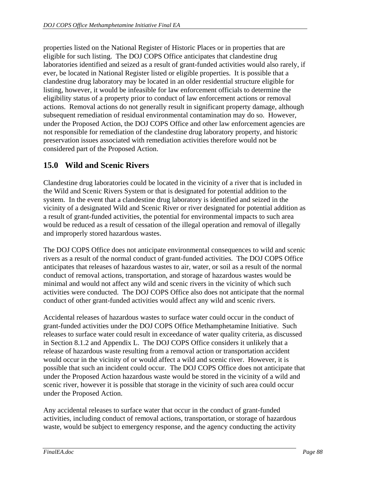properties listed on the National Register of Historic Places or in properties that are eligible for such listing. The DOJ COPS Office anticipates that clandestine drug laboratories identified and seized as a result of grant-funded activities would also rarely, if ever, be located in National Register listed or eligible properties. It is possible that a clandestine drug laboratory may be located in an older residential structure eligible for listing, however, it would be infeasible for law enforcement officials to determine the eligibility status of a property prior to conduct of law enforcement actions or removal actions. Removal actions do not generally result in significant property damage, although subsequent remediation of residual environmental contamination may do so. However, under the Proposed Action, the DOJ COPS Office and other law enforcement agencies are not responsible for remediation of the clandestine drug laboratory property, and historic preservation issues associated with remediation activities therefore would not be considered part of the Proposed Action.

# **15.0 Wild and Scenic Rivers**

Clandestine drug laboratories could be located in the vicinity of a river that is included in the Wild and Scenic Rivers System or that is designated for potential addition to the system. In the event that a clandestine drug laboratory is identified and seized in the vicinity of a designated Wild and Scenic River or river designated for potential addition as a result of grant-funded activities, the potential for environmental impacts to such area would be reduced as a result of cessation of the illegal operation and removal of illegally and improperly stored hazardous wastes.

The DOJ COPS Office does not anticipate environmental consequences to wild and scenic rivers as a result of the normal conduct of grant-funded activities. The DOJ COPS Office anticipates that releases of hazardous wastes to air, water, or soil as a result of the normal conduct of removal actions, transportation, and storage of hazardous wastes would be minimal and would not affect any wild and scenic rivers in the vicinity of which such activities were conducted. The DOJ COPS Office also does not anticipate that the normal conduct of other grant-funded activities would affect any wild and scenic rivers.

Accidental releases of hazardous wastes to surface water could occur in the conduct of grant-funded activities under the DOJ COPS Office Methamphetamine Initiative. Such releases to surface water could result in exceedance of water quality criteria, as discussed in Section 8.1.2 and Appendix L. The DOJ COPS Office considers it unlikely that a release of hazardous waste resulting from a removal action or transportation accident would occur in the vicinity of or would affect a wild and scenic river. However, it is possible that such an incident could occur. The DOJ COPS Office does not anticipate that under the Proposed Action hazardous waste would be stored in the vicinity of a wild and scenic river, however it is possible that storage in the vicinity of such area could occur under the Proposed Action.

Any accidental releases to surface water that occur in the conduct of grant-funded activities, including conduct of removal actions, transportation, or storage of hazardous waste, would be subject to emergency response, and the agency conducting the activity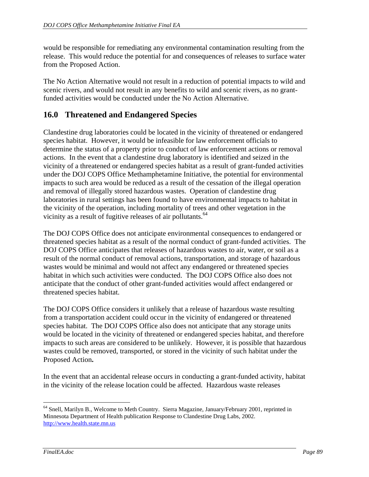would be responsible for remediating any environmental contamination resulting from the release. This would reduce the potential for and consequences of releases to surface water from the Proposed Action.

The No Action Alternative would not result in a reduction of potential impacts to wild and scenic rivers, and would not result in any benefits to wild and scenic rivers, as no grantfunded activities would be conducted under the No Action Alternative.

## **16.0 Threatened and Endangered Species**

Clandestine drug laboratories could be located in the vicinity of threatened or endangered species habitat. However, it would be infeasible for law enforcement officials to determine the status of a property prior to conduct of law enforcement actions or removal actions. In the event that a clandestine drug laboratory is identified and seized in the vicinity of a threatened or endangered species habitat as a result of grant-funded activities under the DOJ COPS Office Methamphetamine Initiative, the potential for environmental impacts to such area would be reduced as a result of the cessation of the illegal operation and removal of illegally stored hazardous wastes. Operation of clandestine drug laboratories in rural settings has been found to have environmental impacts to habitat in the vicinity of the operation, including mortality of trees and other vegetation in the vicinity as a result of fugitive releases of air pollutants. $64$ 

The DOJ COPS Office does not anticipate environmental consequences to endangered or threatened species habitat as a result of the normal conduct of grant-funded activities. The DOJ COPS Office anticipates that releases of hazardous wastes to air, water, or soil as a result of the normal conduct of removal actions, transportation, and storage of hazardous wastes would be minimal and would not affect any endangered or threatened species habitat in which such activities were conducted. The DOJ COPS Office also does not anticipate that the conduct of other grant-funded activities would affect endangered or threatened species habitat.

The DOJ COPS Office considers it unlikely that a release of hazardous waste resulting from a transportation accident could occur in the vicinity of endangered or threatened species habitat. The DOJ COPS Office also does not anticipate that any storage units would be located in the vicinity of threatened or endangered species habitat, and therefore impacts to such areas are considered to be unlikely. However, it is possible that hazardous wastes could be removed, transported, or stored in the vicinity of such habitat under the Proposed Action**.** 

In the event that an accidental release occurs in conducting a grant-funded activity, habitat in the vicinity of the release location could be affected. Hazardous waste releases

1

<sup>64</sup> Snell, Marilyn B., Welcome to Meth Country. Sierra Magazine, January/February 2001, reprinted in Minnesota Department of Health publication Response to Clandestine Drug Labs, 2002. http://www.health.state.mn.us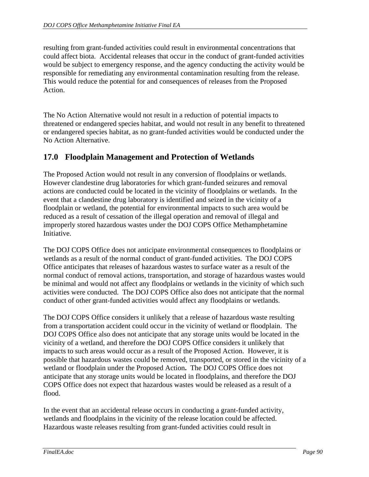resulting from grant-funded activities could result in environmental concentrations that could affect biota. Accidental releases that occur in the conduct of grant-funded activities would be subject to emergency response, and the agency conducting the activity would be responsible for remediating any environmental contamination resulting from the release. This would reduce the potential for and consequences of releases from the Proposed Action.

The No Action Alternative would not result in a reduction of potential impacts to threatened or endangered species habitat, and would not result in any benefit to threatened or endangered species habitat, as no grant-funded activities would be conducted under the No Action Alternative.

## **17.0 Floodplain Management and Protection of Wetlands**

The Proposed Action would not result in any conversion of floodplains or wetlands. However clandestine drug laboratories for which grant-funded seizures and removal actions are conducted could be located in the vicinity of floodplains or wetlands. In the event that a clandestine drug laboratory is identified and seized in the vicinity of a floodplain or wetland, the potential for environmental impacts to such area would be reduced as a result of cessation of the illegal operation and removal of illegal and improperly stored hazardous wastes under the DOJ COPS Office Methamphetamine Initiative.

The DOJ COPS Office does not anticipate environmental consequences to floodplains or wetlands as a result of the normal conduct of grant-funded activities. The DOJ COPS Office anticipates that releases of hazardous wastes to surface water as a result of the normal conduct of removal actions, transportation, and storage of hazardous wastes would be minimal and would not affect any floodplains or wetlands in the vicinity of which such activities were conducted. The DOJ COPS Office also does not anticipate that the normal conduct of other grant-funded activities would affect any floodplains or wetlands.

The DOJ COPS Office considers it unlikely that a release of hazardous waste resulting from a transportation accident could occur in the vicinity of wetland or floodplain. The DOJ COPS Office also does not anticipate that any storage units would be located in the vicinity of a wetland, and therefore the DOJ COPS Office considers it unlikely that impacts to such areas would occur as a result of the Proposed Action. However, it is possible that hazardous wastes could be removed, transported, or stored in the vicinity of a wetland or floodplain under the Proposed Action**.** The DOJ COPS Office does not anticipate that any storage units would be located in floodplains, and therefore the DOJ COPS Office does not expect that hazardous wastes would be released as a result of a flood.

In the event that an accidental release occurs in conducting a grant-funded activity, wetlands and floodplains in the vicinity of the release location could be affected. Hazardous waste releases resulting from grant-funded activities could result in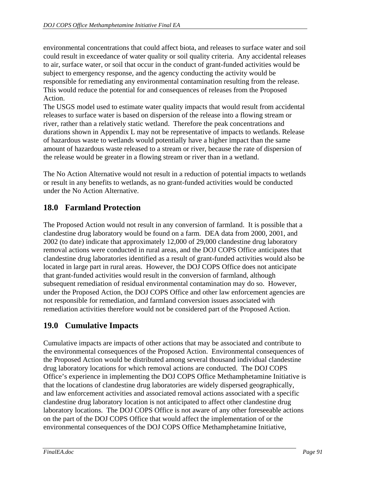environmental concentrations that could affect biota, and releases to surface water and soil could result in exceedance of water quality or soil quality criteria. Any accidental releases to air, surface water, or soil that occur in the conduct of grant-funded activities would be subject to emergency response, and the agency conducting the activity would be responsible for remediating any environmental contamination resulting from the release. This would reduce the potential for and consequences of releases from the Proposed Action.

The USGS model used to estimate water quality impacts that would result from accidental releases to surface water is based on dispersion of the release into a flowing stream or river, rather than a relatively static wetland. Therefore the peak concentrations and durations shown in Appendix L may not be representative of impacts to wetlands. Release of hazardous waste to wetlands would potentially have a higher impact than the same amount of hazardous waste released to a stream or river, because the rate of dispersion of the release would be greater in a flowing stream or river than in a wetland.

The No Action Alternative would not result in a reduction of potential impacts to wetlands or result in any benefits to wetlands, as no grant-funded activities would be conducted under the No Action Alternative.

# **18.0 Farmland Protection**

The Proposed Action would not result in any conversion of farmland. It is possible that a clandestine drug laboratory would be found on a farm. DEA data from 2000, 2001, and 2002 (to date) indicate that approximately 12,000 of 29,000 clandestine drug laboratory removal actions were conducted in rural areas, and the DOJ COPS Office anticipates that clandestine drug laboratories identified as a result of grant-funded activities would also be located in large part in rural areas. However, the DOJ COPS Office does not anticipate that grant-funded activities would result in the conversion of farmland, although subsequent remediation of residual environmental contamination may do so. However, under the Proposed Action, the DOJ COPS Office and other law enforcement agencies are not responsible for remediation, and farmland conversion issues associated with remediation activities therefore would not be considered part of the Proposed Action.

# **19.0 Cumulative Impacts**

Cumulative impacts are impacts of other actions that may be associated and contribute to the environmental consequences of the Proposed Action. Environmental consequences of the Proposed Action would be distributed among several thousand individual clandestine drug laboratory locations for which removal actions are conducted. The DOJ COPS Office's experience in implementing the DOJ COPS Office Methamphetamine Initiative is that the locations of clandestine drug laboratories are widely dispersed geographically, and law enforcement activities and associated removal actions associated with a specific clandestine drug laboratory location is not anticipated to affect other clandestine drug laboratory locations. The DOJ COPS Office is not aware of any other foreseeable actions on the part of the DOJ COPS Office that would affect the implementation of or the environmental consequences of the DOJ COPS Office Methamphetamine Initiative,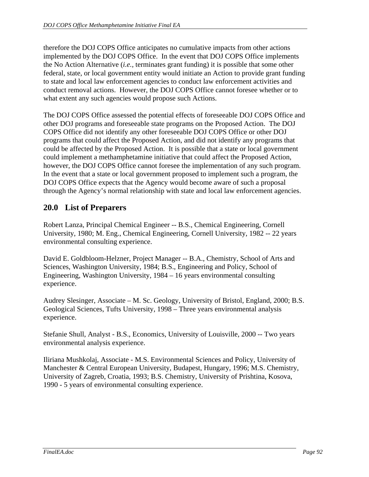therefore the DOJ COPS Office anticipates no cumulative impacts from other actions implemented by the DOJ COPS Office. In the event that DOJ COPS Office implements the No Action Alternative (*i.e.,* terminates grant funding) it is possible that some other federal, state, or local government entity would initiate an Action to provide grant funding to state and local law enforcement agencies to conduct law enforcement activities and conduct removal actions. However, the DOJ COPS Office cannot foresee whether or to what extent any such agencies would propose such Actions.

The DOJ COPS Office assessed the potential effects of foreseeable DOJ COPS Office and other DOJ programs and foreseeable state programs on the Proposed Action. The DOJ COPS Office did not identify any other foreseeable DOJ COPS Office or other DOJ programs that could affect the Proposed Action, and did not identify any programs that could be affected by the Proposed Action. It is possible that a state or local government could implement a methamphetamine initiative that could affect the Proposed Action, however, the DOJ COPS Office cannot foresee the implementation of any such program. In the event that a state or local government proposed to implement such a program, the DOJ COPS Office expects that the Agency would become aware of such a proposal through the Agency's normal relationship with state and local law enforcement agencies.

## **20.0 List of Preparers**

Robert Lanza, Principal Chemical Engineer -- B.S., Chemical Engineering, Cornell University, 1980; M. Eng., Chemical Engineering, Cornell University, 1982 -- 22 years environmental consulting experience.

David E. Goldbloom-Helzner, Project Manager -- B.A., Chemistry, School of Arts and Sciences, Washington University, 1984; B.S., Engineering and Policy, School of Engineering, Washington University, 1984 – 16 years environmental consulting experience.

Audrey Slesinger, Associate – M. Sc. Geology, University of Bristol, England, 2000; B.S. Geological Sciences, Tufts University, 1998 – Three years environmental analysis experience.

Stefanie Shull, Analyst - B.S., Economics, University of Louisville, 2000 -- Two years environmental analysis experience.

Iliriana Mushkolaj, Associate - M.S. Environmental Sciences and Policy, University of Manchester & Central European University, Budapest, Hungary, 1996; M.S. Chemistry, University of Zagreb, Croatia, 1993; B.S. Chemistry, University of Prishtina, Kosova, 1990 - 5 years of environmental consulting experience.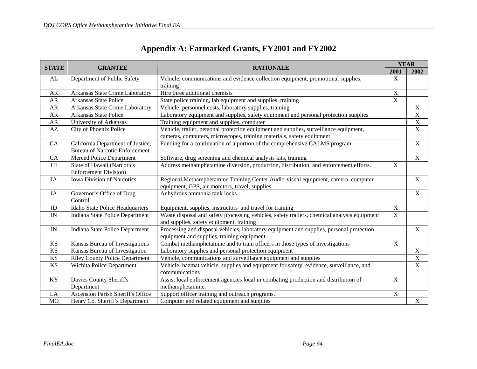# **Appendix A: Earmarked Grants, FY2001 and FY2002**

| <b>STATE</b>           | <b>GRANTEE</b>                           | <b>RATIONALE</b>                                                                            |                | <b>YEAR</b>              |
|------------------------|------------------------------------------|---------------------------------------------------------------------------------------------|----------------|--------------------------|
|                        |                                          |                                                                                             |                | 2002                     |
| AL                     | Department of Public Safety              | Vehicle, communications and evidence collection equipment, promotional supplies,            | X              |                          |
|                        |                                          | training                                                                                    |                |                          |
| <b>AR</b>              | Arkansas State Crime Laboratory          | Hire three additional chemists                                                              | $\mathbf X$    |                          |
| AR                     | <b>Arkansas State Police</b>             | State police training, lab equipment and supplies, training                                 | X              |                          |
| AR                     | Arkansas State Crime Laboratory          | Vehicle, personnel costs, laboratory supplies, training                                     |                | $\mathbf X$              |
| AR                     | <b>Arkansas State Police</b>             | Laboratory equipment and supplies, safety equipment and personal protection supplies        |                | $\mathbf X$              |
| AR                     | University of Arkansas                   | Training equipment and supplies, computer                                                   |                | $\frac{\overline{X}}{X}$ |
| AZ                     | City of Phoenix Police                   | Vehicle, trailer, personal protection equipment and supplies, surveillance equipment,       |                |                          |
|                        |                                          | cameras, computers, microscopes, training materials, safety equipment                       |                |                          |
| CA                     | California Department of Justice,        | Funding for a continuation of a portion of the comprehensive CALMS program.                 |                | X                        |
|                        | <b>Bureau of Narcotic Enforcement</b>    |                                                                                             |                |                          |
| CA                     | Merced Police Department                 | Software, drug screening and chemical analysis kits, training                               |                | $\mathbf X$              |
| H <sub>I</sub>         | <b>State of Hawaii (Narcotics</b>        | Address methamphetamine diversion, production, distribution, and enforcement efforts.       | $\mathbf X$    |                          |
|                        | <b>Enforcement Division</b> )            |                                                                                             |                |                          |
| IA                     | <b>Iowa Division of Narcotics</b>        | Regional Methamphetamine Training Center Audio-visual equipment, camera, computer           |                | $\mathbf X$              |
|                        |                                          | equipment, GPS, air monitors, travel, supplies                                              |                |                          |
| IA                     | Governor's Office of Drug                | Anhydrous ammonia tank locks                                                                |                | $\mathbf X$              |
|                        | Control                                  |                                                                                             |                |                          |
| ID                     | <b>Idaho State Police Headquarters</b>   | Equipment, supplies, instructors and travel for training                                    | $\mathbf X$    |                          |
| IN                     | Indiana State Police Department          | Waste disposal and safety processing vehicles, safety trailers, chemical analysis equipment | $\mathbf X$    |                          |
|                        |                                          | and supplies, safety equipment, training                                                    |                |                          |
| IN                     | Indiana State Police Department          | Processing and disposal vehicles, laboratory equipment and supplies, personal protection    |                | $\mathbf X$              |
|                        |                                          | equipment and supplies, training equipment                                                  |                |                          |
| <b>KS</b>              | Kansas Bureau of Investigations          | Combat methamphetamine and to train officers in those types of investigations               | $\overline{X}$ |                          |
| <b>KS</b>              | Kansas Bureau of Investigation           | Laboratory supplies and personal protection equipment                                       |                | $\mathbf X$              |
| $\mathbf{K}\mathbf{S}$ | <b>Riley County Police Department</b>    | Vehicle, communications and surveillance equipment and supplies                             |                | $\overline{X}$           |
| <b>KS</b>              | Wichita Police Department                | Vehicle, hazmat vehicle, supplies and equipment for safety, evidence, surveillance, and     |                | $\overline{X}$           |
|                        |                                          | communications                                                                              |                |                          |
| KY                     | Davies County Sheriff's                  | Assist local enforcement agencies local in combating production and distribution of         | $\mathbf X$    |                          |
|                        | Department                               | methamphetamine.                                                                            |                |                          |
| LA                     | <b>Ascension Parish Sheriff's Office</b> | Support officer training and outreach programs.                                             | $\mathbf X$    |                          |
| M <sub>O</sub>         | Henry Co. Sheriff's Department           | Computer and related equipment and supplies                                                 |                | $\mathbf X$              |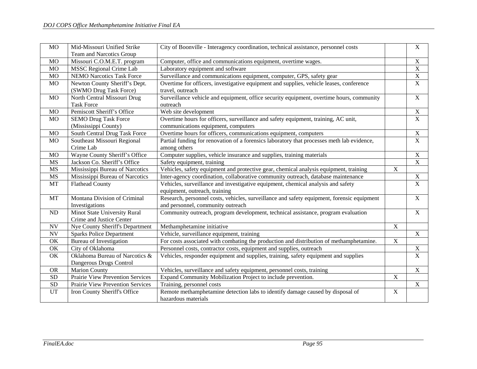| M <sub>O</sub>           | Mid-Missouri Unified Strike             | City of Boonville - Interagency coordination, technical assistance, personnel costs        |                | $\mathbf X$             |
|--------------------------|-----------------------------------------|--------------------------------------------------------------------------------------------|----------------|-------------------------|
|                          | Team and Narcotics Group                |                                                                                            |                |                         |
| <b>MO</b>                | Missouri C.O.M.E.T. program             | Computer, office and communications equipment, overtime wages.                             |                | $\mathbf X$             |
| <b>MO</b>                | <b>MSSC Regional Crime Lab</b>          | Laboratory equipment and software                                                          |                | $\overline{\textbf{X}}$ |
| <b>MO</b>                | <b>NEMO Narcotics Task Force</b>        | Surveillance and communications equipment, computer, GPS, safety gear                      |                | $\mathbf X$             |
| <b>MO</b>                | Newton County Sheriff's Dept.           | Overtime for officers, investigative equipment and supplies, vehicle leases, conference    |                | $\mathbf X$             |
|                          | (SWMO Drug Task Force)                  | travel, outreach                                                                           |                |                         |
| <b>MO</b>                | North Central Missouri Drug             | Surveillance vehicle and equipment, office security equipment, overtime hours, community   |                | $\mathbf X$             |
|                          | <b>Task Force</b>                       | outreach                                                                                   |                |                         |
| <b>MO</b>                | Pemiscott Sheriff's Office              | Web site development                                                                       |                | $\mathbf X$             |
| <b>MO</b>                | <b>SEMO Drug Task Force</b>             | Overtime hours for officers, surveillance and safety equipment, training, AC unit,         |                | $\overline{X}$          |
|                          | (Mississippi County)                    | communications equipment, computers                                                        |                |                         |
| MO                       | South Central Drug Task Force           | Overtime hours for officers, communications equipment, computers                           |                | $\mathbf X$             |
| MO                       | Southeast Missouri Regional             | Partial funding for renovation of a forensics laboratory that processes meth lab evidence, |                | $\overline{X}$          |
|                          | Crime Lab                               | among others                                                                               |                |                         |
| MO                       | Wayne County Sheriff's Office           | Computer supplies, vehicle insurance and supplies, training materials                      |                | $\mathbf X$             |
| <b>MS</b>                | Jackson Co. Sheriff's Office            | Safety equipment, training                                                                 |                | $\overline{X}$          |
| <b>MS</b>                | Mississippi Bureau of Narcotics         | Vehicles, safety equipment and protective gear, chemical analysis equipment, training      | $\mathbf X$    |                         |
| <b>MS</b>                | Mississippi Bureau of Narcotics         | Inter-agency coordination, collaborative community outreach, database maintenance          |                | $\mathbf X$             |
| MT                       | <b>Flathead County</b>                  | Vehicles, surveillance and investigative equipment, chemical analysis and safety           |                | $\overline{X}$          |
|                          |                                         | equipment, outreach, training                                                              |                |                         |
| MT                       | Montana Division of Criminal            | Research, personnel costs, vehicles, surveillance and safety equipment, forensic equipment |                | X                       |
|                          | Investigations                          | and personnel, community outreach                                                          |                |                         |
| ND                       | <b>Minot State University Rural</b>     | Community outreach, program development, technical assistance, program evaluation          |                | $\overline{X}$          |
|                          | Crime and Justice Center                |                                                                                            |                |                         |
| $\ensuremath{\text{NV}}$ | Nye County Sheriff's Department         | Methamphetamine initiative                                                                 | X              |                         |
| $\ensuremath{\text{NV}}$ | <b>Sparks Police Department</b>         | Vehicle, surveillance equipment, training                                                  |                | $\overline{X}$          |
| OK                       | <b>Bureau of Investigation</b>          | For costs associated with combating the production and distribution of methamphetamine.    | $\overline{X}$ |                         |
| OK                       | City of Oklahoma                        | Personnel costs, contractor costs, equipment and supplies, outreach                        |                | $\mathbf X$             |
| OK                       | Oklahoma Bureau of Narcotics &          | Vehicles, responder equipment and supplies, training, safety equipment and supplies        |                | $\overline{X}$          |
|                          | Dangerous Drugs Control                 |                                                                                            |                |                         |
| <b>OR</b>                | <b>Marion County</b>                    | Vehicles, surveillance and safety equipment, personnel costs, training                     |                | $\mathbf X$             |
| ${\rm SD}$               | <b>Prairie View Prevention Services</b> | Expand Community Mobilization Project to include prevention.                               | $\mathbf X$    |                         |
| <b>SD</b>                | Prairie View Prevention Services        | Training, personnel costs                                                                  |                | $\overline{X}$          |
| <b>UT</b>                | Iron County Sheriff's Office            | Remote methamphetamine detection labs to identify damage caused by disposal of             | $\mathbf X$    |                         |
|                          |                                         | hazardous materials                                                                        |                |                         |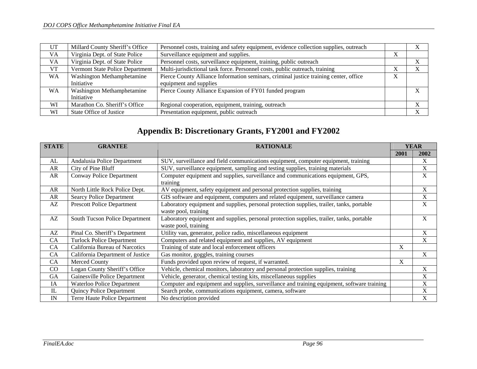| UT        | Millard County Sheriff's Office | Personnel costs, training and safety equipment, evidence collection supplies, outreach |   |  |
|-----------|---------------------------------|----------------------------------------------------------------------------------------|---|--|
| <b>VA</b> | Virginia Dept. of State Police  | Surveillance equipment and supplies.                                                   | X |  |
| <b>VA</b> | Virginia Dept. of State Police  | Personnel costs, surveillance equipment, training, public outreach                     |   |  |
| <b>VT</b> | Vermont State Police Department | Multi-jurisdictional task force. Personnel costs, public outreach, training            | Δ |  |
| <b>WA</b> | Washington Methamphetamine      | Pierce County Alliance Information seminars, criminal justice training center, office  | X |  |
|           | Initiative                      | equipment and supplies                                                                 |   |  |
| <b>WA</b> | Washington Methamphetamine      | Pierce County Alliance Expansion of FY01 funded program                                |   |  |
|           | Initiative                      |                                                                                        |   |  |
| WI        | Marathon Co. Sheriff's Office   | Regional cooperation, equipment, training, outreach                                    |   |  |
| WI        | State Office of Justice         | Presentation equipment, public outreach                                                |   |  |

# **Appendix B: Discretionary Grants, FY2001 and FY2002**

| <b>STATE</b> | <b>GRANTEE</b>                    | <b>RATIONALE</b>                                                                            |             | <b>YEAR</b> |
|--------------|-----------------------------------|---------------------------------------------------------------------------------------------|-------------|-------------|
|              |                                   |                                                                                             | 2001        | 2002        |
| AL           | Andalusia Police Department       | SUV, surveillance and field communications equipment, computer equipment, training          |             | X           |
| AR           | City of Pine Bluff                | SUV, surveillance equipment, sampling and testing supplies, training materials              |             | X           |
| AR           | Conway Police Department          | Computer equipment and supplies, surveillance and communications equipment, GPS,            |             | X           |
|              |                                   | training                                                                                    |             |             |
| AR           | North Little Rock Police Dept.    | AV equipment, safety equipment and personal protection supplies, training                   |             | X           |
| AR.          | <b>Searcy Police Department</b>   | GIS software and equipment, computers and related equipment, surveillance camera            |             | $\mathbf X$ |
| AZ           | <b>Prescott Police Department</b> | Laboratory equipment and supplies, personal protection supplies, trailer, tanks, portable   |             | X           |
|              |                                   | waste pool, training                                                                        |             |             |
| AZ           | South Tucson Police Department    | Laboratory equipment and supplies, personal protection supplies, trailer, tanks, portable   |             | X           |
|              |                                   | waste pool, training                                                                        |             |             |
| AZ           | Pinal Co. Sheriff's Department    | Utility van, generator, police radio, miscellaneous equipment                               |             | X           |
| <b>CA</b>    | <b>Turlock Police Department</b>  | Computers and related equipment and supplies, AV equipment                                  |             | X           |
| CA           | California Bureau of Narcotics    | Training of state and local enforcement officers                                            | $\mathbf X$ |             |
| <b>CA</b>    | California Department of Justice  | Gas monitor, goggles, training courses                                                      |             | X           |
| CA           | Merced County                     | Funds provided upon review of request, if warranted.                                        | X           |             |
| $\rm CO$     | Logan County Sheriff's Office     | Vehicle, chemical monitors, laboratory and personal protection supplies, training           |             | X           |
| <b>GA</b>    | Gainesville Police Department     | Vehicle, generator, chemical testing kits, miscellaneous supplies                           |             | $\mathbf X$ |
| IA           | Waterloo Police Department        | Computer and equipment and supplies, surveillance and training equipment, software training |             | $\mathbf X$ |
| $\mathbb{L}$ | <b>Quincy Police Department</b>   | Search probe, communications equipment, camera, software                                    |             | $\mathbf X$ |
| IN           | Terre Haute Police Department     | No description provided                                                                     |             | X           |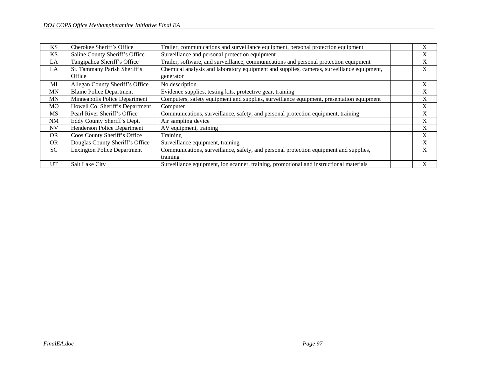| <b>KS</b> | Cherokee Sheriff's Office       | Trailer, communications and surveillance equipment, personal protection equipment         | X |
|-----------|---------------------------------|-------------------------------------------------------------------------------------------|---|
| <b>KS</b> | Saline County Sheriff's Office  | Surveillance and personal protection equipment                                            | X |
| LA        | Tangipahoa Sheriff's Office     | Trailer, software, and surveillance, communications and personal protection equipment     | X |
| LA        | St. Tammany Parish Sheriff's    | Chemical analysis and laboratory equipment and supplies, cameras, surveillance equipment, | X |
|           | Office                          | generator                                                                                 |   |
| MI        | Allegan County Sheriff's Office | No description                                                                            | X |
| MΝ        | <b>Blaine Police Department</b> | Evidence supplies, testing kits, protective gear, training                                | X |
| MΝ        | Minneapolis Police Department   | Computers, safety equipment and supplies, surveillance equipment, presentation equipment  | X |
| MO        | Howell Co. Sheriff's Department | Computer                                                                                  | X |
| <b>MS</b> | Pearl River Sheriff's Office    | Communications, surveillance, safety, and personal protection equipment, training         | X |
| NM        | Eddy County Sheriff's Dept.     | Air sampling device                                                                       | X |
| <b>NV</b> | Henderson Police Department     | AV equipment, training                                                                    | X |
| <b>OR</b> | Coos County Sheriff's Office    | Training                                                                                  | X |
| <b>OR</b> | Douglas County Sheriff's Office | Surveillance equipment, training                                                          | X |
| SC        | Lexington Police Department     | Communications, surveillance, safety, and personal protection equipment and supplies,     | X |
|           |                                 | training                                                                                  |   |
| UT        | <b>Salt Lake City</b>           | Surveillance equipment, ion scanner, training, promotional and instructional materials    | X |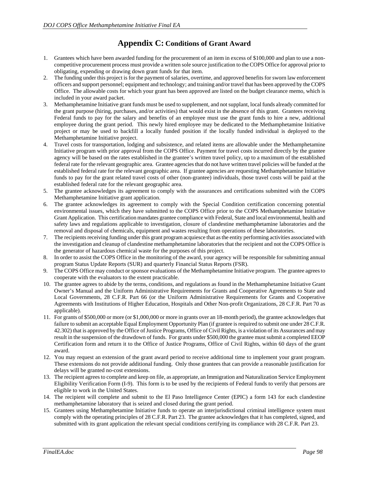## **Appendix C: Conditions of Grant Award**

- 1. Grantees which have been awarded funding for the procurement of an item in excess of \$100,000 and plan to use a noncompetitive procurement process must provide a written sole source justification to the COPS Office for approval prior to obligating, expending or drawing down grant funds for that item.
- 2. The funding under this project is for the payment of salaries, overtime, and approved benefits for sworn law enforcement officers and support personnel; equipment and technology; and training and/or travel that has been approved by the COPS Office. The allowable costs for which your grant has been approved are listed on the budget clearance memo, which is included in your award packet.
- 3. Methamphetamine Initiative grant funds must be used to supplement, and not supplant, local funds already committed for the grant purpose (hiring, purchases, and/or activities) that would exist in the absence of this grant. Grantees receiving Federal funds to pay for the salary and benefits of an employee must use the grant funds to hire a new, additional employee during the grant period. This newly hired employee may be dedicated to the Methamphetamine Initiative project or may be used to backfill a locally funded position if the locally funded individual is deployed to the Methamphetamine Initiative project.
- 4. Travel costs for transportation, lodging and subsistence, and related items are allowable under the Methamphetamine Initiative program with prior approval from the COPS Office. Payment for travel costs incurred directly by the grantee agency will be based on the rates established in the grantee's written travel policy, up to a maximum of the established federal rate for the relevant geographic area. Grantee agencies that do not have written travel policies will be funded at the established federal rate for the relevant geographic area. If grantee agencies are requesting Methamphetamine Initiative funds to pay for the grant related travel costs of other (non-grantee) individuals, those travel costs will be paid at the established federal rate for the relevant geographic area.
- 5. The grantee acknowledges its agreement to comply with the assurances and certifications submitted with the COPS Methamphetamine Initiative grant application.
- 6. The grantee acknowledges its agreement to comply with the Special Condition certification concerning potential environmental issues, which they have submitted to the COPS Office prior to the COPS Methamphetamine Initiative Grant Application. This certification mandates grantee compliance with Federal, State and local environmental, health and safety laws and regulations applicable to investigation, closure of clandestine methamphetamine laboratories and the removal and disposal of chemicals, equipment and wastes resulting from operations of these laboratories.
- 7. The recipients receiving funding under this grant program acquiesce that as the entity performing activities associated with the investigation and cleanup of clandestine methamphetamine laboratories that the recipient and not the COPS Office is the generator of hazardous chemical waste for the purposes of this project.
- 8. In order to assist the COPS Office in the monitoring of the award, your agency will be responsible for submitting annual program Status Update Reports (SUR) and quarterly Financial Status Reports (FSR).
- 9. The COPS Office may conduct or sponsor evaluations of the Methamphetamine Initiative program. The grantee agrees to cooperate with the evaluators to the extent practicable.
- 10. The grantee agrees to abide by the terms, conditions, and regulations as found in the Methamphetamine Initiative Grant Owner's Manual and the Uniform Administrative Requirements for Grants and Cooperative Agreements to State and Local Governments, 28 C.F.R. Part 66 (or the Uniform Administrative Requirements for Grants and Cooperative Agreements with Institutions of Higher Education, Hospitals and Other Non-profit Organizations, 28 C.F.R. Part 70 as applicable).
- 11. For grants of \$500,000 or more (or \$1,000,000 or more in grants over an 18-month period), the grantee acknowledges that failure to submit an acceptable Equal Employment Opportunity Plan (if grantee is required to submit one under 28 C.F.R. 42.302) that is approved by the Office of Justice Programs, Office of Civil Rights, is a violation of its Assurances and may result in the suspension of the drawdown of funds. For grants under \$500,000 the grantee must submit a completed EEOP Certification form and return it to the Office of Justice Programs, Office of Civil Rights, within 60 days of the grant award.
- 12. You may request an extension of the grant award period to receive additional time to implement your grant program. These extensions do not provide additional funding. Only those grantees that can provide a reasonable justification for delays will be granted no-cost extensions.
- 13. The recipient agrees to complete and keep on file, as appropriate, an Immigration and Naturalization Service Employment Eligibility Verification Form (I-9). This form is to be used by the recipients of Federal funds to verify that persons are eligible to work in the United States.
- 14. The recipient will complete and submit to the El Paso Intelligence Center (EPIC) a form 143 for each clandestine methamphetamine laboratory that is seized and closed during the grant period.
- 15. Grantees using Methamphetamine Initiative funds to operate an interjurisdictional criminal intelligence system must comply with the operating principles of 28 C.F.R. Part 23. The grantee acknowledges that it has completed, signed, and submitted with its grant application the relevant special conditions certifying its compliance with 28 C.F.R. Part 23.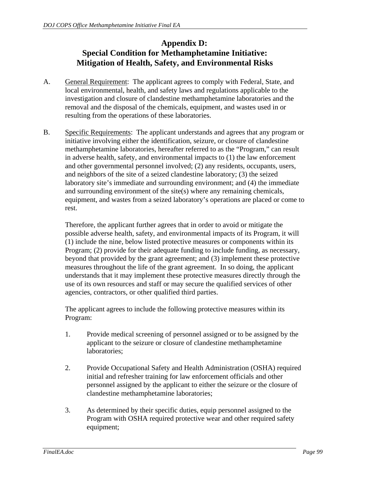## **Appendix D: Special Condition for Methamphetamine Initiative: Mitigation of Health, Safety, and Environmental Risks**

- A. General Requirement: The applicant agrees to comply with Federal, State, and local environmental, health, and safety laws and regulations applicable to the investigation and closure of clandestine methamphetamine laboratories and the removal and the disposal of the chemicals, equipment, and wastes used in or resulting from the operations of these laboratories.
- B. Specific Requirements: The applicant understands and agrees that any program or initiative involving either the identification, seizure, or closure of clandestine methamphetamine laboratories, hereafter referred to as the "Program," can result in adverse health, safety, and environmental impacts to (1) the law enforcement and other governmental personnel involved; (2) any residents, occupants, users, and neighbors of the site of a seized clandestine laboratory; (3) the seized laboratory site's immediate and surrounding environment; and (4) the immediate and surrounding environment of the site(s) where any remaining chemicals, equipment, and wastes from a seized laboratory's operations are placed or come to rest.

Therefore, the applicant further agrees that in order to avoid or mitigate the possible adverse health, safety, and environmental impacts of its Program, it will (1) include the nine, below listed protective measures or components within its Program; (2) provide for their adequate funding to include funding, as necessary, beyond that provided by the grant agreement; and (3) implement these protective measures throughout the life of the grant agreement. In so doing, the applicant understands that it may implement these protective measures directly through the use of its own resources and staff or may secure the qualified services of other agencies, contractors, or other qualified third parties.

The applicant agrees to include the following protective measures within its Program:

- 1. Provide medical screening of personnel assigned or to be assigned by the applicant to the seizure or closure of clandestine methamphetamine laboratories;
- 2. Provide Occupational Safety and Health Administration (OSHA) required initial and refresher training for law enforcement officials and other personnel assigned by the applicant to either the seizure or the closure of clandestine methamphetamine laboratories;
- 3. As determined by their specific duties, equip personnel assigned to the Program with OSHA required protective wear and other required safety equipment;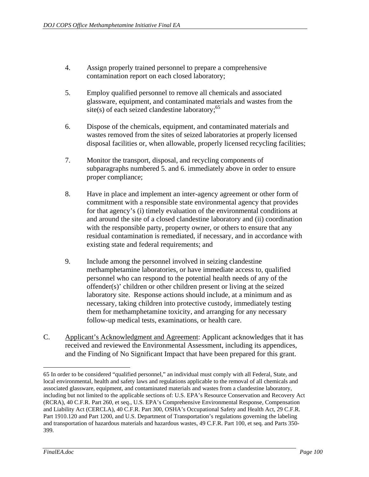- 4. Assign properly trained personnel to prepare a comprehensive contamination report on each closed laboratory;
- 5. Employ qualified personnel to remove all chemicals and associated glassware, equipment, and contaminated materials and wastes from the site(s) of each seized clandestine laboratory; $65$
- 6. Dispose of the chemicals, equipment, and contaminated materials and wastes removed from the sites of seized laboratories at properly licensed disposal facilities or, when allowable, properly licensed recycling facilities;
- 7. Monitor the transport, disposal, and recycling components of subparagraphs numbered 5. and 6. immediately above in order to ensure proper compliance;
- 8. Have in place and implement an inter-agency agreement or other form of commitment with a responsible state environmental agency that provides for that agency's (i) timely evaluation of the environmental conditions at and around the site of a closed clandestine laboratory and (ii) coordination with the responsible party, property owner, or others to ensure that any residual contamination is remediated, if necessary, and in accordance with existing state and federal requirements; and
- 9. Include among the personnel involved in seizing clandestine methamphetamine laboratories, or have immediate access to, qualified personnel who can respond to the potential health needs of any of the offender(s)' children or other children present or living at the seized laboratory site. Response actions should include, at a minimum and as necessary, taking children into protective custody, immediately testing them for methamphetamine toxicity, and arranging for any necessary follow-up medical tests, examinations, or health care.
- C. Applicant's Acknowledgment and Agreement: Applicant acknowledges that it has received and reviewed the Environmental Assessment, including its appendices, and the Finding of No Significant Impact that have been prepared for this grant.

 $\overline{a}$ 

<sup>65</sup> In order to be considered "qualified personnel," an individual must comply with all Federal, State, and local environmental, health and safety laws and regulations applicable to the removal of all chemicals and associated glassware, equipment, and contaminated materials and wastes from a clandestine laboratory, including but not limited to the applicable sections of: U.S. EPA's Resource Conservation and Recovery Act (RCRA), 40 C.F.R. Part 260, et seq., U.S. EPA's Comprehensive Environmental Response, Compensation and Liability Act (CERCLA), 40 C.F.R. Part 300, OSHA's Occupational Safety and Health Act, 29 C.F.R. Part 1910.120 and Part 1200, and U.S. Department of Transportation's regulations governing the labeling and transportation of hazardous materials and hazardous wastes, 49 C.F.R. Part 100, et seq. and Parts 350- 399.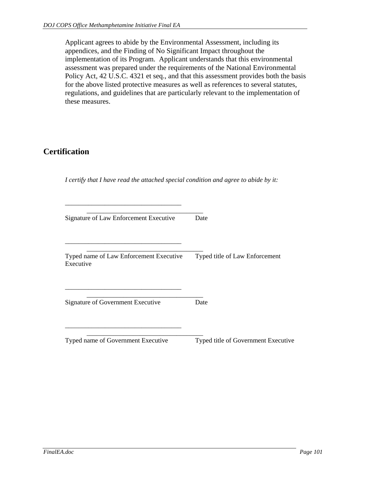Applicant agrees to abide by the Environmental Assessment, including its appendices, and the Finding of No Significant Impact throughout the implementation of its Program. Applicant understands that this environmental assessment was prepared under the requirements of the National Environmental Policy Act, 42 U.S.C. 4321 et seq., and that this assessment provides both the basis for the above listed protective measures as well as references to several statutes, regulations, and guidelines that are particularly relevant to the implementation of these measures.

# **Certification**

*I certify that I have read the attached special condition and agree to abide by it:* 

 $\frac{1}{\sqrt{2}}$  ,  $\frac{1}{\sqrt{2}}$  ,  $\frac{1}{\sqrt{2}}$  ,  $\frac{1}{\sqrt{2}}$  ,  $\frac{1}{\sqrt{2}}$  ,  $\frac{1}{\sqrt{2}}$  ,  $\frac{1}{\sqrt{2}}$  ,  $\frac{1}{\sqrt{2}}$  ,  $\frac{1}{\sqrt{2}}$  ,  $\frac{1}{\sqrt{2}}$  ,  $\frac{1}{\sqrt{2}}$  ,  $\frac{1}{\sqrt{2}}$  ,  $\frac{1}{\sqrt{2}}$  ,  $\frac{1}{\sqrt{2}}$  ,  $\frac{1}{\sqrt{2}}$ Signature of Law Enforcement Executive Date

\_\_\_\_\_\_\_\_\_\_\_\_\_\_\_\_\_\_\_\_\_\_\_\_\_\_\_\_\_\_\_\_\_\_\_

\_\_\_\_\_\_\_\_\_\_\_\_\_\_\_\_\_\_\_\_\_\_\_\_\_\_\_\_\_\_\_\_\_\_\_

 $\frac{1}{\sqrt{2}}$  ,  $\frac{1}{\sqrt{2}}$  ,  $\frac{1}{\sqrt{2}}$  ,  $\frac{1}{\sqrt{2}}$  ,  $\frac{1}{\sqrt{2}}$  ,  $\frac{1}{\sqrt{2}}$  ,  $\frac{1}{\sqrt{2}}$  ,  $\frac{1}{\sqrt{2}}$  ,  $\frac{1}{\sqrt{2}}$  ,  $\frac{1}{\sqrt{2}}$  ,  $\frac{1}{\sqrt{2}}$  ,  $\frac{1}{\sqrt{2}}$  ,  $\frac{1}{\sqrt{2}}$  ,  $\frac{1}{\sqrt{2}}$  ,  $\frac{1}{\sqrt{2}}$ Typed name of Law Enforcement Executive Typed title of Law Enforcement Executive

Signature of Government Executive Date

\_\_\_\_\_\_\_\_\_\_\_\_\_\_\_\_\_\_\_\_\_\_\_\_\_\_\_\_\_\_\_\_\_\_\_

\_\_\_\_\_\_\_\_\_\_\_\_\_\_\_\_\_\_\_\_\_\_\_\_\_\_\_\_\_\_\_\_\_\_\_

\_\_\_\_\_\_\_\_\_\_\_\_\_\_\_\_\_\_\_\_\_\_\_\_\_\_\_\_\_\_\_\_\_\_\_

 $\frac{1}{\sqrt{2}}$  ,  $\frac{1}{\sqrt{2}}$  ,  $\frac{1}{\sqrt{2}}$  ,  $\frac{1}{\sqrt{2}}$  ,  $\frac{1}{\sqrt{2}}$  ,  $\frac{1}{\sqrt{2}}$  ,  $\frac{1}{\sqrt{2}}$  ,  $\frac{1}{\sqrt{2}}$  ,  $\frac{1}{\sqrt{2}}$  ,  $\frac{1}{\sqrt{2}}$  ,  $\frac{1}{\sqrt{2}}$  ,  $\frac{1}{\sqrt{2}}$  ,  $\frac{1}{\sqrt{2}}$  ,  $\frac{1}{\sqrt{2}}$  ,  $\frac{1}{\sqrt{2}}$ 

Typed name of Government Executive Typed title of Government Executive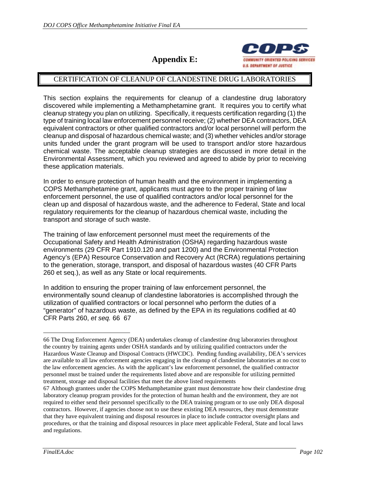

**Appendix E:** 

## CERTIFICATION OF CLEANUP OF CLANDESTINE DRUG LABORATORIES

This section explains the requirements for cleanup of a clandestine drug laboratory discovered while implementing a Methamphetamine grant. It requires you to certify what cleanup strategy you plan on utilizing. Specifically, it requests certification regarding (1) the type of training local law enforcement personnel receive; (2) whether DEA contractors, DEA equivalent contractors or other qualified contractors and/or local personnel will perform the cleanup and disposal of hazardous chemical waste; and (3) whether vehicles and/or storage units funded under the grant program will be used to transport and/or store hazardous chemical waste. The acceptable cleanup strategies are discussed in more detail in the Environmental Assessment, which you reviewed and agreed to abide by prior to receiving these application materials.

In order to ensure protection of human health and the environment in implementing a COPS Methamphetamine grant, applicants must agree to the proper training of law enforcement personnel, the use of qualified contractors and/or local personnel for the clean up and disposal of hazardous waste, and the adherence to Federal, State and local regulatory requirements for the cleanup of hazardous chemical waste, including the transport and storage of such waste.

The training of law enforcement personnel must meet the requirements of the Occupational Safety and Health Administration (OSHA) regarding hazardous waste environments (29 CFR Part 1910.120 and part 1200) and the Environmental Protection Agency's (EPA) Resource Conservation and Recovery Act (RCRA) regulations pertaining to the generation, storage, transport, and disposal of hazardous wastes (40 CFR Parts 260 et seq.), as well as any State or local requirements.

In addition to ensuring the proper training of law enforcement personnel, the environmentally sound cleanup of clandestine laboratories is accomplished through the utilization of qualified contractors or local personnel who perform the duties of a "generator" of hazardous waste, as defined by the EPA in its regulations codified at 40 CFR Parts 260, *et seq.* 66 67

 $\overline{a}$ 

<sup>66</sup> The Drug Enforcement Agency (DEA) undertakes cleanup of clandestine drug laboratories throughout the country by training agents under OSHA standards and by utilizing qualified contractors under the Hazardous Waste Cleanup and Disposal Contracts (HWCDC). Pending funding availability, DEA's services are available to all law enforcement agencies engaging in the cleanup of clandestine laboratories at no cost to the law enforcement agencies. As with the applicant's law enforcement personnel, the qualified contractor personnel must be trained under the requirements listed above and are responsible for utilizing permitted treatment, storage and disposal facilities that meet the above listed requirements

<sup>67</sup> Although grantees under the COPS Methamphetamine grant must demonstrate how their clandestine drug laboratory cleanup program provides for the protection of human health and the environment, they are not required to either send their personnel specifically to the DEA training program or to use only DEA disposal contractors. However, if agencies choose not to use these existing DEA resources, they must demonstrate that they have equivalent training and disposal resources in place to include contractor oversight plans and procedures, or that the training and disposal resources in place meet applicable Federal, State and local laws and regulations.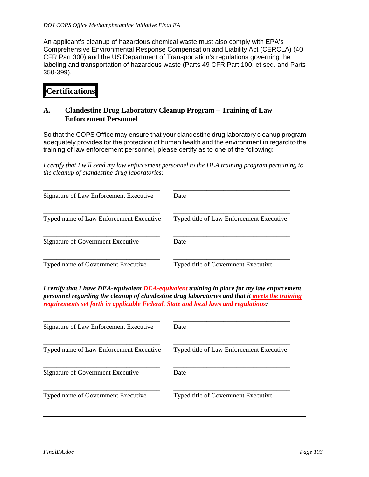An applicant's cleanup of hazardous chemical waste must also comply with EPA's Comprehensive Environmental Response Compensation and Liability Act (CERCLA) (40 CFR Part 300) and the US Department of Transportation's regulations governing the labeling and transportation of hazardous waste (Parts 49 CFR Part 100, et seq. and Parts 350-399).

# **Certifications**

#### **A. Clandestine Drug Laboratory Cleanup Program – Training of Law Enforcement Personnel**

So that the COPS Office may ensure that your clandestine drug laboratory cleanup program adequately provides for the protection of human health and the environment in regard to the training of law enforcement personnel, please certify as to one of the following:

*I certify that I will send my law enforcement personnel to the DEA training program pertaining to the cleanup of clandestine drug laboratories:* 

| Signature of Law Enforcement Executive  | Date                                     |
|-----------------------------------------|------------------------------------------|
| Typed name of Law Enforcement Executive | Typed title of Law Enforcement Executive |
| Signature of Government Executive       | Date                                     |
| Typed name of Government Executive      | Typed title of Government Executive      |

*I certify that I have DEA-equivalent DEA-equivalent training in place for my law enforcement personnel regarding the cleanup of clandestine drug laboratories and that it meets the training requirements set forth in applicable Federal, State and local laws and regulations:* 

| Date                                     |
|------------------------------------------|
| Typed title of Law Enforcement Executive |
| Date                                     |
| Typed title of Government Executive      |
|                                          |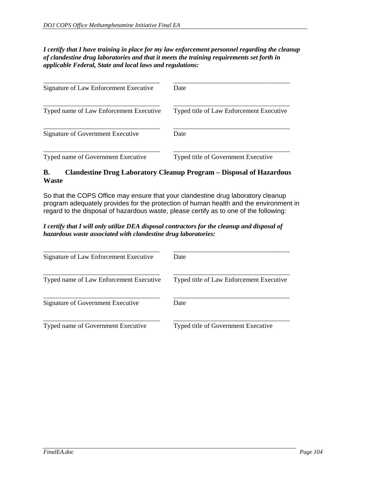#### *I certify that I have training in place for my law enforcement personnel regarding the cleanup of clandestine drug laboratories and that it meets the training requirements set forth in applicable Federal, State and local laws and regulations:*

| Signature of Law Enforcement Executive  | Date                                     |
|-----------------------------------------|------------------------------------------|
| Typed name of Law Enforcement Executive | Typed title of Law Enforcement Executive |
| Signature of Government Executive       | Date                                     |
| Typed name of Government Executive      | Typed title of Government Executive      |

#### **B. Clandestine Drug Laboratory Cleanup Program – Disposal of Hazardous Waste**

So that the COPS Office may ensure that your clandestine drug laboratory cleanup program adequately provides for the protection of human health and the environment in regard to the disposal of hazardous waste, please certify as to one of the following:

#### *I certify that I will only utilize DEA disposal contractors for the cleanup and disposal of hazardous waste associated with clandestine drug laboratories:*

| Signature of Law Enforcement Executive  | Date                                     |
|-----------------------------------------|------------------------------------------|
| Typed name of Law Enforcement Executive | Typed title of Law Enforcement Executive |
| Signature of Government Executive       | Date                                     |
| Typed name of Government Executive      | Typed title of Government Executive      |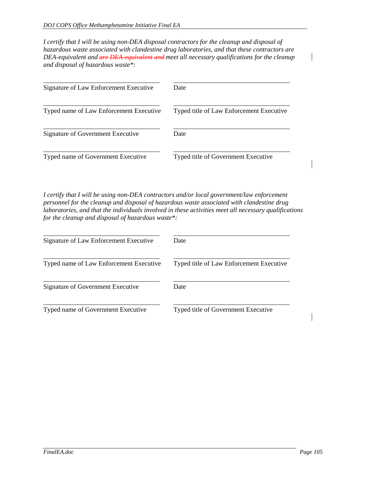*I certify that I will be using non-DEA disposal contractors for the cleanup and disposal of hazardous waste associated with clandestine drug laboratories, and that these contractors are DEA-equivalent and are DEA-equivalent and meet all necessary qualifications for the cleanup and disposal of hazardous waste\*:* 

| Signature of Law Enforcement Executive  | Date                                     |
|-----------------------------------------|------------------------------------------|
| Typed name of Law Enforcement Executive | Typed title of Law Enforcement Executive |
| Signature of Government Executive       | Date                                     |
| Typed name of Government Executive      | Typed title of Government Executive      |

*I certify that I will be using non-DEA contractors and/or local government/law enforcement personnel for the cleanup and disposal of hazardous waste associated with clandestine drug laboratories, and that the individuals involved in these activities meet all necessary qualifications for the cleanup and disposal of hazardous waste\*:* 

| Signature of Law Enforcement Executive  | Date                                     |
|-----------------------------------------|------------------------------------------|
| Typed name of Law Enforcement Executive | Typed title of Law Enforcement Executive |
| Signature of Government Executive       | Date                                     |
| Typed name of Government Executive      | Typed title of Government Executive      |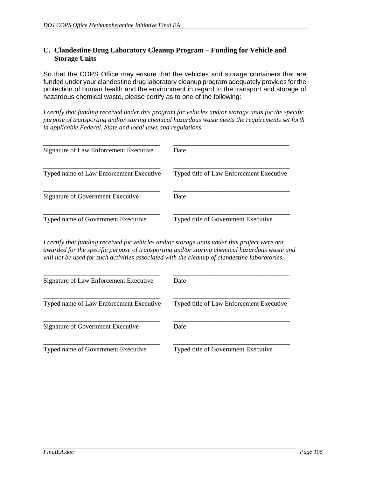## **C. Clandestine Drug Laboratory Cleanup Program – Funding for Vehicle and Storage Units**

So that the COPS Office may ensure that the vehicles and storage containers that are funded under your clandestine drug laboratory cleanup program adequately provides for the protection of human health and the environment in regard to the transport and storage of hazardous chemical waste, please certify as to one of the following:

*I certify that funding received under this program for vehicles and/or storage units for the specific purpose of transporting and/or storing chemical hazardous waste meets the requirements set forth in applicable Federal, State and local laws and regulations.* 

| Signature of Law Enforcement Executive  | Date                                     |
|-----------------------------------------|------------------------------------------|
| Typed name of Law Enforcement Executive | Typed title of Law Enforcement Executive |
| Signature of Government Executive       | Date                                     |
| Typed name of Government Executive      | Typed title of Government Executive      |

*I certify that funding received for vehicles and/or storage units under this project were not awarded for the specific purpose of transporting and/or storing chemical hazardous waste and will not be used for such activities associated with the cleanup of clandestine laboratories.* 

| Signature of Law Enforcement Executive  | Date                                     |
|-----------------------------------------|------------------------------------------|
| Typed name of Law Enforcement Executive | Typed title of Law Enforcement Executive |
| Signature of Government Executive       | Date                                     |
| Typed name of Government Executive      | Typed title of Government Executive      |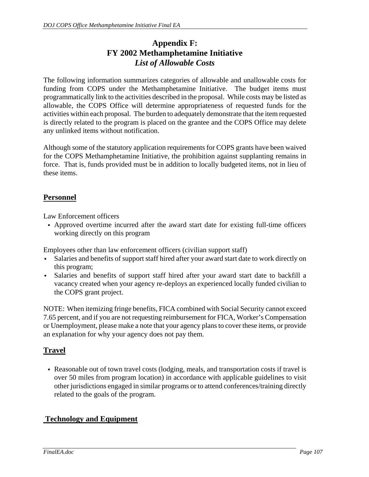# **Appendix F: FY 2002 Methamphetamine Initiative**  *List of Allowable Costs*

The following information summarizes categories of allowable and unallowable costs for funding from COPS under the Methamphetamine Initiative. The budget items must programmatically link to the activities described in the proposal. While costs may be listed as allowable, the COPS Office will determine appropriateness of requested funds for the activities within each proposal. The burden to adequately demonstrate that the item requested is directly related to the program is placed on the grantee and the COPS Office may delete any unlinked items without notification.

Although some of the statutory application requirements for COPS grants have been waived for the COPS Methamphetamine Initiative, the prohibition against supplanting remains in force. That is, funds provided must be in addition to locally budgeted items, not in lieu of these items.

## **Personnel**

Law Enforcement officers

! Approved overtime incurred after the award start date for existing full-time officers working directly on this program

Employees other than law enforcement officers (civilian support staff)

- ! Salaries and benefits of support staff hired after your award start date to work directly on this program;
- ! Salaries and benefits of support staff hired after your award start date to backfill a vacancy created when your agency re-deploys an experienced locally funded civilian to the COPS grant project.

NOTE: When itemizing fringe benefits, FICA combined with Social Security cannot exceed 7.65 percent, and if you are not requesting reimbursement for FICA, Worker's Compensation or Unemployment, please make a note that your agency plans to cover these items, or provide an explanation for why your agency does not pay them.

# **Travel**

! Reasonable out of town travel costs (lodging, meals, and transportation costs if travel is over 50 miles from program location) in accordance with applicable guidelines to visit other jurisdictions engaged in similar programs or to attend conferences/training directly related to the goals of the program.

## **Technology and Equipment**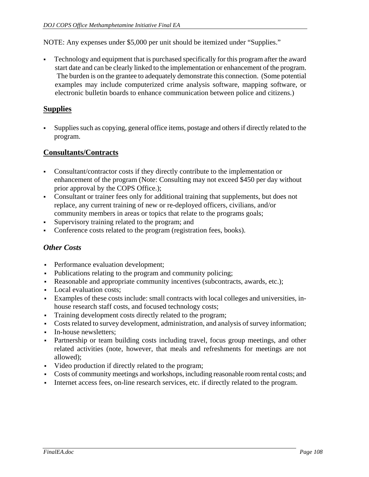NOTE: Any expenses under \$5,000 per unit should be itemized under "Supplies."

! Technology and equipment that is purchased specifically for this program after the award start date and can be clearly linked to the implementation or enhancement of the program. The burden is on the grantee to adequately demonstrate this connection. (Some potential examples may include computerized crime analysis software, mapping software, or electronic bulletin boards to enhance communication between police and citizens.)

## **Supplies**

Supplies such as copying, general office items, postage and others if directly related to the program.

### **Consultants/Contracts**

- ! Consultant/contractor costs if they directly contribute to the implementation or enhancement of the program (Note: Consulting may not exceed \$450 per day without prior approval by the COPS Office.);
- ! Consultant or trainer fees only for additional training that supplements, but does not replace, any current training of new or re-deployed officers, civilians, and/or community members in areas or topics that relate to the programs goals;
- Supervisory training related to the program; and
- ! Conference costs related to the program (registration fees, books).

### *Other Costs*

- Performance evaluation development;
- ! Publications relating to the program and community policing;
- Reasonable and appropriate community incentives (subcontracts, awards, etc.);
- Local evaluation costs:
- ! Examples of these costs include: small contracts with local colleges and universities, inhouse research staff costs, and focused technology costs;
- ! Training development costs directly related to the program;
- ! Costs related to survey development, administration, and analysis of survey information;
- ! In-house newsletters;
- ! Partnership or team building costs including travel, focus group meetings, and other related activities (note, however, that meals and refreshments for meetings are not allowed);
- ! Video production if directly related to the program;
- ! Costs of community meetings and workshops, including reasonable room rental costs; and
- ! Internet access fees, on-line research services, etc. if directly related to the program.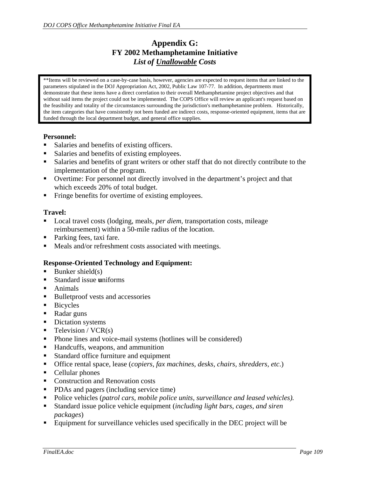# **Appendix G: FY 2002 Methamphetamine Initiative**  *List of Unallowable Costs*

\*\*Items will be reviewed on a case-by-case basis, however, agencies are expected to request items that are linked to the parameters stipulated in the DOJ Appropriation Act, 2002, Public Law 107-77. In addition, departments must demonstrate that these items have a direct correlation to their overall Methamphetamine project objectives and that without said items the project could not be implemented. The COPS Office will review an applicant's request based on the feasibility and totality of the circumstances surrounding the jurisdiction's methamphetamine problem. Historically, the item categories that have consistently not been funded are indirect costs, response-oriented equipment, items that are funded through the local department budget, and general office supplies.

### **Personnel:**

- Salaries and benefits of existing officers.
- Salaries and benefits of existing employees.
- ! Salaries and benefits of grant writers or other staff that do not directly contribute to the implementation of the program.
- ! Overtime: For personnel not directly involved in the department's project and that which exceeds 20% of total budget.
- ! Fringe benefits for overtime of existing employees.

### **Travel:**

- ! Local travel costs (lodging, meals, *per diem*, transportation costs, mileage reimbursement) within a 50-mile radius of the location.
- Parking fees, taxi fare.
- ! Meals and/or refreshment costs associated with meetings.

### **Response-Oriented Technology and Equipment:**

- Bunker shield $(s)$
- ! Standard issue **u**niforms
- Animals
- Bulletproof vests and accessories
- **Bicycles**
- Radar guns
- **•** Dictation systems
- $\blacksquare$  Television / VCR(s)
- ! Phone lines and voice-mail systems (hotlines will be considered)
- ! Handcuffs, weapons, and ammunition
- ! Standard office furniture and equipment
- ! Office rental space, lease (*copiers, fax machines, desks, chairs, shredders, etc*.)
- Cellular phones
- Construction and Renovation costs
- **PDAs and pagers (including service time)**
- ! Police vehicles (*patrol cars, mobile police units, surveillance and leased vehicles).*
- ! Standard issue police vehicle equipment (*including light bars, cages, and siren packages*)
- ! Equipment for surveillance vehicles used specifically in the DEC project will be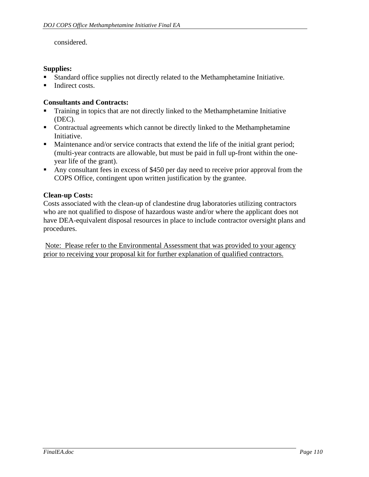considered.

### **Supplies:**

- ! Standard office supplies not directly related to the Methamphetamine Initiative.
- **Indirect costs.**

### **Consultants and Contracts:**

- ! Training in topics that are not directly linked to the Methamphetamine Initiative (DEC).
- ! Contractual agreements which cannot be directly linked to the Methamphetamine Initiative.
- ! Maintenance and/or service contracts that extend the life of the initial grant period; (multi-year contracts are allowable, but must be paid in full up-front within the oneyear life of the grant).
- ! Any consultant fees in excess of \$450 per day need to receive prior approval from the COPS Office, contingent upon written justification by the grantee.

### **Clean-up Costs:**

Costs associated with the clean-up of clandestine drug laboratories utilizing contractors who are not qualified to dispose of hazardous waste and/or where the applicant does not have DEA-equivalent disposal resources in place to include contractor oversight plans and procedures.

Note: Please refer to the Environmental Assessment that was provided to your agency prior to receiving your proposal kit for further explanation of qualified contractors.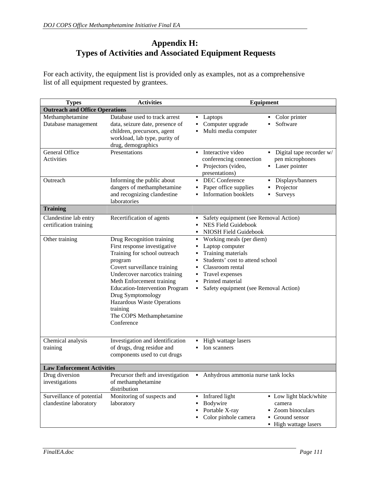# **Appendix H: Types of Activities and Associated Equipment Requests**

For each activity, the equipment list is provided only as examples, not as a comprehensive list of all equipment requested by grantees.

| <b>Types</b>                                        | <b>Activities</b>                                                                                                                                                                                                                                                                                                                                    | Equipment                                                                                                                                                                                                |
|-----------------------------------------------------|------------------------------------------------------------------------------------------------------------------------------------------------------------------------------------------------------------------------------------------------------------------------------------------------------------------------------------------------------|----------------------------------------------------------------------------------------------------------------------------------------------------------------------------------------------------------|
| <b>Outreach and Office Operations</b>               |                                                                                                                                                                                                                                                                                                                                                      |                                                                                                                                                                                                          |
| Methamphetamine<br>Database management              | Database used to track arrest<br>data, seizure date, presence of<br>children, precursors, agent<br>workload, lab type, purity of<br>drug, demographics                                                                                                                                                                                               | Laptops<br>Color printer<br>Computer upgrade<br>Software<br>Multi media computer                                                                                                                         |
| General Office<br>Activities                        | Presentations                                                                                                                                                                                                                                                                                                                                        | Interactive video<br>Digital tape recorder w/<br>٠<br>conferencing connection<br>pen microphones<br>Laser pointer<br>Projectors (video,<br>presentations)                                                |
| Outreach                                            | Informing the public about<br>dangers of methamphetamine<br>and recognizing clandestine<br>laboratories                                                                                                                                                                                                                                              | <b>DEC</b> Conference<br>Displays/banners<br>Paper office supplies<br>Projector<br><b>Information</b> booklets<br>Surveys                                                                                |
| <b>Training</b>                                     |                                                                                                                                                                                                                                                                                                                                                      |                                                                                                                                                                                                          |
| Clandestine lab entry<br>certification training     | Recertification of agents                                                                                                                                                                                                                                                                                                                            | Safety equipment (see Removal Action)<br><b>NES Field Guidebook</b><br>NIOSH Field Guidebook                                                                                                             |
| Other training                                      | Drug Recognition training<br>First response investigative<br>Training for school outreach<br>program<br>Covert surveillance training<br>Undercover narcotics training<br>Meth Enforcement training<br><b>Education-Intervention Program</b><br>Drug Symptomology<br>Hazardous Waste Operations<br>training<br>The COPS Methamphetamine<br>Conference | Working meals (per diem)<br>Laptop computer<br>Training materials<br>Students' cost to attend school<br>Classroom rental<br>Travel expenses<br>Printed material<br>Safety equipment (see Removal Action) |
| Chemical analysis<br>training                       | Investigation and identification<br>of drugs, drug residue and<br>components used to cut drugs                                                                                                                                                                                                                                                       | High wattage lasers<br>Ion scanners                                                                                                                                                                      |
| <b>Law Enforcement Activities</b>                   |                                                                                                                                                                                                                                                                                                                                                      |                                                                                                                                                                                                          |
| Drug diversion<br>investigations                    | Precursor theft and investigation<br>of methamphetamine<br>distribution                                                                                                                                                                                                                                                                              | Anhydrous ammonia nurse tank locks<br>٠                                                                                                                                                                  |
| Surveillance of potential<br>clandestine laboratory | Monitoring of suspects and<br>laboratory                                                                                                                                                                                                                                                                                                             | Infrared light<br>• Low light black/white<br>٠<br>Bodywire<br>camera<br>Portable X-ray<br>• Zoom binoculars<br>Color pinhole camera<br>• Ground sensor<br>• High wattage lasers                          |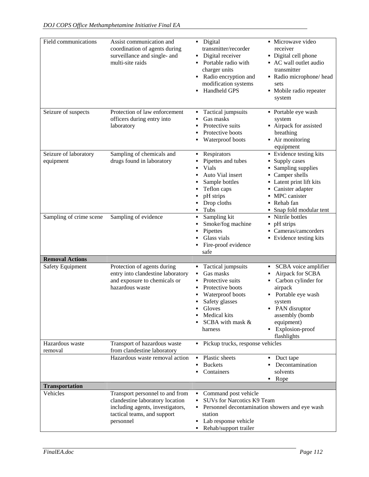| Field communications               | Assist communication and<br>coordination of agents during<br>surveillance and single- and<br>multi-site raids                                      | Digital<br>٠<br>transmitter/recorder<br>Digital receiver<br>Ξ<br>Portable radio with<br>Ξ<br>charger units<br>Radio encryption and<br>modification systems<br>Handheld GPS<br>٠                        | • Microwave video<br>receiver<br>• Digital cell phone<br>• AC wall outlet audio<br>transmitter<br>• Radio microphone/ head<br>sets<br>• Mobile radio repeater<br>system                           |
|------------------------------------|----------------------------------------------------------------------------------------------------------------------------------------------------|--------------------------------------------------------------------------------------------------------------------------------------------------------------------------------------------------------|---------------------------------------------------------------------------------------------------------------------------------------------------------------------------------------------------|
| Seizure of suspects                | Protection of law enforcement<br>officers during entry into<br>laboratory                                                                          | Tactical jumpsuits<br>٠<br>Gas masks<br>Protective suits<br>Protective boots<br>Waterproof boots                                                                                                       | • Portable eye wash<br>system<br>• Airpack for assisted<br>breathing<br>• Air monitoring<br>equipment                                                                                             |
| Seizure of laboratory<br>equipment | Sampling of chemicals and<br>drugs found in laboratory                                                                                             | Respirators<br>٠<br>Pipettes and tubes<br>Vials<br>×,<br>Auto Vial insert<br>п<br>Sample bottles<br>Ė<br>Teflon caps<br>pH strips<br>Drop cloths<br>Tubs<br>٠                                          | • Evidence testing kits<br>Supply cases<br>Sampling supplies<br>Camper shells<br>Latent print lift kits<br>Canister adapter<br>MPC canister<br>Rehab fan<br>Snap fold modular tent                |
| Sampling of crime scene            | Sampling of evidence                                                                                                                               | Sampling kit<br>٠<br>Smoke/fog machine<br>Pipettes<br>Glass vials<br>Fire-proof evidence<br>safe                                                                                                       | Nitrile bottles<br>٠<br>pH strips<br>Cameras/camcorders<br>Evidence testing kits                                                                                                                  |
| <b>Removal Actions</b>             |                                                                                                                                                    |                                                                                                                                                                                                        |                                                                                                                                                                                                   |
| Safety Equipment                   | Protection of agents during<br>entry into clandestine laboratory<br>and exposure to chemicals or<br>hazardous waste                                | Tactical jumpsuits<br>٠<br>Gas masks<br>٠<br>Protective suits<br>Protective boots<br>٠<br>Waterproof boots<br>Safety glasses<br>×<br>Gloves<br>٠<br><b>Medical kits</b><br>SCBA with mask &<br>harness | SCBA voice amplifier<br>Airpack for SCBA<br>Carbon cylinder for<br>airpack<br>Portable eye wash<br>system<br>PAN disruptor<br>٠<br>assembly (bomb<br>equipment)<br>Explosion-proof<br>flashlights |
| Hazardous waste<br>removal         | Transport of hazardous waste<br>from clandestine laboratory                                                                                        | Pickup trucks, response vehicles<br>٠                                                                                                                                                                  |                                                                                                                                                                                                   |
|                                    | Hazardous waste removal action                                                                                                                     | Plastic sheets<br>٠<br><b>Buckets</b><br>Containers                                                                                                                                                    | Duct tape<br>Decontamination<br>solvents<br>Rope                                                                                                                                                  |
| <b>Transportation</b>              |                                                                                                                                                    |                                                                                                                                                                                                        |                                                                                                                                                                                                   |
| Vehicles                           | Transport personnel to and from<br>clandestine laboratory location<br>including agents, investigators,<br>tactical teams, and support<br>personnel | Command post vehicle<br>٠<br><b>SUVs for Narcotics K9 Team</b><br>station<br>Lab response vehicle<br>Rehab/support trailer<br>٠                                                                        | Personnel decontamination showers and eye wash                                                                                                                                                    |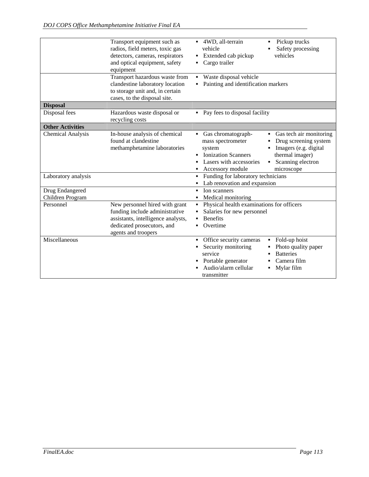|                          | Transport equipment such as<br>radios, field meters, toxic gas<br>detectors, cameras, respirators<br>and optical equipment, safety<br>equipment             | 4WD, all-terrain<br>Pickup trucks<br>٠<br>Safety processing<br>vehicle<br>vehicles<br>Extended cab pickup<br>Cargo trailer                                                                                                                                        |
|--------------------------|-------------------------------------------------------------------------------------------------------------------------------------------------------------|-------------------------------------------------------------------------------------------------------------------------------------------------------------------------------------------------------------------------------------------------------------------|
|                          | Transport hazardous waste from<br>clandestine laboratory location<br>to storage unit and, in certain<br>cases, to the disposal site.                        | Waste disposal vehicle<br>٠<br>Painting and identification markers                                                                                                                                                                                                |
| <b>Disposal</b>          |                                                                                                                                                             |                                                                                                                                                                                                                                                                   |
| Disposal fees            | Hazardous waste disposal or<br>recycling costs                                                                                                              | Pay fees to disposal facility                                                                                                                                                                                                                                     |
| <b>Other Activities</b>  |                                                                                                                                                             |                                                                                                                                                                                                                                                                   |
| <b>Chemical Analysis</b> | In-house analysis of chemical<br>found at clandestine<br>methamphetamine laboratories                                                                       | Gas chromatograph-<br>Gas tech air monitoring<br>Drug screening system<br>mass spectrometer<br>Imagers (e.g. digital<br>system<br><b>Ionization Scanners</b><br>thermal imager)<br>Lasers with accessories<br>Scanning electron<br>microscope<br>Accessory module |
| Laboratory analysis      |                                                                                                                                                             | Funding for laboratory technicians<br>Lab renovation and expansion                                                                                                                                                                                                |
| Drug Endangered          |                                                                                                                                                             | Ion scanners<br>٠                                                                                                                                                                                                                                                 |
| Children Program         |                                                                                                                                                             | Medical monitoring                                                                                                                                                                                                                                                |
| Personnel                | New personnel hired with grant<br>funding include administrative<br>assistants, intelligence analysts,<br>dedicated prosecutors, and<br>agents and troopers | Physical health examinations for officers<br>٠<br>Salaries for new personnel<br><b>Benefits</b><br>Overtime                                                                                                                                                       |
| Miscellaneous            |                                                                                                                                                             | Office security cameras<br>Fold-up hoist<br>Security monitoring<br>Photo quality paper<br><b>Batteries</b><br>service<br>Portable generator<br>Camera film<br>Audio/alarm cellular<br>Mylar film<br>transmitter                                                   |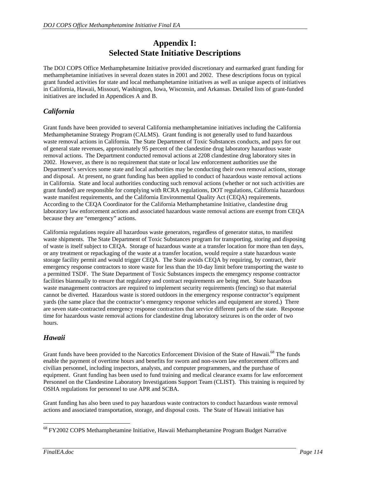# **Appendix I: Selected State Initiative Descriptions**

The DOJ COPS Office Methamphetamine Initiative provided discretionary and earmarked grant funding for methamphetamine initiatives in several dozen states in 2001 and 2002. These descriptions focus on typical grant funded activities for state and local methamphetamine initiatives as well as unique aspects of initiatives in California, Hawaii, Missouri, Washington, Iowa, Wisconsin, and Arkansas. Detailed lists of grant-funded initiatives are included in Appendices A and B.

## *California*

Grant funds have been provided to several California methamphetamine initiatives including the California Methamphetamine Strategy Program (CALMS). Grant funding is not generally used to fund hazardous waste removal actions in California. The State Department of Toxic Substances conducts, and pays for out of general state revenues, approximately 95 percent of the clandestine drug laboratory hazardous waste removal actions. The Department conducted removal actions at 2208 clandestine drug laboratory sites in 2002. However, as there is no requirement that state or local law enforcement authorities use the Department's services some state and local authorities may be conducting their own removal actions, storage and disposal. At present, no grant funding has been applied to conduct of hazardous waste removal actions in California. State and local authorities conducting such removal actions (whether or not such activities are grant funded) are responsible for complying with RCRA regulations, DOT regulations, California hazardous waste manifest requirements, and the California Environmental Quality Act (CEQA) requirements. According to the CEQA Coordinator for the California Methamphetamine Initiative, clandestine drug laboratory law enforcement actions and associated hazardous waste removal actions are exempt from CEQA because they are "emergency" actions.

California regulations require all hazardous waste generators, regardless of generator status, to manifest waste shipments. The State Department of Toxic Substances program for transporting, storing and disposing of waste is itself subject to CEQA. Storage of hazardous waste at a transfer location for more than ten days, or any treatment or repackaging of the waste at a transfer location, would require a state hazardous waste storage facility permit and would trigger CEQA. The State avoids CEQA by requiring, by contract, their emergency response contractors to store waste for less than the 10-day limit before transporting the waste to a permitted TSDF. The State Department of Toxic Substances inspects the emergency response contractor facilities biannually to ensure that regulatory and contract requirements are being met. State hazardous waste management contractors are required to implement security requirements (fencing) so that material cannot be diverted. Hazardous waste is stored outdoors in the emergency response contractor's equipment yards (the same place that the contractor's emergency response vehicles and equipment are stored.) There are seven state-contracted emergency response contractors that service different parts of the state. Response time for hazardous waste removal actions for clandestine drug laboratory seizures is on the order of two hours.

### *Hawaii*

Grant funds have been provided to the Narcotics Enforcement Division of the State of Hawaii.<sup>68</sup> The funds enable the payment of overtime hours and benefits for sworn and non-sworn law enforcement officers and civilian personnel, including inspectors, analysts, and computer programmers, and the purchase of equipment. Grant funding has been used to fund training and medical clearance exams for law enforcement Personnel on the Clandestine Laboratory Investigations Support Team (CLIST). This training is required by OSHA regulations for personnel to use APR and SCBA.

Grant funding has also been used to pay hazardous waste contractors to conduct hazardous waste removal actions and associated transportation, storage, and disposal costs. The State of Hawaii initiative has

<sup>&</sup>lt;sup>68</sup> FY2002 COPS Methamphetamine Initiative, Hawaii Methamphetamine Program Budget Narrative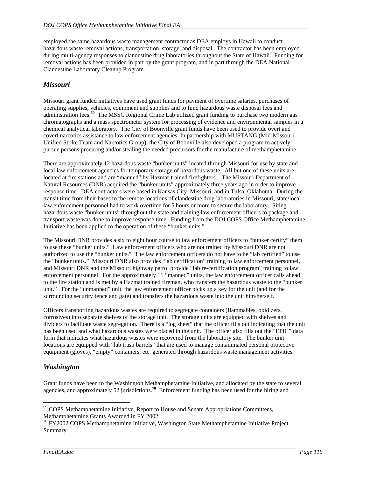employed the same hazardous waste management contractor as DEA employs in Hawaii to conduct hazardous waste removal actions, transportation, storage, and disposal. The contractor has been employed during multi-agency responses to clandestine drug laboratories throughout the State of Hawaii. Funding for removal actions has been provided in part by the grant program, and in part through the DEA National Clandestine Laboratory Cleanup Program.

#### *Missouri*

Missouri grant funded initiatives have used grant funds for payment of overtime salaries, purchases of operating supplies, vehicles, equipment and supplies and to fund hazardous waste disposal fees and administration fees.<sup>69</sup> The MSSC Regional Crime Lab utilized grant funding to purchase two modern gas chromatographs and a mass spectrometer system for processing of evidence and environmental samples in a chemical analytical laboratory. The City of Boonville grant funds have been used to provide overt and covert narcotics assistance to law enforcement agencies. In partnership with MUSTANG (Mid-Missouri Unified Strike Team and Narcotics Group), the City of Boonville also developed a program to actively pursue persons procuring and/or stealing the needed precursors for the manufacture of methamphetamine.

There are approximately 12 hazardous waste "bunker units" located through Missouri for use by state and local law enforcement agencies for temporary storage of hazardous waste. All but one of these units are located at fire stations and are "manned" by Hazmat-trained firefighters. The Missouri Department of Natural Resources (DNR) acquired the "bunker units" approximately three years ago in order to improve response time. DEA contractors were based in Kansas City, Missouri, and in Tulsa, Oklahoma. During the transit time from their bases to the remote locations of clandestine drug laboratories in Missouri, state/local law enforcement personnel had to work overtime for 5 hours or more to secure the laboratory. Siting hazardous waste "bunker units" throughout the state and training law enforcement officers to package and transport waste was done to improve response time. Funding from the DOJ COPS Office Methamphetamine Initiative has been applied to the operation of these "bunker units."

The Missouri DNR provides a six to eight hour course to law enforcement officers to "bunker certify" them to use these "bunker units." Law enforcement officers who are not trained by Missouri DNR are not authorized to use the "bunker units." The law enforcement officers do not have to be "lab certified" to use the "bunker units." Missouri DNR also provides "lab certification" training to law enforcement personnel, and Missouri DNR and the Missouri highway patrol provide "lab re-certification program" training to law enforcement personnel. For the approximately 11 "manned" units, the law enforcement officer calls ahead to the fire station and is met by a Hazmat trained fireman, who transfers the hazardous waste to the "bunker unit." For the "unmanned" unit, the law enforcement officer picks up a key for the unit (and for the surrounding security fence and gate) and transfers the hazardous waste into the unit him/herself.

Officers transporting hazardous wastes are required to segregate containers (flammables, oxidizers, corrosives) into separate shelves of the storage unit. The storage units are equipped with shelves and dividers to facilitate waste segregation. There is a "log sheet" that the officer fills out indicating that the unit has been used and what hazardous wastes were placed in the unit. The officer also fills out the "EPIC" data form that indicates what hazardous wastes were recovered from the laboratory site. The bunker unit locations are equipped with "lab trash barrels" that are used to manage contaminated personal protective equipment (gloves), "empty" containers, etc. generated through hazardous waste management activities.

#### *Washington*

 $\overline{a}$ 

Grant funds have been to the Washington Methamphetamine Initiative, and allocated by the state to several agencies, and approximately 52 jurisdictions.**<sup>70</sup>** Enforcement funding has been used for the hiring and

<sup>69</sup> COPS Methamphetamine Initiative, Report to House and Senate Appropriations Committees, Methamphetamine Grants Awarded in FY 2002.

 $70$  FY2002 COPS Methamphetamine Initiative, Washington State Methamphetamine Initiative Project Summary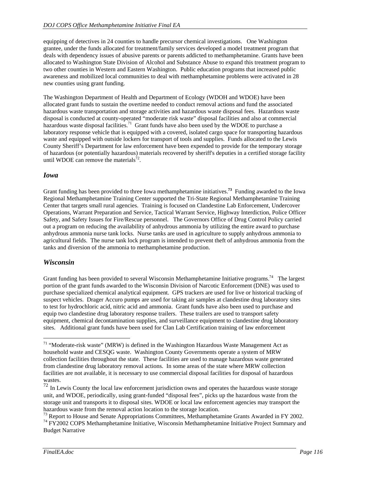equipping of detectives in 24 counties to handle precursor chemical investigations. One Washington grantee, under the funds allocated for treatment/family services developed a model treatment program that deals with dependency issues of abusive parents or parents addicted to methamphetamine. Grants have been allocated to Washington State Division of Alcohol and Substance Abuse to expand this treatment program to two other counties in Western and Eastern Washington. Public education programs that increased public awareness and mobilized local communities to deal with methamphetamine problems were activated in 28 new counties using grant funding.

The Washington Department of Health and Department of Ecology (WDOH and WDOE) have been allocated grant funds to sustain the overtime needed to conduct removal actions and fund the associated hazardous waste transportation and storage activities and hazardous waste disposal fees. Hazardous waste disposal is conducted at county-operated "moderate risk waste" disposal facilities and also at commercial hazardous waste disposal facilities.<sup>71</sup> Grant funds have also been used by the WDOE to purchase a laboratory response vehicle that is equipped with a covered, isolated cargo space for transporting hazardous waste and equipped with outside lockers for transport of tools and supplies. Funds allocated to the Lewis County Sheriff's Department for law enforcement have been expended to provide for the temporary storage of hazardous (or potentially hazardous) materials recovered by sheriff's deputies in a certified storage facility until WDOE can remove the materials $^{72}$ .

#### *Iowa*

Grant funding has been provided to three Iowa methamphetamine initiatives.**<sup>73</sup>** Funding awarded to the Iowa Regional Methamphetamine Training Center supported the Tri-State Regional Methamphetamine Training Center that targets small rural agencies. Training is focused on Clandestine Lab Enforcement, Undercover Operations, Warrant Preparation and Service, Tactical Warrant Service, Highway Interdiction, Police Officer Safety, and Safety Issues for Fire/Rescue personnel. The Governors Office of Drug Control Policy carried out a program on reducing the availability of anhydrous ammonia by utilizing the entire award to purchase anhydrous ammonia nurse tank locks. Nurse tanks are used in agriculture to supply anhydrous ammonia to agricultural fields. The nurse tank lock program is intended to prevent theft of anhydrous ammonia from the tanks and diversion of the ammonia to methamphetamine production.

#### *Wisconsin*

 $\overline{a}$ 

Grant funding has been provided to several Wisconsin Methamphetamine Initiative programs.<sup>74</sup> The largest portion of the grant funds awarded to the Wisconsin Division of Narcotic Enforcement (DNE) was used to purchase specialized chemical analytical equipment. GPS trackers are used for live or historical tracking of suspect vehicles. Drager Accuro pumps are used for taking air samples at clandestine drug laboratory sites to test for hydrochloric acid, nitric acid and ammonia. Grant funds have also been used to purchase and equip two clandestine drug laboratory response trailers. These trailers are used to transport safety equipment, chemical decontamination supplies, and surveillance equipment to clandestine drug laboratory sites. Additional grant funds have been used for Clan Lab Certification training of law enforcement

<sup>&</sup>lt;sup>71</sup> "Moderate-risk waste" (MRW) is defined in the Washington Hazardous Waste Management Act as household waste and CESQG waste. Washington County Governments operate a system of MRW collection facilities throughout the state. These facilities are used to manage hazardous waste generated from clandestine drug laboratory removal actions. In some areas of the state where MRW collection facilities are not available, it is necessary to use commercial disposal facilities for disposal of hazardous wastes.

 $72$  In Lewis County the local law enforcement jurisdiction owns and operates the hazardous waste storage unit, and WDOE, periodically, using grant-funded "disposal fees", picks up the hazardous waste from the storage unit and transports it to disposal sites. WDOE or local law enforcement agencies may transport the hazardous waste from the removal action location to the storage location.<br><sup>73</sup> Report to House and Senate Appropriations Committees, Methamphetamine Grants Awarded in FY 2002.

 $74$  FY 2002 COPS Methamphetamine Initiative, Wisconsin Methamphetamine Initiative Project Summary and Budget Narrative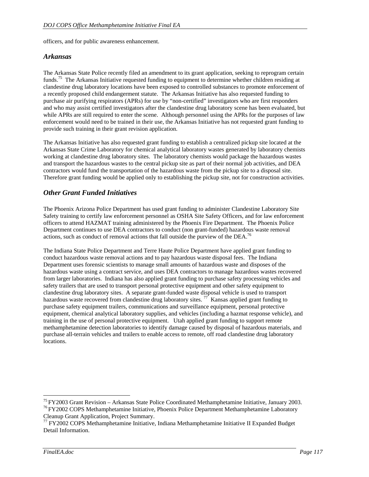officers, and for public awareness enhancement.

#### *Arkansas*

The Arkansas State Police recently filed an amendment to its grant application, seeking to reprogram certain funds.<sup>75</sup> The Arkansas Initiative requested funding to equipment to determine whether children residing at clandestine drug laboratory locations have been exposed to controlled substances to promote enforcement of a recently proposed child endangerment statute. The Arkansas Initiative has also requested funding to purchase air purifying respirators (APRs) for use by "non-certified" investigators who are first responders and who may assist certified investigators after the clandestine drug laboratory scene has been evaluated, but while APRs are still required to enter the scene. Although personnel using the APRs for the purposes of law enforcement would need to be trained in their use, the Arkansas Initiative has not requested grant funding to provide such training in their grant revision application.

The Arkansas Initiative has also requested grant funding to establish a centralized pickup site located at the Arkansas State Crime Laboratory for chemical analytical laboratory wastes generated by laboratory chemists working at clandestine drug laboratory sites. The laboratory chemists would package the hazardous wastes and transport the hazardous wastes to the central pickup site as part of their normal job activities, and DEA contractors would fund the transportation of the hazardous waste from the pickup site to a disposal site. Therefore grant funding would be applied only to establishing the pickup site, not for construction activities.

#### *Other Grant Funded Initiatives*

The Phoenix Arizona Police Department has used grant funding to administer Clandestine Laboratory Site Safety training to certify law enforcement personnel as OSHA Site Safety Officers, and for law enforcement officers to attend HAZMAT training administered by the Phoenix Fire Department. The Phoenix Police Department continues to use DEA contractors to conduct (non grant-funded) hazardous waste removal actions, such as conduct of removal actions that fall outside the purview of the DEA.<sup>76</sup>

The Indiana State Police Department and Terre Haute Police Department have applied grant funding to conduct hazardous waste removal actions and to pay hazardous waste disposal fees. The Indiana Department uses forensic scientists to manage small amounts of hazardous waste and disposes of the hazardous waste using a contract service, and uses DEA contractors to manage hazardous wastes recovered from larger laboratories. Indiana has also applied grant funding to purchase safety processing vehicles and safety trailers that are used to transport personal protective equipment and other safety equipment to clandestine drug laboratory sites. A separate grant-funded waste disposal vehicle is used to transport hazardous waste recovered from clandestine drug laboratory sites.<sup>77</sup> Kansas applied grant funding to purchase safety equipment trailers, communications and surveillance equipment, personal protective equipment, chemical analytical laboratory supplies, and vehicles (including a hazmat response vehicle), and training in the use of personal protective equipment. Utah applied grant funding to support remote methamphetamine detection laboratories to identify damage caused by disposal of hazardous materials, and purchase all-terrain vehicles and trailers to enable access to remote, off road clandestine drug laboratory locations.

<sup>&</sup>lt;sup>75</sup> FY2003 Grant Revision – Arkansas State Police Coordinated Methamphetamine Initiative, January 2003.<br><sup>76</sup> FY2002 COPS Methamphetamine Initiative, Phoenix Police Department Methamphetamine Laboratory

Cleanup Grant Application, Project Summary.

 $77$  FY2002 COPS Methamphetamine Initiative, Indiana Methamphetamine Initiative II Expanded Budget Detail Information.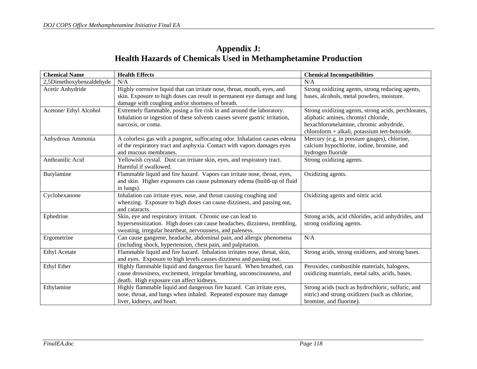| Appendix J:                                                           |
|-----------------------------------------------------------------------|
| <b>Health Hazards of Chemicals Used in Methamphetamine Production</b> |

| <b>Chemical Name</b>     | <b>Health Effects</b>                                                                    | <b>Chemical Incompatibilities</b>                    |
|--------------------------|------------------------------------------------------------------------------------------|------------------------------------------------------|
| 2,5Dimethoxybenzaldehyde | N/A                                                                                      | N/A                                                  |
| Acetic Anhydride         | Highly corrosive liquid that can irritate nose, throat, mouth, eyes, and                 | Strong oxidizing agents, strong reducing agents,     |
|                          | skin. Exposure to high doses can result in permanent eye damage and lung                 | bases, alcohols, metal powders, moisture.            |
|                          | damage with coughing and/or shortness of breath.                                         |                                                      |
| Acetone/ Ethyl Alcohol   | Extremely flammable, posing a fire risk in and around the laboratory.                    | Strong oxidizing agents, strong acids, perchlorates, |
|                          | Inhalation or ingestion of these solvents causes severe gastric irritation,              | aliphatic amines, chromyl chloride,                  |
|                          | narcosis, or coma.                                                                       | hexachloromelamine, chromic anhydride,               |
|                          |                                                                                          | chloroform + alkali, potassium tert-butoxide.        |
| Anhydrous Ammonia        | A colorless gas with a pungent, suffocating odor. Inhalation causes edema                | Mercury (e.g. in pressure gauges), chlorine,         |
|                          | of the respiratory tract and asphyxia. Contact with vapors damages eyes                  | calcium hypochlorite, iodine, bromine, and           |
|                          | and mucous membranes.                                                                    | hydrogen fluoride                                    |
| Anthranilic Acid         | Yellowish crystal. Dust can irritate skin, eyes, and respiratory tract.                  | Strong oxidizing agents.                             |
|                          | Harmful if swallowed.                                                                    |                                                      |
| Butylamine               | Flammable liquid and fire hazard. Vapors can irritate nose, throat, eyes,                | Oxidizing agents.                                    |
|                          | and skin. Higher exposures can cause pulmonary edema (build-up of fluid                  |                                                      |
|                          | in lungs).                                                                               |                                                      |
| Cyclohexanone            | Inhalation can irritate eyes, nose, and throat causing coughing and                      | Oxidizing agents and nitric acid.                    |
|                          | wheezing. Exposure to high doses can cause dizziness, and passing out,<br>and cataracts. |                                                      |
| Ephedrine                | Skin, eye and respiratory irritant. Chronic use can lead to                              | Strong acids, acid chlorides, acid anhydrides, and   |
|                          | hypersensitization. High doses can cause headaches, dizziness, trembling,                | strong oxidizing agents.                             |
|                          | sweating, irregular heartbeat, nervousness, and paleness.                                |                                                      |
| Ergometrine              | Can cause gangrene, headache, abdominal pain, and allergic phenomena                     | N/A                                                  |
|                          | (including shock, hypertension, chest pain, and palpitation.                             |                                                      |
| <b>Ethyl Acetate</b>     | Flammable liquid and fire hazard. Inhalation irritates nose, throat, skin,               | Strong acids, strong oxidizers, and strong bases.    |
|                          | and eyes. Exposure to high levels causes dizziness and passing out.                      |                                                      |
| <b>Ethyl Ether</b>       | Highly flammable liquid and dangerous fire hazard. When breathed, can                    | Peroxides, combustible materials, halogens,          |
|                          | cause drowsiness, excitement, irregular breathing, unconsciousness, and                  | oxidizing materials, metal salts, acids, bases.      |
|                          | death. High exposure can affect kidneys.                                                 |                                                      |
| Ethylamine               | Highly flammable liquid and dangerous fire hazard. Can irritate eyes,                    | Strong acids (such as hydrochloric, sulfuric, and    |
|                          | nose, throat, and lungs when inhaled. Repeated exposure may damage                       | nitric) and strong oxidizers (such as chlorine,      |
|                          | liver, kidneys, and heart.                                                               | bromine, and fluorine).                              |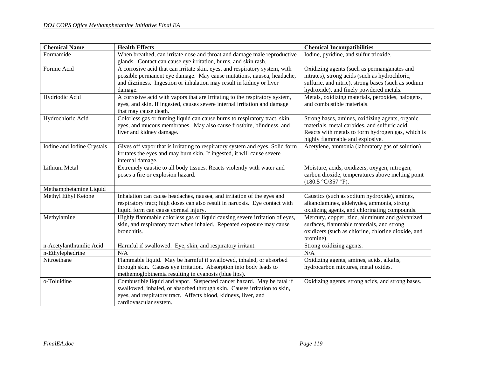| <b>Chemical Name</b>       | <b>Health Effects</b>                                                                                                                                                                                                                           | <b>Chemical Incompatibilities</b>                                                                                                                                                               |
|----------------------------|-------------------------------------------------------------------------------------------------------------------------------------------------------------------------------------------------------------------------------------------------|-------------------------------------------------------------------------------------------------------------------------------------------------------------------------------------------------|
| Formamide                  | When breathed, can irritate nose and throat and damage male reproductive<br>glands. Contact can cause eye irritation, burns, and skin rash.                                                                                                     | Iodine, pyridine, and sulfur trioxide.                                                                                                                                                          |
| Formic Acid                | A corrosive acid that can irritate skin, eyes, and respiratory system, with<br>possible permanent eye damage. May cause mutations, nausea, headache,<br>and dizziness. Ingestion or inhalation may result in kidney or liver<br>damage.         | Oxidizing agents (such as permanganates and<br>nitrates), strong acids (such as hydrochloric,<br>sulfuric, and nitric), strong bases (such as sodium<br>hydroxide), and finely powdered metals. |
| Hydriodic Acid             | A corrosive acid with vapors that are irritating to the respiratory system,<br>eyes, and skin. If ingested, causes severe internal irritation and damage<br>that may cause death.                                                               | Metals, oxidizing materials, peroxides, halogens,<br>and combustible materials.                                                                                                                 |
| Hydrochloric Acid          | Colorless gas or fuming liquid can cause burns to respiratory tract, skin,<br>eyes, and mucous membranes. May also cause frostbite, blindness, and<br>liver and kidney damage.                                                                  | Strong bases, amines, oxidizing agents, organic<br>materials, metal carbides, and sulfuric acid.<br>Reacts with metals to form hydrogen gas, which is<br>highly flammable and explosive.        |
| Iodine and Iodine Crystals | Gives off vapor that is irritating to respiratory system and eyes. Solid form<br>irritates the eyes and may burn skin. If ingested, it will cause severe<br>internal damage.                                                                    | Acetylene, ammonia (laboratory gas of solution)                                                                                                                                                 |
| Lithium Metal              | Extremely caustic to all body tissues. Reacts violently with water and<br>poses a fire or explosion hazard.                                                                                                                                     | Moisture, acids, oxidizers, oxygen, nitrogen,<br>carbon dioxide, temperatures above melting point<br>$(180.5 °C/357 °F)$ .                                                                      |
| Methamphetamine Liquid     |                                                                                                                                                                                                                                                 |                                                                                                                                                                                                 |
| Methyl Ethyl Ketone        | Inhalation can cause headaches, nausea, and irritation of the eyes and<br>respiratory tract; high doses can also result in narcosis. Eye contact with<br>liquid form can cause corneal injury.                                                  | Caustics (such as sodium hydroxide), amines,<br>alkanolamines, aldehydes, ammonia, strong<br>oxidizing agents, and chlorinating compounds.                                                      |
| Methylamine                | Highly flammable colorless gas or liquid causing severe irritation of eyes,<br>skin, and respiratory tract when inhaled. Repeated exposure may cause<br>bronchitis.                                                                             | Mercury, copper, zinc, aluminum and galvanized<br>surfaces, flammable materials, and strong<br>oxidizers (such as chlorine, chlorine dioxide, and<br>bromine).                                  |
| n-Acetylanthranilic Acid   | Harmful if swallowed. Eye, skin, and respiratory irritant.                                                                                                                                                                                      | Strong oxidizing agents.                                                                                                                                                                        |
| n-Ethylephedrine           | N/A                                                                                                                                                                                                                                             | N/A                                                                                                                                                                                             |
| Nitroethane                | Flammable liquid. May be harmful if swallowed, inhaled, or absorbed<br>through skin. Causes eye irritation. Absorption into body leads to<br>methemoglobinemia resulting in cyanosis (blue lips).                                               | Oxidizing agents, amines, acids, alkalis,<br>hydrocarbon mixtures, metal oxides.                                                                                                                |
| o-Toluidine                | Combustible liquid and vapor. Suspected cancer hazard. May be fatal if<br>swallowed, inhaled, or absorbed through skin. Causes irritation to skin,<br>eyes, and respiratory tract. Affects blood, kidneys, liver, and<br>cardiovascular system. | Oxidizing agents, strong acids, and strong bases.                                                                                                                                               |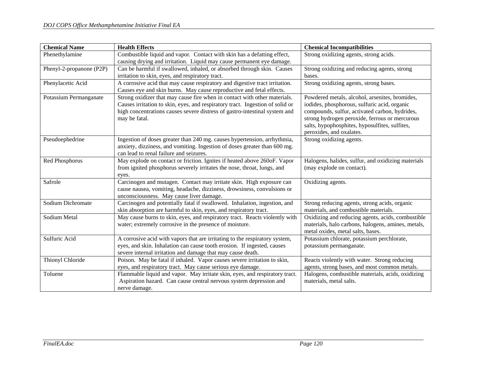| <b>Chemical Name</b>     | <b>Health Effects</b>                                                                                                                                                                                                                                     | <b>Chemical Incompatibilities</b>                                                                                                                                                                                                                                                |
|--------------------------|-----------------------------------------------------------------------------------------------------------------------------------------------------------------------------------------------------------------------------------------------------------|----------------------------------------------------------------------------------------------------------------------------------------------------------------------------------------------------------------------------------------------------------------------------------|
| Phenethylamine           | Combustible liquid and vapor. Contact with skin has a defatting effect,<br>causing drying and irritation. Liquid may cause permanent eye damage.                                                                                                          | Strong oxidizing agents, strong acids.                                                                                                                                                                                                                                           |
| Phenyl-2-propanone (P2P) | Can be harmful if swallowed, inhaled, or absorbed through skin. Causes<br>irritation to skin, eyes, and respiratory tract.                                                                                                                                | Strong oxidizing and reducing agents, strong<br>bases.                                                                                                                                                                                                                           |
| Phenylacetic Acid        | A corrosive acid that may cause respiratory and digestive tract irritation.<br>Causes eye and skin burns. May cause reproductive and fetal effects.                                                                                                       | Strong oxidizing agents, strong bases.                                                                                                                                                                                                                                           |
| Potassium Permanganate   | Strong oxidizer that may cause fire when in contact with other materials.<br>Causes irritation to skin, eyes, and respiratory tract. Ingestion of solid or<br>high concentrations causes severe distress of gastro-intestinal system and<br>may be fatal. | Powdered metals, alcohol, arsenites, bromides,<br>iodides, phosphorous, sulfuric acid, organic<br>compounds, sulfur, activated carbon, hydrides,<br>strong hydrogen peroxide, ferrous or mercurous<br>salts, hypophosphites, hyposulfites, sulfites,<br>peroxides, and oxalates. |
| Pseudoephedrine          | Ingestion of doses greater than 240 mg. causes hypertension, arrhythmia,<br>anxiety, dizziness, and vomiting. Ingestion of doses greater than 600 mg.<br>can lead to renal failure and seizures.                                                          | Strong oxidizing agents.                                                                                                                                                                                                                                                         |
| Red Phosphorus           | May explode on contact or friction. Ignites if heated above 260oF. Vapor<br>from ignited phosphorus severely irritates the nose, throat, lungs, and<br>eyes.                                                                                              | Halogens, halides, sulfur, and oxidizing materials<br>(may explode on contact).                                                                                                                                                                                                  |
| Safrole                  | Carcinogen and mutagen. Contact may irritate skin. High exposure can<br>cause nausea, vomiting, headache, dizziness, drowsiness, convulsions or<br>unconsciousness. May cause liver damage.                                                               | Oxidizing agents.                                                                                                                                                                                                                                                                |
| Sodium Dichromate        | Carcinogen and potentially fatal if swallowed. Inhalation, ingestion, and<br>skin absorption are harmful to skin, eyes, and respiratory tract.                                                                                                            | Strong reducing agents, strong acids, organic<br>materials, and combustible materials.                                                                                                                                                                                           |
| Sodium Metal             | May cause burns to skin, eyes, and respiratory tract. Reacts violently with<br>water; extremely corrosive in the presence of moisture.                                                                                                                    | Oxidizing and reducing agents, acids, combustible<br>materials, halo carbons, halogens, amines, metals,<br>metal oxides, metal salts, bases.                                                                                                                                     |
| Sulfuric Acid            | A corrosive acid with vapors that are irritating to the respiratory system,<br>eyes, and skin. Inhalation can cause tooth erosion. If ingested, causes<br>severe internal irritation and damage that may cause death.                                     | Potassium chlorate, potassium perchlorate,<br>potassium permanganate.                                                                                                                                                                                                            |
| Thionyl Chloride         | Poison. May be fatal if inhaled. Vapor causes severe irritation to skin,<br>eyes, and respiratory tract. May cause serious eye damage.                                                                                                                    | Reacts violently with water. Strong reducing<br>agents, strong bases, and most common metals.                                                                                                                                                                                    |
| Toluene                  | Flammable liquid and vapor. May irritate skin, eyes, and respiratory tract.<br>Aspiration hazard. Can cause central nervous system depression and<br>nerve damage.                                                                                        | Halogens, combustible materials, acids, oxidizing<br>materials, metal salts.                                                                                                                                                                                                     |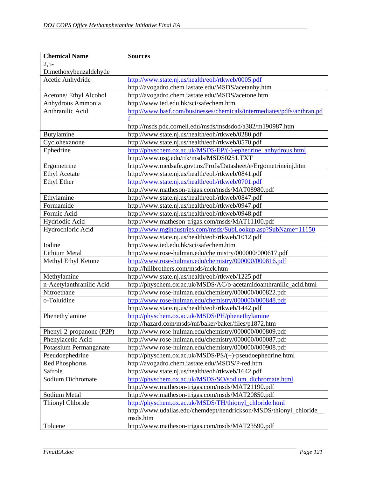| <b>Chemical Name</b>     | <b>Sources</b>                                                         |
|--------------------------|------------------------------------------------------------------------|
| $2,5-$                   |                                                                        |
| Dimethoxybenzaldehyde    |                                                                        |
| Acetic Anhydride         | http://www.state.nj.us/health/eoh/rtkweb/0005.pdf                      |
|                          | http://avogadro.chem.iastate.edu/MSDS/acetanhy.htm                     |
| Acetone/ Ethyl Alcohol   | http://avogadro.chem.iastate.edu/MSDS/acetone.htm                      |
| Anhydrous Ammonia        | http://www.ied.edu.hk/sci/safechem.htm                                 |
| Anthranilic Acid         | http://www.basf.com/businesses/chemicals/intermediates/pdfs/anthran.pd |
|                          |                                                                        |
|                          | http://msds.pdc.cornell.edu/msds/msdsdod/a382/m190987.htm              |
| Butylamine               | http://www.state.nj.us/health/eoh/rtkweb/0280.pdf                      |
| Cyclohexanone            | http://www.state.nj.us/health/eoh/rtkweb/0570.pdf                      |
| Ephedrine                | http://physchem.ox.ac.uk/MSDS/EP/(-)-ephedrine_anhydrous.html          |
|                          | http://www.usg.edu/rtk/msds/MSDS0251.TXT                               |
| Ergometrine              | http://www.medsafe.govt.nz/Profs/Datasheet/e/Ergometrineinj.htm        |
| <b>Ethyl Acetate</b>     | http://www.state.nj.us/health/eoh/rtkweb/0841.pdf                      |
| <b>Ethyl Ether</b>       | http://www.state.nj.us/health/eoh/rtkweb/0701.pdf                      |
|                          | http://www.matheson-trigas.com/msds/MAT08980.pdf                       |
| Ethylamine               | http://www.state.nj.us/health/eoh/rtkweb/0847.pdf                      |
| Formamide                | http://www.state.nj.us/health/eoh/rtkweb/0947.pdf                      |
| Formic Acid              | http://www.state.nj.us/health/eoh/rtkweb/0948.pdf                      |
| Hydriodic Acid           | http://www.matheson-trigas.com/msds/MAT11100.pdf                       |
| Hydrochloric Acid        | http://www.mgindustries.com/msds/SubLookup.asp?SubName=11150           |
|                          | http://www.state.nj.us/health/eoh/rtkweb/1012.pdf                      |
| Iodine                   | http://www.ied.edu.hk/sci/safechem.htm                                 |
| <b>Lithium Metal</b>     | http://www.rose-hulman.edu/che mistry/000000/000617.pdf                |
| Methyl Ethyl Ketone      | http://www.rose-hulman.edu/chemistry/000000/000816.pdf                 |
|                          | http://hillbrothers.com/msds/mek.htm                                   |
| Methylamine              | http://www.state.nj.us/health/eoh/rtkweb/1225.pdf                      |
| n-Acetylanthranilic Acid | http://physchem.ox.ac.uk/MSDS/AC/o-acetamidoanthranilic_acid.html      |
| Nitroethane              | http://www.rose-hulman.edu/chemistry/000000/000822.pdf                 |
| o-Toluidine              | http://www.rose-hulman.edu/chemistry/000000/000848.pdf                 |
|                          | http://www.state.nj.us/health/eoh/rtkweb/1442.pdf                      |
| Phenethylamine           | http://physchem.ox.ac.uk/MSDS/PH/phenethylamine                        |
|                          | http://hazard.com/msds/mf/baker/baker/files/p1872.htm                  |
| Phenyl-2-propanone (P2P) | http://www.rose-hulman.edu/chemistry/000000/000809.pdf                 |
| Phenylacetic Acid        | http://www.rose-hulman.edu/chemistry/000000/000087.pdf                 |
| Potassium Permanganate   | http://www.rose-hulman.edu/chemistry/000000/000908.pdf                 |
| Pseudoephedrine          | http://physchem.ox.ac.uk/MSDS/PS/(+)-pseudoephedrine.html              |
| Red Phosphorus           | http://avogadro.chem.iastate.edu/MSDS/P-red.htm                        |
| Safrole                  | http://www.state.nj.us/health/eoh/rtkweb/1642.pdf                      |
| Sodium Dichromate        | http://physchem.ox.ac.uk/MSDS/SO/sodium_dichromate.html                |
|                          | http://www.matheson-trigas.com/msds/MAT21190.pdf                       |
| Sodium Metal             | http://www.matheson-trigas.com/msds/MAT20850.pdf                       |
| Thionyl Chloride         | http://physchem.ox.ac.uk/MSDS/TH/thionyl_chloride.html                 |
|                          | http://www.udallas.edu/chemdept/hendrickson/MSDS/thionyl_chloride_     |
|                          | msds.htm                                                               |
| Toluene                  | http://www.matheson-trigas.com/msds/MAT23590.pdf                       |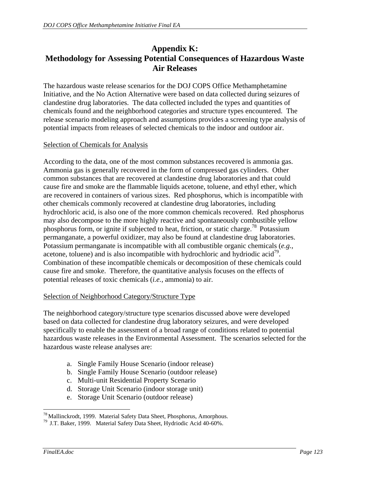# **Appendix K: Methodology for Assessing Potential Consequences of Hazardous Waste Air Releases**

The hazardous waste release scenarios for the DOJ COPS Office Methamphetamine Initiative, and the No Action Alternative were based on data collected during seizures of clandestine drug laboratories. The data collected included the types and quantities of chemicals found and the neighborhood categories and structure types encountered. The release scenario modeling approach and assumptions provides a screening type analysis of potential impacts from releases of selected chemicals to the indoor and outdoor air.

### Selection of Chemicals for Analysis

According to the data, one of the most common substances recovered is ammonia gas. Ammonia gas is generally recovered in the form of compressed gas cylinders. Other common substances that are recovered at clandestine drug laboratories and that could cause fire and smoke are the flammable liquids acetone, toluene, and ethyl ether, which are recovered in containers of various sizes. Red phosphorus, which is incompatible with other chemicals commonly recovered at clandestine drug laboratories, including hydrochloric acid, is also one of the more common chemicals recovered. Red phosphorus may also decompose to the more highly reactive and spontaneously combustible yellow phosphorus form, or ignite if subjected to heat, friction, or static charge.<sup>78</sup> Potassium permanganate, a powerful oxidizer, may also be found at clandestine drug laboratories. Potassium permanganate is incompatible with all combustible organic chemicals (*e.g.,* acetone, toluene) and is also incompatible with hydrochloric and hydriodic acid<sup>79</sup>. Combination of these incompatible chemicals or decomposition of these chemicals could cause fire and smoke. Therefore, the quantitative analysis focuses on the effects of potential releases of toxic chemicals (*i.e.,* ammonia) to air.

### Selection of Neighborhood Category/Structure Type

The neighborhood category/structure type scenarios discussed above were developed based on data collected for clandestine drug laboratory seizures, and were developed specifically to enable the assessment of a broad range of conditions related to potential hazardous waste releases in the Environmental Assessment. The scenarios selected for the hazardous waste release analyses are:

- a. Single Family House Scenario (indoor release)
- b. Single Family House Scenario (outdoor release)
- c. Multi-unit Residential Property Scenario
- d. Storage Unit Scenario (indoor storage unit)
- e. Storage Unit Scenario (outdoor release)

 $\overline{a}$ <sup>78</sup> Mallinckrodt, 1999. Material Safety Data Sheet, Phosphorus, Amorphous. <sup>79</sup> J.T. Baker, 1999. Material Safety Data Sheet, Hydriodic Acid 40-60%.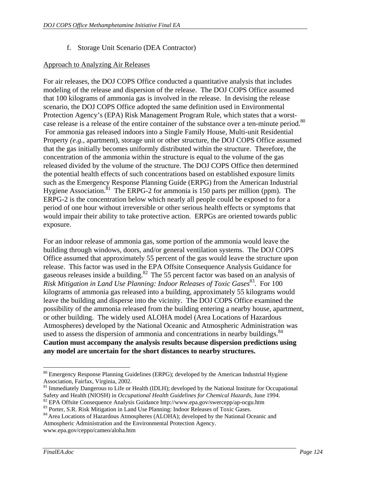f. Storage Unit Scenario (DEA Contractor)

### Approach to Analyzing Air Releases

For air releases, the DOJ COPS Office conducted a quantitative analysis that includes modeling of the release and dispersion of the release. The DOJ COPS Office assumed that 100 kilograms of ammonia gas is involved in the release. In devising the release scenario, the DOJ COPS Office adopted the same definition used in Environmental Protection Agency's (EPA) Risk Management Program Rule, which states that a worstcase release is a release of the entire container of the substance over a ten-minute period.<sup>80</sup> For ammonia gas released indoors into a Single Family House, Multi-unit Residential Property *(e.g.,* apartment), storage unit or other structure, the DOJ COPS Office assumed that the gas initially becomes uniformly distributed within the structure. Therefore, the concentration of the ammonia within the structure is equal to the volume of the gas released divided by the volume of the structure. The DOJ COPS Office then determined the potential health effects of such concentrations based on established exposure limits such as the Emergency Response Planning Guide (ERPG) from the American Industrial Hygiene Association.<sup>81</sup> The ERPG-2 for ammonia is 150 parts per million (ppm). The ERPG-2 is the concentration below which nearly all people could be exposed to for a period of one hour without irreversible or other serious health effects or symptoms that would impair their ability to take protective action. ERPGs are oriented towards public exposure.

For an indoor release of ammonia gas, some portion of the ammonia would leave the building through windows, doors, and/or general ventilation systems. The DOJ COPS Office assumed that approximately 55 percent of the gas would leave the structure upon release. This factor was used in the EPA Offsite Consequence Analysis Guidance for gaseous releases inside a building.<sup>82</sup> The 55 percent factor was based on an analysis of *Risk Mitigation in Land Use Planning: Indoor Releases of Toxic Gases*<sup>83</sup>. For 100 kilograms of ammonia gas released into a building, approximately 55 kilograms would leave the building and disperse into the vicinity. The DOJ COPS Office examined the possibility of the ammonia released from the building entering a nearby house, apartment, or other building. The widely used ALOHA model (Area Locations of Hazardous Atmospheres) developed by the National Oceanic and Atmospheric Administration was used to assess the dispersion of ammonia and concentrations in nearby buildings.<sup>84</sup> **Caution must accompany the analysis results because dispersion predictions using any model are uncertain for the short distances to nearby structures.** 

<sup>&</sup>lt;sup>80</sup> Emergency Response Planning Guidelines (ERPG); developed by the American Industrial Hygiene Association, Fairfax, Virginia, 2002.

<sup>&</sup>lt;sup>81</sup> Immediately Dangerous to Life or Health (IDLH); developed by the National Institute for Occupational

Safety and Health (NIOSH) in *Occupational Health Guidelines for Chemical Hazards*, June 1994.<br><sup>82</sup> EPA Offsite Consequence Analysis Guidance http://www.epa.gov/swercepp/ap-ocgu.htm<br><sup>83</sup> Porter, S.R. Risk Mitigation in Lan

<sup>&</sup>lt;sup>84</sup> Area Locations of Hazardous Atmospheres (ALOHA); developed by the National Oceanic and Atmospheric Administration and the Environmental Protection Agency.

www.epa.gov/ceppo/cameo/aloha.htm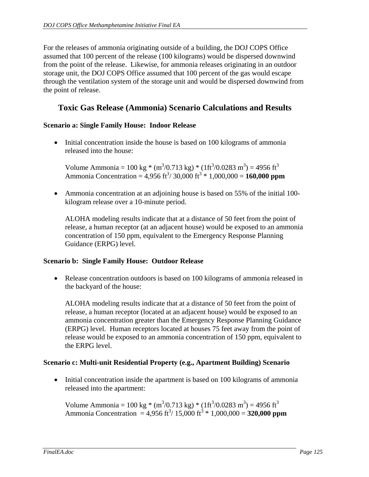For the releases of ammonia originating outside of a building, the DOJ COPS Office assumed that 100 percent of the release (100 kilograms) would be dispersed downwind from the point of the release. Likewise, for ammonia releases originating in an outdoor storage unit, the DOJ COPS Office assumed that 100 percent of the gas would escape through the ventilation system of the storage unit and would be dispersed downwind from the point of release.

## **Toxic Gas Release (Ammonia) Scenario Calculations and Results**

### **Scenario a: Single Family House: Indoor Release**

• Initial concentration inside the house is based on 100 kilograms of ammonia released into the house:

Volume Ammonia = 100 kg  $*(m^3/0.713 \text{ kg}) * (1 \text{ ft}^3/0.0283 \text{ m}^3) = 4956 \text{ ft}^3$ Ammonia Concentration =  $4,956$  ft<sup>3</sup>/30,000 ft<sup>3</sup>  $*$  1,000,000 = **160,000 ppm** 

• Ammonia concentration at an adjoining house is based on 55% of the initial 100 kilogram release over a 10-minute period.

ALOHA modeling results indicate that at a distance of 50 feet from the point of release, a human receptor (at an adjacent house) would be exposed to an ammonia concentration of 150 ppm, equivalent to the Emergency Response Planning Guidance (ERPG) level.

### **Scenario b: Single Family House: Outdoor Release**

• Release concentration outdoors is based on 100 kilograms of ammonia released in the backyard of the house:

ALOHA modeling results indicate that at a distance of 50 feet from the point of release, a human receptor (located at an adjacent house) would be exposed to an ammonia concentration greater than the Emergency Response Planning Guidance (ERPG) level. Human receptors located at houses 75 feet away from the point of release would be exposed to an ammonia concentration of 150 ppm, equivalent to the ERPG level.

## **Scenario c: Multi-unit Residential Property (e.g., Apartment Building) Scenario**

• Initial concentration inside the apartment is based on 100 kilograms of ammonia released into the apartment:

Volume Ammonia = 100 kg  $*(m^3/0.713 \text{ kg}) * (1 \text{ ft}^3/0.0283 \text{ m}^3) = 4956 \text{ ft}^3$ Ammonia Concentration =  $4,956$  ft<sup>3</sup>/ 15,000 ft<sup>3</sup>  $*$  1,000,000 = **320,000 ppm**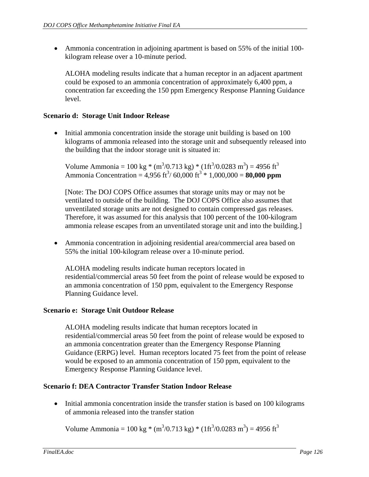• Ammonia concentration in adjoining apartment is based on 55% of the initial 100kilogram release over a 10-minute period.

ALOHA modeling results indicate that a human receptor in an adjacent apartment could be exposed to an ammonia concentration of approximately 6,400 ppm, a concentration far exceeding the 150 ppm Emergency Response Planning Guidance level.

### **Scenario d: Storage Unit Indoor Release**

• Initial ammonia concentration inside the storage unit building is based on 100 kilograms of ammonia released into the storage unit and subsequently released into the building that the indoor storage unit is situated in:

Volume Ammonia = 100 kg  $*(m^3/0.713 \text{ kg}) * (1 \text{ ft}^3/0.0283 \text{ m}^3) = 4956 \text{ ft}^3$ Ammonia Concentration =  $4,956$  ft<sup>3</sup>/60,000 ft<sup>3</sup> \* 1,000,000 = **80,000 ppm** 

 [Note: The DOJ COPS Office assumes that storage units may or may not be ventilated to outside of the building. The DOJ COPS Office also assumes that unventilated storage units are not designed to contain compressed gas releases. Therefore, it was assumed for this analysis that 100 percent of the 100-kilogram ammonia release escapes from an unventilated storage unit and into the building.]

• Ammonia concentration in adjoining residential area/commercial area based on 55% the initial 100-kilogram release over a 10-minute period.

ALOHA modeling results indicate human receptors located in residential/commercial areas 50 feet from the point of release would be exposed to an ammonia concentration of 150 ppm, equivalent to the Emergency Response Planning Guidance level.

#### **Scenario e: Storage Unit Outdoor Release**

ALOHA modeling results indicate that human receptors located in residential/commercial areas 50 feet from the point of release would be exposed to an ammonia concentration greater than the Emergency Response Planning Guidance (ERPG) level. Human receptors located 75 feet from the point of release would be exposed to an ammonia concentration of 150 ppm, equivalent to the Emergency Response Planning Guidance level.

### **Scenario f: DEA Contractor Transfer Station Indoor Release**

• Initial ammonia concentration inside the transfer station is based on 100 kilograms of ammonia released into the transfer station

Volume Ammonia = 100 kg  $*(m^3/0.713 \text{ kg}) * (1 \text{ ft}^3/0.0283 \text{ m}^3) = 4956 \text{ ft}^3$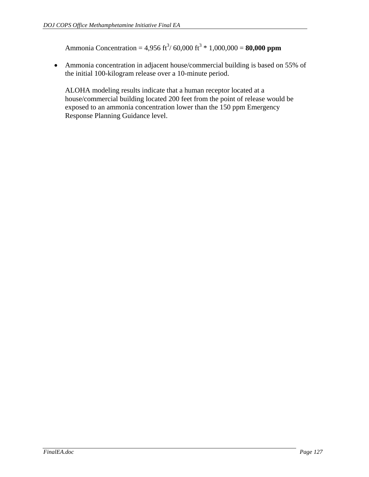Ammonia Concentration =  $4,956$  ft<sup>3</sup>/60,000 ft<sup>3</sup>  $*$  1,000,000 = **80,000 ppm** 

• Ammonia concentration in adjacent house/commercial building is based on 55% of the initial 100-kilogram release over a 10-minute period.

ALOHA modeling results indicate that a human receptor located at a house/commercial building located 200 feet from the point of release would be exposed to an ammonia concentration lower than the 150 ppm Emergency Response Planning Guidance level.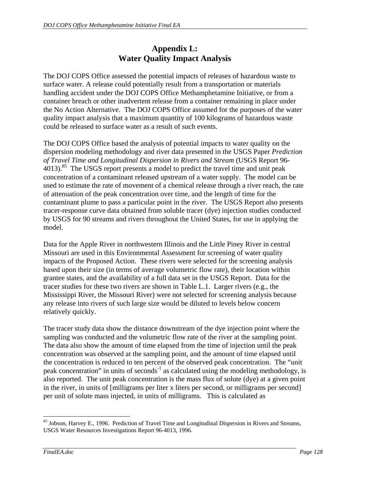# **Appendix L: Water Quality Impact Analysis**

The DOJ COPS Office assessed the potential impacts of releases of hazardous waste to surface water. A release could potentially result from a transportation or materials handling accident under the DOJ COPS Office Methamphetamine Initiative, or from a container breach or other inadvertent release from a container remaining in place under the No Action Alternative. The DOJ COPS Office assumed for the purposes of the water quality impact analysis that a maximum quantity of 100 kilograms of hazardous waste could be released to surface water as a result of such events.

The DOJ COPS Office based the analysis of potential impacts to water quality on the dispersion modeling methodology and river data presented in the USGS Paper *Prediction of Travel Time and Longitudinal Dispersion in Rivers and Stream* (USGS Report 96- 4013).<sup>85</sup> The USGS report presents a model to predict the travel time and unit peak concentration of a contaminant released upstream of a water supply. The model can be used to estimate the rate of movement of a chemical release through a river reach, the rate of attenuation of the peak concentration over time, and the length of time for the contaminant plume to pass a particular point in the river. The USGS Report also presents tracer-response curve data obtained from soluble tracer (dye) injection studies conducted by USGS for 90 streams and rivers throughout the United States, for use in applying the model.

Data for the Apple River in northwestern Illinois and the Little Piney River in central Missouri are used in this Environmental Assessment for screening of water quality impacts of the Proposed Action. These rivers were selected for the screening analysis based upon their size (in terms of average volumetric flow rate), their location within grantee states, and the availability of a full data set in the USGS Report. Data for the tracer studies for these two rivers are shown in Table L.1. Larger rivers (e.g., the Mississippi River, the Missouri River) were not selected for screening analysis because any release into rivers of such large size would be diluted to levels below concern relatively quickly.

The tracer study data show the distance downstream of the dye injection point where the sampling was conducted and the volumetric flow rate of the river at the sampling point. The data also show the amount of time elapsed from the time of injection until the peak concentration was observed at the sampling point, and the amount of time elapsed until the concentration is reduced to ten percent of the observed peak concentration. The "unit peak concentration" in units of seconds $^{-1}$  as calculated using the modeling methodology, is also reported. The unit peak concentration is the mass flux of solute (dye) at a given point in the river, in units of [milligrams per liter x liters per second, or milligrams per second] per unit of solute mass injected, in units of milligrams. This is calculated as

<sup>&</sup>lt;sup>85</sup> Jobson, Harvey E., 1996. Prediction of Travel Time and Longitudinal Dispersion in Rivers and Streams, USGS Water Resources Investigations Report 96-4013, 1996.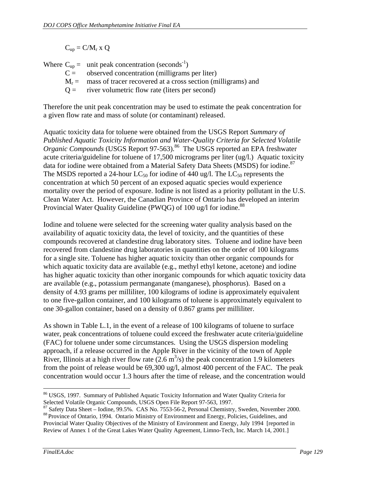$C_{\rm up} = C/M_{\rm r}$  x Q

Where  $C_{\text{un}} =$  unit peak concentration (seconds<sup>-1</sup>)

- $C =$  observed concentration (milligrams per liter)
- $M_r$  = mass of tracer recovered at a cross section (milligrams) and

 $Q =$  river volumetric flow rate (liters per second)

Therefore the unit peak concentration may be used to estimate the peak concentration for a given flow rate and mass of solute (or contaminant) released.

Aquatic toxicity data for toluene were obtained from the USGS Report *Summary of Published Aquatic Toxicity Information and Water-Quality Criteria for Selected Volatile Organic Compounds* (USGS Report 97-563).<sup>86</sup> The USGS reported an EPA freshwater acute criteria/guideline for toluene of 17,500 micrograms per liter (ug/l.) Aquatic toxicity data for iodine were obtained from a Material Safety Data Sheets (MSDS) for iodine.<sup>87</sup> The MSDS reported a 24-hour LC<sub>50</sub> for iodine of 440 ug/l. The LC<sub>50</sub> represents the concentration at which 50 percent of an exposed aquatic species would experience mortality over the period of exposure. Iodine is not listed as a priority pollutant in the U.S. Clean Water Act. However, the Canadian Province of Ontario has developed an interim Provincial Water Quality Guideline (PWQG) of 100 ug/l for iodine.<sup>88</sup>

Iodine and toluene were selected for the screening water quality analysis based on the availability of aquatic toxicity data, the level of toxicity, and the quantities of these compounds recovered at clandestine drug laboratory sites. Toluene and iodine have been recovered from clandestine drug laboratories in quantities on the order of 100 kilograms for a single site. Toluene has higher aquatic toxicity than other organic compounds for which aquatic toxicity data are available (e.g., methyl ethyl ketone, acetone) and iodine has higher aquatic toxicity than other inorganic compounds for which aquatic toxicity data are available (e.g., potassium permanganate (manganese), phosphorus). Based on a density of 4.93 grams per milliliter, 100 kilograms of iodine is approximately equivalent to one five-gallon container, and 100 kilograms of toluene is approximately equivalent to one 30-gallon container, based on a density of 0.867 grams per milliliter.

As shown in Table L.1, in the event of a release of 100 kilograms of toluene to surface water, peak concentrations of toluene could exceed the freshwater acute criteria/guideline (FAC) for toluene under some circumstances. Using the USGS dispersion modeling approach, if a release occurred in the Apple River in the vicinity of the town of Apple River, Illinois at a high river flow rate  $(2.6 \text{ m}^3/\text{s})$  the peak concentration 1.9 kilometers from the point of release would be 69,300 ug/l, almost 400 percent of the FAC. The peak concentration would occur 1.3 hours after the time of release, and the concentration would

 $\overline{a}$ 86 USGS, 1997. Summary of Published Aquatic Toxicity Information and Water Quality Criteria for

Selected Volatile Organic Compounds, USGS Open File Report 97-563, 1997.<br><sup>87</sup> Safety Data Sheet – Iodine, 99.5%. CAS No. 7553-56-2, Personal Chemistry, Sweden, November 2000.<br><sup>88</sup> Province of Ontario, 1994. Ontario Ministr

Provincial Water Quality Objectives of the Ministry of Environment and Energy, July 1994 [reported in Review of Annex 1 of the Great Lakes Water Quality Agreement, Limno-Tech, Inc. March 14, 2001.]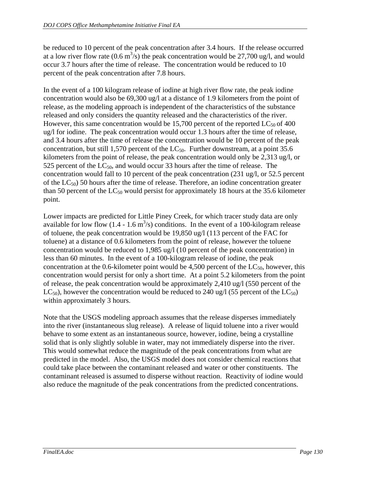be reduced to 10 percent of the peak concentration after 3.4 hours. If the release occurred at a low river flow rate  $(0.6 \text{ m}^3/\text{s})$  the peak concentration would be 27,700 ug/l, and would occur 3.7 hours after the time of release. The concentration would be reduced to 10 percent of the peak concentration after 7.8 hours.

In the event of a 100 kilogram release of iodine at high river flow rate, the peak iodine concentration would also be 69,300 ug/l at a distance of 1.9 kilometers from the point of release, as the modeling approach is independent of the characteristics of the substance released and only considers the quantity released and the characteristics of the river. However, this same concentration would be 15,700 percent of the reported  $LC_{50}$  of 400 ug/l for iodine. The peak concentration would occur 1.3 hours after the time of release, and 3.4 hours after the time of release the concentration would be 10 percent of the peak concentration, but still 1,570 percent of the  $LC_{50}$ . Further downstream, at a point 35.6 kilometers from the point of release, the peak concentration would only be 2,313 ug/l, or 525 percent of the  $LC_{50}$ , and would occur 33 hours after the time of release. The concentration would fall to 10 percent of the peak concentration (231 ug/l, or 52.5 percent of the  $LC_{50}$ ) 50 hours after the time of release. Therefore, an iodine concentration greater than 50 percent of the  $LC_{50}$  would persist for approximately 18 hours at the 35.6 kilometer point.

Lower impacts are predicted for Little Piney Creek, for which tracer study data are only available for low flow  $(1.4 - 1.6 \text{ m}^3/\text{s})$  conditions. In the event of a 100-kilogram release of toluene, the peak concentration would be 19,850 ug/l (113 percent of the FAC for toluene) at a distance of 0.6 kilometers from the point of release, however the toluene concentration would be reduced to 1,985 ug/l (10 percent of the peak concentration) in less than 60 minutes. In the event of a 100-kilogram release of iodine, the peak concentration at the 0.6-kilometer point would be  $4,500$  percent of the LC<sub>50</sub>, however, this concentration would persist for only a short time. At a point 5.2 kilometers from the point of release, the peak concentration would be approximately 2,410 ug/l (550 percent of the LC<sub>50</sub>), however the concentration would be reduced to 240 ug/l (55 percent of the LC<sub>50</sub>) within approximately 3 hours.

Note that the USGS modeling approach assumes that the release disperses immediately into the river (instantaneous slug release). A release of liquid toluene into a river would behave to some extent as an instantaneous source, however, iodine, being a crystalline solid that is only slightly soluble in water, may not immediately disperse into the river. This would somewhat reduce the magnitude of the peak concentrations from what are predicted in the model. Also, the USGS model does not consider chemical reactions that could take place between the contaminant released and water or other constituents. The contaminant released is assumed to disperse without reaction. Reactivity of iodine would also reduce the magnitude of the peak concentrations from the predicted concentrations.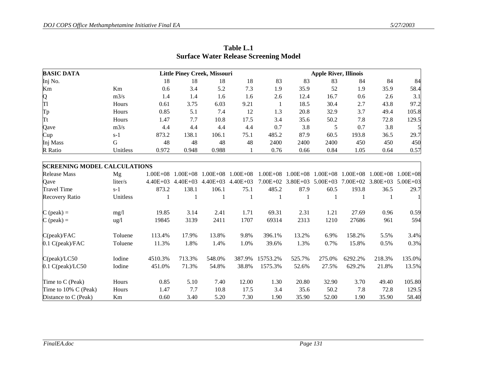| <b>BASIC DATA</b>                        | <b>Little Piney Creek, Missouri</b> |              |              |              |              |              |        | <b>Apple River, Illinois</b> |              |                   |              |
|------------------------------------------|-------------------------------------|--------------|--------------|--------------|--------------|--------------|--------|------------------------------|--------------|-------------------|--------------|
| Inj No.                                  |                                     | 18           | 18           | 18           | 18           | 83           | 83     | 83                           | 84           | 84                | 84           |
| Km                                       | Km                                  | 0.6          | 3.4          | 5.2          | 7.3          | 1.9          | 35.9   | 52                           | 1.9          | 35.9              | 58.4         |
|                                          | m3/s                                | 1.4          | 1.4          | 1.6          | 1.6          | 2.6          | 12.4   | 16.7                         | 0.6          | 2.6               | 3.1          |
| Q<br>Tl                                  | Hours                               | 0.61         | 3.75         | 6.03         | 9.21         | -1           | 18.5   | 30.4                         | 2.7          | 43.8              | 97.2         |
| Tp                                       | Hours                               | 0.85         | 5.1          | 7.4          | 12           | 1.3          | 20.8   | 32.9                         | 3.7          | 49.4              | 105.8        |
| Tt                                       | Hours                               | 1.47         | 7.7          | 10.8         | 17.5         | 3.4          | 35.6   | 50.2                         | 7.8          | 72.8              | 129.5        |
| Qave                                     | m3/s                                | 4.4          | 4.4          | 4.4          | 4.4          | 0.7          | 3.8    | 5                            | 0.7          | 3.8               |              |
| Cup                                      | $s-1$                               | 873.2        | 138.1        | 106.1        | 75.1         | 485.2        | 87.9   | 60.5                         | 193.8        | 36.5              | 29.7         |
| Inj Mass                                 | G                                   | 48           | 48           | 48           | 48           | 2400         | 2400   | 2400                         | 450          | 450               | 450          |
| R Ratio                                  | Unitless                            | 0.972        | 0.948        | 0.988        | 1            | 0.76         | 0.66   | 0.84                         | 1.05         | 0.64              | 0.57         |
| <b>SCREENING MODEL CALCULATIONS</b>      |                                     |              |              |              |              |              |        |                              |              |                   |              |
| <b>Release Mass</b>                      | Mg                                  | $1.00E + 08$ | $1.00E + 08$ | $1.00E + 08$ | $1.00E + 08$ | $1.00E + 08$ |        | $1.00E+08$ $1.00E+08$        | $1.00E + 08$ | $1.00E + 08$      | $1.00E + 08$ |
| Qave                                     | liter/s                             | $4.40E + 03$ | $4.40E + 03$ | $4.40E + 03$ | $4.40E + 03$ |              |        | 7.00E+02 3.80E+03 5.00E+03   | 7.00E+02     | 3.80E+03 5.00E+03 |              |
| <b>Travel Time</b>                       | $s-1$                               | 873.2        | 138.1        | 106.1        | 75.1         | 485.2        | 87.9   | 60.5                         | 193.8        | 36.5              | 29.7         |
| <b>Recovery Ratio</b>                    | Unitless                            |              |              | -1           | -1           | $\mathbf{1}$ | 1      | -1                           | 1            | $\overline{1}$    |              |
| $C$ (peak) =                             | mg/1                                | 19.85        | 3.14         | 2.41         | 1.71         | 69.31        | 2.31   | 1.21                         | 27.69        | 0.96              | 0.59         |
| $C$ (peak) =                             | ug/l                                | 19845        | 3139         | 2411         | 1707         | 69314        | 2313   | 1210                         | 27686        | 961               | 594          |
| C(peak)/FAC                              | Toluene                             | 113.4%       | 17.9%        | 13.8%        | 9.8%         | 396.1%       | 13.2%  | 6.9%                         | 158.2%       | 5.5%              | 3.4%         |
| 0.1 C(peak)/FAC                          | Toluene                             | 11.3%        | 1.8%         | 1.4%         | 1.0%         | 39.6%        | 1.3%   | 0.7%                         | 15.8%        | 0.5%              | 0.3%         |
| $C(\text{peak})/LC50$                    | Iodine                              | 4510.3%      | 713.3%       | 548.0%       | 387.9%       | 15753.2%     | 525.7% | 275.0%                       | 6292.2%      | 218.3%            | 135.0%       |
| $0.1 \text{ C}(\text{peak})/\text{LC}50$ | Iodine                              | 451.0%       | 71.3%        | 54.8%        | 38.8%        | 1575.3%      | 52.6%  | 27.5%                        | 629.2%       | 21.8%             | 13.5%        |
| Time to C (Peak)                         | Hours                               | 0.85         | 5.10         | 7.40         | 12.00        | 1.30         | 20.80  | 32.90                        | 3.70         | 49.40             | 105.80       |
| Time to 10% C (Peak)                     | Hours                               | 1.47         | 7.7          | 10.8         | 17.5         | 3.4          | 35.6   | 50.2                         | 7.8          | 72.8              | 129.5        |
| Distance to C (Peak)                     | Km                                  | 0.60         | 3.40         | 5.20         | 7.30         | 1.90         | 35.90  | 52.00                        | 1.90         | 35.90             | 58.40        |

**Table L.1 Surface Water Release Screening Model**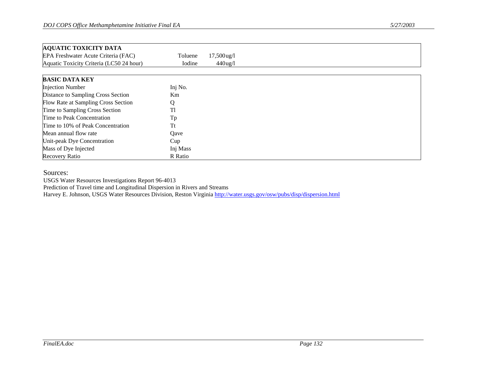| <b>AQUATIC TOXICITY DATA</b>             |          |               |
|------------------------------------------|----------|---------------|
| EPA Freshwater Acute Criteria (FAC)      | Toluene  | $17,500$ ug/l |
| Aquatic Toxicity Criteria (LC50 24 hour) | Iodine   | $440$ ug/l    |
|                                          |          |               |
| <b>BASIC DATA KEY</b>                    |          |               |
| <b>Injection Number</b>                  | Inj No.  |               |
| Distance to Sampling Cross Section       | Km       |               |
| Flow Rate at Sampling Cross Section      | Q        |               |
| Time to Sampling Cross Section           | T1       |               |
| Time to Peak Concentration               | Tp       |               |
| Time to 10% of Peak Concentration        | Tt       |               |
| Mean annual flow rate                    | Qave     |               |
| Unit-peak Dye Concentration              | Cup      |               |
| Mass of Dye Injected                     | Inj Mass |               |
| <b>Recovery Ratio</b>                    | R Ratio  |               |

Sources:

USGS Water Resources Investigations Report 96-4013

Prediction of Travel time and Longitudinal Dispersion in Rivers and Streams

Harvey E. Johnson, USGS Water Resources Division, Reston Virginia http://water.usgs.gov/osw/pubs/disp/dispersion.html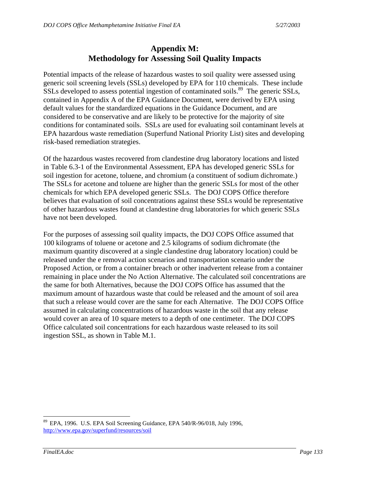# **Appendix M: Methodology for Assessing Soil Quality Impacts**

Potential impacts of the release of hazardous wastes to soil quality were assessed using generic soil screening levels (SSLs) developed by EPA for 110 chemicals. These include SSLs developed to assess potential ingestion of contaminated soils.<sup>89</sup> The generic SSLs, contained in Appendix A of the EPA Guidance Document, were derived by EPA using default values for the standardized equations in the Guidance Document, and are considered to be conservative and are likely to be protective for the majority of site conditions for contaminated soils. SSLs are used for evaluating soil contaminant levels at EPA hazardous waste remediation (Superfund National Priority List) sites and developing risk-based remediation strategies.

Of the hazardous wastes recovered from clandestine drug laboratory locations and listed in Table 6.3-1 of the Environmental Assessment, EPA has developed generic SSLs for soil ingestion for acetone, toluene, and chromium (a constituent of sodium dichromate.) The SSLs for acetone and toluene are higher than the generic SSLs for most of the other chemicals for which EPA developed generic SSLs. The DOJ COPS Office therefore believes that evaluation of soil concentrations against these SSLs would be representative of other hazardous wastes found at clandestine drug laboratories for which generic SSLs have not been developed.

For the purposes of assessing soil quality impacts, the DOJ COPS Office assumed that 100 kilograms of toluene or acetone and 2.5 kilograms of sodium dichromate (the maximum quantity discovered at a single clandestine drug laboratory location) could be released under the e removal action scenarios and transportation scenario under the Proposed Action, or from a container breach or other inadvertent release from a container remaining in place under the No Action Alternative. The calculated soil concentrations are the same for both Alternatives, because the DOJ COPS Office has assumed that the maximum amount of hazardous waste that could be released and the amount of soil area that such a release would cover are the same for each Alternative. The DOJ COPS Office assumed in calculating concentrations of hazardous waste in the soil that any release would cover an area of 10 square meters to a depth of one centimeter. The DOJ COPS Office calculated soil concentrations for each hazardous waste released to its soil ingestion SSL, as shown in Table M.1.

 $89\,$ <sup>89</sup> EPA, 1996. U.S. EPA Soil Screening Guidance, EPA 540/R-96/018, July 1996, http://www.epa.gov/superfund/resources/soil